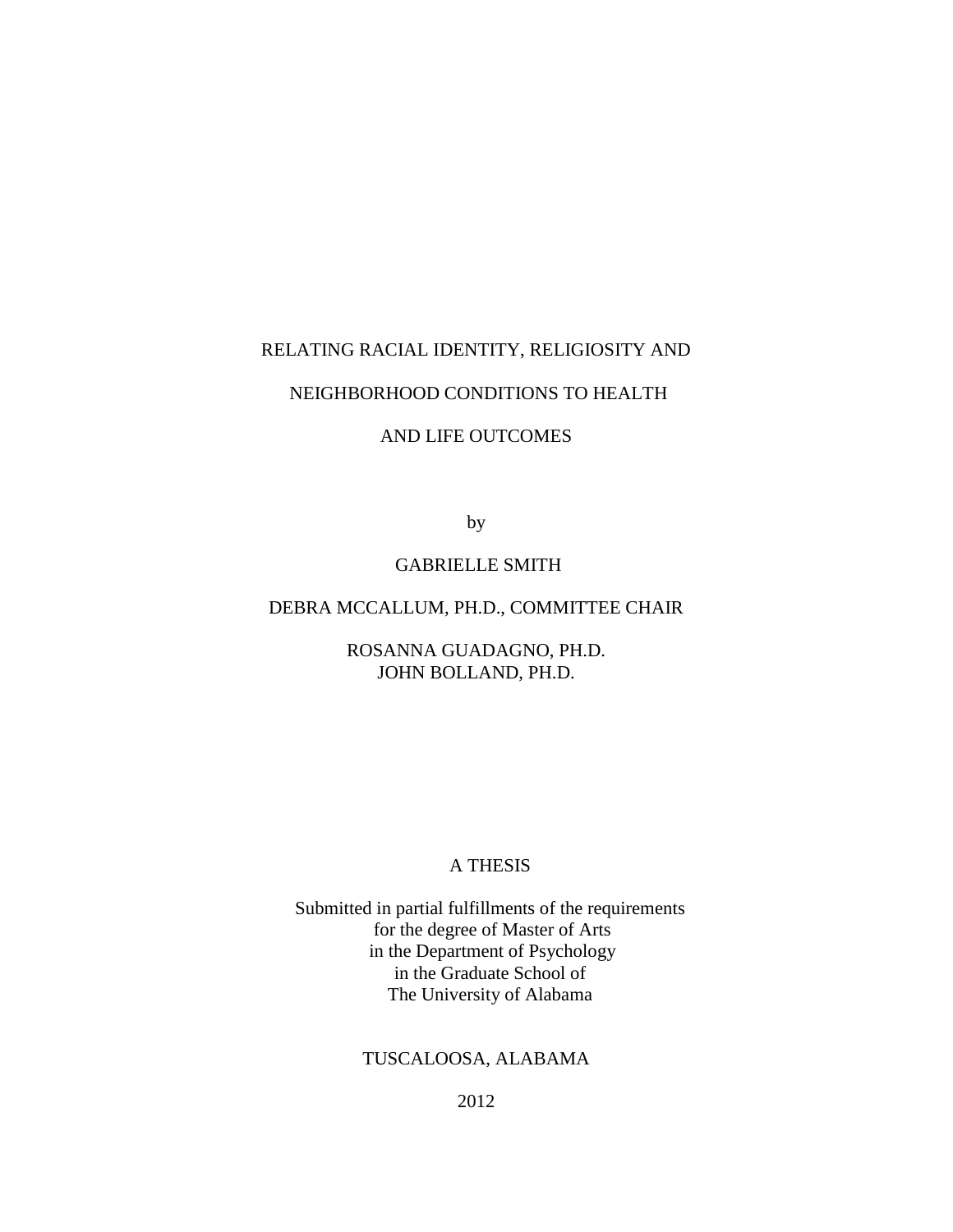## RELATING RACIAL IDENTITY, RELIGIOSITY AND

# NEIGHBORHOOD CONDITIONS TO HEALTH

# AND LIFE OUTCOMES

by

# GABRIELLE SMITH

# DEBRA MCCALLUM, PH.D., COMMITTEE CHAIR

ROSANNA GUADAGNO, PH.D. JOHN BOLLAND, PH.D.

# A THESIS

Submitted in partial fulfillments of the requirements for the degree of Master of Arts in the Department of Psychology in the Graduate School of The University of Alabama

# TUSCALOOSA, ALABAMA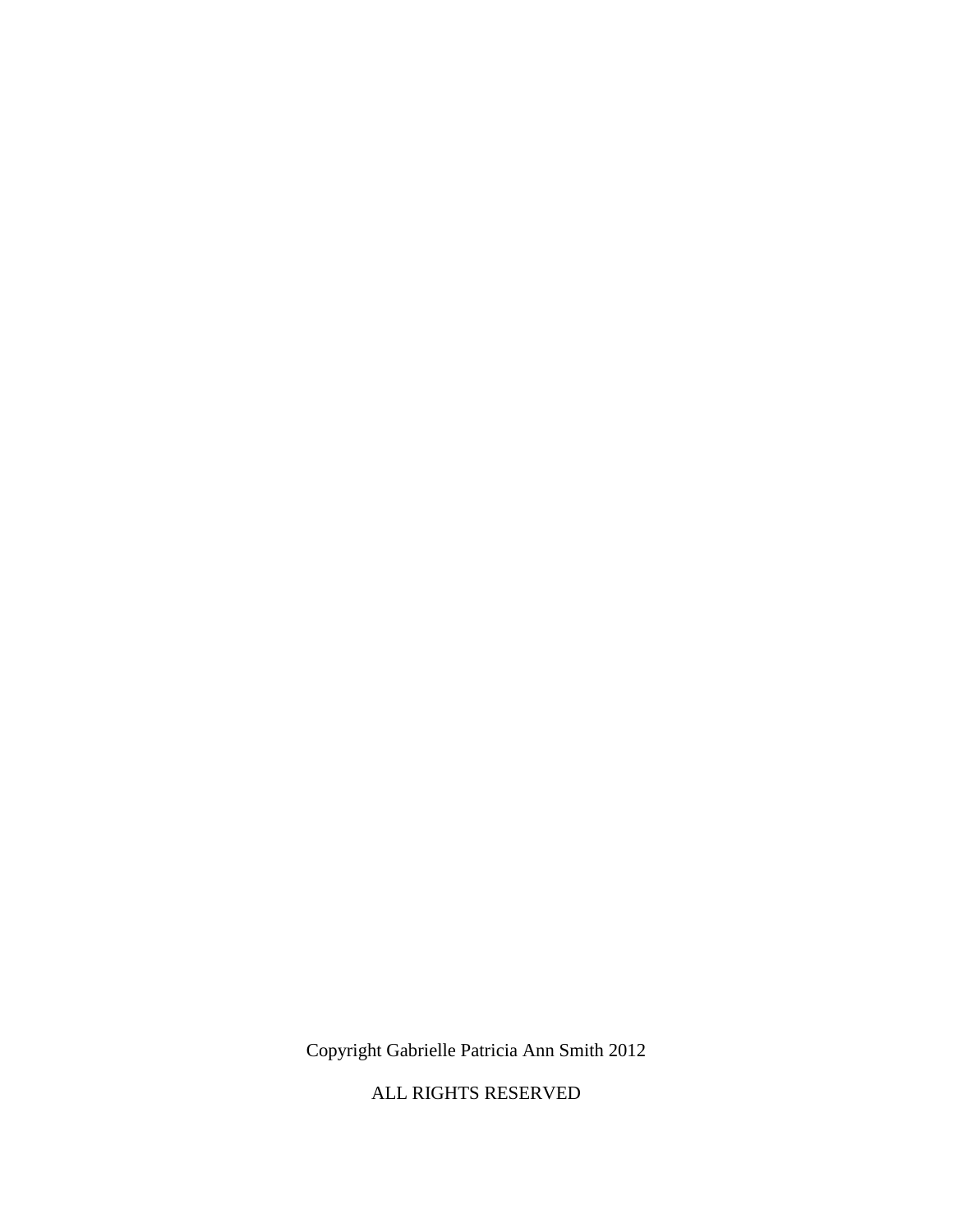Copyright Gabrielle Patricia Ann Smith 2012

ALL RIGHTS RESERVED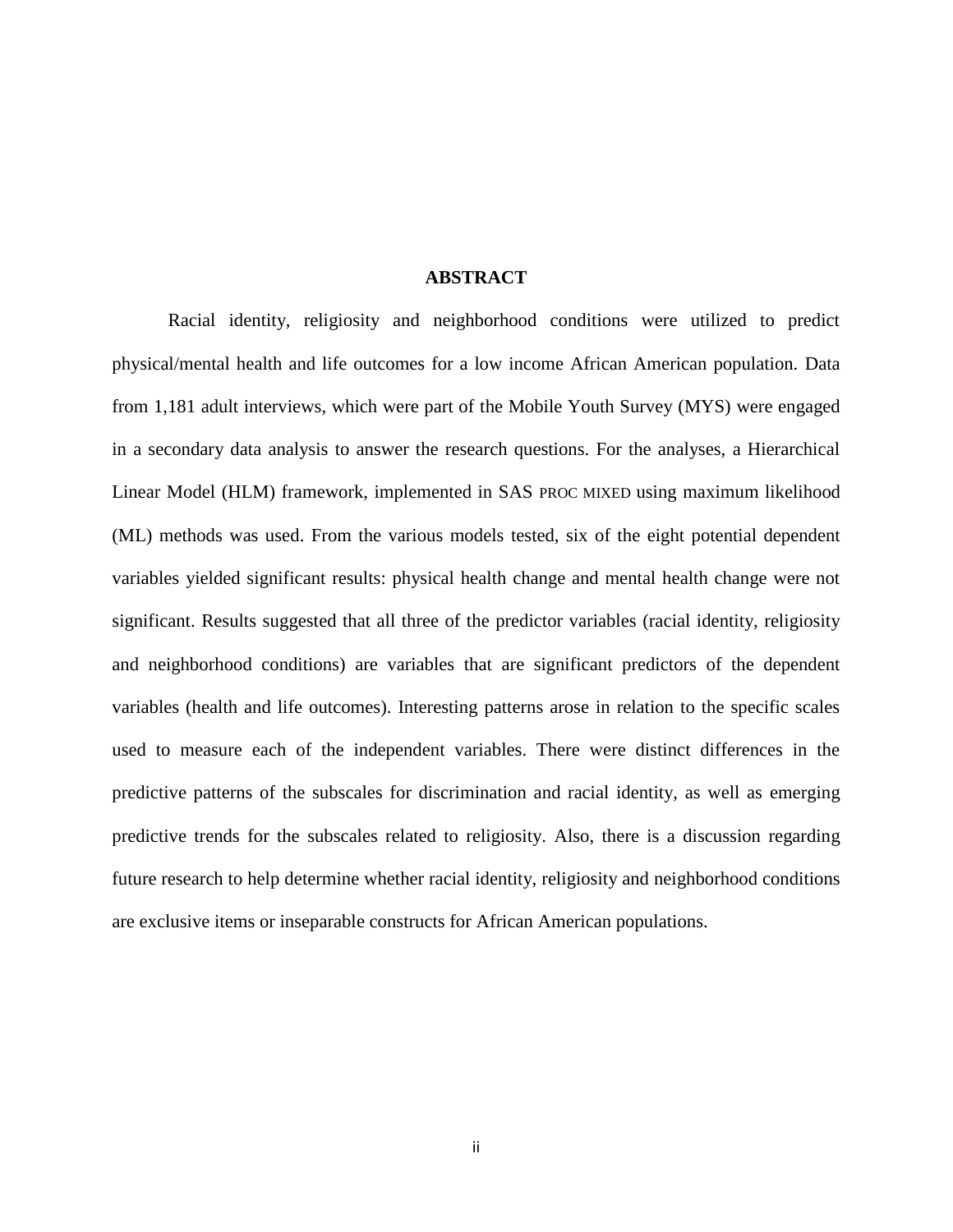#### **ABSTRACT**

Racial identity, religiosity and neighborhood conditions were utilized to predict physical/mental health and life outcomes for a low income African American population. Data from 1,181 adult interviews, which were part of the Mobile Youth Survey (MYS) were engaged in a secondary data analysis to answer the research questions. For the analyses, a Hierarchical Linear Model (HLM) framework, implemented in SAS PROC MIXED using maximum likelihood (ML) methods was used. From the various models tested, six of the eight potential dependent variables yielded significant results: physical health change and mental health change were not significant. Results suggested that all three of the predictor variables (racial identity, religiosity and neighborhood conditions) are variables that are significant predictors of the dependent variables (health and life outcomes). Interesting patterns arose in relation to the specific scales used to measure each of the independent variables. There were distinct differences in the predictive patterns of the subscales for discrimination and racial identity, as well as emerging predictive trends for the subscales related to religiosity. Also, there is a discussion regarding future research to help determine whether racial identity, religiosity and neighborhood conditions are exclusive items or inseparable constructs for African American populations.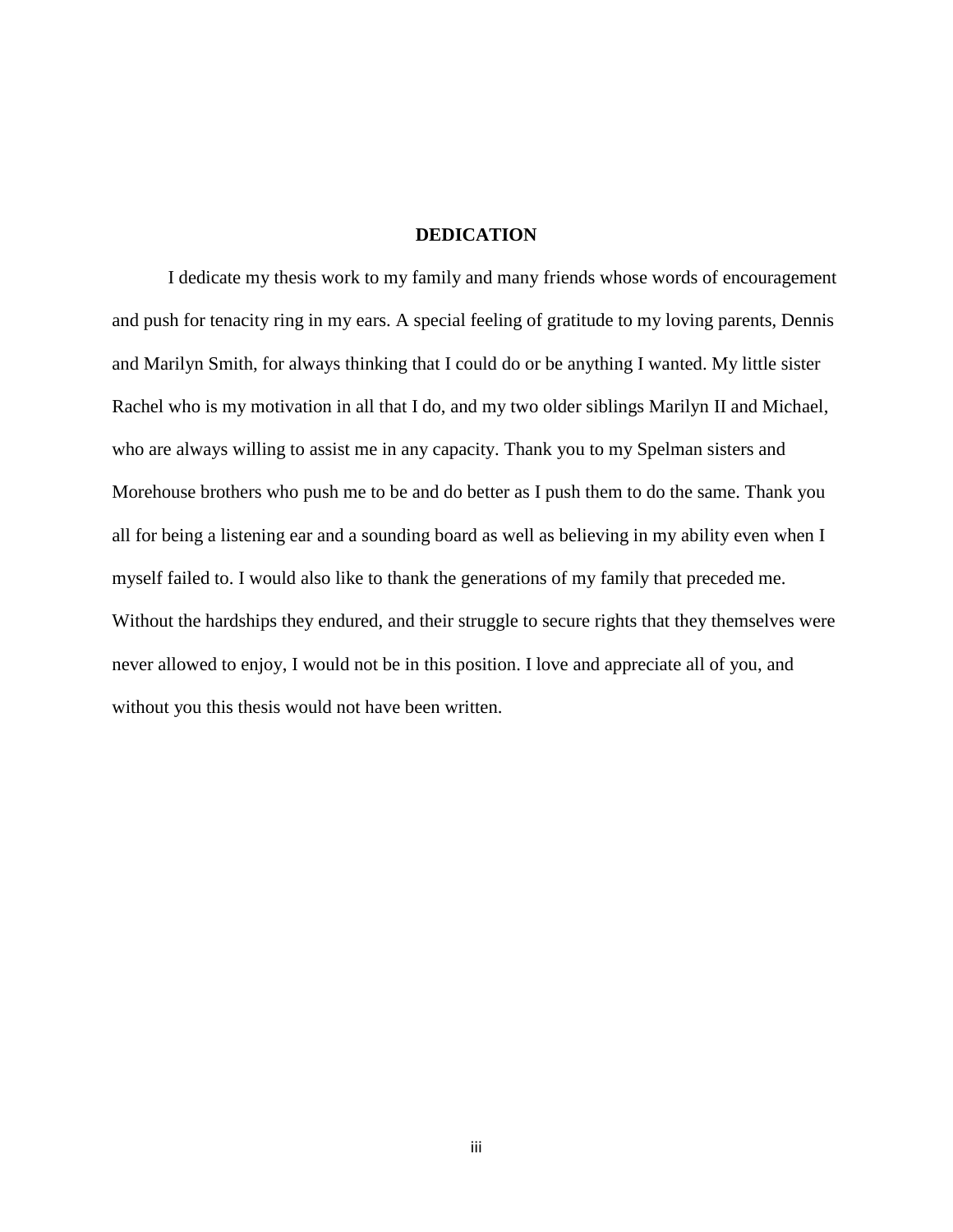## **DEDICATION**

I dedicate my thesis work to my family and many friends whose words of encouragement and push for tenacity ring in my ears. A special feeling of gratitude to my loving parents, Dennis and Marilyn Smith, for always thinking that I could do or be anything I wanted. My little sister Rachel who is my motivation in all that I do, and my two older siblings Marilyn II and Michael, who are always willing to assist me in any capacity. Thank you to my Spelman sisters and Morehouse brothers who push me to be and do better as I push them to do the same. Thank you all for being a listening ear and a sounding board as well as believing in my ability even when I myself failed to. I would also like to thank the generations of my family that preceded me. Without the hardships they endured, and their struggle to secure rights that they themselves were never allowed to enjoy, I would not be in this position. I love and appreciate all of you, and without you this thesis would not have been written.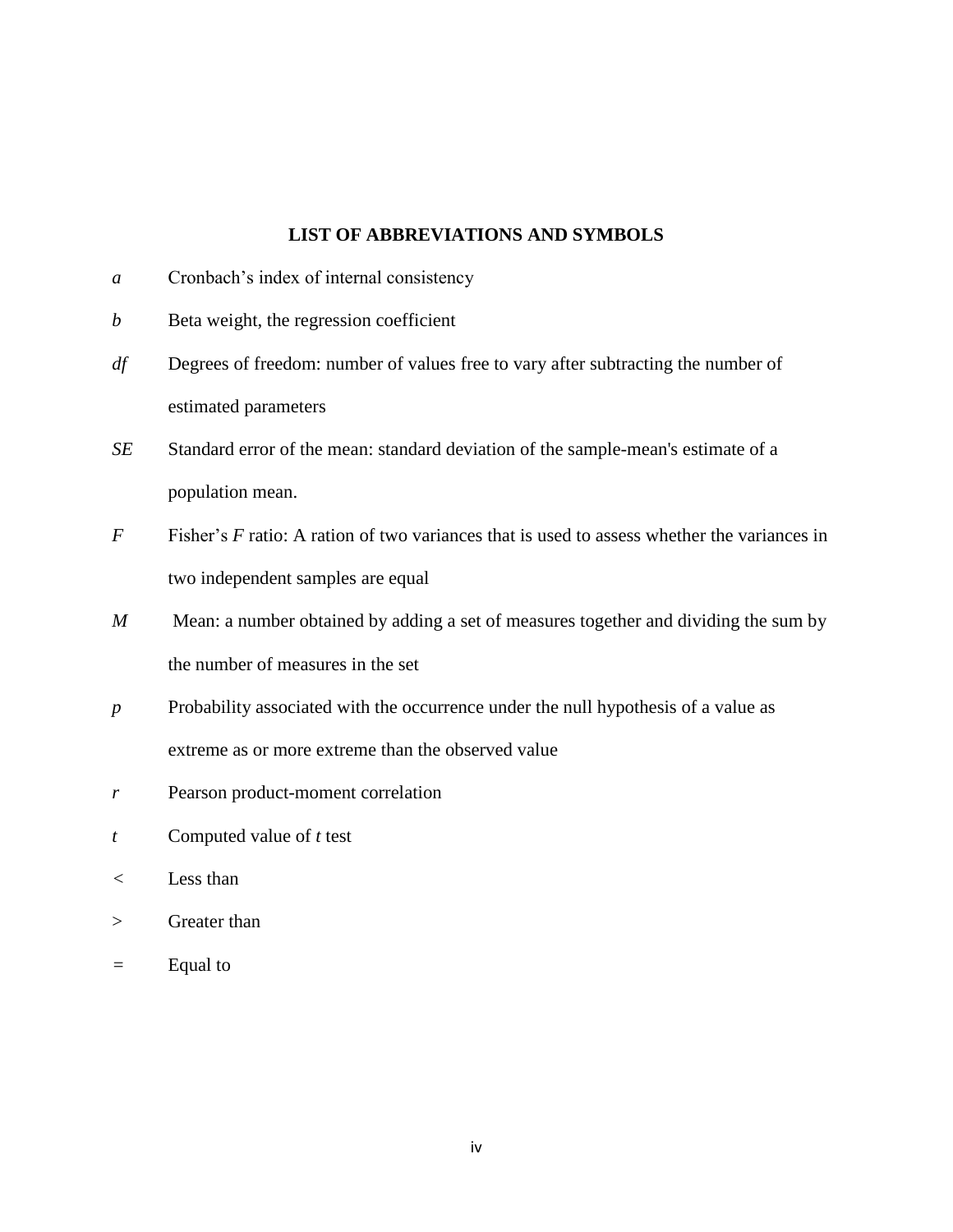## **LIST OF ABBREVIATIONS AND SYMBOLS**

- *a* Cronbach's index of internal consistency
- *b* Beta weight, the regression coefficient
- *df* Degrees of freedom: number of values free to vary after subtracting the number of estimated parameters
- *SE* Standard error of the mean: standard deviation of the sample-mean's estimate of a population mean.
- *F* Fisher's *F* ratio: A ration of two variances that is used to assess whether the variances in two independent samples are equal
- *M* Mean: a number obtained by adding a set of measures together and dividing the sum by the number of measures in the set
- *p* Probability associated with the occurrence under the null hypothesis of a value as extreme as or more extreme than the observed value
- *r* Pearson product-moment correlation
- *t* Computed value of *t* test
- *<* Less than
- > Greater than
- *=* Equal to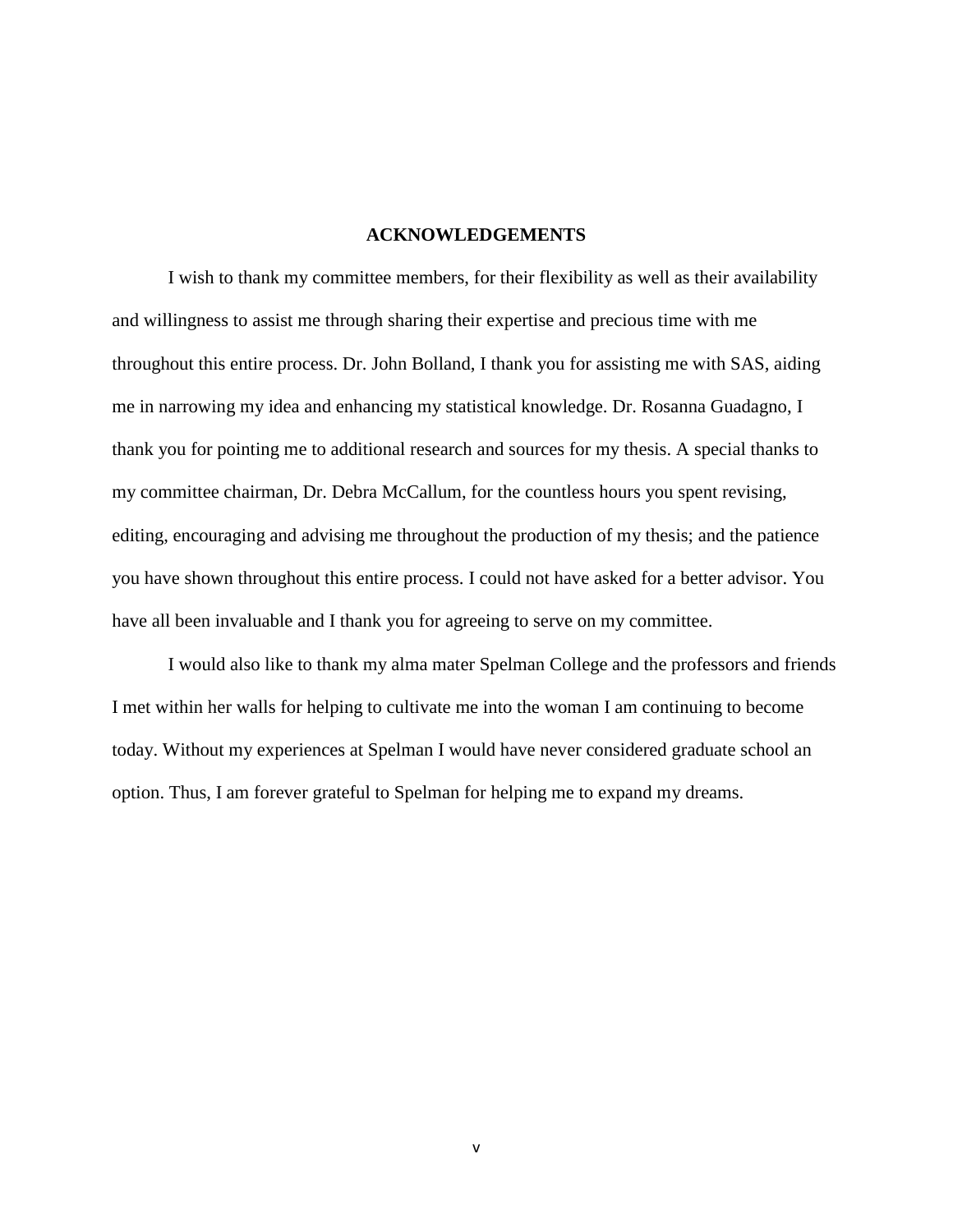### **ACKNOWLEDGEMENTS**

I wish to thank my committee members, for their flexibility as well as their availability and willingness to assist me through sharing their expertise and precious time with me throughout this entire process. Dr. John Bolland, I thank you for assisting me with SAS, aiding me in narrowing my idea and enhancing my statistical knowledge. Dr. Rosanna Guadagno, I thank you for pointing me to additional research and sources for my thesis. A special thanks to my committee chairman, Dr. Debra McCallum, for the countless hours you spent revising, editing, encouraging and advising me throughout the production of my thesis; and the patience you have shown throughout this entire process. I could not have asked for a better advisor. You have all been invaluable and I thank you for agreeing to serve on my committee.

I would also like to thank my alma mater Spelman College and the professors and friends I met within her walls for helping to cultivate me into the woman I am continuing to become today. Without my experiences at Spelman I would have never considered graduate school an option. Thus, I am forever grateful to Spelman for helping me to expand my dreams.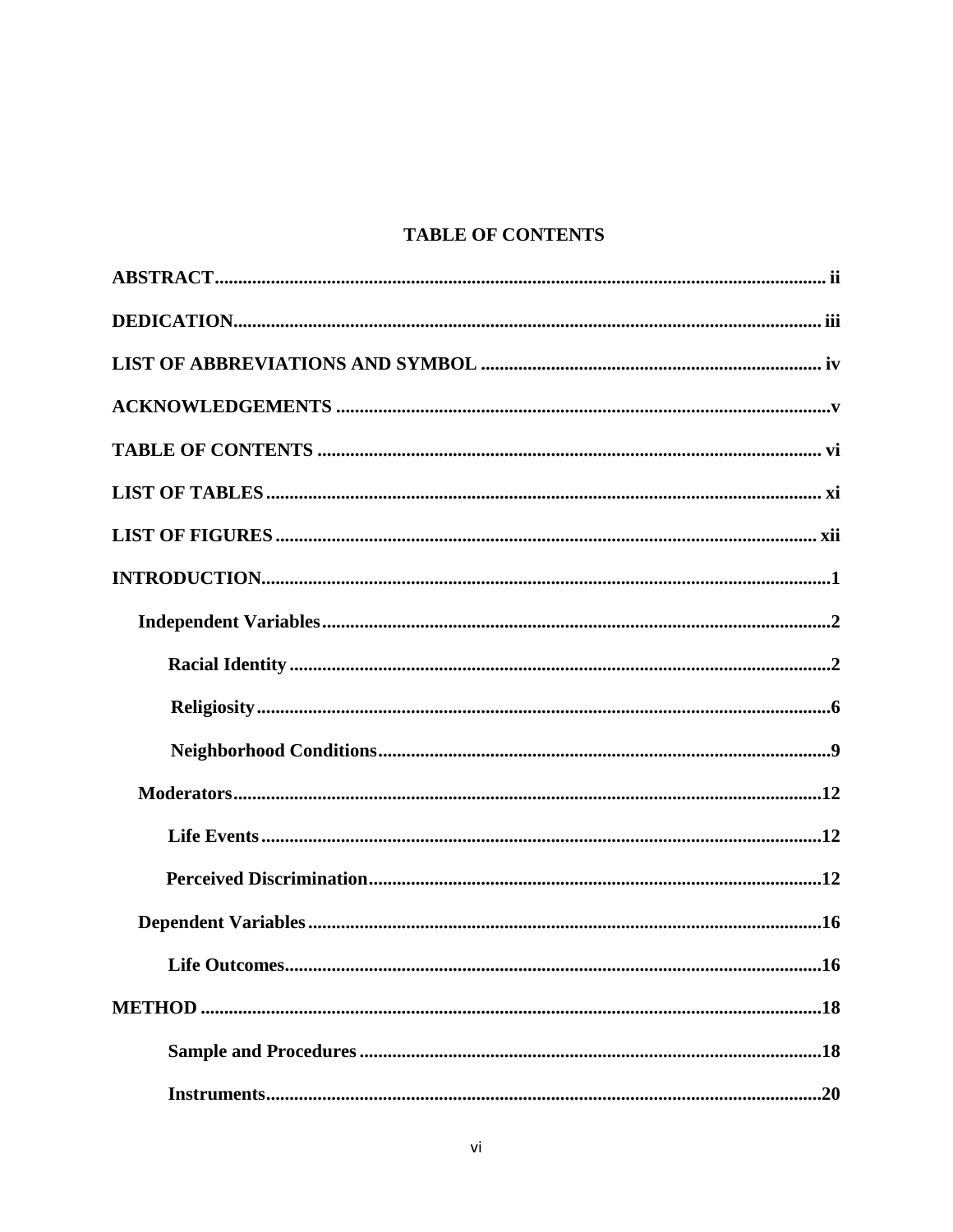# **TABLE OF CONTENTS**

| .16 |
|-----|
|     |
|     |
|     |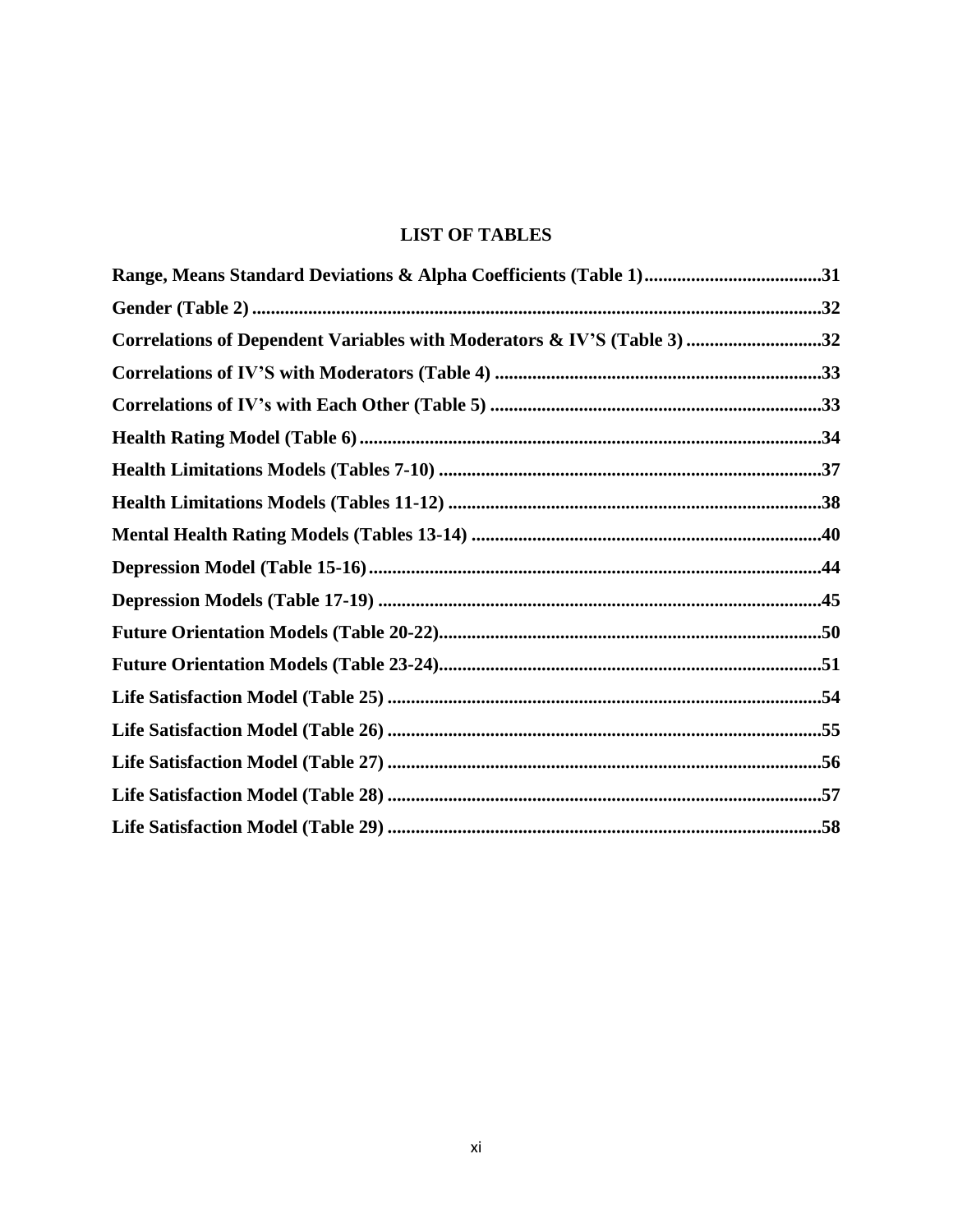# **LIST OF TABLES**

| Correlations of Dependent Variables with Moderators & IV'S (Table 3) 32 |  |
|-------------------------------------------------------------------------|--|
|                                                                         |  |
|                                                                         |  |
|                                                                         |  |
|                                                                         |  |
|                                                                         |  |
|                                                                         |  |
|                                                                         |  |
|                                                                         |  |
|                                                                         |  |
|                                                                         |  |
|                                                                         |  |
|                                                                         |  |
|                                                                         |  |
|                                                                         |  |
|                                                                         |  |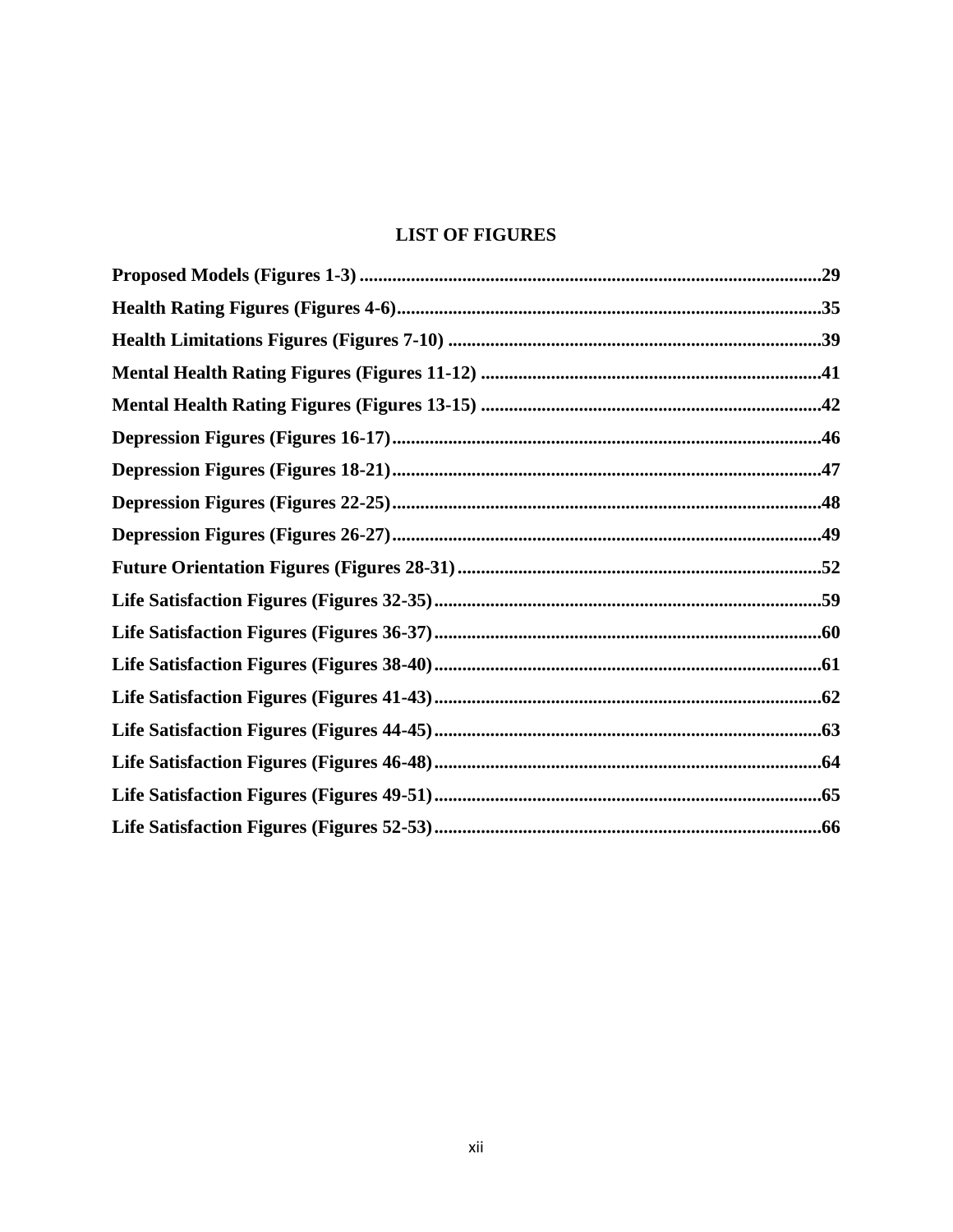# **LIST OF FIGURES**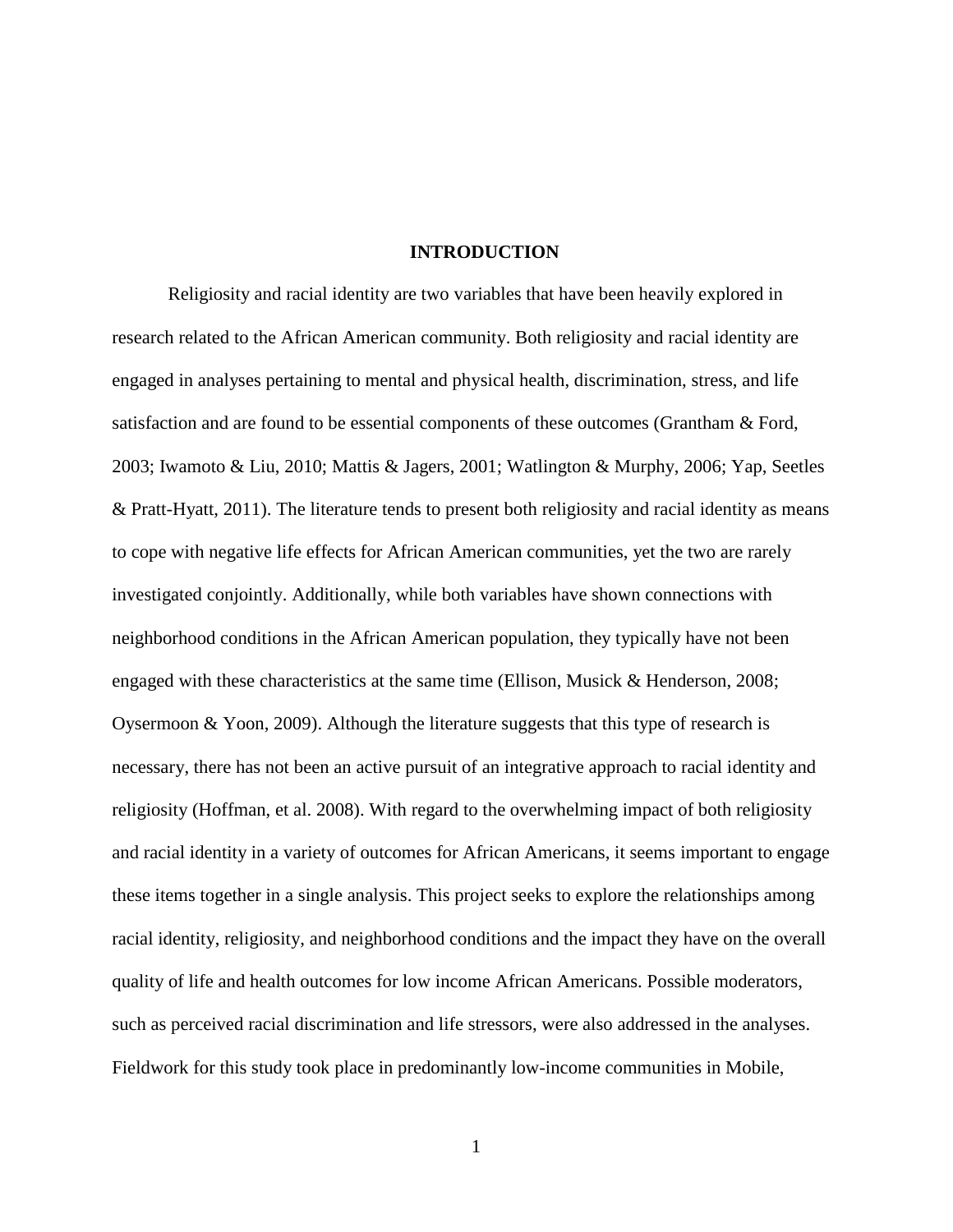#### **INTRODUCTION**

Religiosity and racial identity are two variables that have been heavily explored in research related to the African American community. Both religiosity and racial identity are engaged in analyses pertaining to mental and physical health, discrimination, stress, and life satisfaction and are found to be essential components of these outcomes (Grantham & Ford, 2003; Iwamoto & Liu, 2010; Mattis & Jagers, 2001; Watlington & Murphy, 2006; Yap, Seetles & Pratt-Hyatt, 2011). The literature tends to present both religiosity and racial identity as means to cope with negative life effects for African American communities, yet the two are rarely investigated conjointly. Additionally, while both variables have shown connections with neighborhood conditions in the African American population, they typically have not been engaged with these characteristics at the same time (Ellison, Musick & Henderson, 2008; Oysermoon  $& Y$ oon, 2009). Although the literature suggests that this type of research is necessary, there has not been an active pursuit of an integrative approach to racial identity and religiosity (Hoffman, et al. 2008). With regard to the overwhelming impact of both religiosity and racial identity in a variety of outcomes for African Americans, it seems important to engage these items together in a single analysis. This project seeks to explore the relationships among racial identity, religiosity, and neighborhood conditions and the impact they have on the overall quality of life and health outcomes for low income African Americans. Possible moderators, such as perceived racial discrimination and life stressors, were also addressed in the analyses. Fieldwork for this study took place in predominantly low-income communities in Mobile,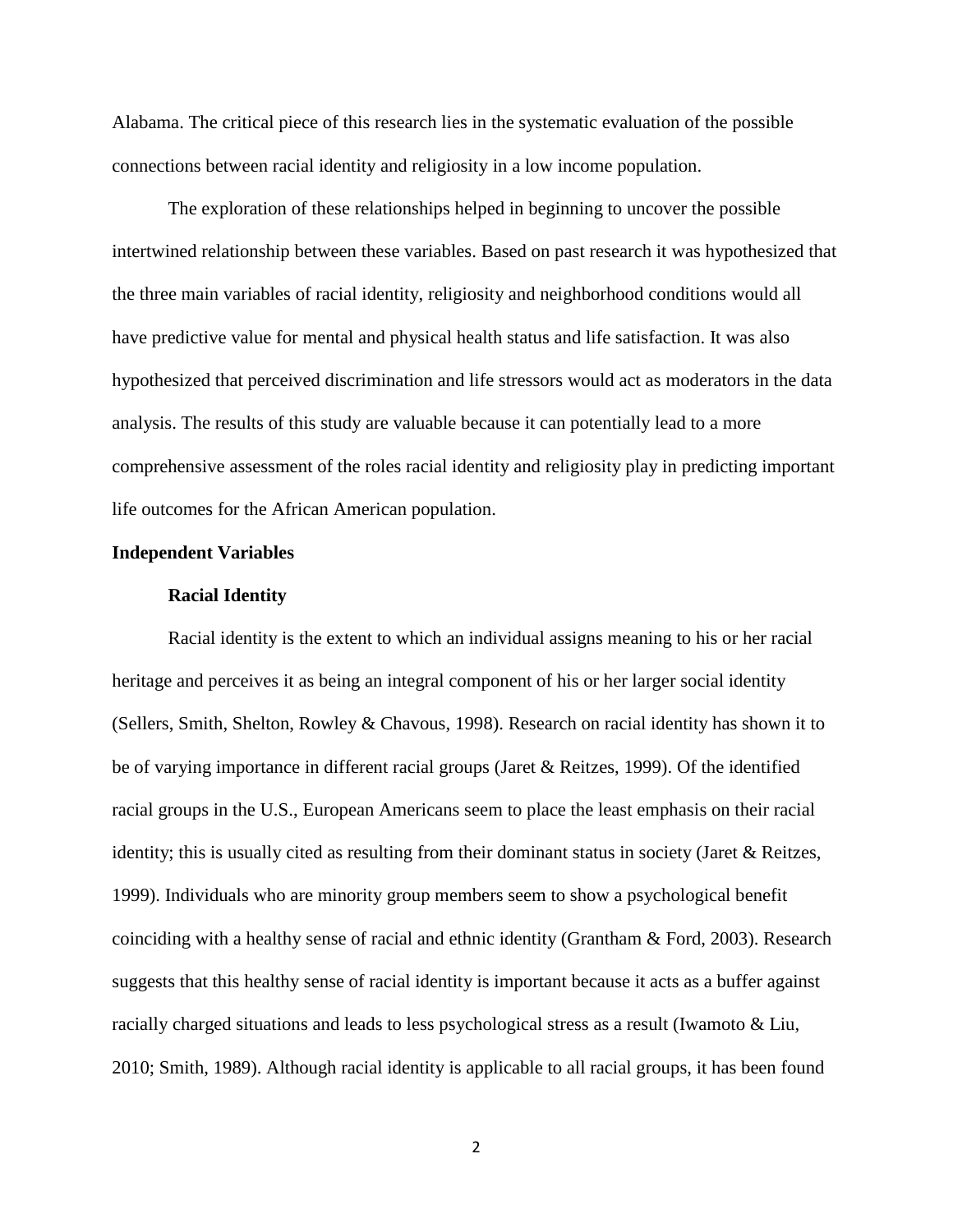Alabama. The critical piece of this research lies in the systematic evaluation of the possible connections between racial identity and religiosity in a low income population.

The exploration of these relationships helped in beginning to uncover the possible intertwined relationship between these variables. Based on past research it was hypothesized that the three main variables of racial identity, religiosity and neighborhood conditions would all have predictive value for mental and physical health status and life satisfaction. It was also hypothesized that perceived discrimination and life stressors would act as moderators in the data analysis. The results of this study are valuable because it can potentially lead to a more comprehensive assessment of the roles racial identity and religiosity play in predicting important life outcomes for the African American population.

### **Independent Variables**

#### **Racial Identity**

Racial identity is the extent to which an individual assigns meaning to his or her racial heritage and perceives it as being an integral component of his or her larger social identity (Sellers, Smith, Shelton, Rowley & Chavous, 1998). Research on racial identity has shown it to be of varying importance in different racial groups (Jaret & Reitzes, 1999). Of the identified racial groups in the U.S., European Americans seem to place the least emphasis on their racial identity; this is usually cited as resulting from their dominant status in society (Jaret & Reitzes, 1999). Individuals who are minority group members seem to show a psychological benefit coinciding with a healthy sense of racial and ethnic identity (Grantham & Ford, 2003). Research suggests that this healthy sense of racial identity is important because it acts as a buffer against racially charged situations and leads to less psychological stress as a result (Iwamoto & Liu, 2010; Smith, 1989). Although racial identity is applicable to all racial groups, it has been found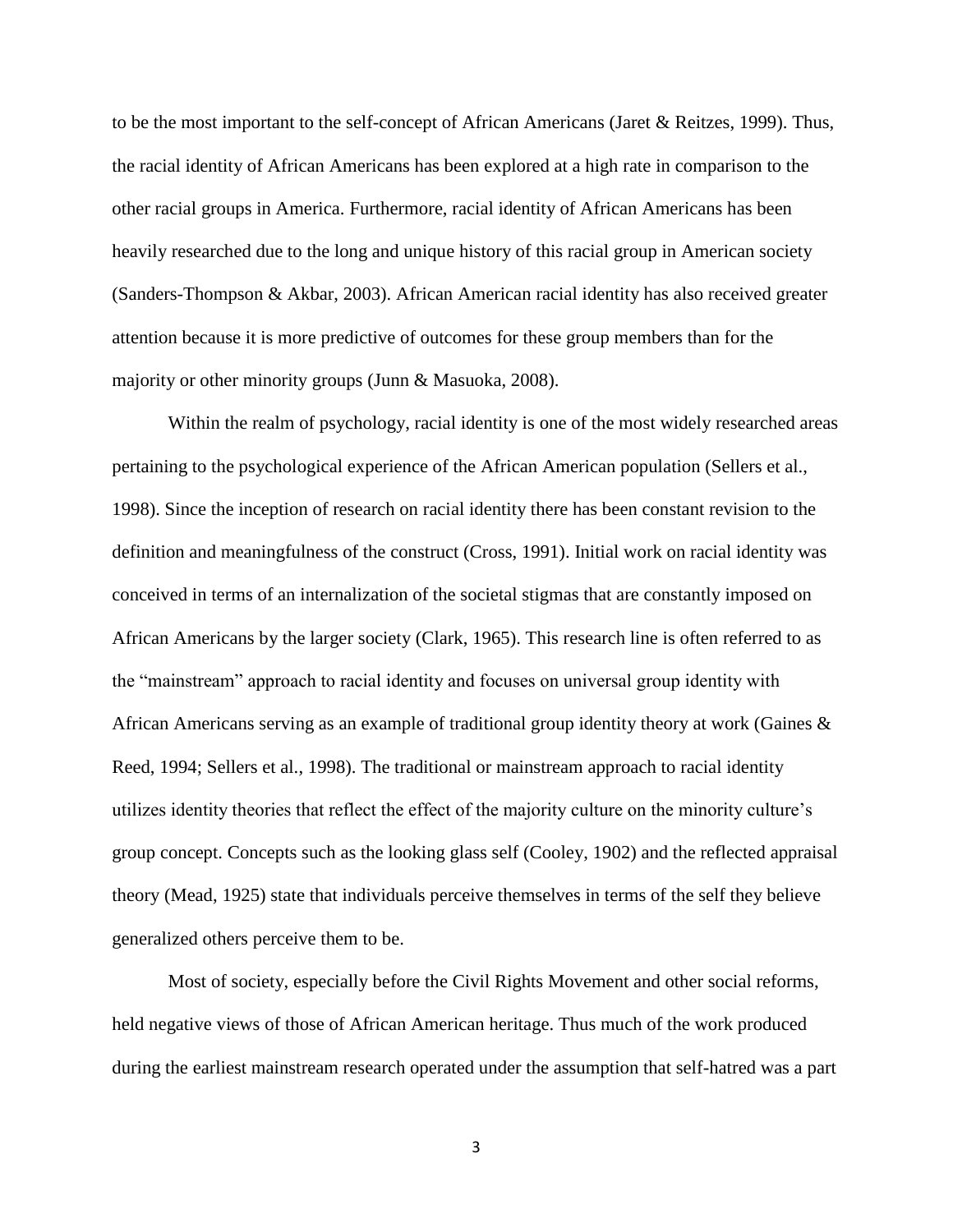to be the most important to the self-concept of African Americans (Jaret & Reitzes, 1999). Thus, the racial identity of African Americans has been explored at a high rate in comparison to the other racial groups in America. Furthermore, racial identity of African Americans has been heavily researched due to the long and unique history of this racial group in American society (Sanders-Thompson & Akbar, 2003). African American racial identity has also received greater attention because it is more predictive of outcomes for these group members than for the majority or other minority groups (Junn & Masuoka, 2008).

Within the realm of psychology, racial identity is one of the most widely researched areas pertaining to the psychological experience of the African American population (Sellers et al., 1998). Since the inception of research on racial identity there has been constant revision to the definition and meaningfulness of the construct (Cross, 1991). Initial work on racial identity was conceived in terms of an internalization of the societal stigmas that are constantly imposed on African Americans by the larger society (Clark, 1965). This research line is often referred to as the "mainstream" approach to racial identity and focuses on universal group identity with African Americans serving as an example of traditional group identity theory at work (Gaines & Reed, 1994; Sellers et al., 1998). The traditional or mainstream approach to racial identity utilizes identity theories that reflect the effect of the majority culture on the minority culture's group concept. Concepts such as the looking glass self (Cooley, 1902) and the reflected appraisal theory (Mead, 1925) state that individuals perceive themselves in terms of the self they believe generalized others perceive them to be.

Most of society, especially before the Civil Rights Movement and other social reforms, held negative views of those of African American heritage. Thus much of the work produced during the earliest mainstream research operated under the assumption that self-hatred was a part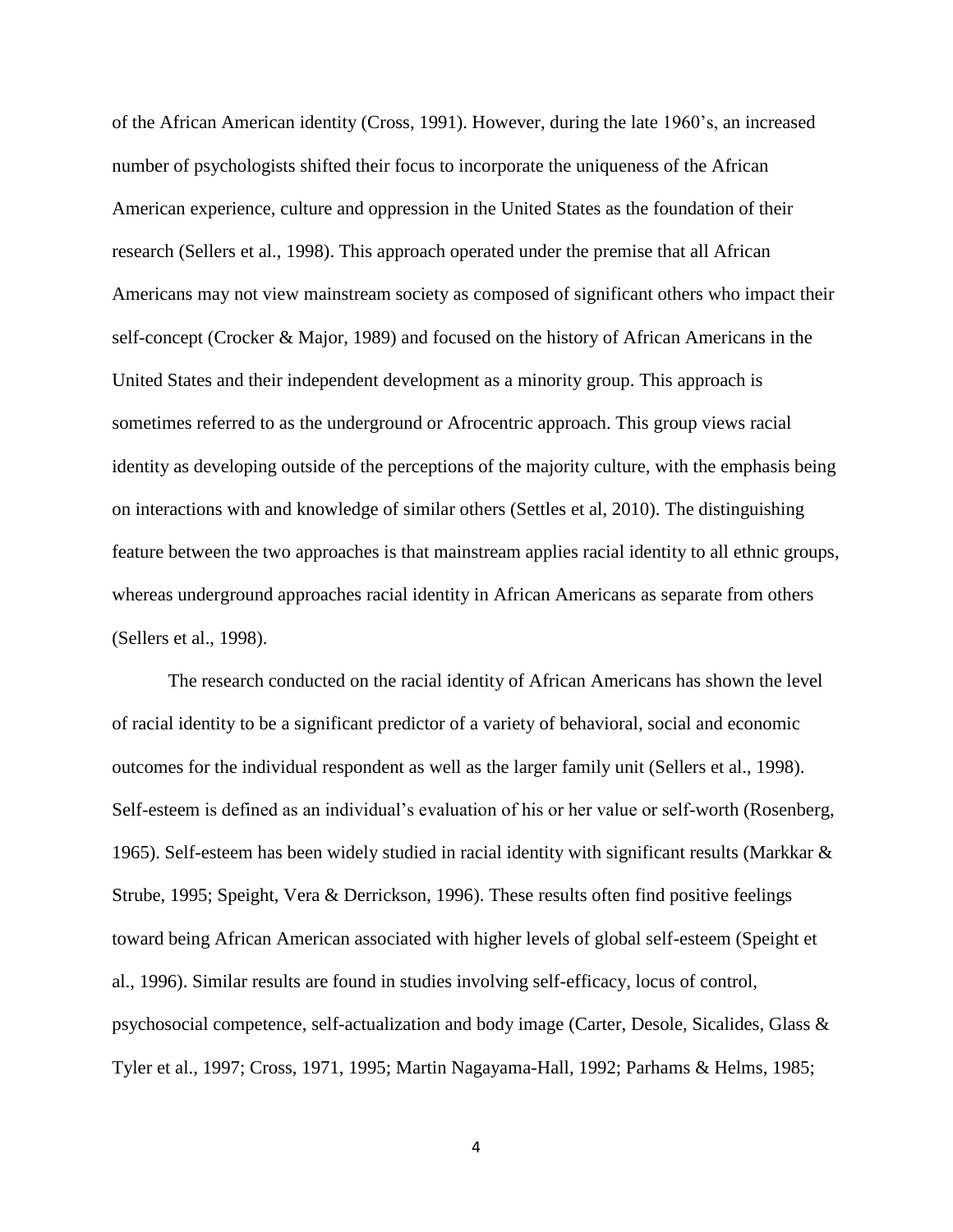of the African American identity (Cross, 1991). However, during the late 1960's, an increased number of psychologists shifted their focus to incorporate the uniqueness of the African American experience, culture and oppression in the United States as the foundation of their research (Sellers et al., 1998). This approach operated under the premise that all African Americans may not view mainstream society as composed of significant others who impact their self-concept (Crocker & Major, 1989) and focused on the history of African Americans in the United States and their independent development as a minority group. This approach is sometimes referred to as the underground or Afrocentric approach. This group views racial identity as developing outside of the perceptions of the majority culture, with the emphasis being on interactions with and knowledge of similar others (Settles et al, 2010). The distinguishing feature between the two approaches is that mainstream applies racial identity to all ethnic groups, whereas underground approaches racial identity in African Americans as separate from others (Sellers et al., 1998).

The research conducted on the racial identity of African Americans has shown the level of racial identity to be a significant predictor of a variety of behavioral, social and economic outcomes for the individual respondent as well as the larger family unit (Sellers et al., 1998). Self-esteem is defined as an individual's evaluation of his or her value or self-worth (Rosenberg, 1965). Self-esteem has been widely studied in racial identity with significant results (Markkar  $\&$ Strube, 1995; Speight, Vera & Derrickson, 1996). These results often find positive feelings toward being African American associated with higher levels of global self-esteem (Speight et al., 1996). Similar results are found in studies involving self-efficacy, locus of control, psychosocial competence, self-actualization and body image (Carter, Desole, Sicalides, Glass & Tyler et al., 1997; Cross, 1971, 1995; Martin Nagayama-Hall, 1992; Parhams & Helms, 1985;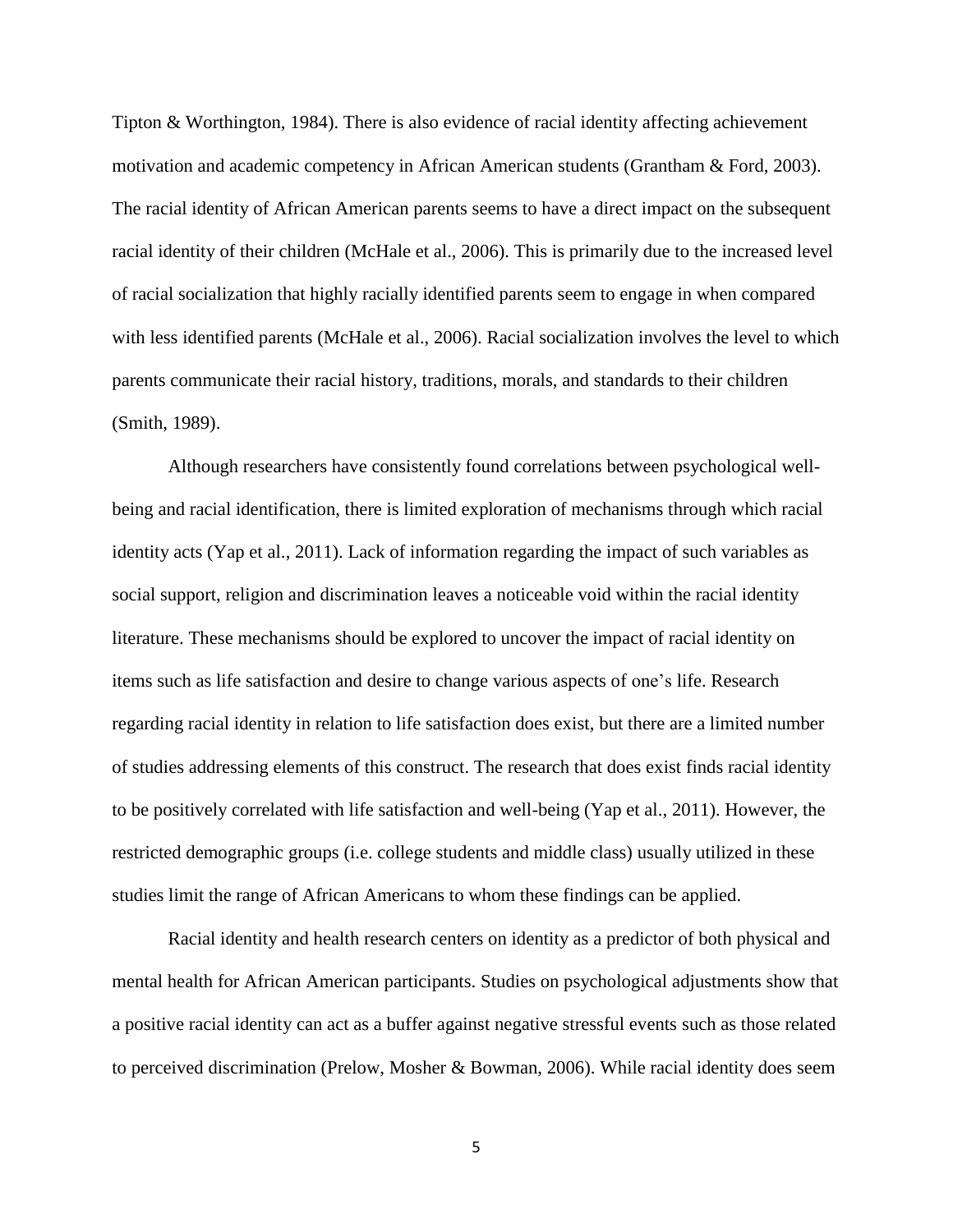Tipton & Worthington, 1984). There is also evidence of racial identity affecting achievement motivation and academic competency in African American students (Grantham & Ford, 2003). The racial identity of African American parents seems to have a direct impact on the subsequent racial identity of their children (McHale et al., 2006). This is primarily due to the increased level of racial socialization that highly racially identified parents seem to engage in when compared with less identified parents (McHale et al., 2006). Racial socialization involves the level to which parents communicate their racial history, traditions, morals, and standards to their children (Smith, 1989).

Although researchers have consistently found correlations between psychological wellbeing and racial identification, there is limited exploration of mechanisms through which racial identity acts (Yap et al., 2011). Lack of information regarding the impact of such variables as social support, religion and discrimination leaves a noticeable void within the racial identity literature. These mechanisms should be explored to uncover the impact of racial identity on items such as life satisfaction and desire to change various aspects of one's life. Research regarding racial identity in relation to life satisfaction does exist, but there are a limited number of studies addressing elements of this construct. The research that does exist finds racial identity to be positively correlated with life satisfaction and well-being (Yap et al., 2011). However, the restricted demographic groups (i.e. college students and middle class) usually utilized in these studies limit the range of African Americans to whom these findings can be applied.

Racial identity and health research centers on identity as a predictor of both physical and mental health for African American participants. Studies on psychological adjustments show that a positive racial identity can act as a buffer against negative stressful events such as those related to perceived discrimination (Prelow, Mosher & Bowman, 2006). While racial identity does seem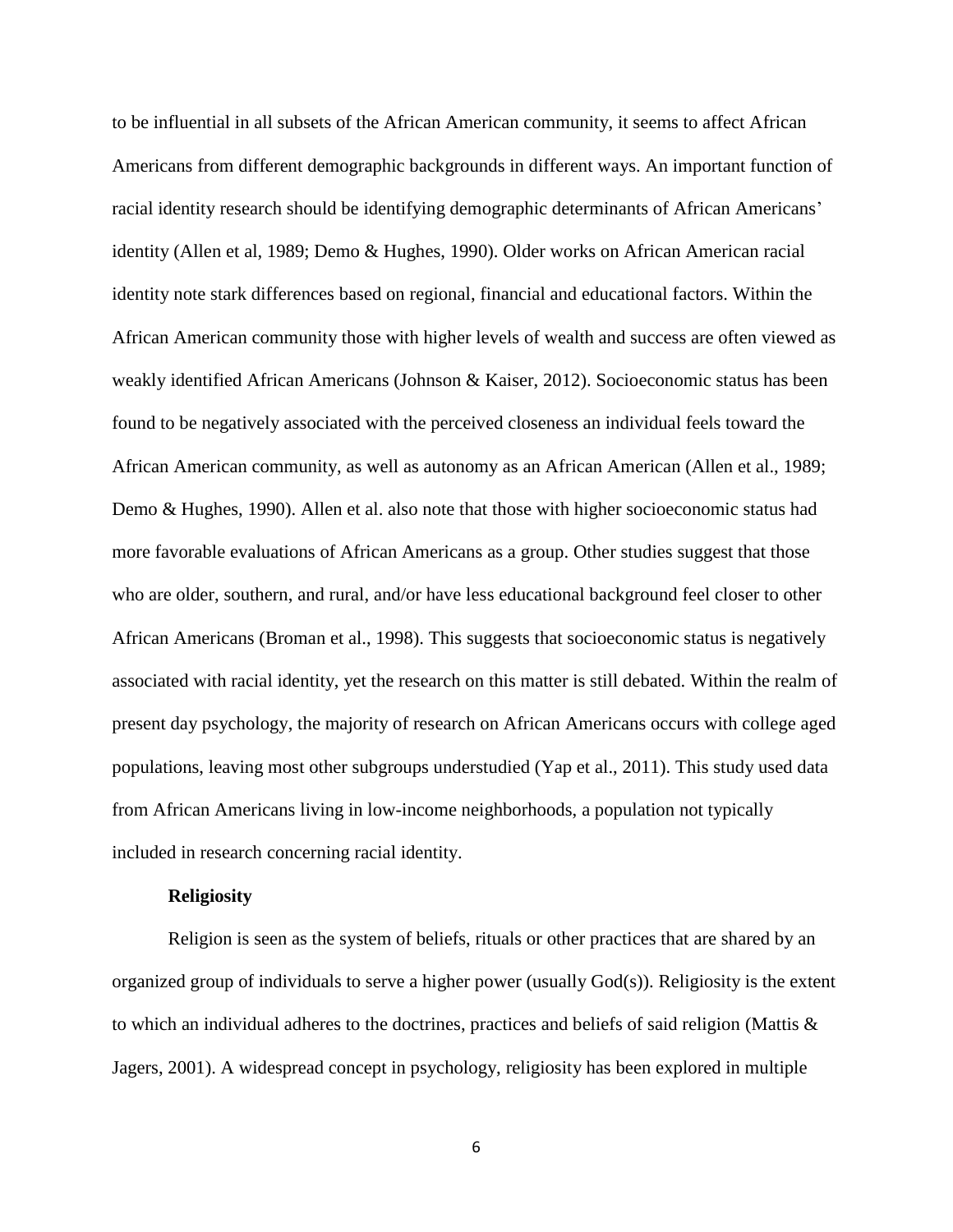to be influential in all subsets of the African American community, it seems to affect African Americans from different demographic backgrounds in different ways. An important function of racial identity research should be identifying demographic determinants of African Americans' identity (Allen et al, 1989; Demo & Hughes, 1990). Older works on African American racial identity note stark differences based on regional, financial and educational factors. Within the African American community those with higher levels of wealth and success are often viewed as weakly identified African Americans (Johnson & Kaiser, 2012). Socioeconomic status has been found to be negatively associated with the perceived closeness an individual feels toward the African American community, as well as autonomy as an African American (Allen et al., 1989; Demo & Hughes, 1990). Allen et al. also note that those with higher socioeconomic status had more favorable evaluations of African Americans as a group. Other studies suggest that those who are older, southern, and rural, and/or have less educational background feel closer to other African Americans (Broman et al., 1998). This suggests that socioeconomic status is negatively associated with racial identity, yet the research on this matter is still debated. Within the realm of present day psychology, the majority of research on African Americans occurs with college aged populations, leaving most other subgroups understudied (Yap et al., 2011). This study used data from African Americans living in low-income neighborhoods, a population not typically included in research concerning racial identity.

#### **Religiosity**

Religion is seen as the system of beliefs, rituals or other practices that are shared by an organized group of individuals to serve a higher power (usually God(s)). Religiosity is the extent to which an individual adheres to the doctrines, practices and beliefs of said religion (Mattis  $\&$ Jagers, 2001). A widespread concept in psychology, religiosity has been explored in multiple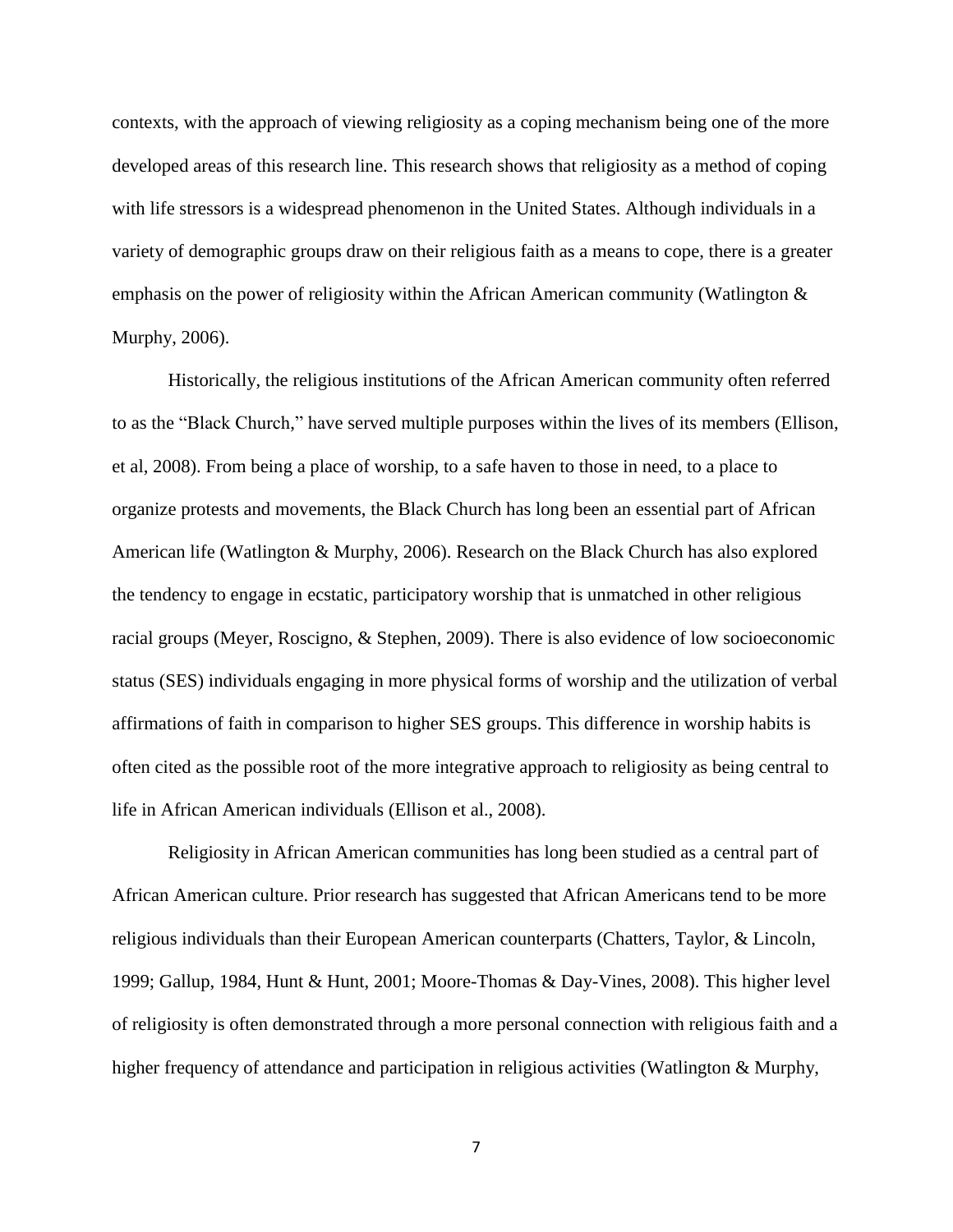contexts, with the approach of viewing religiosity as a coping mechanism being one of the more developed areas of this research line. This research shows that religiosity as a method of coping with life stressors is a widespread phenomenon in the United States. Although individuals in a variety of demographic groups draw on their religious faith as a means to cope, there is a greater emphasis on the power of religiosity within the African American community (Watlington  $\&$ Murphy, 2006).

Historically, the religious institutions of the African American community often referred to as the "Black Church," have served multiple purposes within the lives of its members (Ellison, et al, 2008). From being a place of worship, to a safe haven to those in need, to a place to organize protests and movements, the Black Church has long been an essential part of African American life (Watlington & Murphy, 2006). Research on the Black Church has also explored the tendency to engage in ecstatic, participatory worship that is unmatched in other religious racial groups (Meyer, Roscigno, & Stephen, 2009). There is also evidence of low socioeconomic status (SES) individuals engaging in more physical forms of worship and the utilization of verbal affirmations of faith in comparison to higher SES groups. This difference in worship habits is often cited as the possible root of the more integrative approach to religiosity as being central to life in African American individuals (Ellison et al., 2008).

Religiosity in African American communities has long been studied as a central part of African American culture. Prior research has suggested that African Americans tend to be more religious individuals than their European American counterparts (Chatters, Taylor, & Lincoln, 1999; Gallup, 1984, Hunt & Hunt, 2001; Moore-Thomas & Day-Vines, 2008). This higher level of religiosity is often demonstrated through a more personal connection with religious faith and a higher frequency of attendance and participation in religious activities (Watlington & Murphy,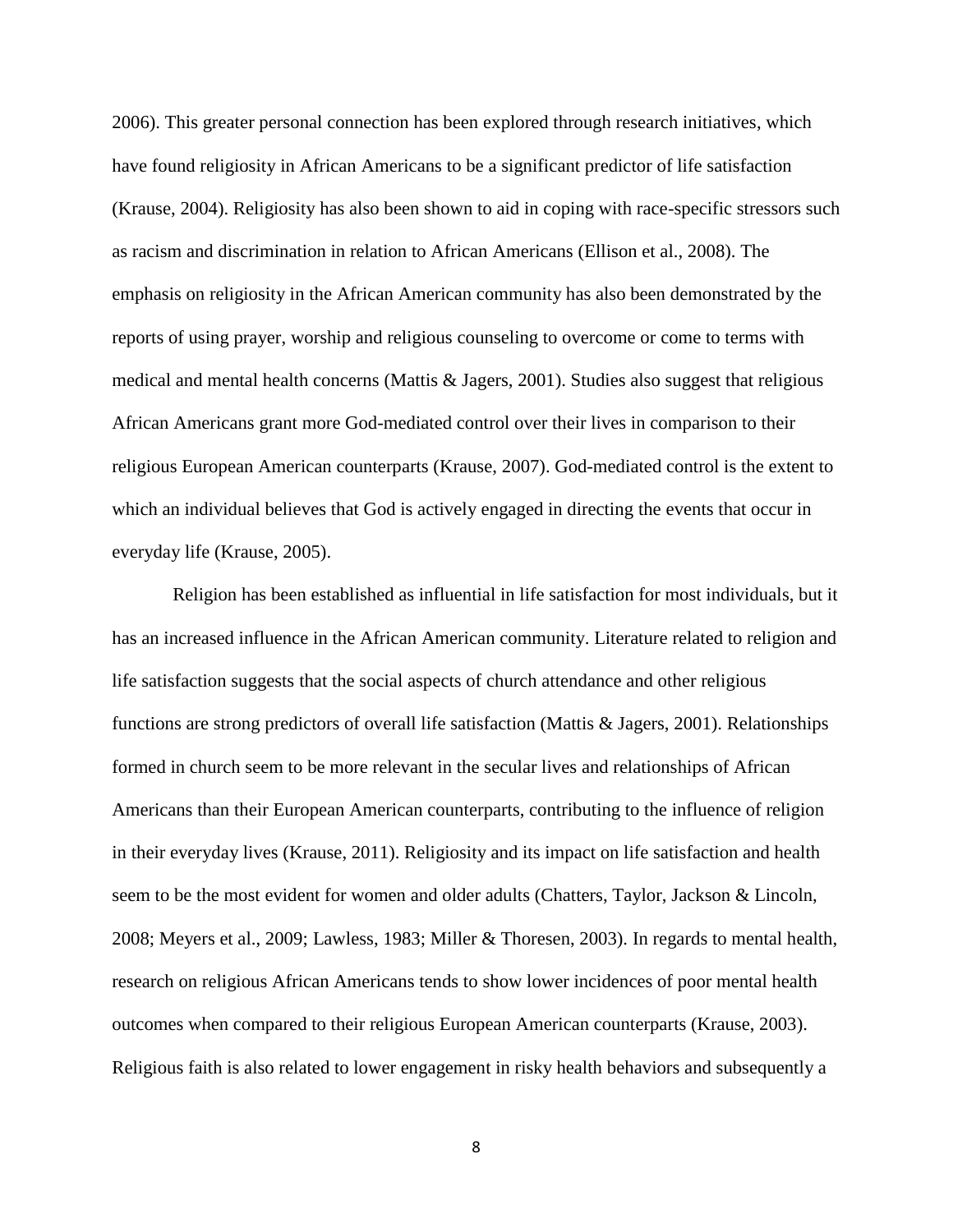2006). This greater personal connection has been explored through research initiatives, which have found religiosity in African Americans to be a significant predictor of life satisfaction (Krause, 2004). Religiosity has also been shown to aid in coping with race-specific stressors such as racism and discrimination in relation to African Americans (Ellison et al., 2008). The emphasis on religiosity in the African American community has also been demonstrated by the reports of using prayer, worship and religious counseling to overcome or come to terms with medical and mental health concerns (Mattis & Jagers, 2001). Studies also suggest that religious African Americans grant more God-mediated control over their lives in comparison to their religious European American counterparts (Krause, 2007). God-mediated control is the extent to which an individual believes that God is actively engaged in directing the events that occur in everyday life (Krause, 2005).

Religion has been established as influential in life satisfaction for most individuals, but it has an increased influence in the African American community. Literature related to religion and life satisfaction suggests that the social aspects of church attendance and other religious functions are strong predictors of overall life satisfaction (Mattis & Jagers, 2001). Relationships formed in church seem to be more relevant in the secular lives and relationships of African Americans than their European American counterparts, contributing to the influence of religion in their everyday lives (Krause, 2011). Religiosity and its impact on life satisfaction and health seem to be the most evident for women and older adults (Chatters, Taylor, Jackson & Lincoln, 2008; Meyers et al., 2009; Lawless, 1983; Miller & Thoresen, 2003). In regards to mental health, research on religious African Americans tends to show lower incidences of poor mental health outcomes when compared to their religious European American counterparts (Krause, 2003). Religious faith is also related to lower engagement in risky health behaviors and subsequently a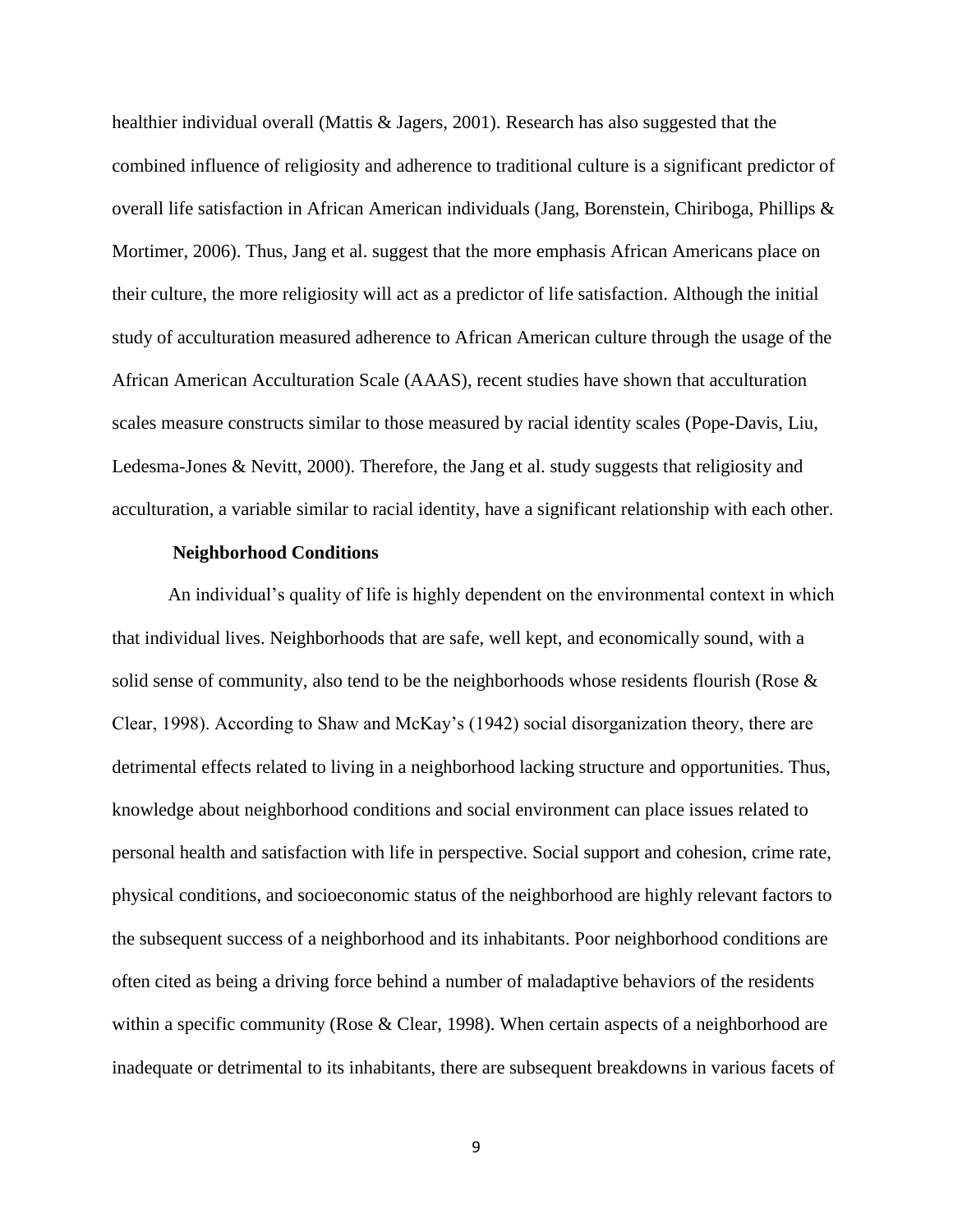healthier individual overall (Mattis & Jagers, 2001). Research has also suggested that the combined influence of religiosity and adherence to traditional culture is a significant predictor of overall life satisfaction in African American individuals (Jang, Borenstein, Chiriboga, Phillips & Mortimer, 2006). Thus, Jang et al. suggest that the more emphasis African Americans place on their culture, the more religiosity will act as a predictor of life satisfaction. Although the initial study of acculturation measured adherence to African American culture through the usage of the African American Acculturation Scale (AAAS), recent studies have shown that acculturation scales measure constructs similar to those measured by racial identity scales (Pope-Davis, Liu, Ledesma-Jones & Nevitt, 2000). Therefore, the Jang et al. study suggests that religiosity and acculturation, a variable similar to racial identity, have a significant relationship with each other.

#### **Neighborhood Conditions**

An individual's quality of life is highly dependent on the environmental context in which that individual lives. Neighborhoods that are safe, well kept, and economically sound, with a solid sense of community, also tend to be the neighborhoods whose residents flourish (Rose & Clear, 1998). According to Shaw and McKay's (1942) social disorganization theory, there are detrimental effects related to living in a neighborhood lacking structure and opportunities. Thus, knowledge about neighborhood conditions and social environment can place issues related to personal health and satisfaction with life in perspective. Social support and cohesion, crime rate, physical conditions, and socioeconomic status of the neighborhood are highly relevant factors to the subsequent success of a neighborhood and its inhabitants. Poor neighborhood conditions are often cited as being a driving force behind a number of maladaptive behaviors of the residents within a specific community (Rose & Clear, 1998). When certain aspects of a neighborhood are inadequate or detrimental to its inhabitants, there are subsequent breakdowns in various facets of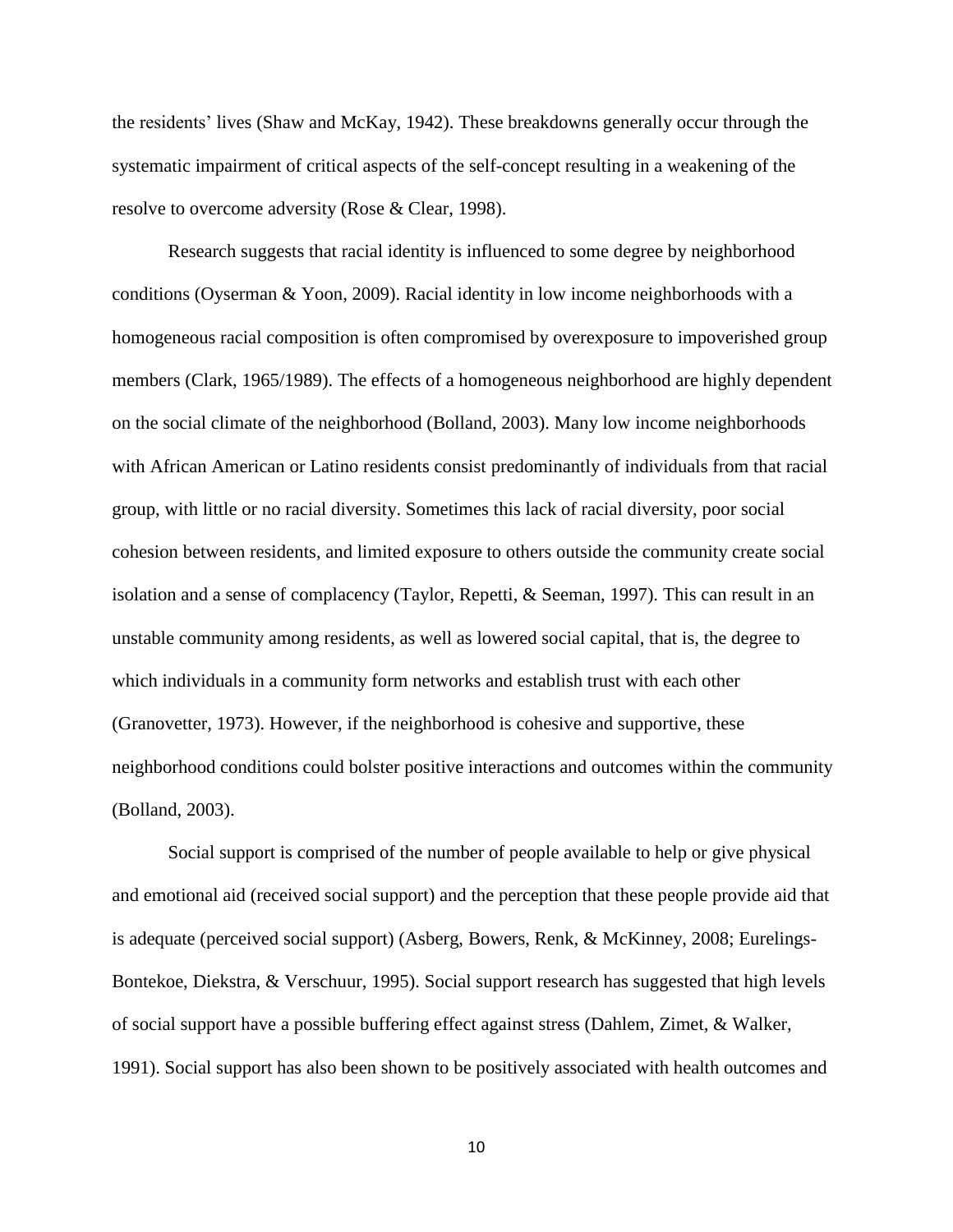the residents' lives (Shaw and McKay, 1942). These breakdowns generally occur through the systematic impairment of critical aspects of the self-concept resulting in a weakening of the resolve to overcome adversity (Rose & Clear, 1998).

Research suggests that racial identity is influenced to some degree by neighborhood conditions (Oyserman & Yoon, 2009). Racial identity in low income neighborhoods with a homogeneous racial composition is often compromised by overexposure to impoverished group members (Clark, 1965/1989). The effects of a homogeneous neighborhood are highly dependent on the social climate of the neighborhood (Bolland, 2003). Many low income neighborhoods with African American or Latino residents consist predominantly of individuals from that racial group, with little or no racial diversity. Sometimes this lack of racial diversity, poor social cohesion between residents, and limited exposure to others outside the community create social isolation and a sense of complacency (Taylor, Repetti, & Seeman, 1997). This can result in an unstable community among residents, as well as lowered social capital, that is, the degree to which individuals in a community form networks and establish trust with each other (Granovetter, 1973). However, if the neighborhood is cohesive and supportive, these neighborhood conditions could bolster positive interactions and outcomes within the community (Bolland, 2003).

Social support is comprised of the number of people available to help or give physical and emotional aid (received social support) and the perception that these people provide aid that is adequate (perceived social support) (Asberg, Bowers, Renk, & McKinney, 2008; Eurelings-Bontekoe, Diekstra, & Verschuur, 1995). Social support research has suggested that high levels of social support have a possible buffering effect against stress (Dahlem, Zimet, & Walker, 1991). Social support has also been shown to be positively associated with health outcomes and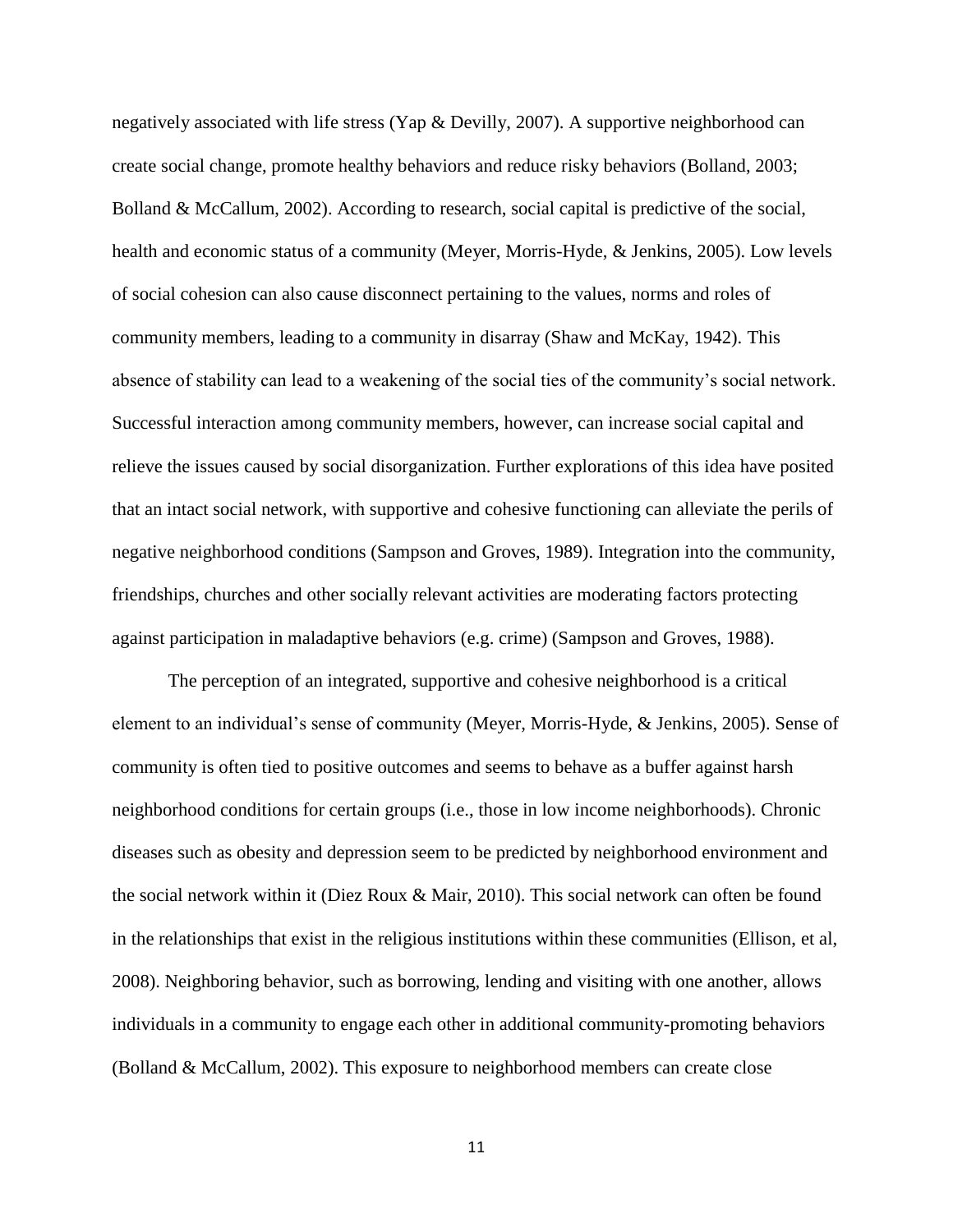negatively associated with life stress (Yap & Devilly, 2007). A supportive neighborhood can create social change, promote healthy behaviors and reduce risky behaviors (Bolland, 2003; Bolland & McCallum, 2002). According to research, social capital is predictive of the social, health and economic status of a community (Meyer, Morris-Hyde, & Jenkins, 2005). Low levels of social cohesion can also cause disconnect pertaining to the values, norms and roles of community members, leading to a community in disarray (Shaw and McKay, 1942). This absence of stability can lead to a weakening of the social ties of the community's social network. Successful interaction among community members, however, can increase social capital and relieve the issues caused by social disorganization. Further explorations of this idea have posited that an intact social network, with supportive and cohesive functioning can alleviate the perils of negative neighborhood conditions (Sampson and Groves, 1989). Integration into the community, friendships, churches and other socially relevant activities are moderating factors protecting against participation in maladaptive behaviors (e.g. crime) (Sampson and Groves, 1988).

The perception of an integrated, supportive and cohesive neighborhood is a critical element to an individual's sense of community (Meyer, Morris-Hyde, & Jenkins, 2005). Sense of community is often tied to positive outcomes and seems to behave as a buffer against harsh neighborhood conditions for certain groups (i.e., those in low income neighborhoods). Chronic diseases such as obesity and depression seem to be predicted by neighborhood environment and the social network within it (Diez Roux & Mair, 2010). This social network can often be found in the relationships that exist in the religious institutions within these communities (Ellison, et al, 2008). Neighboring behavior, such as borrowing, lending and visiting with one another, allows individuals in a community to engage each other in additional community-promoting behaviors (Bolland & McCallum, 2002). This exposure to neighborhood members can create close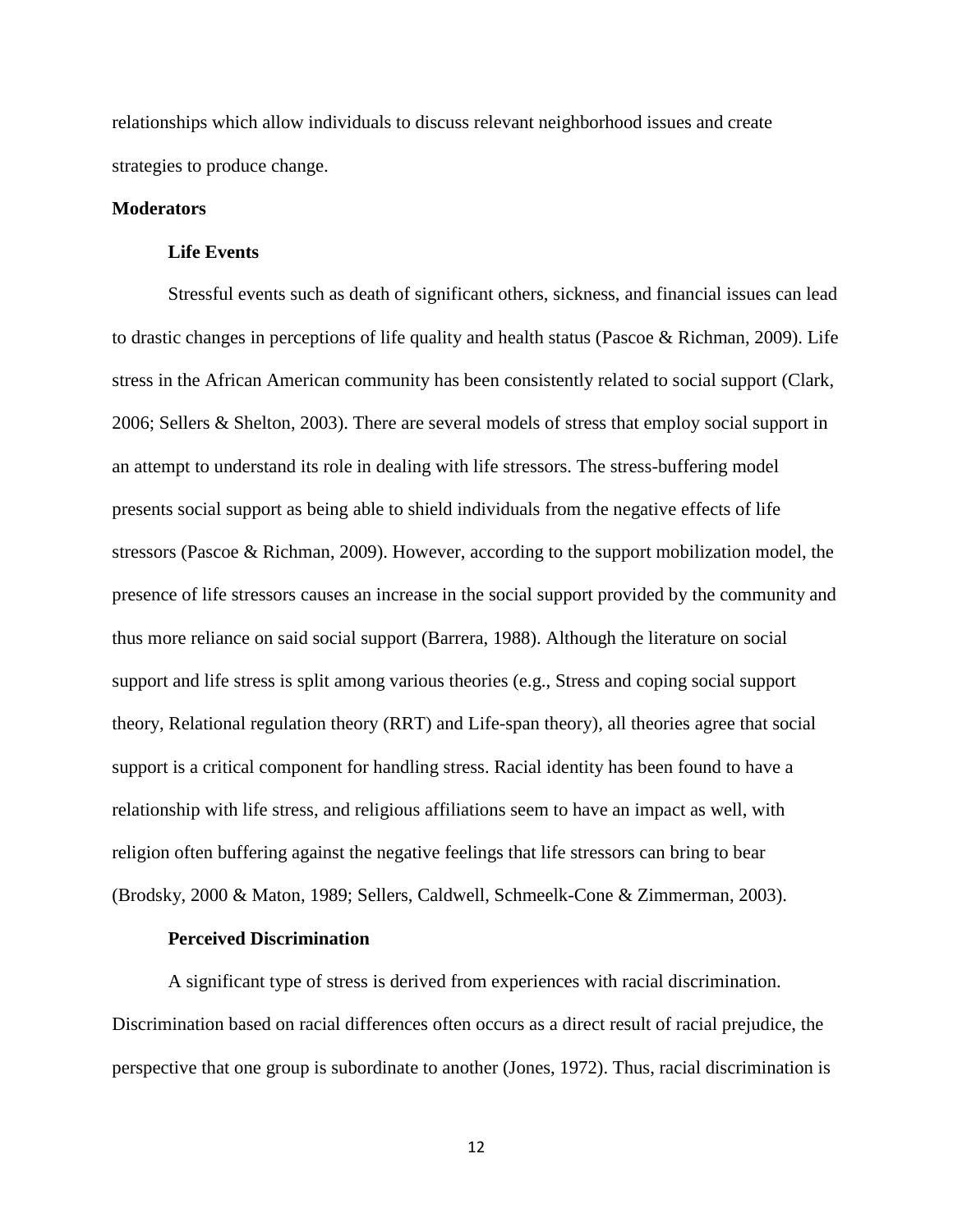relationships which allow individuals to discuss relevant neighborhood issues and create strategies to produce change.

#### **Moderators**

#### **Life Events**

Stressful events such as death of significant others, sickness, and financial issues can lead to drastic changes in perceptions of life quality and health status (Pascoe & Richman, 2009). Life stress in the African American community has been consistently related to social support (Clark, 2006; Sellers & Shelton, 2003). There are several models of stress that employ social support in an attempt to understand its role in dealing with life stressors. The stress-buffering model presents social support as being able to shield individuals from the negative effects of life stressors (Pascoe & Richman, 2009). However, according to the support mobilization model, the presence of life stressors causes an increase in the social support provided by the community and thus more reliance on said social support (Barrera, 1988). Although the literature on social support and life stress is split among various theories (e.g., Stress and coping social support theory, Relational regulation theory (RRT) and Life-span theory), all theories agree that social support is a critical component for handling stress. Racial identity has been found to have a relationship with life stress, and religious affiliations seem to have an impact as well, with religion often buffering against the negative feelings that life stressors can bring to bear (Brodsky, 2000 & Maton, 1989; Sellers, Caldwell, Schmeelk-Cone & Zimmerman, 2003).

#### **Perceived Discrimination**

A significant type of stress is derived from experiences with racial discrimination. Discrimination based on racial differences often occurs as a direct result of racial prejudice, the perspective that one group is subordinate to another (Jones, 1972). Thus, racial discrimination is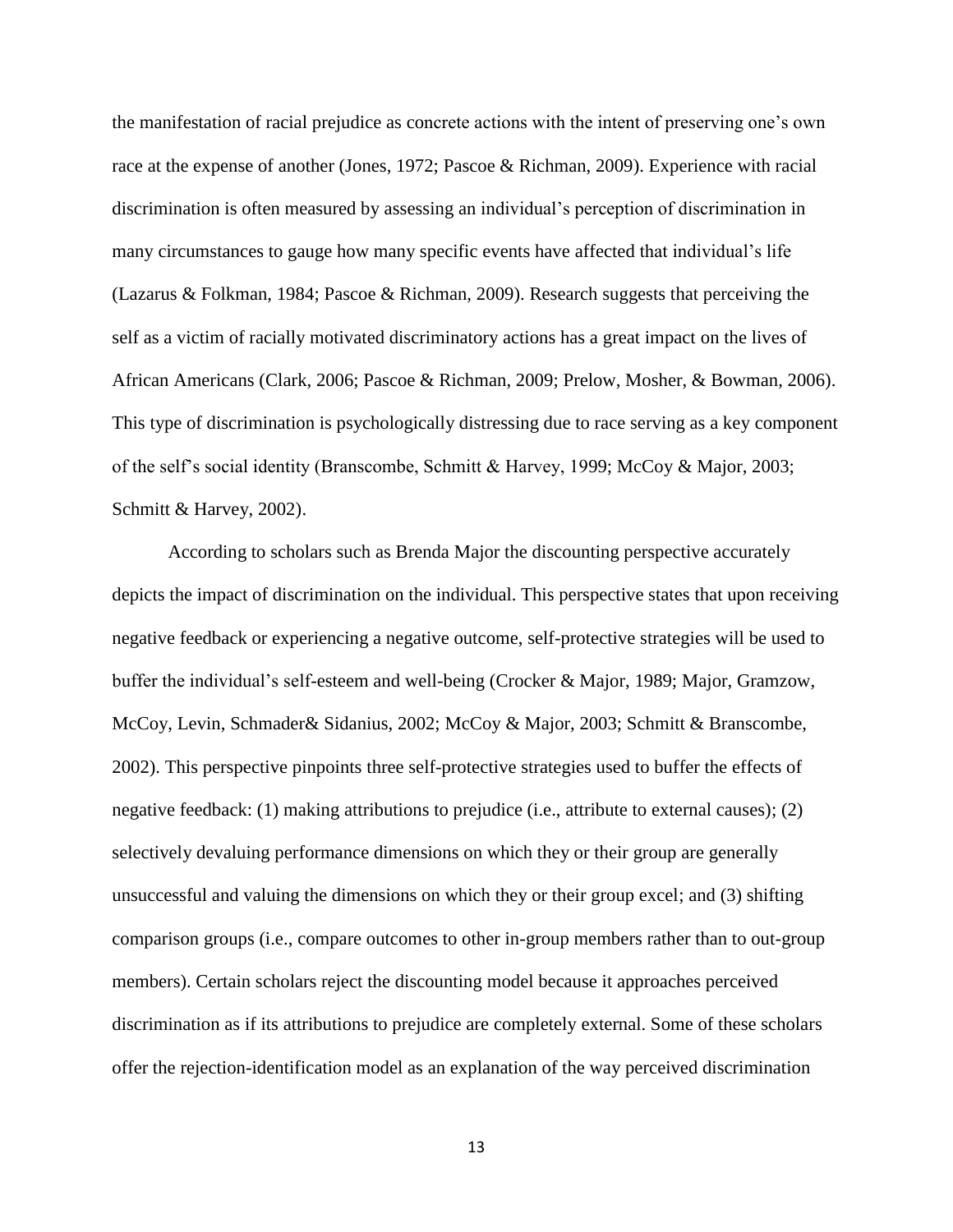the manifestation of racial prejudice as concrete actions with the intent of preserving one's own race at the expense of another (Jones, 1972; Pascoe & Richman, 2009). Experience with racial discrimination is often measured by assessing an individual's perception of discrimination in many circumstances to gauge how many specific events have affected that individual's life (Lazarus & Folkman, 1984; Pascoe & Richman, 2009). Research suggests that perceiving the self as a victim of racially motivated discriminatory actions has a great impact on the lives of African Americans (Clark, 2006; Pascoe & Richman, 2009; Prelow, Mosher, & Bowman, 2006). This type of discrimination is psychologically distressing due to race serving as a key component of the self's social identity (Branscombe, Schmitt & Harvey, 1999; McCoy & Major, 2003; Schmitt & Harvey, 2002).

According to scholars such as Brenda Major the discounting perspective accurately depicts the impact of discrimination on the individual. This perspective states that upon receiving negative feedback or experiencing a negative outcome, self-protective strategies will be used to buffer the individual's self-esteem and well-being (Crocker & Major, 1989; Major, Gramzow, McCoy, Levin, Schmader& Sidanius, 2002; McCoy & Major, 2003; Schmitt & Branscombe, 2002). This perspective pinpoints three self-protective strategies used to buffer the effects of negative feedback: (1) making attributions to prejudice (i.e., attribute to external causes); (2) selectively devaluing performance dimensions on which they or their group are generally unsuccessful and valuing the dimensions on which they or their group excel; and (3) shifting comparison groups (i.e., compare outcomes to other in-group members rather than to out-group members). Certain scholars reject the discounting model because it approaches perceived discrimination as if its attributions to prejudice are completely external. Some of these scholars offer the rejection-identification model as an explanation of the way perceived discrimination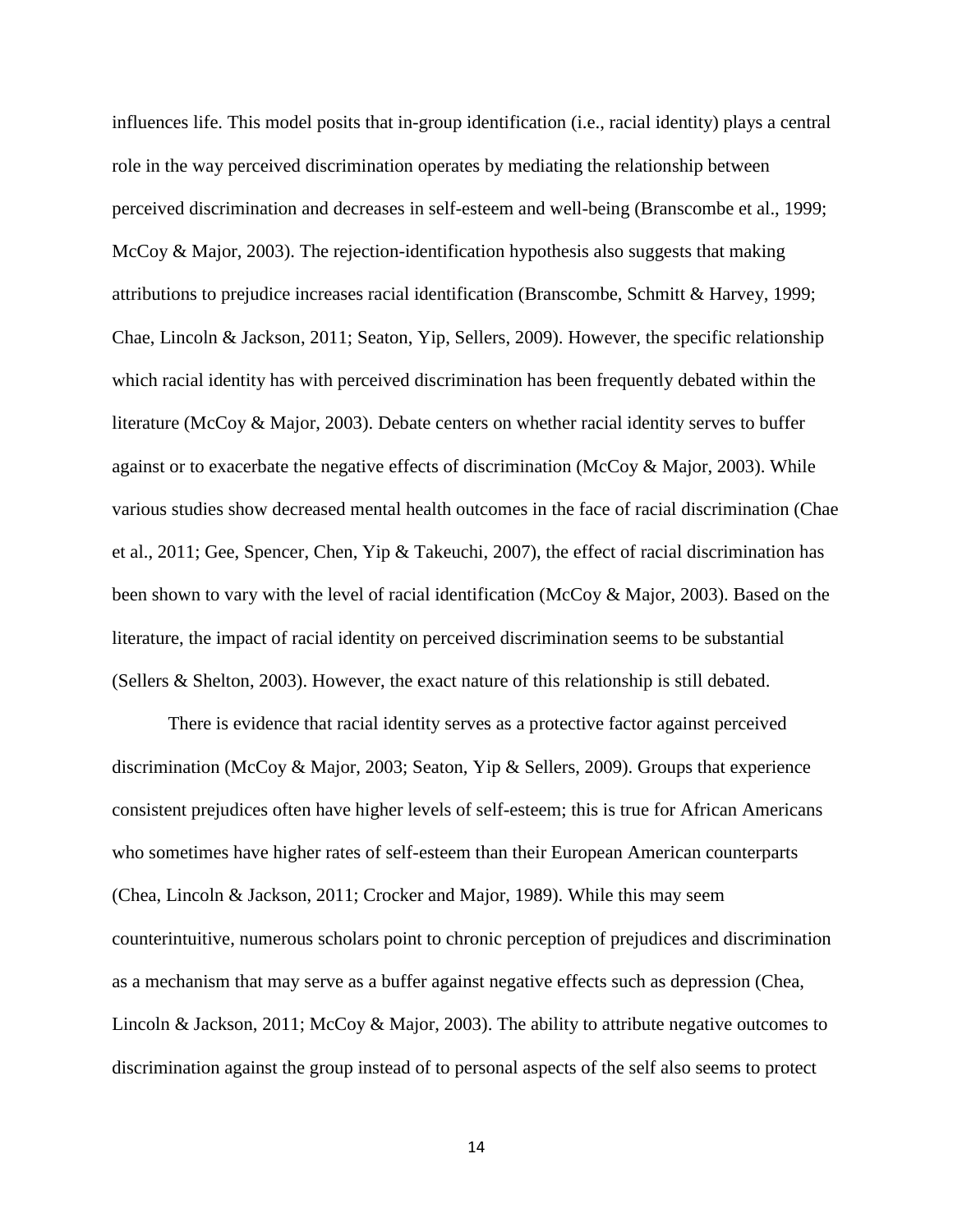influences life. This model posits that in-group identification (i.e., racial identity) plays a central role in the way perceived discrimination operates by mediating the relationship between perceived discrimination and decreases in self-esteem and well-being (Branscombe et al., 1999; McCoy & Major, 2003). The rejection-identification hypothesis also suggests that making attributions to prejudice increases racial identification (Branscombe, Schmitt & Harvey, 1999; Chae, Lincoln & Jackson, 2011; Seaton, Yip, Sellers, 2009). However, the specific relationship which racial identity has with perceived discrimination has been frequently debated within the literature (McCoy & Major, 2003). Debate centers on whether racial identity serves to buffer against or to exacerbate the negative effects of discrimination (McCoy & Major, 2003). While various studies show decreased mental health outcomes in the face of racial discrimination (Chae et al., 2011; Gee, Spencer, Chen, Yip & Takeuchi, 2007), the effect of racial discrimination has been shown to vary with the level of racial identification (McCoy & Major, 2003). Based on the literature, the impact of racial identity on perceived discrimination seems to be substantial (Sellers & Shelton, 2003). However, the exact nature of this relationship is still debated.

There is evidence that racial identity serves as a protective factor against perceived discrimination (McCoy & Major, 2003; Seaton, Yip & Sellers, 2009). Groups that experience consistent prejudices often have higher levels of self-esteem; this is true for African Americans who sometimes have higher rates of self-esteem than their European American counterparts (Chea, Lincoln & Jackson, 2011; Crocker and Major, 1989). While this may seem counterintuitive, numerous scholars point to chronic perception of prejudices and discrimination as a mechanism that may serve as a buffer against negative effects such as depression (Chea, Lincoln & Jackson, 2011; McCoy & Major, 2003). The ability to attribute negative outcomes to discrimination against the group instead of to personal aspects of the self also seems to protect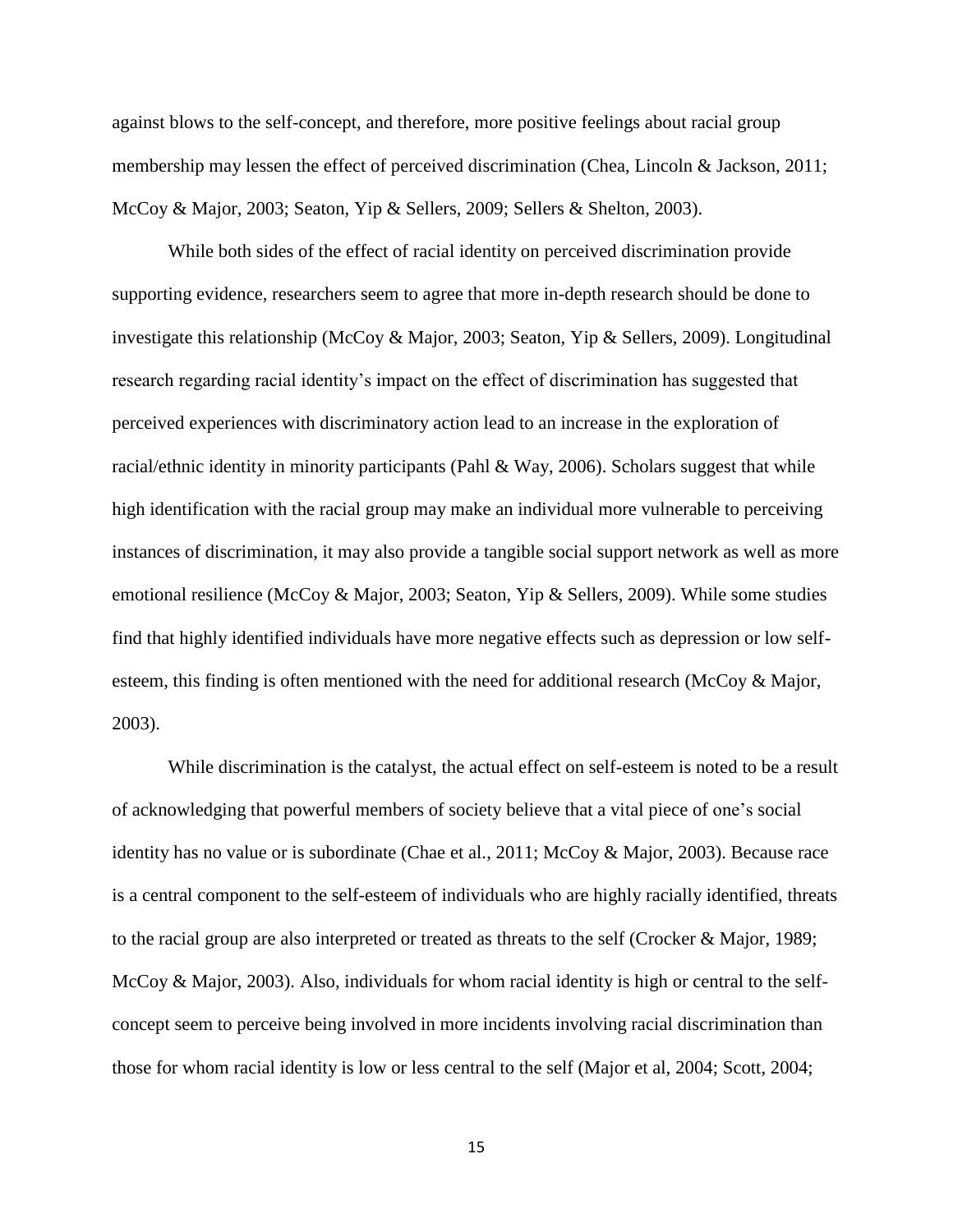against blows to the self-concept, and therefore, more positive feelings about racial group membership may lessen the effect of perceived discrimination (Chea, Lincoln & Jackson, 2011; McCoy & Major, 2003; Seaton, Yip & Sellers, 2009; Sellers & Shelton, 2003).

While both sides of the effect of racial identity on perceived discrimination provide supporting evidence, researchers seem to agree that more in-depth research should be done to investigate this relationship (McCoy & Major, 2003; Seaton, Yip & Sellers, 2009). Longitudinal research regarding racial identity's impact on the effect of discrimination has suggested that perceived experiences with discriminatory action lead to an increase in the exploration of racial/ethnic identity in minority participants (Pahl  $\&$  Way, 2006). Scholars suggest that while high identification with the racial group may make an individual more vulnerable to perceiving instances of discrimination, it may also provide a tangible social support network as well as more emotional resilience (McCoy & Major, 2003; Seaton, Yip & Sellers, 2009). While some studies find that highly identified individuals have more negative effects such as depression or low selfesteem, this finding is often mentioned with the need for additional research (McCoy & Major, 2003).

While discrimination is the catalyst, the actual effect on self-esteem is noted to be a result of acknowledging that powerful members of society believe that a vital piece of one's social identity has no value or is subordinate (Chae et al., 2011; McCoy & Major, 2003). Because race is a central component to the self-esteem of individuals who are highly racially identified, threats to the racial group are also interpreted or treated as threats to the self (Crocker & Major, 1989; McCoy & Major, 2003). Also, individuals for whom racial identity is high or central to the selfconcept seem to perceive being involved in more incidents involving racial discrimination than those for whom racial identity is low or less central to the self (Major et al, 2004; Scott, 2004;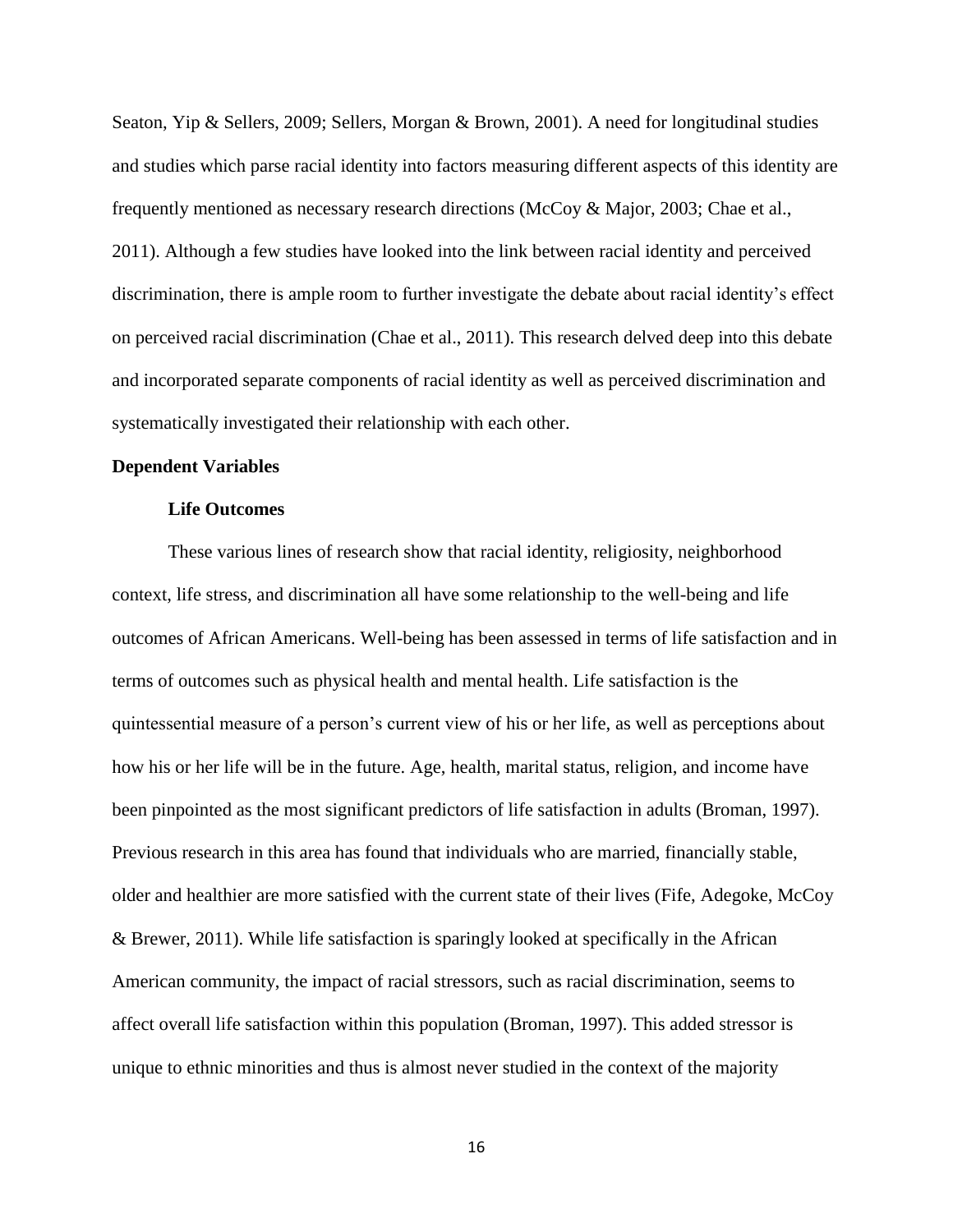Seaton, Yip & Sellers, 2009; Sellers, Morgan & Brown, 2001). A need for longitudinal studies and studies which parse racial identity into factors measuring different aspects of this identity are frequently mentioned as necessary research directions (McCoy & Major, 2003; Chae et al., 2011). Although a few studies have looked into the link between racial identity and perceived discrimination, there is ample room to further investigate the debate about racial identity's effect on perceived racial discrimination (Chae et al., 2011). This research delved deep into this debate and incorporated separate components of racial identity as well as perceived discrimination and systematically investigated their relationship with each other.

### **Dependent Variables**

#### **Life Outcomes**

These various lines of research show that racial identity, religiosity, neighborhood context, life stress, and discrimination all have some relationship to the well-being and life outcomes of African Americans. Well-being has been assessed in terms of life satisfaction and in terms of outcomes such as physical health and mental health. Life satisfaction is the quintessential measure of a person's current view of his or her life, as well as perceptions about how his or her life will be in the future. Age, health, marital status, religion, and income have been pinpointed as the most significant predictors of life satisfaction in adults (Broman, 1997). Previous research in this area has found that individuals who are married, financially stable, older and healthier are more satisfied with the current state of their lives (Fife, Adegoke, McCoy & Brewer, 2011). While life satisfaction is sparingly looked at specifically in the African American community, the impact of racial stressors, such as racial discrimination, seems to affect overall life satisfaction within this population (Broman, 1997). This added stressor is unique to ethnic minorities and thus is almost never studied in the context of the majority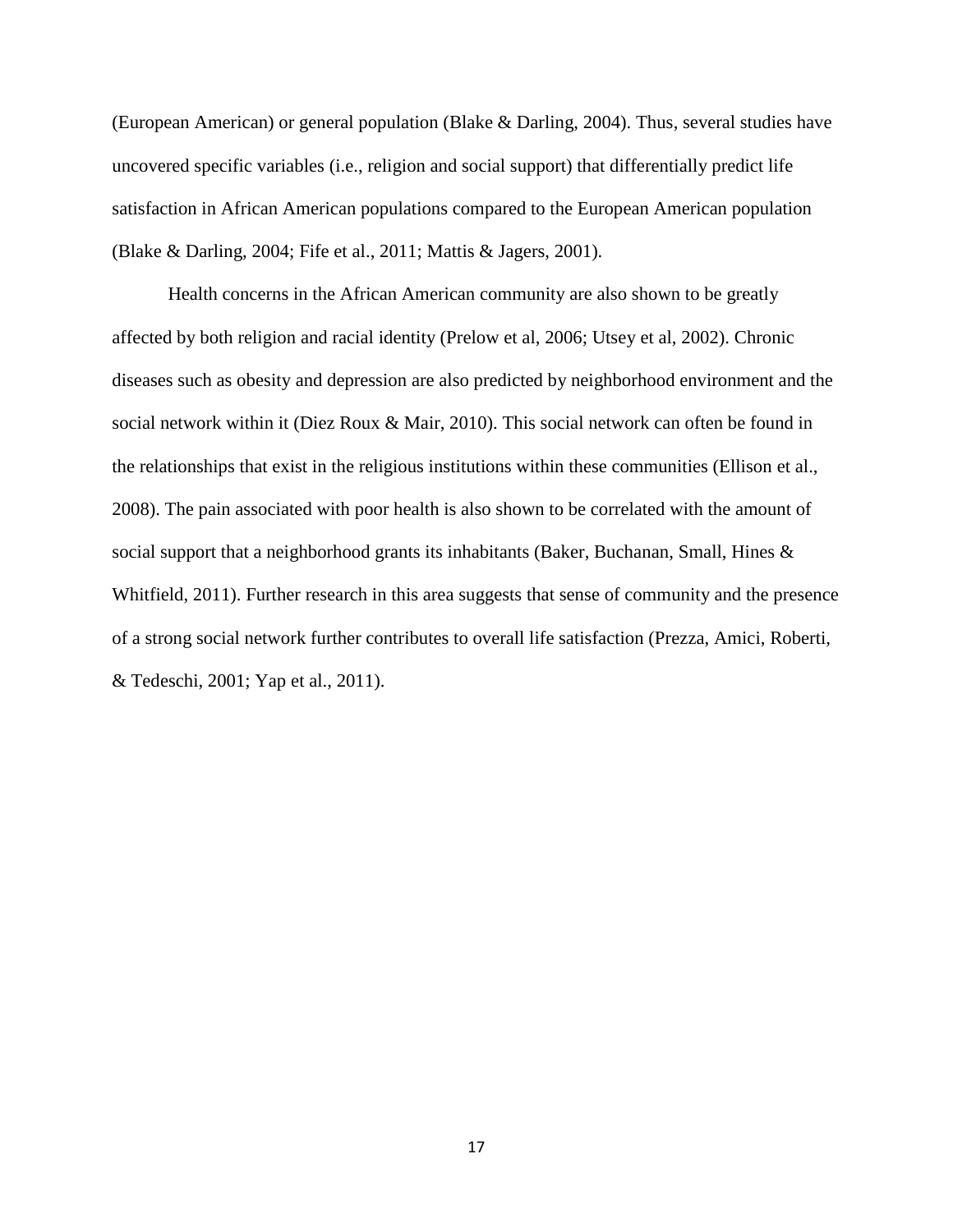(European American) or general population (Blake & Darling, 2004). Thus, several studies have uncovered specific variables (i.e., religion and social support) that differentially predict life satisfaction in African American populations compared to the European American population (Blake & Darling, 2004; Fife et al., 2011; Mattis & Jagers, 2001).

Health concerns in the African American community are also shown to be greatly affected by both religion and racial identity (Prelow et al, 2006; Utsey et al, 2002). Chronic diseases such as obesity and depression are also predicted by neighborhood environment and the social network within it (Diez Roux & Mair, 2010). This social network can often be found in the relationships that exist in the religious institutions within these communities (Ellison et al., 2008). The pain associated with poor health is also shown to be correlated with the amount of social support that a neighborhood grants its inhabitants (Baker, Buchanan, Small, Hines & Whitfield, 2011). Further research in this area suggests that sense of community and the presence of a strong social network further contributes to overall life satisfaction (Prezza, Amici, Roberti, & Tedeschi, 2001; Yap et al., 2011).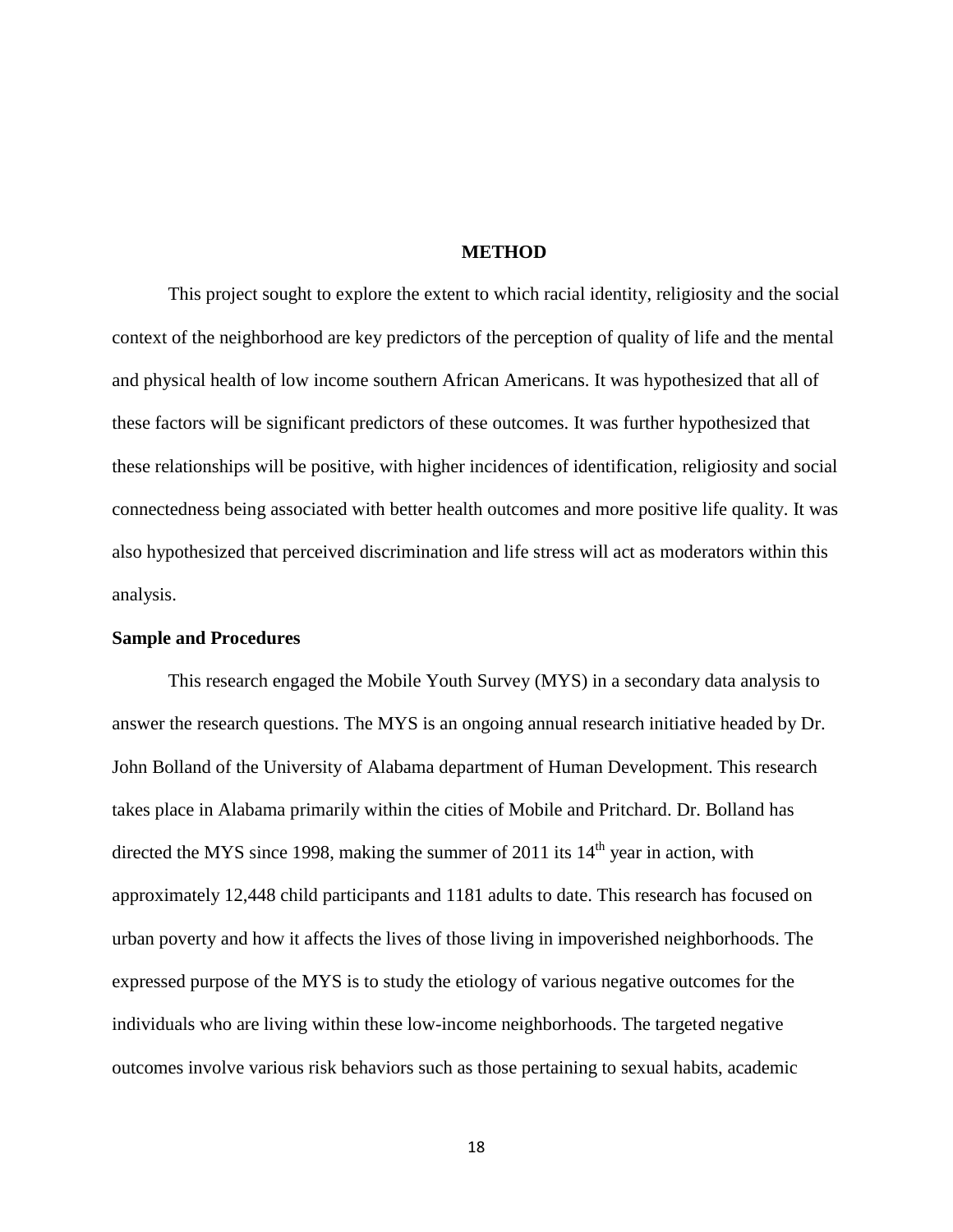#### **METHOD**

This project sought to explore the extent to which racial identity, religiosity and the social context of the neighborhood are key predictors of the perception of quality of life and the mental and physical health of low income southern African Americans. It was hypothesized that all of these factors will be significant predictors of these outcomes. It was further hypothesized that these relationships will be positive, with higher incidences of identification, religiosity and social connectedness being associated with better health outcomes and more positive life quality. It was also hypothesized that perceived discrimination and life stress will act as moderators within this analysis.

#### **Sample and Procedures**

This research engaged the Mobile Youth Survey (MYS) in a secondary data analysis to answer the research questions. The MYS is an ongoing annual research initiative headed by Dr. John Bolland of the University of Alabama department of Human Development. This research takes place in Alabama primarily within the cities of Mobile and Pritchard. Dr. Bolland has directed the MYS since 1998, making the summer of 2011 its  $14<sup>th</sup>$  year in action, with approximately 12,448 child participants and 1181 adults to date. This research has focused on urban poverty and how it affects the lives of those living in impoverished neighborhoods. The expressed purpose of the MYS is to study the etiology of various negative outcomes for the individuals who are living within these low-income neighborhoods. The targeted negative outcomes involve various risk behaviors such as those pertaining to sexual habits, academic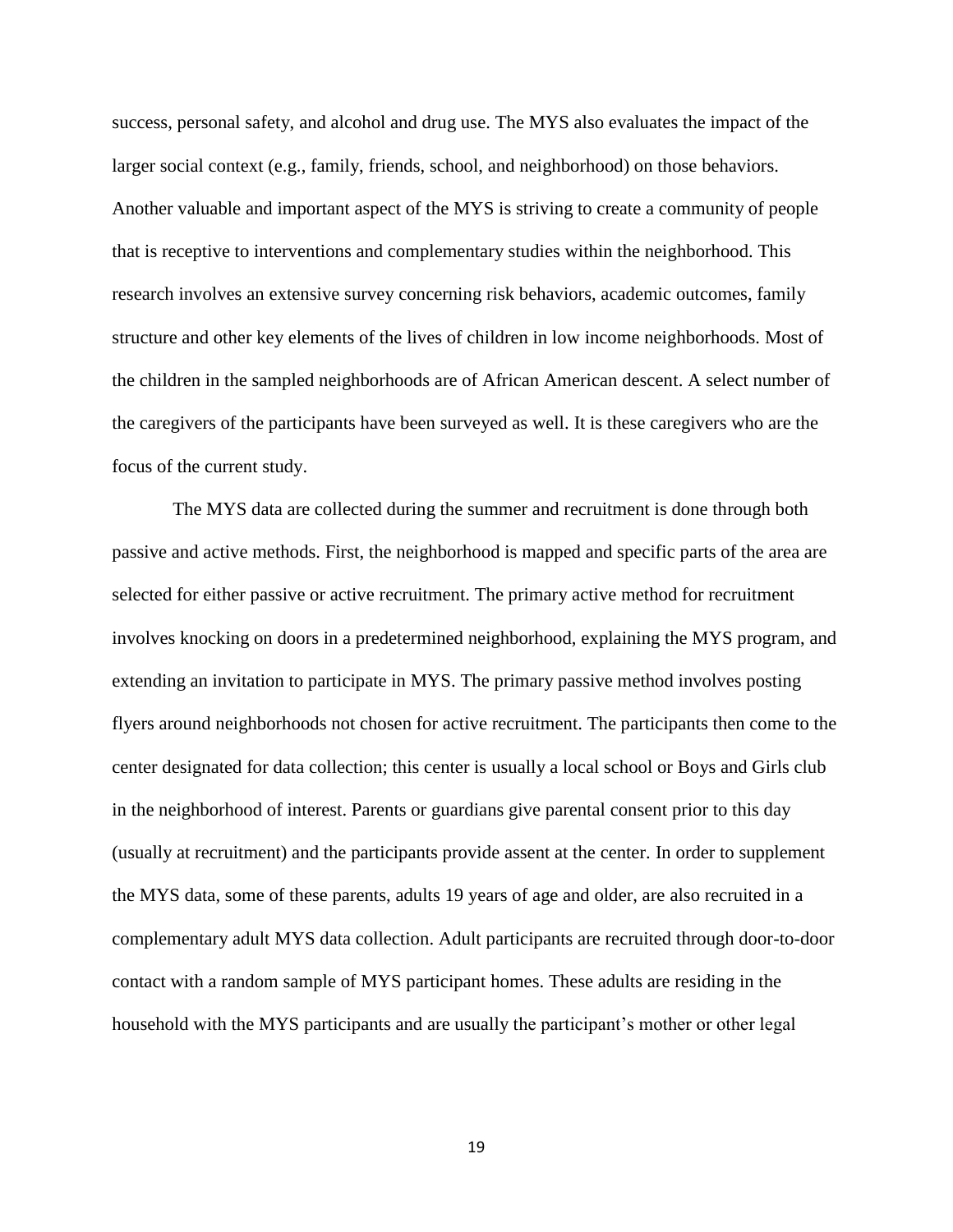success, personal safety, and alcohol and drug use. The MYS also evaluates the impact of the larger social context (e.g., family, friends, school, and neighborhood) on those behaviors. Another valuable and important aspect of the MYS is striving to create a community of people that is receptive to interventions and complementary studies within the neighborhood. This research involves an extensive survey concerning risk behaviors, academic outcomes, family structure and other key elements of the lives of children in low income neighborhoods. Most of the children in the sampled neighborhoods are of African American descent. A select number of the caregivers of the participants have been surveyed as well. It is these caregivers who are the focus of the current study.

The MYS data are collected during the summer and recruitment is done through both passive and active methods. First, the neighborhood is mapped and specific parts of the area are selected for either passive or active recruitment. The primary active method for recruitment involves knocking on doors in a predetermined neighborhood, explaining the MYS program, and extending an invitation to participate in MYS. The primary passive method involves posting flyers around neighborhoods not chosen for active recruitment. The participants then come to the center designated for data collection; this center is usually a local school or Boys and Girls club in the neighborhood of interest. Parents or guardians give parental consent prior to this day (usually at recruitment) and the participants provide assent at the center. In order to supplement the MYS data, some of these parents, adults 19 years of age and older, are also recruited in a complementary adult MYS data collection. Adult participants are recruited through door-to-door contact with a random sample of MYS participant homes. These adults are residing in the household with the MYS participants and are usually the participant's mother or other legal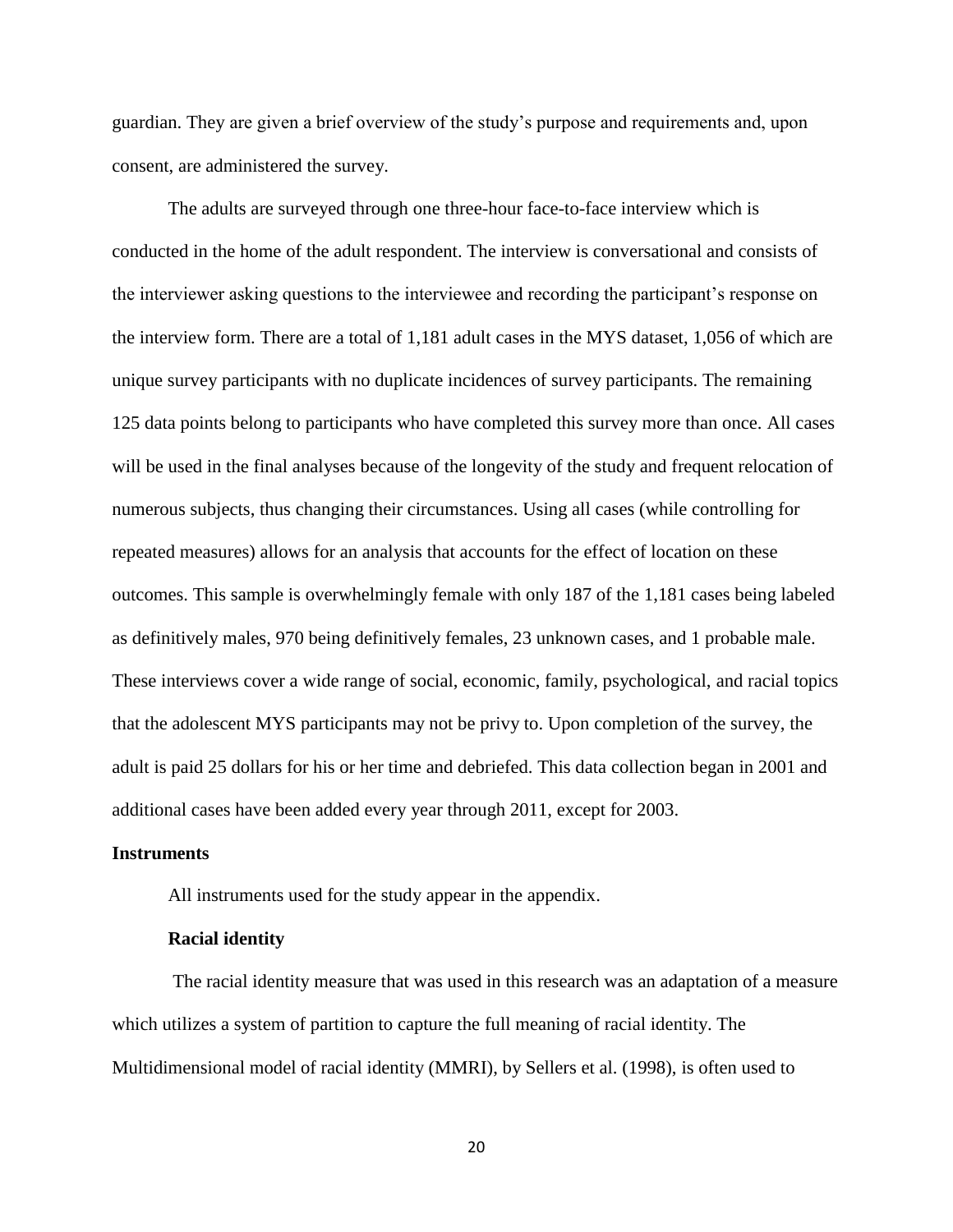guardian. They are given a brief overview of the study's purpose and requirements and, upon consent, are administered the survey.

The adults are surveyed through one three-hour face-to-face interview which is conducted in the home of the adult respondent. The interview is conversational and consists of the interviewer asking questions to the interviewee and recording the participant's response on the interview form. There are a total of 1,181 adult cases in the MYS dataset, 1,056 of which are unique survey participants with no duplicate incidences of survey participants. The remaining 125 data points belong to participants who have completed this survey more than once. All cases will be used in the final analyses because of the longevity of the study and frequent relocation of numerous subjects, thus changing their circumstances. Using all cases (while controlling for repeated measures) allows for an analysis that accounts for the effect of location on these outcomes. This sample is overwhelmingly female with only 187 of the 1,181 cases being labeled as definitively males, 970 being definitively females, 23 unknown cases, and 1 probable male. These interviews cover a wide range of social, economic, family, psychological, and racial topics that the adolescent MYS participants may not be privy to. Upon completion of the survey, the adult is paid 25 dollars for his or her time and debriefed. This data collection began in 2001 and additional cases have been added every year through 2011, except for 2003.

#### **Instruments**

All instruments used for the study appear in the appendix.

## **Racial identity**

The racial identity measure that was used in this research was an adaptation of a measure which utilizes a system of partition to capture the full meaning of racial identity. The Multidimensional model of racial identity (MMRI), by Sellers et al. (1998), is often used to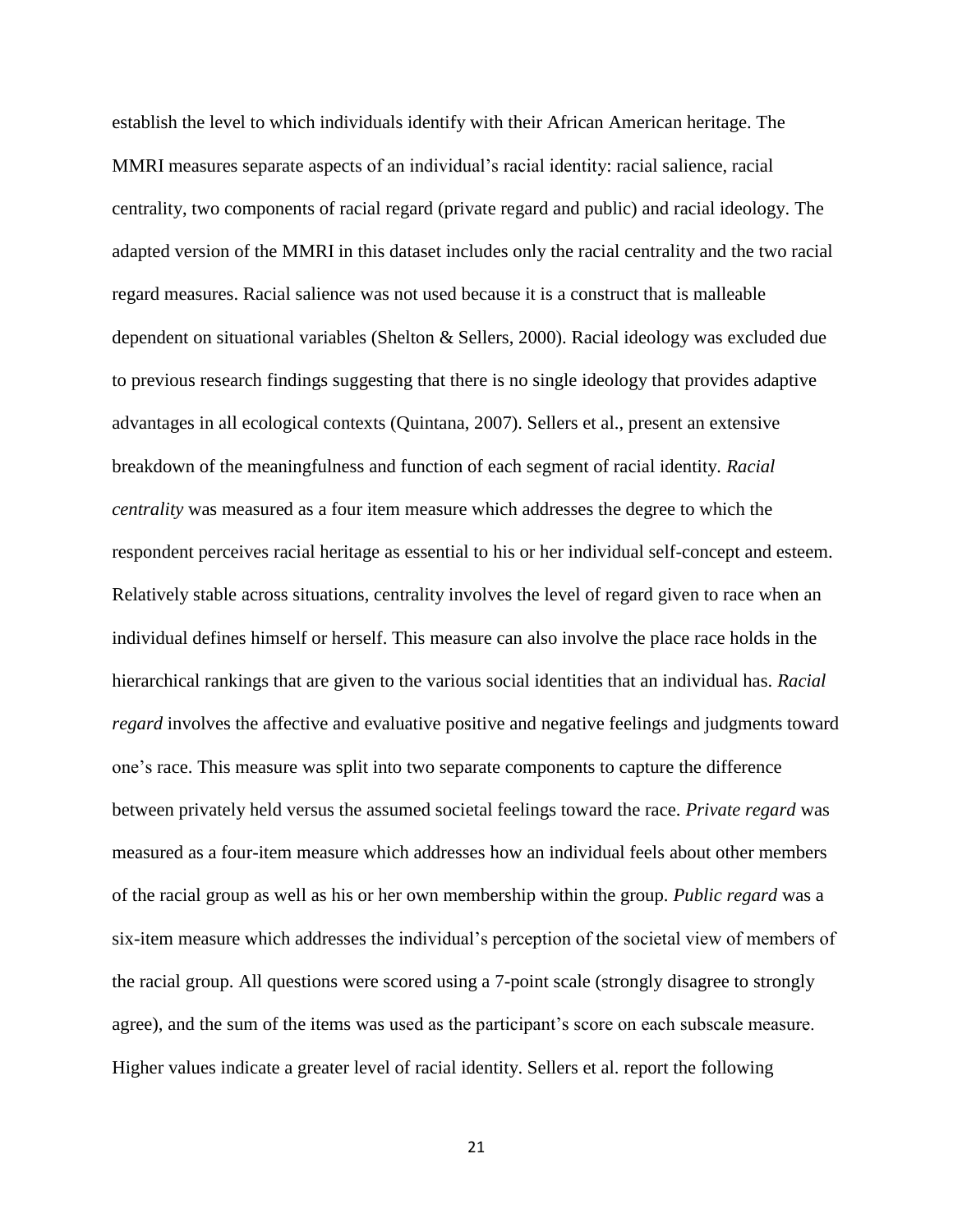establish the level to which individuals identify with their African American heritage. The MMRI measures separate aspects of an individual's racial identity: racial salience, racial centrality, two components of racial regard (private regard and public) and racial ideology. The adapted version of the MMRI in this dataset includes only the racial centrality and the two racial regard measures. Racial salience was not used because it is a construct that is malleable dependent on situational variables (Shelton & Sellers, 2000). Racial ideology was excluded due to previous research findings suggesting that there is no single ideology that provides adaptive advantages in all ecological contexts (Quintana, 2007). Sellers et al., present an extensive breakdown of the meaningfulness and function of each segment of racial identity*. Racial centrality* was measured as a four item measure which addresses the degree to which the respondent perceives racial heritage as essential to his or her individual self-concept and esteem. Relatively stable across situations, centrality involves the level of regard given to race when an individual defines himself or herself. This measure can also involve the place race holds in the hierarchical rankings that are given to the various social identities that an individual has. *Racial regard* involves the affective and evaluative positive and negative feelings and judgments toward one's race. This measure was split into two separate components to capture the difference between privately held versus the assumed societal feelings toward the race. *Private regard* was measured as a four-item measure which addresses how an individual feels about other members of the racial group as well as his or her own membership within the group. *Public regard* was a six-item measure which addresses the individual's perception of the societal view of members of the racial group. All questions were scored using a 7-point scale (strongly disagree to strongly agree), and the sum of the items was used as the participant's score on each subscale measure. Higher values indicate a greater level of racial identity. Sellers et al. report the following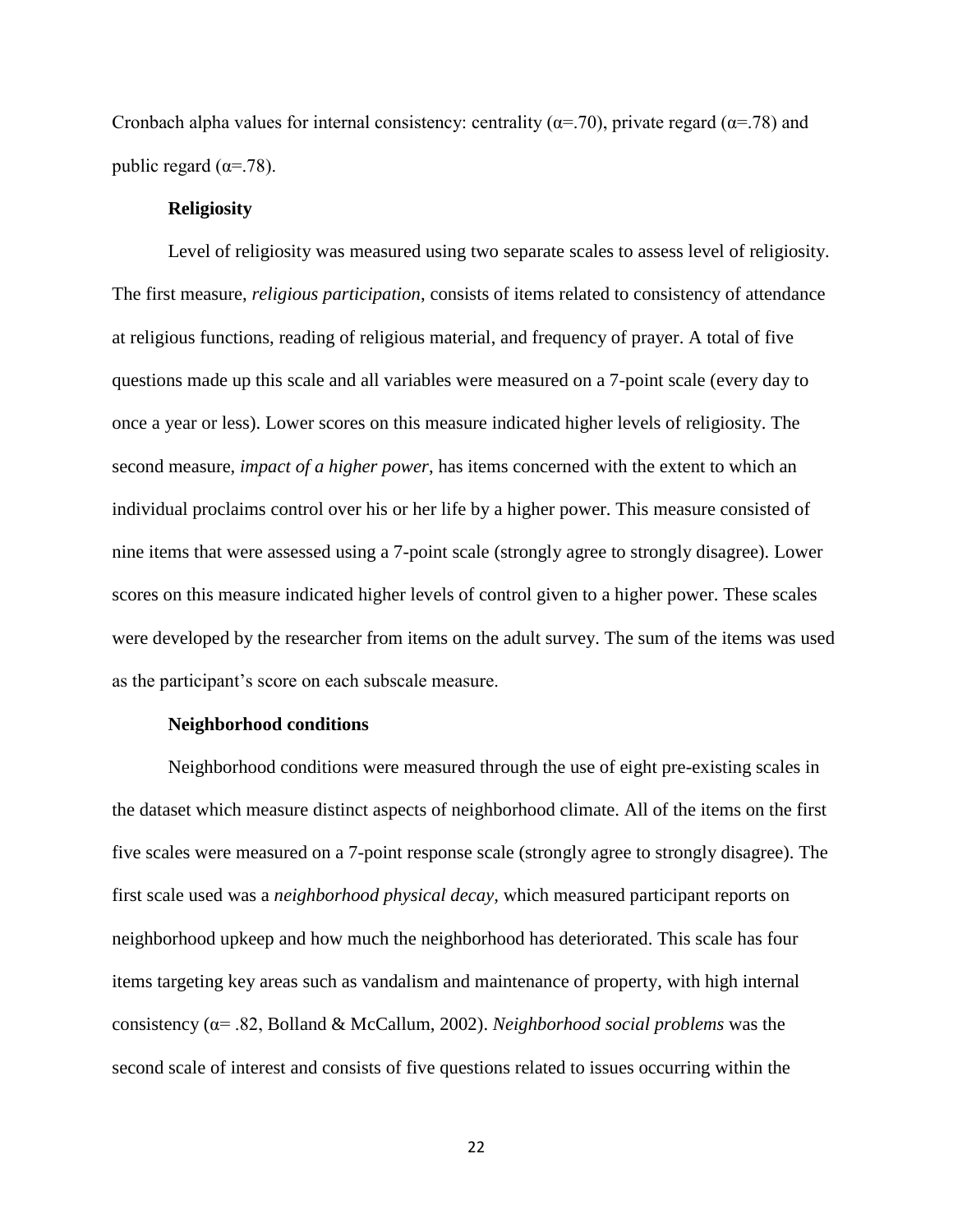Cronbach alpha values for internal consistency: centrality ( $\alpha$ =.70), private regard ( $\alpha$ =.78) and public regard ( $\alpha$ =.78).

## **Religiosity**

Level of religiosity was measured using two separate scales to assess level of religiosity. The first measure, *religious participation*, consists of items related to consistency of attendance at religious functions, reading of religious material, and frequency of prayer. A total of five questions made up this scale and all variables were measured on a 7-point scale (every day to once a year or less). Lower scores on this measure indicated higher levels of religiosity. The second measure, *impact of a higher power*, has items concerned with the extent to which an individual proclaims control over his or her life by a higher power. This measure consisted of nine items that were assessed using a 7-point scale (strongly agree to strongly disagree). Lower scores on this measure indicated higher levels of control given to a higher power. These scales were developed by the researcher from items on the adult survey. The sum of the items was used as the participant's score on each subscale measure.

#### **Neighborhood conditions**

Neighborhood conditions were measured through the use of eight pre-existing scales in the dataset which measure distinct aspects of neighborhood climate. All of the items on the first five scales were measured on a 7-point response scale (strongly agree to strongly disagree). The first scale used was a *neighborhood physical decay,* which measured participant reports on neighborhood upkeep and how much the neighborhood has deteriorated. This scale has four items targeting key areas such as vandalism and maintenance of property, with high internal consistency (α= .82, Bolland & McCallum, 2002). *Neighborhood social problems* was the second scale of interest and consists of five questions related to issues occurring within the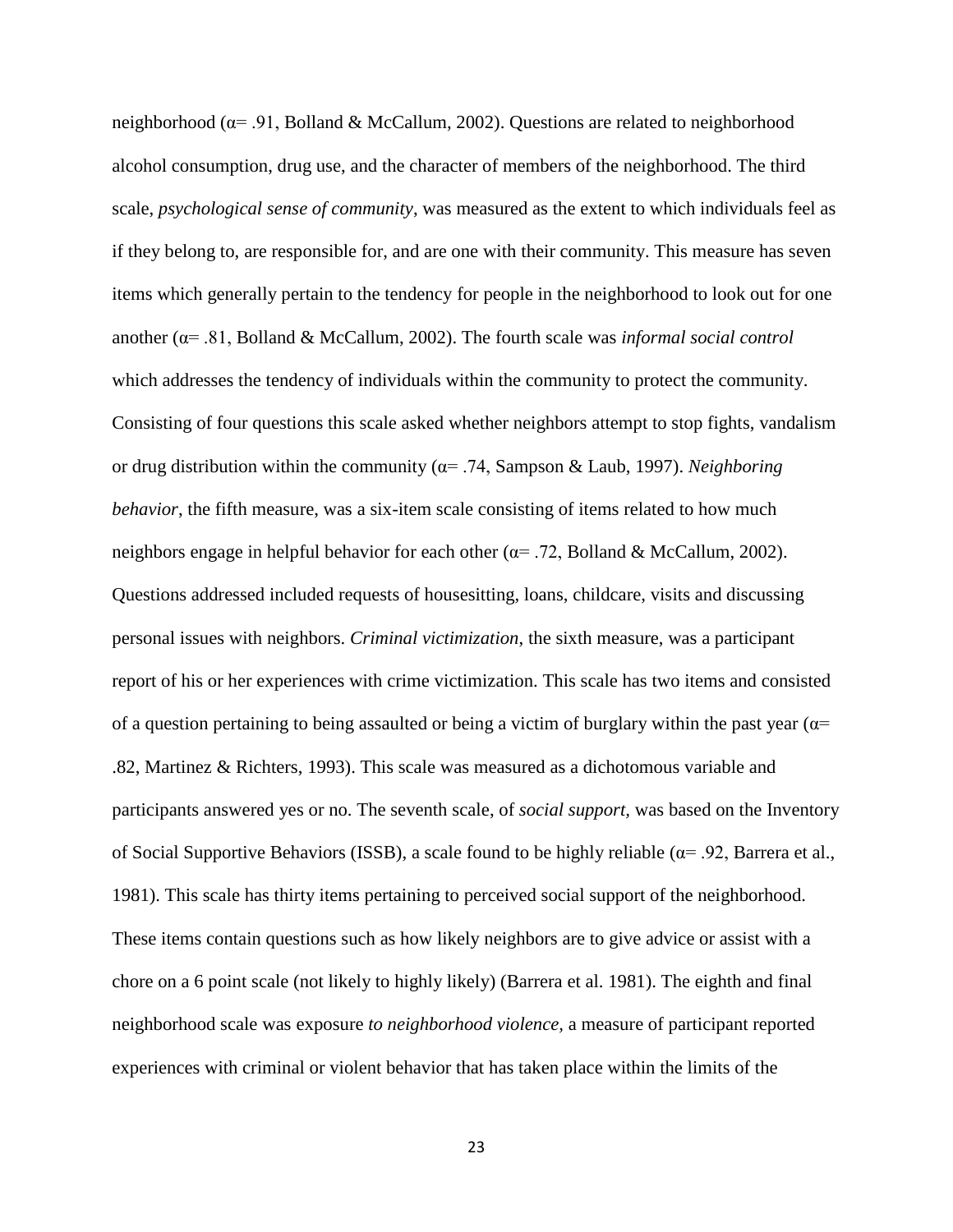neighborhood (α= .91, Bolland & McCallum, 2002). Questions are related to neighborhood alcohol consumption, drug use, and the character of members of the neighborhood. The third scale, *psychological sense of community*, was measured as the extent to which individuals feel as if they belong to, are responsible for, and are one with their community. This measure has seven items which generally pertain to the tendency for people in the neighborhood to look out for one another (α= .81, Bolland & McCallum, 2002). The fourth scale was *informal social control* which addresses the tendency of individuals within the community to protect the community. Consisting of four questions this scale asked whether neighbors attempt to stop fights, vandalism or drug distribution within the community (α= .74, Sampson & Laub, 1997). *Neighboring behavior*, the fifth measure, was a six-item scale consisting of items related to how much neighbors engage in helpful behavior for each other ( $\alpha$ = .72, Bolland & McCallum, 2002). Questions addressed included requests of housesitting, loans, childcare, visits and discussing personal issues with neighbors. *Criminal victimization*, the sixth measure, was a participant report of his or her experiences with crime victimization. This scale has two items and consisted of a question pertaining to being assaulted or being a victim of burglary within the past year ( $\alpha$ = .82, Martinez & Richters, 1993). This scale was measured as a dichotomous variable and participants answered yes or no. The seventh scale, of *social support,* was based on the Inventory of Social Supportive Behaviors (ISSB), a scale found to be highly reliable ( $\alpha$ = .92, Barrera et al., 1981). This scale has thirty items pertaining to perceived social support of the neighborhood. These items contain questions such as how likely neighbors are to give advice or assist with a chore on a 6 point scale (not likely to highly likely) (Barrera et al. 1981). The eighth and final neighborhood scale was exposure *to neighborhood violence,* a measure of participant reported experiences with criminal or violent behavior that has taken place within the limits of the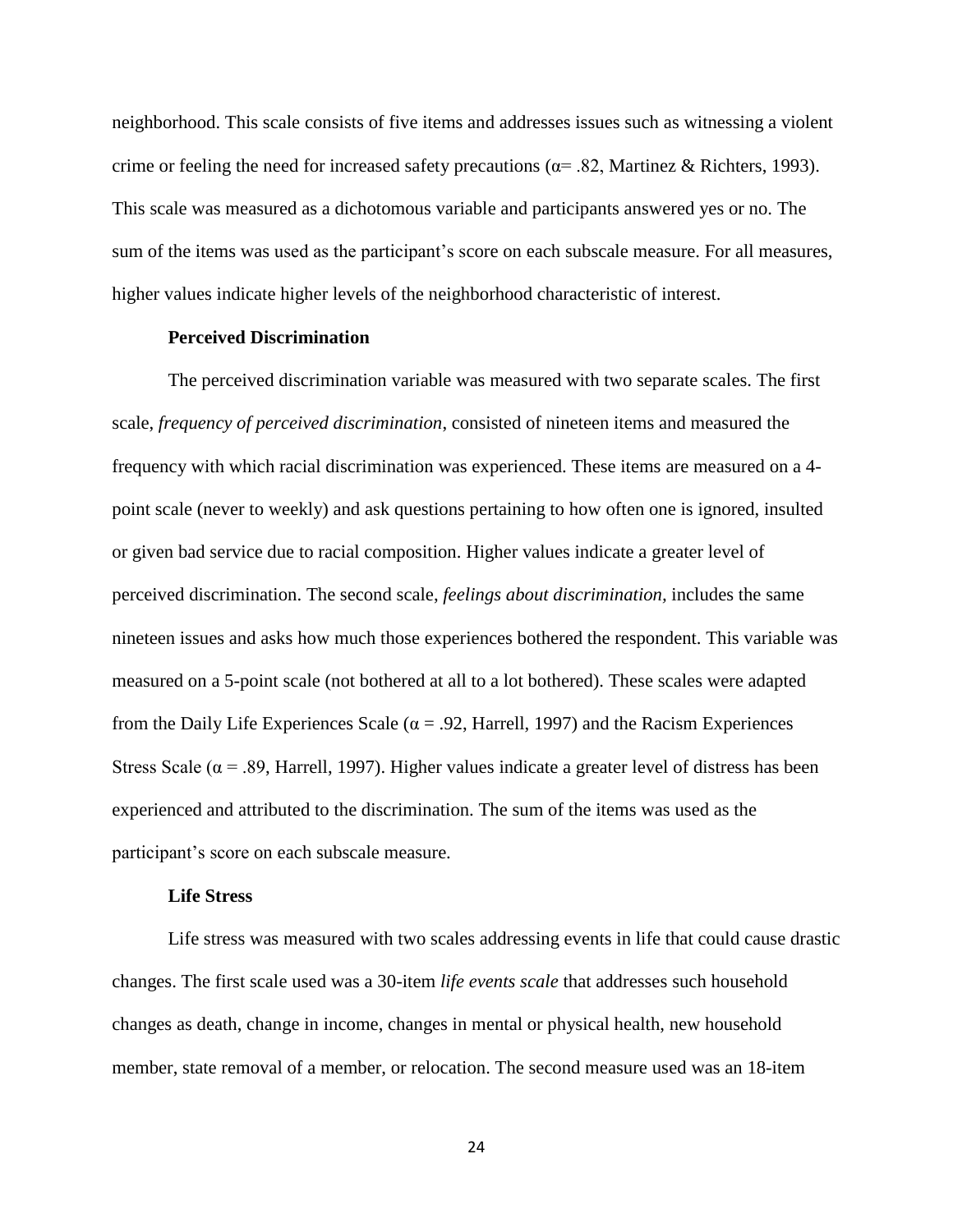neighborhood. This scale consists of five items and addresses issues such as witnessing a violent crime or feeling the need for increased safety precautions ( $\alpha$ = .82, Martinez & Richters, 1993). This scale was measured as a dichotomous variable and participants answered yes or no. The sum of the items was used as the participant's score on each subscale measure. For all measures, higher values indicate higher levels of the neighborhood characteristic of interest.

### **Perceived Discrimination**

The perceived discrimination variable was measured with two separate scales. The first scale, *frequency of perceived discrimination*, consisted of nineteen items and measured the frequency with which racial discrimination was experienced. These items are measured on a 4 point scale (never to weekly) and ask questions pertaining to how often one is ignored, insulted or given bad service due to racial composition. Higher values indicate a greater level of perceived discrimination. The second scale, *feelings about discrimination,* includes the same nineteen issues and asks how much those experiences bothered the respondent. This variable was measured on a 5-point scale (not bothered at all to a lot bothered). These scales were adapted from the Daily Life Experiences Scale ( $\alpha$  = .92, Harrell, 1997) and the Racism Experiences Stress Scale ( $\alpha$  = .89, Harrell, 1997). Higher values indicate a greater level of distress has been experienced and attributed to the discrimination. The sum of the items was used as the participant's score on each subscale measure.

#### **Life Stress**

Life stress was measured with two scales addressing events in life that could cause drastic changes. The first scale used was a 30-item *life events scale* that addresses such household changes as death, change in income, changes in mental or physical health, new household member, state removal of a member, or relocation. The second measure used was an 18-item

24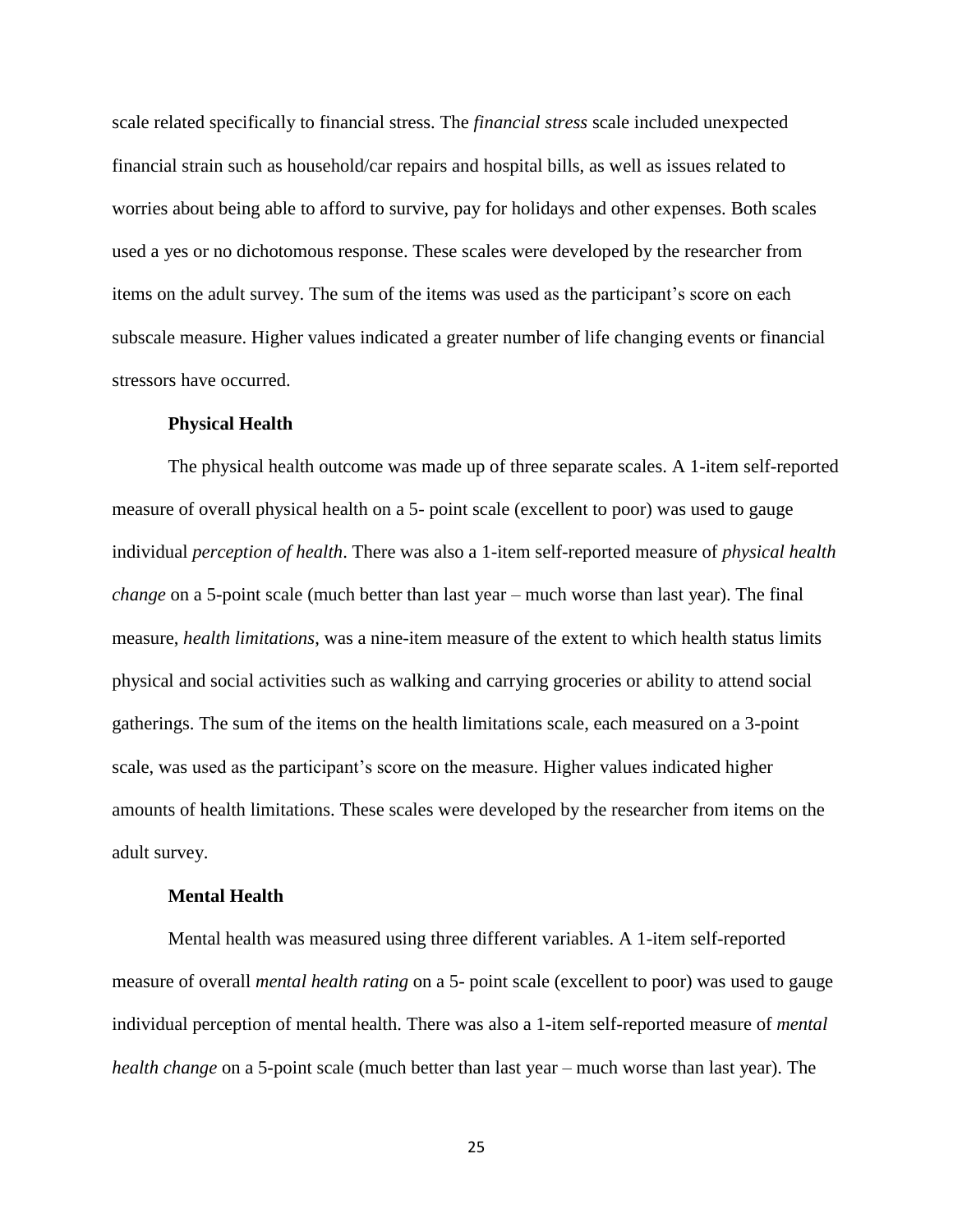scale related specifically to financial stress. The *financial stress* scale included unexpected financial strain such as household/car repairs and hospital bills, as well as issues related to worries about being able to afford to survive, pay for holidays and other expenses. Both scales used a yes or no dichotomous response. These scales were developed by the researcher from items on the adult survey. The sum of the items was used as the participant's score on each subscale measure. Higher values indicated a greater number of life changing events or financial stressors have occurred.

### **Physical Health**

The physical health outcome was made up of three separate scales. A 1-item self-reported measure of overall physical health on a 5- point scale (excellent to poor) was used to gauge individual *perception of health*. There was also a 1-item self-reported measure of *physical health change* on a 5-point scale (much better than last year – much worse than last year). The final measure, *health limitations*, was a nine-item measure of the extent to which health status limits physical and social activities such as walking and carrying groceries or ability to attend social gatherings. The sum of the items on the health limitations scale, each measured on a 3-point scale, was used as the participant's score on the measure. Higher values indicated higher amounts of health limitations. These scales were developed by the researcher from items on the adult survey.

### **Mental Health**

Mental health was measured using three different variables. A 1-item self-reported measure of overall *mental health rating* on a 5- point scale (excellent to poor) was used to gauge individual perception of mental health. There was also a 1-item self-reported measure of *mental health change* on a 5-point scale (much better than last year – much worse than last year). The

25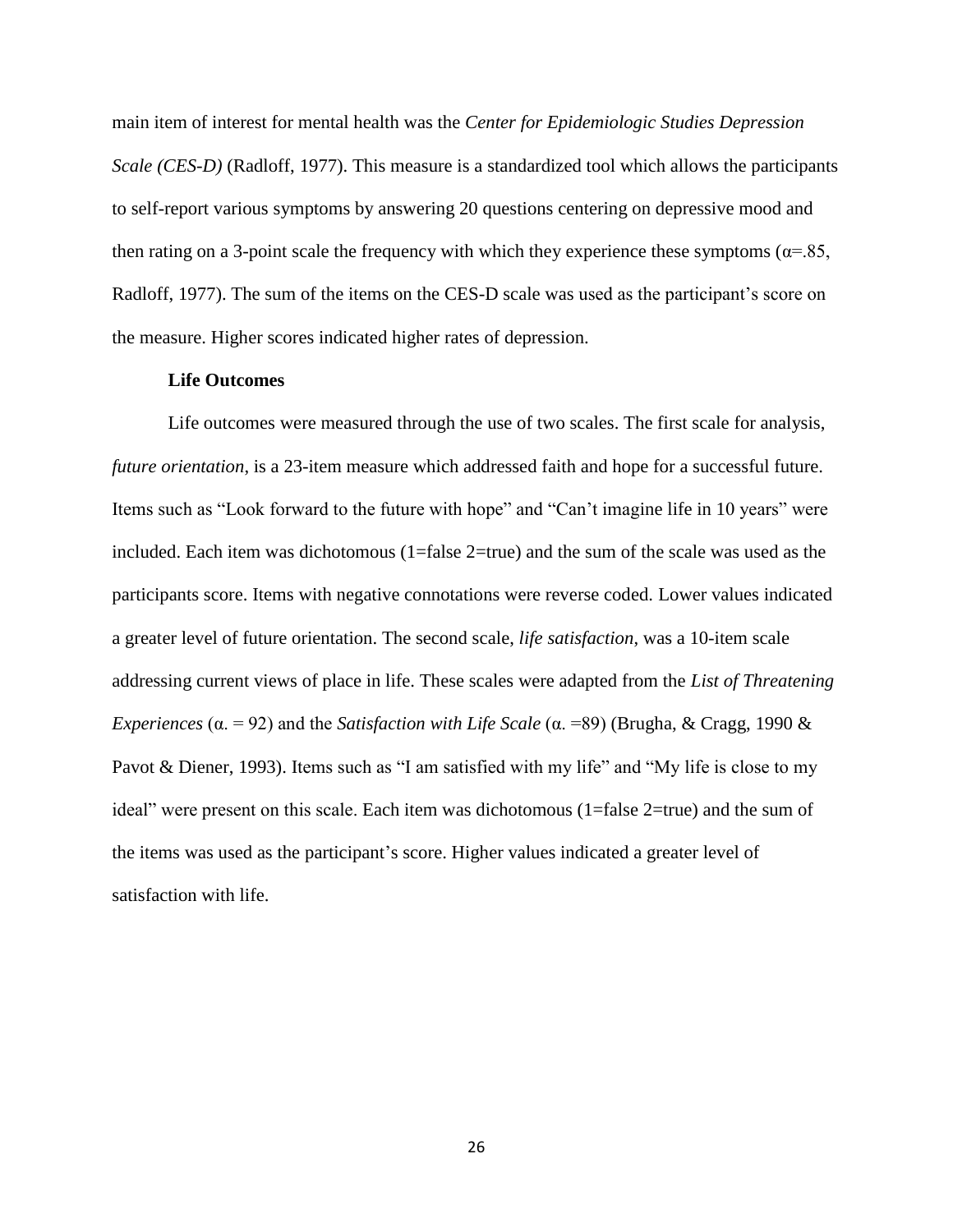main item of interest for mental health was the *Center for Epidemiologic Studies Depression Scale (CES-D)* (Radloff, 1977). This measure is a standardized tool which allows the participants to self-report various symptoms by answering 20 questions centering on depressive mood and then rating on a 3-point scale the frequency with which they experience these symptoms ( $\alpha$ =.85, Radloff, 1977). The sum of the items on the CES-D scale was used as the participant's score on the measure. Higher scores indicated higher rates of depression.

### **Life Outcomes**

Life outcomes were measured through the use of two scales. The first scale for analysis, *future orientation*, is a 23-item measure which addressed faith and hope for a successful future. Items such as "Look forward to the future with hope" and "Can't imagine life in 10 years" were included. Each item was dichotomous (1=false 2=true) and the sum of the scale was used as the participants score. Items with negative connotations were reverse coded. Lower values indicated a greater level of future orientation. The second scale, *life satisfaction*, was a 10-item scale addressing current views of place in life. These scales were adapted from the *List of Threatening Experiences* (α. = 92) and the *Satisfaction with Life Scale* (α. =89) (Brugha, & Cragg, 1990 & Pavot & Diener, 1993). Items such as "I am satisfied with my life" and "My life is close to my ideal" were present on this scale. Each item was dichotomous (1=false 2=true) and the sum of the items was used as the participant's score. Higher values indicated a greater level of satisfaction with life.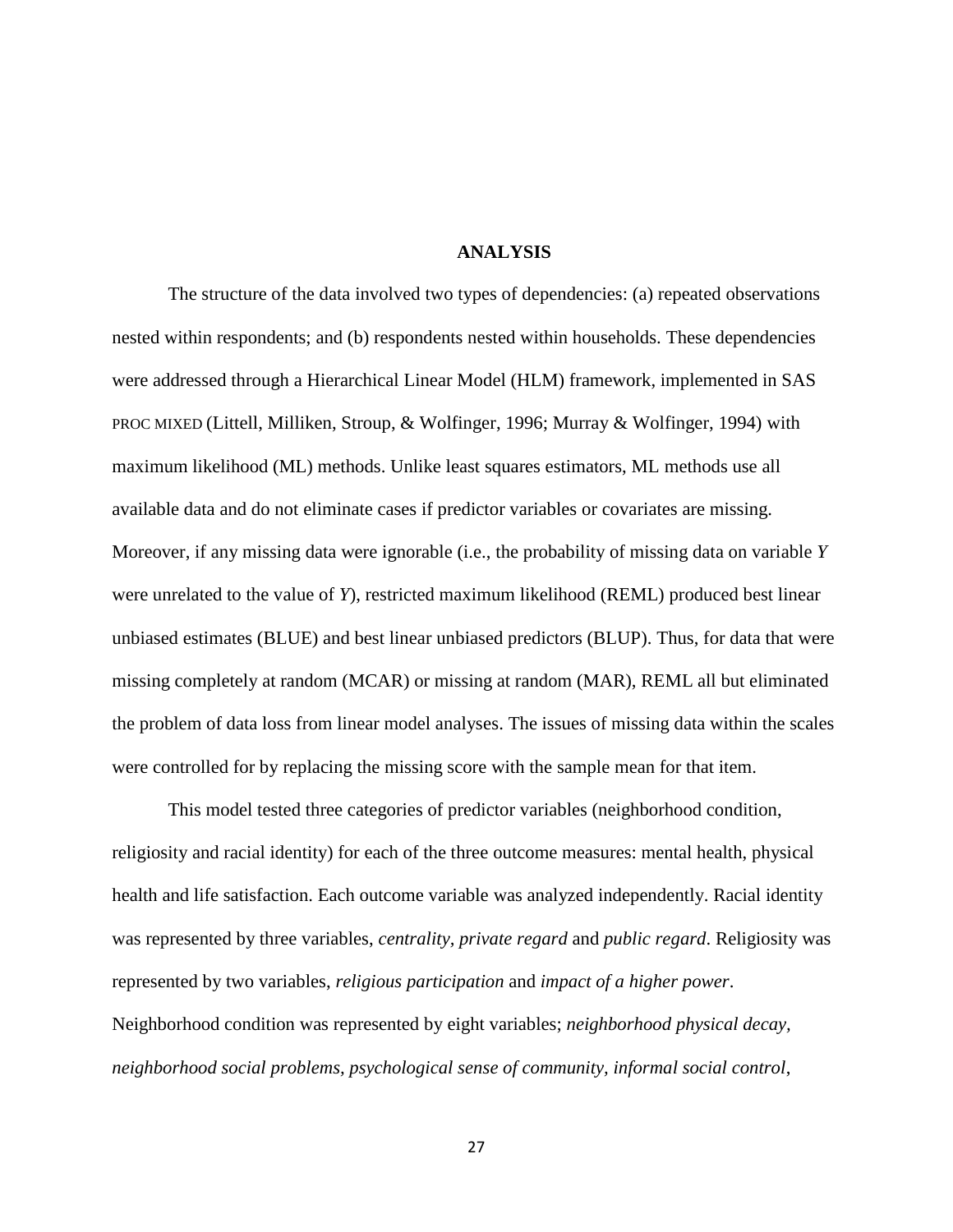### **ANALYSIS**

The structure of the data involved two types of dependencies: (a) repeated observations nested within respondents; and (b) respondents nested within households. These dependencies were addressed through a Hierarchical Linear Model (HLM) framework, implemented in SAS PROC MIXED (Littell, Milliken, Stroup, & Wolfinger, 1996; Murray & Wolfinger, 1994) with maximum likelihood (ML) methods. Unlike least squares estimators, ML methods use all available data and do not eliminate cases if predictor variables or covariates are missing. Moreover, if any missing data were ignorable (i.e., the probability of missing data on variable *Y* were unrelated to the value of *Y*), restricted maximum likelihood (REML) produced best linear unbiased estimates (BLUE) and best linear unbiased predictors (BLUP). Thus, for data that were missing completely at random (MCAR) or missing at random (MAR), REML all but eliminated the problem of data loss from linear model analyses. The issues of missing data within the scales were controlled for by replacing the missing score with the sample mean for that item.

This model tested three categories of predictor variables (neighborhood condition, religiosity and racial identity) for each of the three outcome measures: mental health, physical health and life satisfaction. Each outcome variable was analyzed independently. Racial identity was represented by three variables, *centrality, private regard* and *public regard*. Religiosity was represented by two variables, *religious participation* and *impact of a higher power*. Neighborhood condition was represented by eight variables; *neighborhood physical decay, neighborhood social problems, psychological sense of community, informal social control*,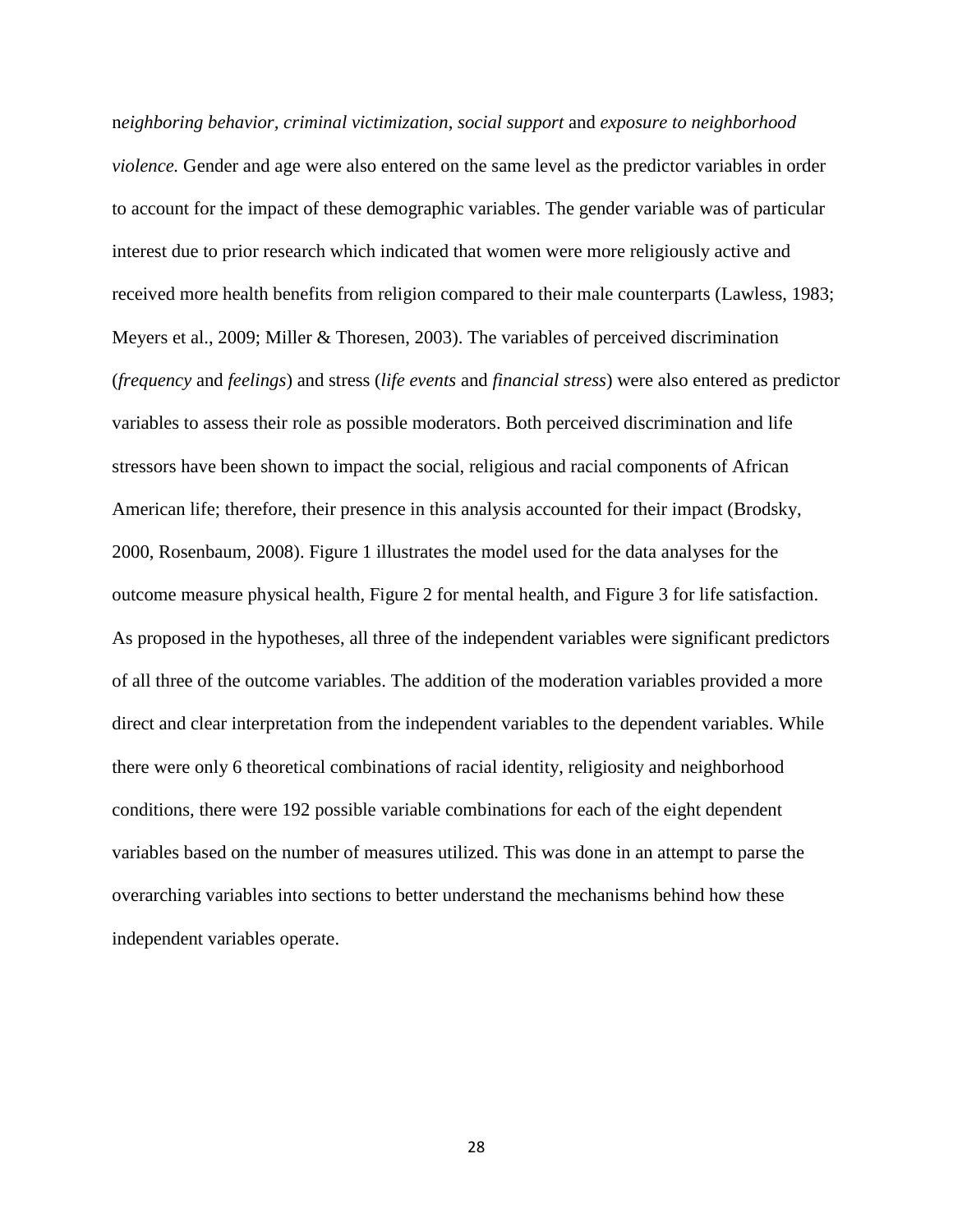n*eighboring behavior, criminal victimization*, *social support* and *exposure to neighborhood violence.* Gender and age were also entered on the same level as the predictor variables in order to account for the impact of these demographic variables. The gender variable was of particular interest due to prior research which indicated that women were more religiously active and received more health benefits from religion compared to their male counterparts (Lawless, 1983; Meyers et al., 2009; Miller & Thoresen, 2003). The variables of perceived discrimination (*frequency* and *feelings*) and stress (*life events* and *financial stress*) were also entered as predictor variables to assess their role as possible moderators. Both perceived discrimination and life stressors have been shown to impact the social, religious and racial components of African American life; therefore, their presence in this analysis accounted for their impact (Brodsky, 2000, Rosenbaum, 2008). Figure 1 illustrates the model used for the data analyses for the outcome measure physical health, Figure 2 for mental health, and Figure 3 for life satisfaction. As proposed in the hypotheses, all three of the independent variables were significant predictors of all three of the outcome variables. The addition of the moderation variables provided a more direct and clear interpretation from the independent variables to the dependent variables. While there were only 6 theoretical combinations of racial identity, religiosity and neighborhood conditions, there were 192 possible variable combinations for each of the eight dependent variables based on the number of measures utilized. This was done in an attempt to parse the overarching variables into sections to better understand the mechanisms behind how these independent variables operate.

28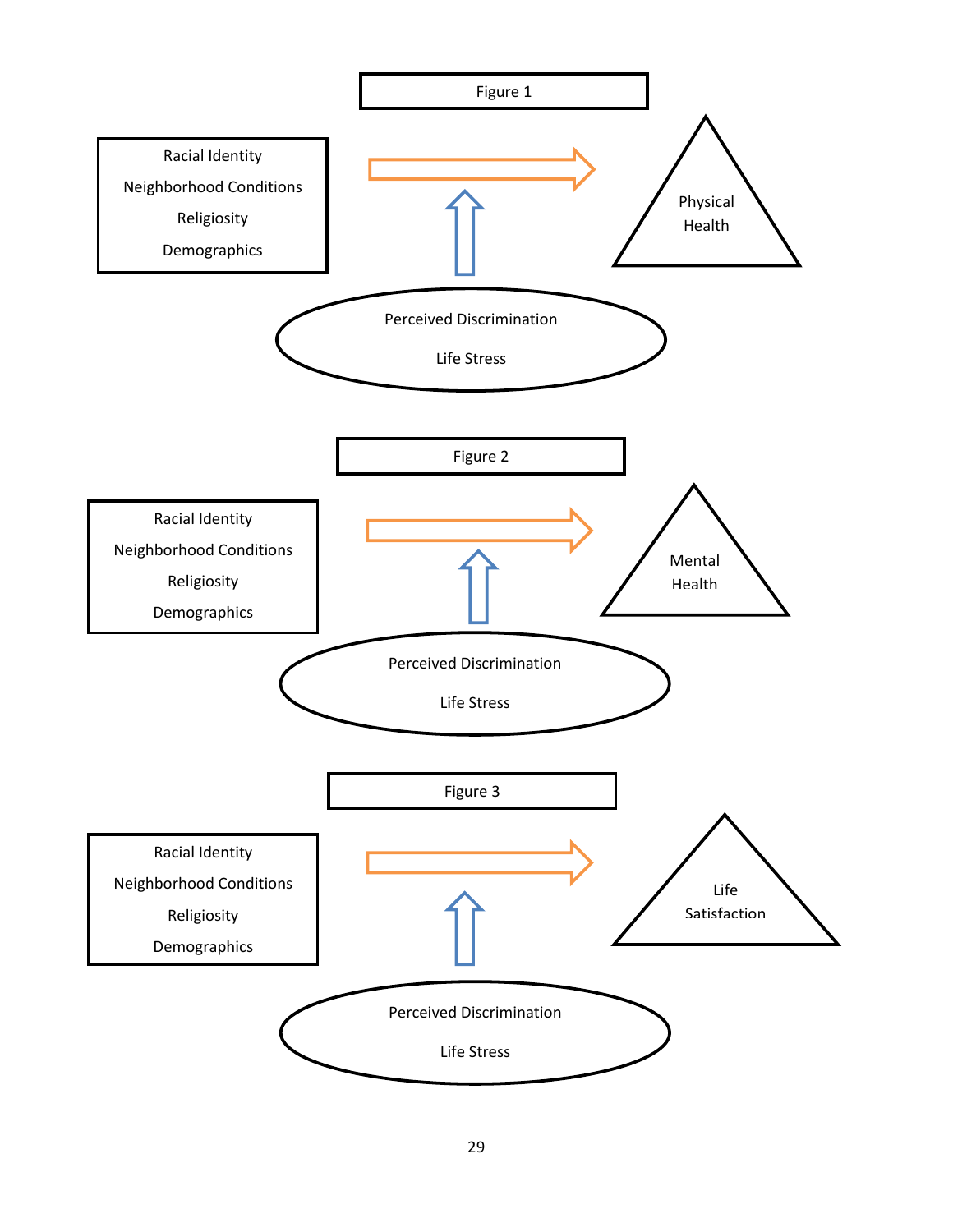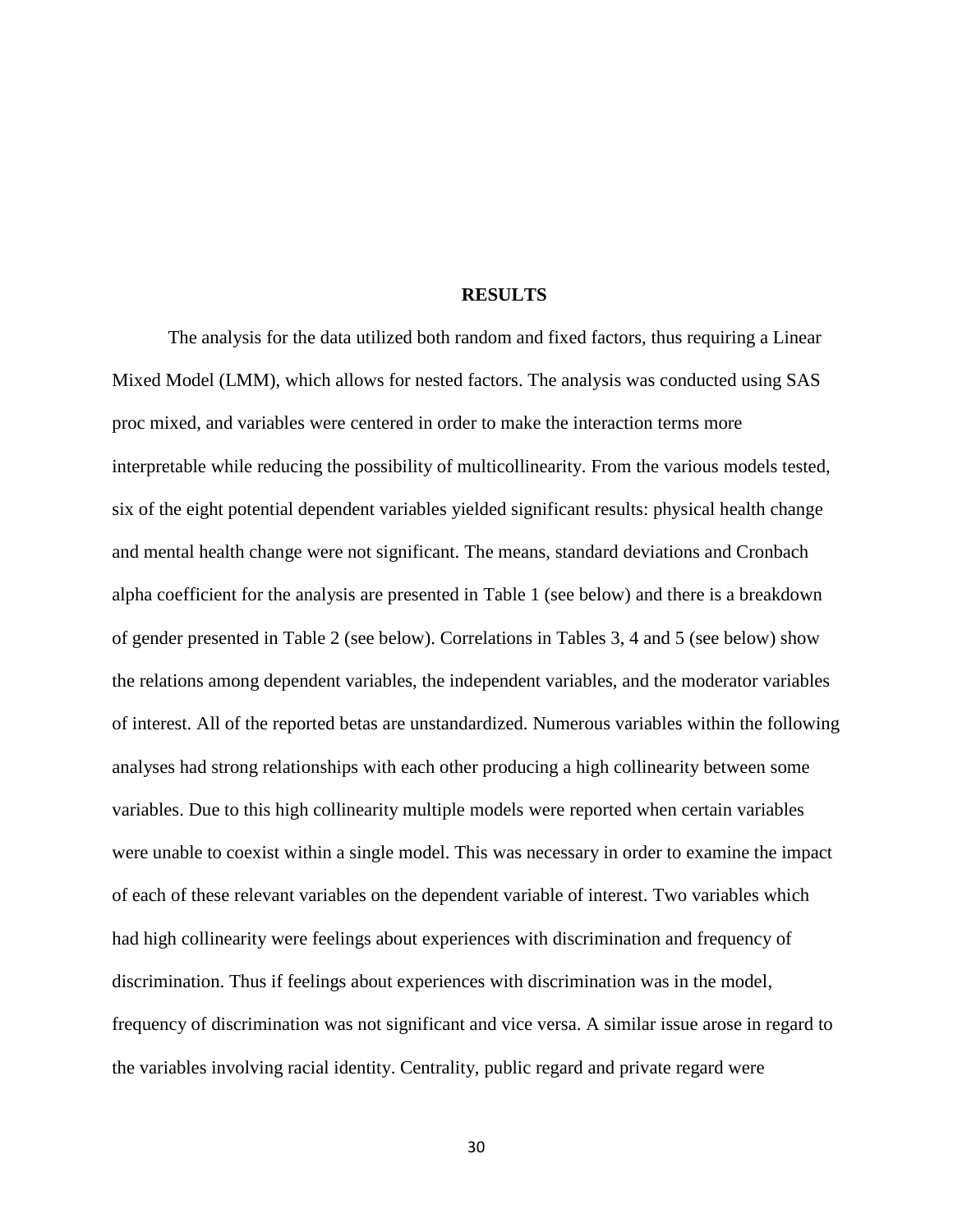### **RESULTS**

The analysis for the data utilized both random and fixed factors, thus requiring a Linear Mixed Model (LMM), which allows for nested factors. The analysis was conducted using SAS proc mixed, and variables were centered in order to make the interaction terms more interpretable while reducing the possibility of multicollinearity. From the various models tested, six of the eight potential dependent variables yielded significant results: physical health change and mental health change were not significant. The means, standard deviations and Cronbach alpha coefficient for the analysis are presented in Table 1 (see below) and there is a breakdown of gender presented in Table 2 (see below). Correlations in Tables 3, 4 and 5 (see below) show the relations among dependent variables, the independent variables, and the moderator variables of interest. All of the reported betas are unstandardized. Numerous variables within the following analyses had strong relationships with each other producing a high collinearity between some variables. Due to this high collinearity multiple models were reported when certain variables were unable to coexist within a single model. This was necessary in order to examine the impact of each of these relevant variables on the dependent variable of interest. Two variables which had high collinearity were feelings about experiences with discrimination and frequency of discrimination. Thus if feelings about experiences with discrimination was in the model, frequency of discrimination was not significant and vice versa. A similar issue arose in regard to the variables involving racial identity. Centrality, public regard and private regard were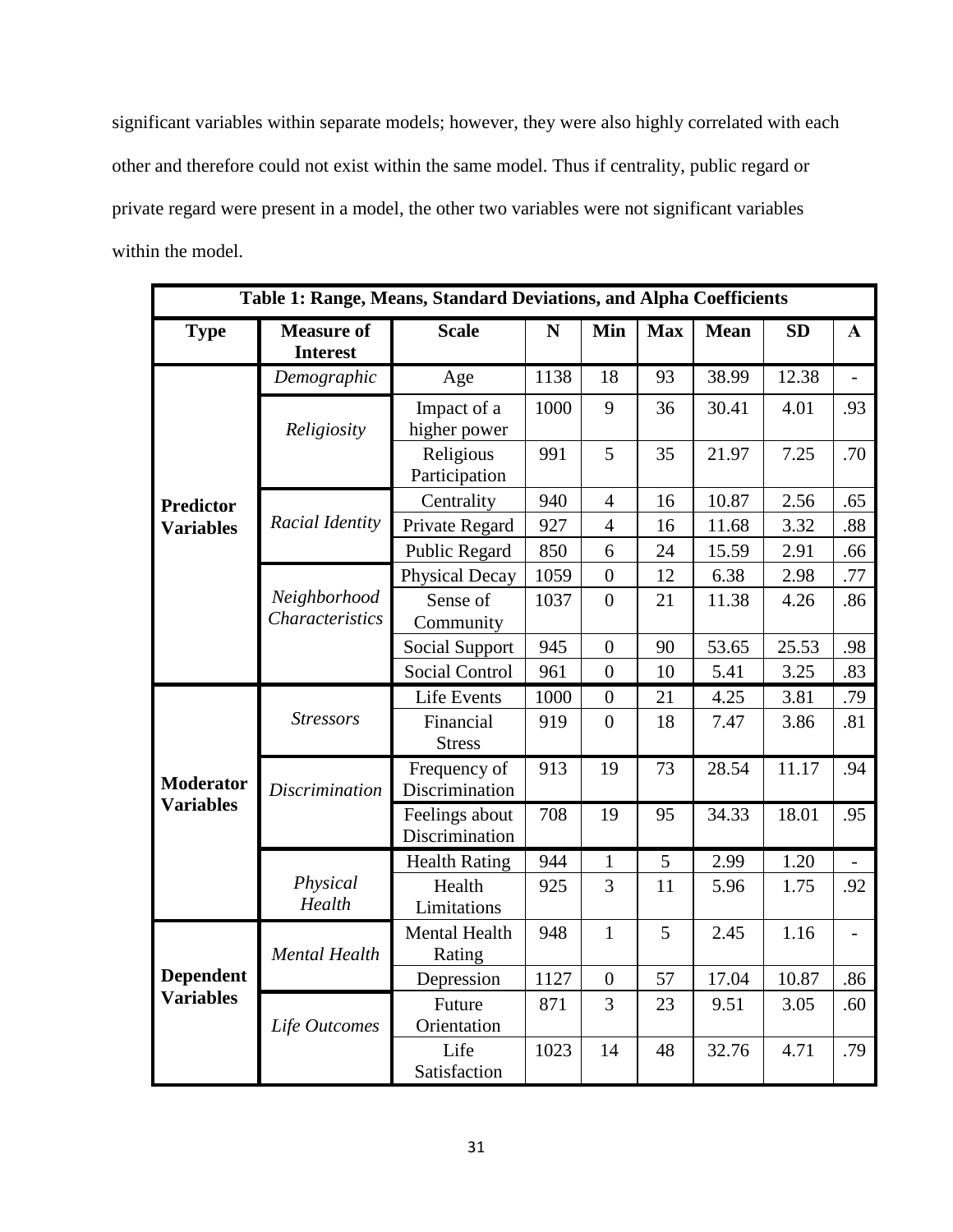significant variables within separate models; however, they were also highly correlated with each other and therefore could not exist within the same model. Thus if centrality, public regard or private regard were present in a model, the other two variables were not significant variables within the model.

| Table 1: Range, Means, Standard Deviations, and Alpha Coefficients |                                        |                                  |             |                |            |             |           |                |  |
|--------------------------------------------------------------------|----------------------------------------|----------------------------------|-------------|----------------|------------|-------------|-----------|----------------|--|
| <b>Type</b>                                                        | <b>Measure of</b><br><b>Interest</b>   | <b>Scale</b>                     | $\mathbf N$ | Min            | <b>Max</b> | <b>Mean</b> | <b>SD</b> | $\mathbf{A}$   |  |
|                                                                    | Demographic                            | Age                              | 1138        | 18             | 93         | 38.99       | 12.38     |                |  |
|                                                                    | Religiosity                            | Impact of a<br>higher power      | 1000        | 9              | 36         | 30.41       | 4.01      | .93            |  |
|                                                                    |                                        | Religious<br>Participation       | 991         | 5              | 35         | 21.97       | 7.25      | .70            |  |
| <b>Predictor</b>                                                   |                                        | Centrality                       | 940         | $\overline{4}$ | 16         | 10.87       | 2.56      | .65            |  |
| <b>Variables</b>                                                   | Racial Identity                        | Private Regard                   | 927         | $\overline{4}$ | 16         | 11.68       | 3.32      | .88            |  |
|                                                                    |                                        | Public Regard                    | 850         | 6              | 24         | 15.59       | 2.91      | .66            |  |
|                                                                    |                                        | <b>Physical Decay</b>            | 1059        | $\overline{0}$ | 12         | 6.38        | 2.98      | .77            |  |
|                                                                    | Neighborhood<br><b>Characteristics</b> | Sense of<br>Community            | 1037        | $\overline{0}$ | 21         | 11.38       | 4.26      | .86            |  |
|                                                                    |                                        | Social Support                   | 945         | $\overline{0}$ | 90         | 53.65       | 25.53     | .98            |  |
|                                                                    |                                        | <b>Social Control</b>            | 961         | $\overline{0}$ | 10         | 5.41        | 3.25      | .83            |  |
|                                                                    |                                        | Life Events                      | 1000        | $\overline{0}$ | 21         | 4.25        | 3.81      | .79            |  |
|                                                                    | <b>Stressors</b>                       | Financial<br><b>Stress</b>       | 919         | $\overline{0}$ | 18         | 7.47        | 3.86      | .81            |  |
| <b>Moderator</b>                                                   | <b>Discrimination</b>                  | Frequency of<br>Discrimination   | 913         | 19             | 73         | 28.54       | 11.17     | .94            |  |
| <b>Variables</b>                                                   |                                        | Feelings about<br>Discrimination | 708         | 19             | 95         | 34.33       | 18.01     | .95            |  |
|                                                                    |                                        | <b>Health Rating</b>             | 944         | $\mathbf{1}$   | 5          | 2.99        | 1.20      |                |  |
|                                                                    | Physical<br>Health                     | Health<br>Limitations            | 925         | 3              | 11         | 5.96        | 1.75      | .92            |  |
|                                                                    | <b>Mental Health</b>                   | Mental Health<br>Rating          | 948         | $\mathbf{1}$   | 5          | 2.45        | 1.16      | $\overline{a}$ |  |
| <b>Dependent</b>                                                   |                                        | Depression                       | 1127        | $\overline{0}$ | 57         | 17.04       | 10.87     | .86            |  |
| <b>Variables</b>                                                   | Life Outcomes                          | Future<br>Orientation            | 871         | 3              | 23         | 9.51        | 3.05      | .60            |  |
|                                                                    |                                        | Life<br>Satisfaction             | 1023        | 14             | 48         | 32.76       | 4.71      | .79            |  |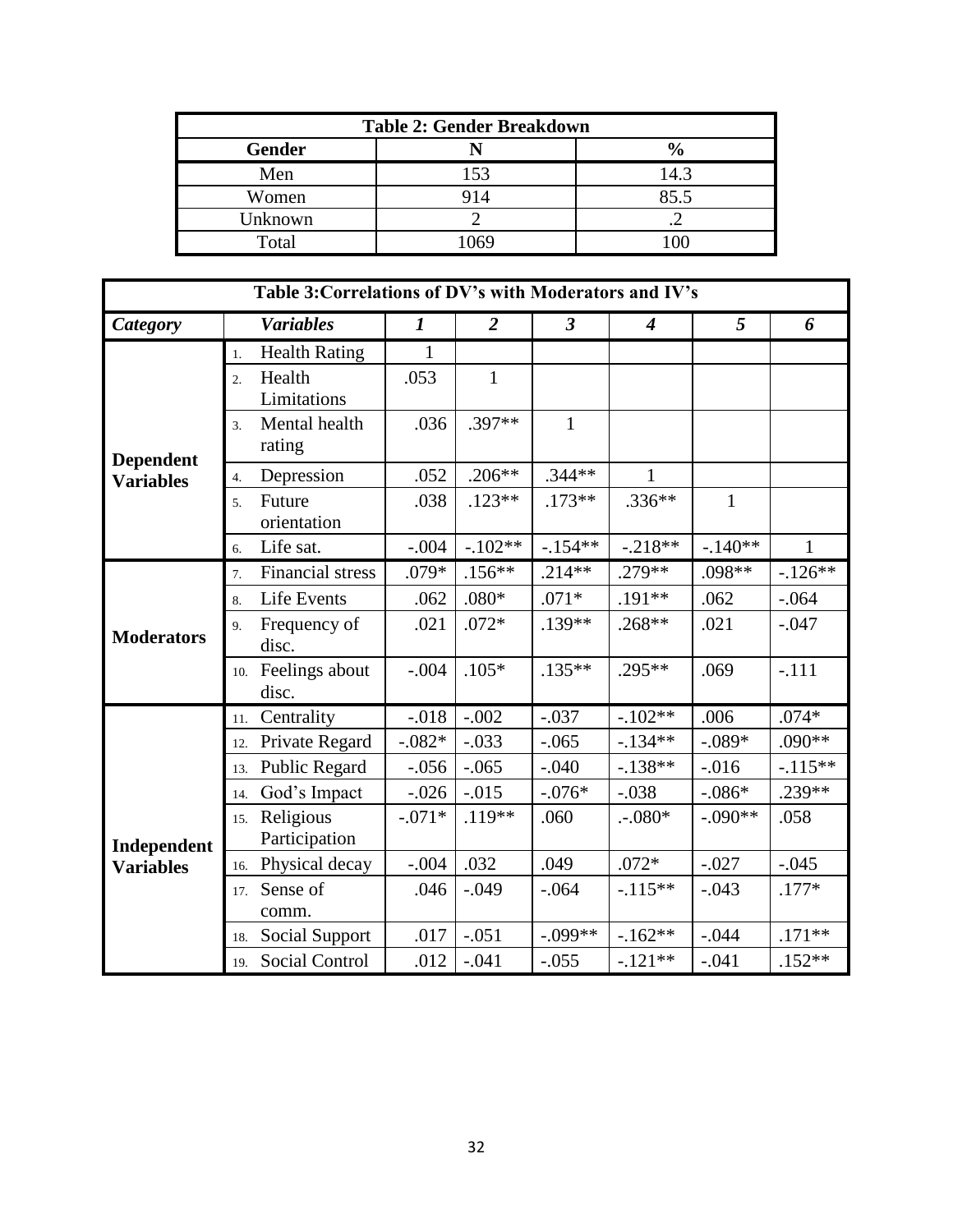| <b>Table 2: Gender Breakdown</b> |     |               |  |  |  |  |  |
|----------------------------------|-----|---------------|--|--|--|--|--|
| <b>Gender</b>                    |     | $\frac{0}{0}$ |  |  |  |  |  |
| Men                              | 153 | 14.3          |  |  |  |  |  |
| Women                            | 914 | 85.5          |  |  |  |  |  |
| Unknown                          |     |               |  |  |  |  |  |
| Total                            | በ69 |               |  |  |  |  |  |

| Table 3: Correlations of DV's with Moderators and IV's |     |                            |                  |                |              |                  |              |              |  |
|--------------------------------------------------------|-----|----------------------------|------------------|----------------|--------------|------------------|--------------|--------------|--|
| <b>Category</b>                                        |     | <b>Variables</b>           | $\boldsymbol{l}$ | $\overline{2}$ | $\mathbf{3}$ | $\boldsymbol{4}$ | 5            | 6            |  |
|                                                        | 1.  | <b>Health Rating</b>       | 1                |                |              |                  |              |              |  |
|                                                        | 2.  | Health<br>Limitations      | .053             | $\mathbf{1}$   |              |                  |              |              |  |
| <b>Dependent</b>                                       | 3.  | Mental health<br>rating    | .036             | .397**         | $\mathbf{1}$ |                  |              |              |  |
| <b>Variables</b>                                       | 4.  | Depression                 | .052             | $.206**$       | $.344**$     | 1                |              |              |  |
|                                                        | 5.  | Future<br>orientation      | .038             | $.123**$       | $.173**$     | $.336**$         | $\mathbf{1}$ |              |  |
|                                                        | 6.  | Life sat.                  | $-.004$          | $-.102**$      | $-.154**$    | $-.218**$        | $-.140**$    | $\mathbf{1}$ |  |
|                                                        | 7.  | <b>Financial stress</b>    | .079*            | $.156**$       | $.214**$     | .279**           | $.098**$     | $-126**$     |  |
|                                                        | 8.  | Life Events                | .062             | $.080*$        | $.071*$      | .191**           | .062         | $-.064$      |  |
| <b>Moderators</b>                                      | 9.  | Frequency of<br>disc.      | .021             | $.072*$        | .139**       | .268**           | .021         | $-.047$      |  |
|                                                        | 10. | Feelings about<br>disc.    | $-.004$          | $.105*$        | $.135**$     | .295**           | .069         | $-.111$      |  |
|                                                        | 11. | Centrality                 | $-0.018$         | $-.002$        | $-.037$      | $-.102**$        | .006         | $.074*$      |  |
|                                                        | 12. | Private Regard             | $-.082*$         | $-.033$        | $-.065$      | $-134**$         | $-.089*$     | .090**       |  |
|                                                        | 13. | <b>Public Regard</b>       | $-0.056$         | $-.065$        | $-.040$      | $-138**$         | $-0.016$     | $-.115**$    |  |
|                                                        | 14. | God's Impact               | $-0.026$         | $-0.015$       | $-.076*$     | $-.038$          | $-.086*$     | .239**       |  |
| Independent                                            | 15. | Religious<br>Participation | $-.071*$         | .119**         | .060         | $-.080*$         | $-.090**$    | .058         |  |
| <b>Variables</b>                                       | 16. | Physical decay             | $-.004$          | .032           | .049         | $.072*$          | $-.027$      | $-.045$      |  |
|                                                        | 17. | Sense of<br>comm.          | .046             | $-.049$        | $-.064$      | $-115**$         | $-.043$      | $.177*$      |  |
|                                                        | 18. | <b>Social Support</b>      | .017             | $-.051$        | $-.099**$    | $-162**$         | $-.044$      | $.171**$     |  |
|                                                        | 19. | Social Control             | .012             | $-.041$        | $-.055$      | $-121**$         | $-.041$      | $.152**$     |  |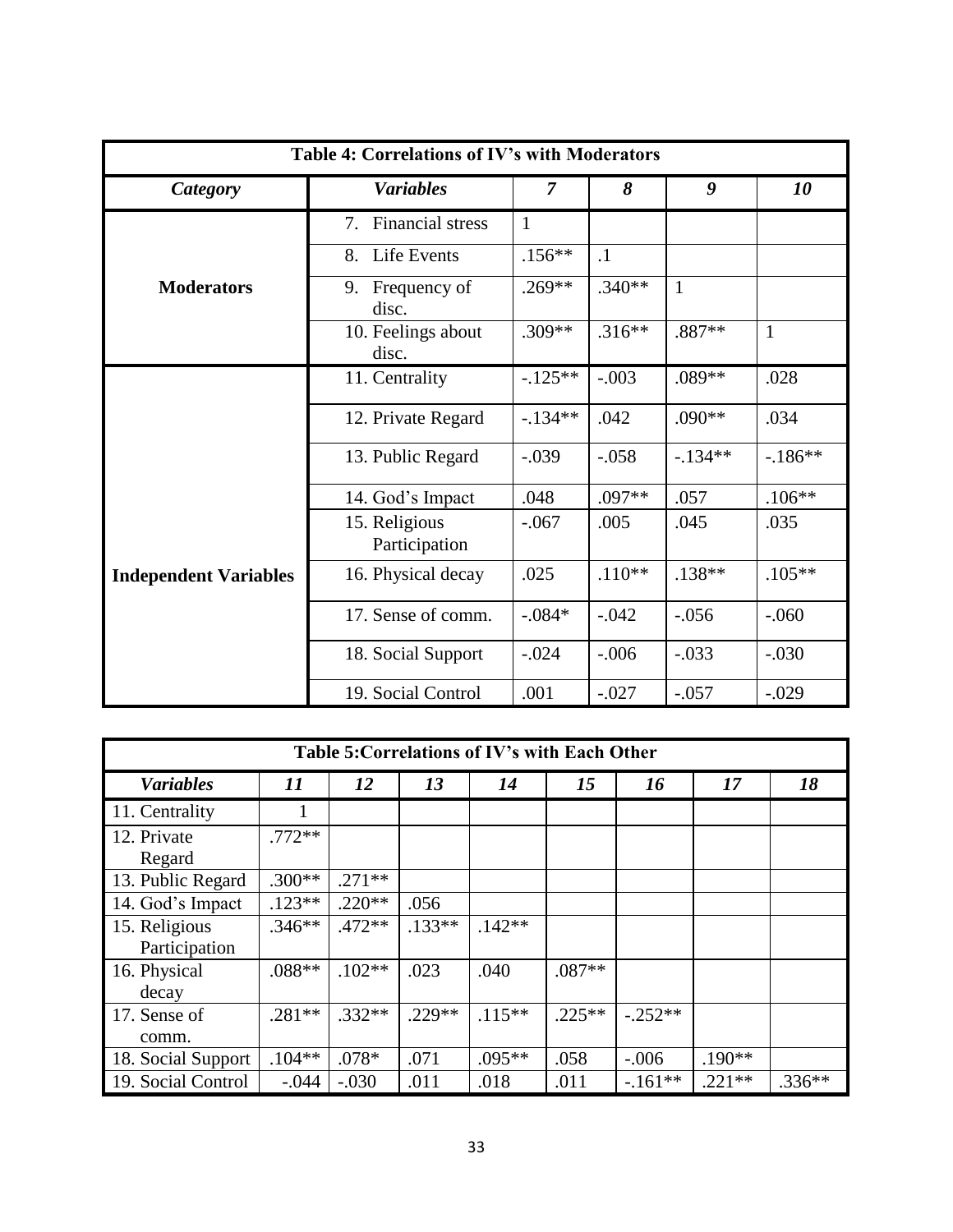| Table 4: Correlations of IV's with Moderators |                                                             |                |           |                  |              |  |  |  |  |
|-----------------------------------------------|-------------------------------------------------------------|----------------|-----------|------------------|--------------|--|--|--|--|
| <b>Category</b>                               | <b>Variables</b>                                            | $\overline{7}$ | 8         | $\boldsymbol{g}$ | 10           |  |  |  |  |
|                                               | <b>Financial stress</b><br>$7_{\scriptscriptstyle{\ddots}}$ | $\mathbf{1}$   |           |                  |              |  |  |  |  |
|                                               | Life Events<br>8.                                           | $.156**$       | $\cdot$ 1 |                  |              |  |  |  |  |
| <b>Moderators</b>                             | Frequency of<br>9.<br>disc.                                 | $.269**$       | $.340**$  | $\mathbf{1}$     |              |  |  |  |  |
|                                               | 10. Feelings about<br>disc.                                 | $.309**$       | $.316**$  | .887**           | $\mathbf{1}$ |  |  |  |  |
|                                               | 11. Centrality                                              | $-125**$       | $-.003$   | .089**           | .028         |  |  |  |  |
|                                               | 12. Private Regard                                          | $-.134**$      | .042      | $.090**$         | .034         |  |  |  |  |
|                                               | 13. Public Regard                                           | $-.039$        | $-.058$   | $-134**$         | $-186**$     |  |  |  |  |
|                                               | 14. God's Impact                                            | .048           | .097**    | .057             | $.106**$     |  |  |  |  |
|                                               | 15. Religious<br>Participation                              | $-.067$        | .005      | .045             | .035         |  |  |  |  |
| <b>Independent Variables</b>                  | 16. Physical decay                                          | .025           | $.110**$  | $.138**$         | $.105**$     |  |  |  |  |
|                                               | 17. Sense of comm.                                          | $-.084*$       | $-.042$   | $-.056$          | $-.060$      |  |  |  |  |
|                                               | 18. Social Support                                          | $-.024$        | $-.006$   | $-.033$          | $-.030$      |  |  |  |  |
|                                               | 19. Social Control                                          | .001           | $-.027$   | $-.057$          | $-.029$      |  |  |  |  |

| Table 5: Correlations of IV's with Each Other |          |          |          |           |          |           |          |          |  |
|-----------------------------------------------|----------|----------|----------|-----------|----------|-----------|----------|----------|--|
| <b>Variables</b>                              | 11       | 12       | 13       | 14        | 15       | 16        | 17       | 18       |  |
| 11. Centrality                                |          |          |          |           |          |           |          |          |  |
| 12. Private<br>Regard                         | $.772**$ |          |          |           |          |           |          |          |  |
| 13. Public Regard                             | $.300**$ | $.271**$ |          |           |          |           |          |          |  |
| 14. God's Impact                              | $.123**$ | $.220**$ | .056     |           |          |           |          |          |  |
| 15. Religious<br>Participation                | $.346**$ | $.472**$ | $.133**$ | $.142**$  |          |           |          |          |  |
| 16. Physical<br>decay                         | $.088**$ | $.102**$ | .023     | .040      | $.087**$ |           |          |          |  |
| 17. Sense of<br>comm.                         | $.281**$ | $.332**$ | $.229**$ | $.115***$ | $.225**$ | $-.252**$ |          |          |  |
| 18. Social Support                            | $.104**$ | .078*    | .071     | $.095**$  | .058     | $-.006$   | $.190**$ |          |  |
| 19. Social Control                            | $-.044$  | $-.030$  | .011     | .018      | .011     | $-.161**$ | $.221**$ | $.336**$ |  |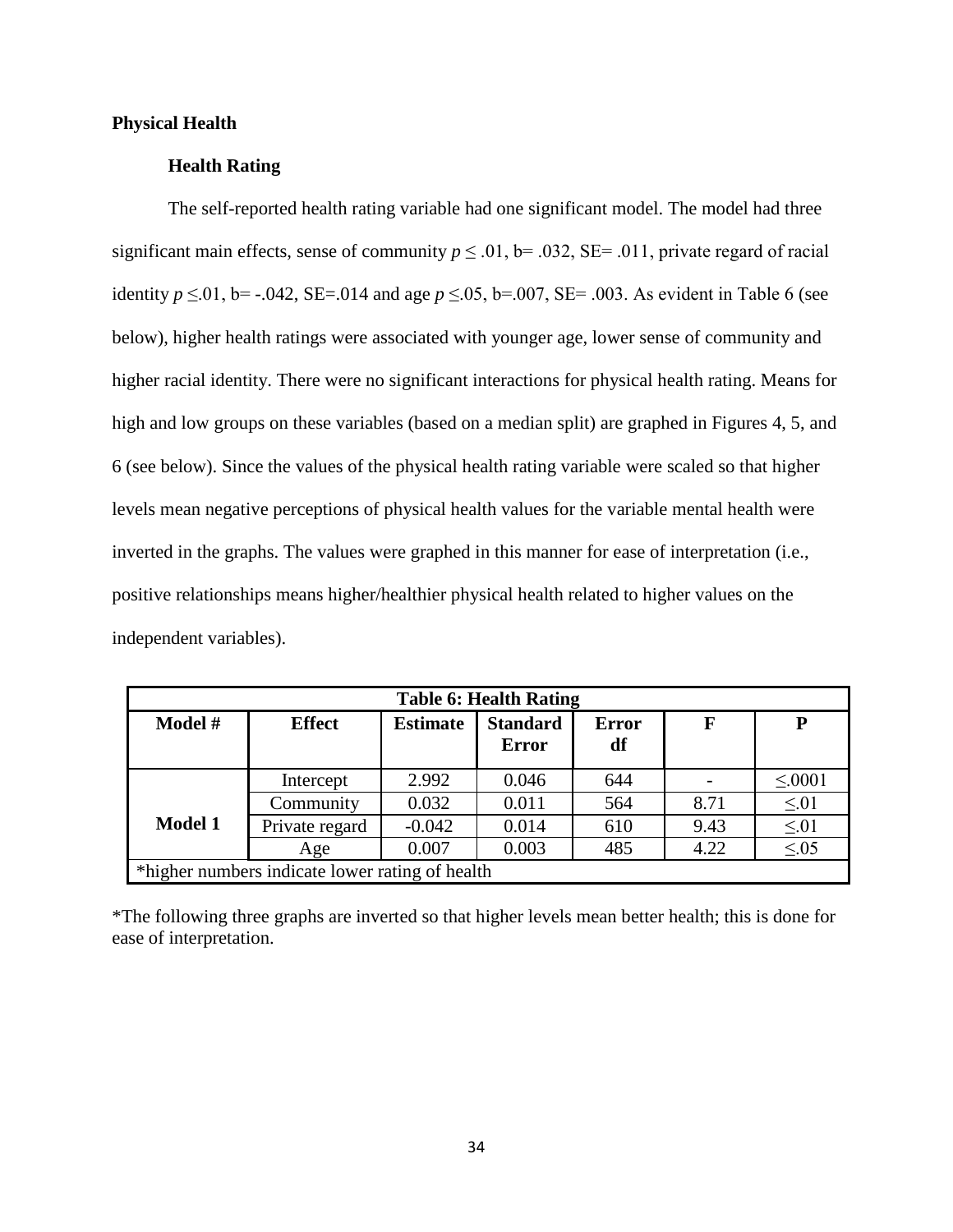### **Physical Health**

# **Health Rating**

The self-reported health rating variable had one significant model. The model had three significant main effects, sense of community  $p \le 0.01$ , b= .032, SE= .011, private regard of racial identity  $p \le 0.01$ , b= -.042, SE=.014 and age  $p \le 0.05$ , b=.007, SE= .003. As evident in Table 6 (see below), higher health ratings were associated with younger age, lower sense of community and higher racial identity. There were no significant interactions for physical health rating. Means for high and low groups on these variables (based on a median split) are graphed in Figures 4, 5, and 6 (see below). Since the values of the physical health rating variable were scaled so that higher levels mean negative perceptions of physical health values for the variable mental health were inverted in the graphs. The values were graphed in this manner for ease of interpretation (i.e., positive relationships means higher/healthier physical health related to higher values on the independent variables).

| <b>Table 6: Health Rating</b> |                                                 |                 |                                 |                    |      |              |  |  |  |  |
|-------------------------------|-------------------------------------------------|-----------------|---------------------------------|--------------------|------|--------------|--|--|--|--|
| Model #                       | <b>Effect</b>                                   | <b>Estimate</b> | <b>Standard</b><br><b>Error</b> | <b>Error</b><br>df | F    | P            |  |  |  |  |
|                               | Intercept                                       | 2.992           | 0.046                           | 644                |      | $\leq 0.001$ |  |  |  |  |
|                               | Community                                       | 0.032           | 0.011                           | 564                | 8.71 | $\leq 01$    |  |  |  |  |
| <b>Model 1</b>                | Private regard                                  | $-0.042$        | 0.014                           | 610                | 9.43 | $\leq 01$    |  |  |  |  |
|                               | Age                                             | 0.007           | 0.003                           | 485                | 4.22 | $\leq 0.05$  |  |  |  |  |
|                               | *higher numbers indicate lower rating of health |                 |                                 |                    |      |              |  |  |  |  |

\*The following three graphs are inverted so that higher levels mean better health; this is done for ease of interpretation.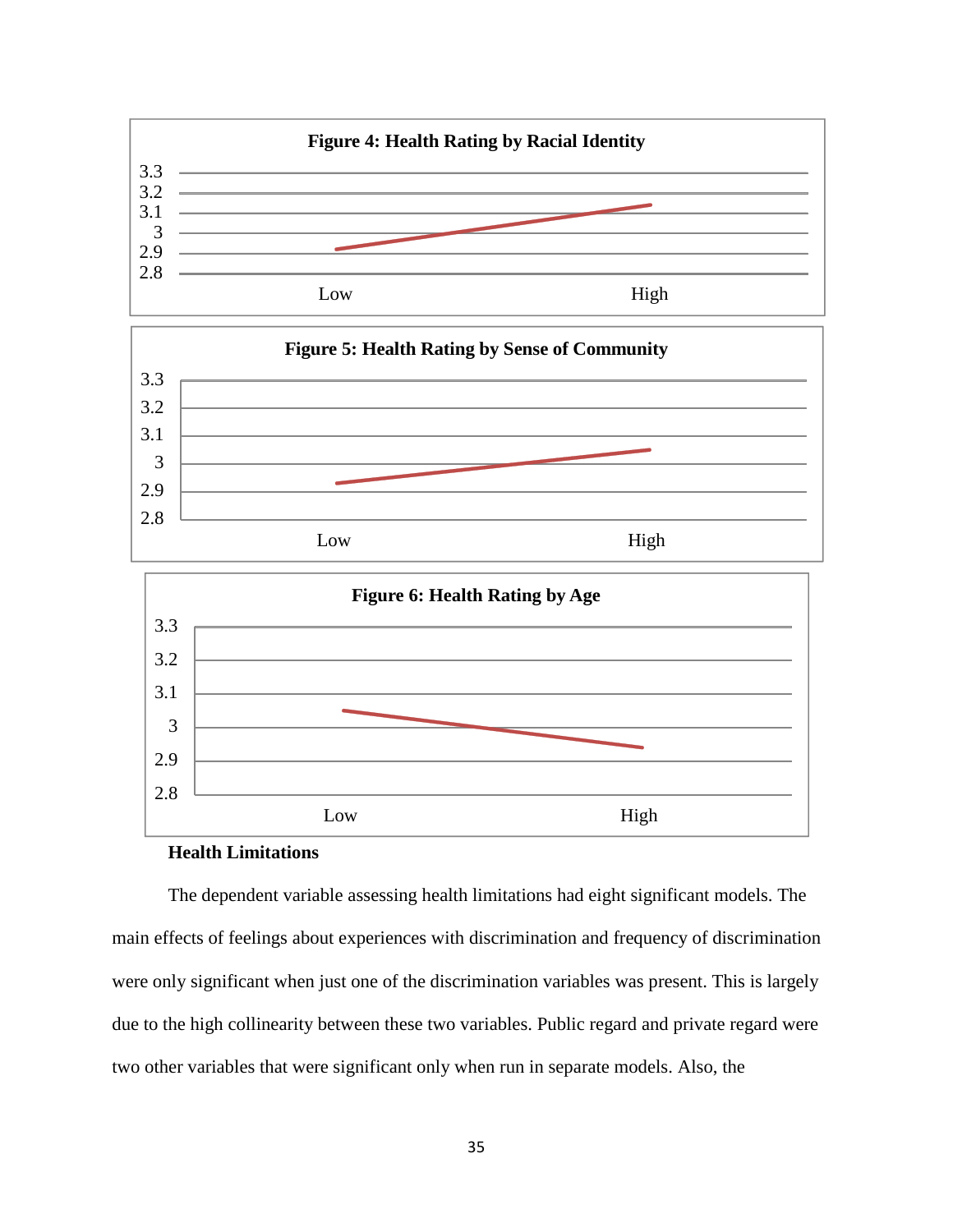





# **Health Limitations**

The dependent variable assessing health limitations had eight significant models. The main effects of feelings about experiences with discrimination and frequency of discrimination were only significant when just one of the discrimination variables was present. This is largely due to the high collinearity between these two variables. Public regard and private regard were two other variables that were significant only when run in separate models. Also, the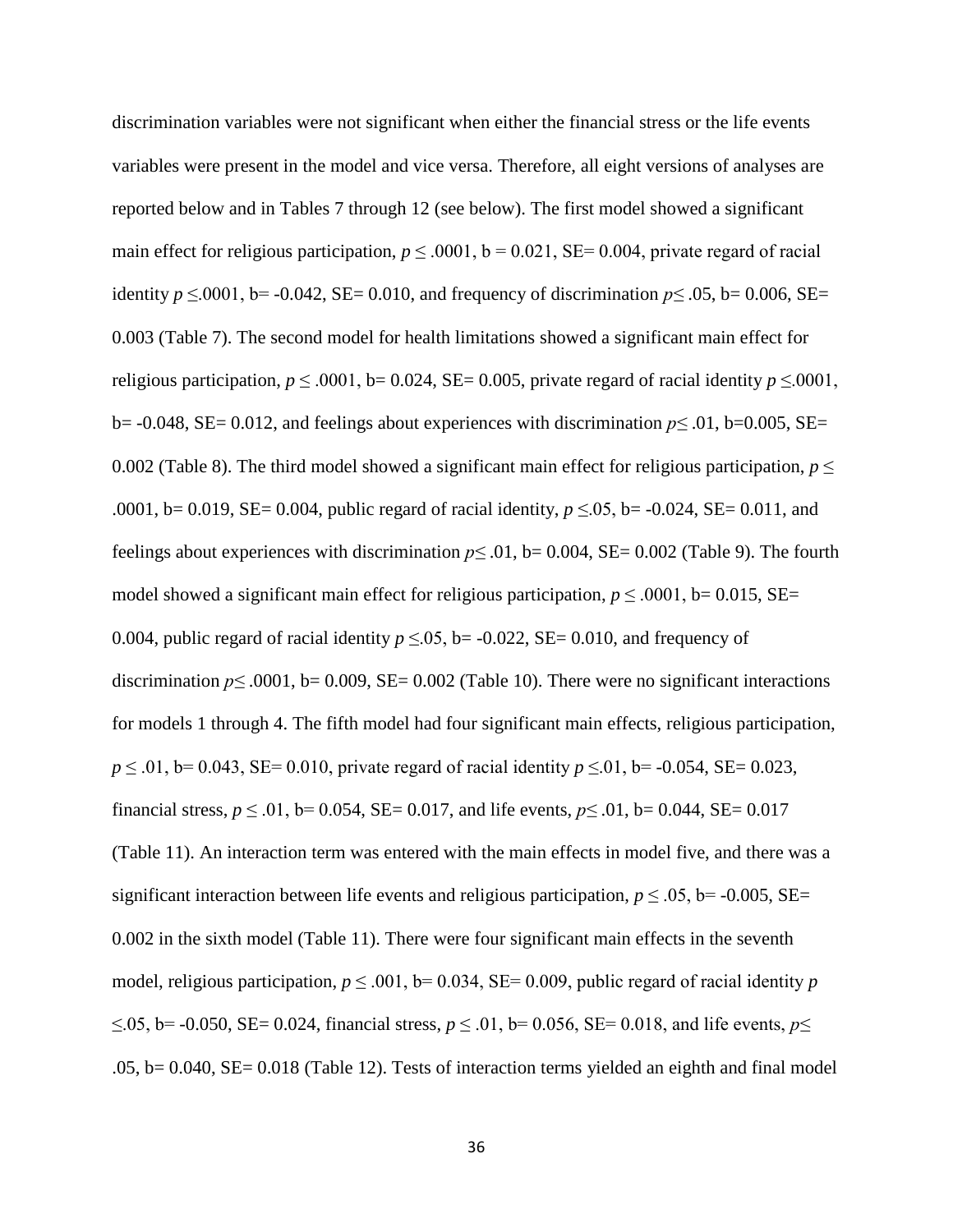discrimination variables were not significant when either the financial stress or the life events variables were present in the model and vice versa. Therefore, all eight versions of analyses are reported below and in Tables 7 through 12 (see below). The first model showed a significant main effect for religious participation,  $p \le 0.001$ ,  $b = 0.021$ , SE= 0.004, private regard of racial identity  $p \le 0.001$ , b=  $-0.042$ , SE= 0.010, and frequency of discrimination  $p \le 0.05$ , b= 0.006, SE= 0.003 (Table 7). The second model for health limitations showed a significant main effect for religious participation,  $p \le 0.001$ , b= 0.024, SE= 0.005, private regard of racial identity  $p \le 0.001$ , b= -0.048, SE= 0.012, and feelings about experiences with discrimination *p≤* .01, b=0.005, SE= 0.002 (Table 8). The third model showed a significant main effect for religious participation,  $p \leq$ .0001, b= 0.019, SE= 0.004, public regard of racial identity, *p* ≤.05, b= -0.024, SE= 0.011, and feelings about experiences with discrimination  $p \le 0.01$ , b= 0.004, SE= 0.002 (Table 9). The fourth model showed a significant main effect for religious participation,  $p \le 0.0001$ , b= 0.015, SE= 0.004, public regard of racial identity  $p \le 0.05$ , b= -0.022, SE= 0.010, and frequency of discrimination  $p \le 0.0001$ , b= 0.009, SE= 0.002 (Table 10). There were no significant interactions for models 1 through 4. The fifth model had four significant main effects, religious participation, *p* ≤ .01, b= 0.043, SE= 0.010, private regard of racial identity *p* ≤ 01, b= -0.054, SE= 0.023, financial stress,  $p \le 0.01$ ,  $b = 0.054$ ,  $SE = 0.017$ , and life events,  $p \le 0.01$ ,  $b = 0.044$ ,  $SE = 0.017$ (Table 11). An interaction term was entered with the main effects in model five, and there was a significant interaction between life events and religious participation,  $p \le 0.05$ , b= -0.005, SE= 0.002 in the sixth model (Table 11). There were four significant main effects in the seventh model, religious participation,  $p \le 0.001$ , b= 0.034, SE= 0.009, public regard of racial identity *p* ≤.05, b= -0.050, SE= 0.024, financial stress, *p* ≤ .01, b= 0.056, SE= 0.018, and life events, *p≤* .05, b= 0.040, SE= 0.018 (Table 12). Tests of interaction terms yielded an eighth and final model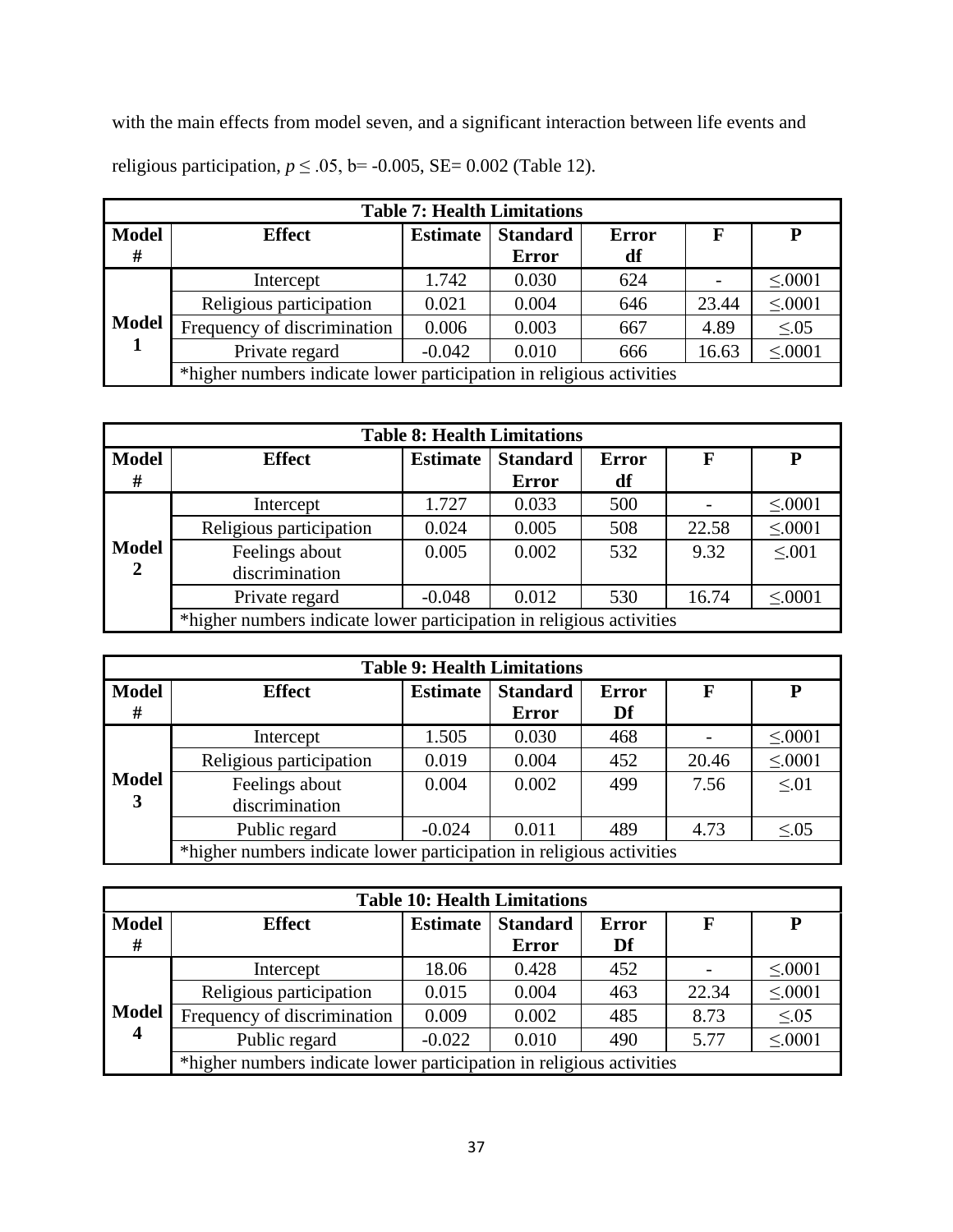with the main effects from model seven, and a significant interaction between life events and religious participation,  $p \le 0.05$ , b= -0.005, SE= 0.002 (Table 12).

|              | <b>Table 7: Health Limitations</b>                                   |                 |                 |              |       |             |  |  |  |
|--------------|----------------------------------------------------------------------|-----------------|-----------------|--------------|-------|-------------|--|--|--|
| <b>Model</b> | <b>Effect</b>                                                        | <b>Estimate</b> | <b>Standard</b> | <b>Error</b> | F     | P           |  |  |  |
| #            |                                                                      |                 | <b>Error</b>    | df           |       |             |  |  |  |
|              | Intercept                                                            | 1.742           | 0.030           | 624          |       | $\leq 0001$ |  |  |  |
|              | Religious participation                                              | 0.021           | 0.004           | 646          | 23.44 | $\leq 0001$ |  |  |  |
| <b>Model</b> | Frequency of discrimination                                          | 0.006           | 0.003           | 667          | 4.89  | $\leq 0.05$ |  |  |  |
|              | Private regard                                                       | $-0.042$        | 0.010           | 666          | 16.63 | $\leq 0001$ |  |  |  |
|              | *higher numbers indicate lower participation in religious activities |                 |                 |              |       |             |  |  |  |

| <b>Table 8: Health Limitations</b> |                                                                      |                 |                 |              |       |             |  |  |
|------------------------------------|----------------------------------------------------------------------|-----------------|-----------------|--------------|-------|-------------|--|--|
| <b>Model</b>                       | <b>Effect</b>                                                        | <b>Estimate</b> | <b>Standard</b> | <b>Error</b> | F     | P           |  |  |
| #                                  |                                                                      |                 | <b>Error</b>    | df           |       |             |  |  |
|                                    | Intercept                                                            | 1.727           | 0.033           | 500          |       | $\leq 0001$ |  |  |
|                                    | Religious participation                                              | 0.024           | 0.005           | 508          | 22.58 | $\leq 0001$ |  |  |
| <b>Model</b>                       | Feelings about                                                       | 0.005           | 0.002           | 532          | 9.32  | $\leq 0.01$ |  |  |
| $\boldsymbol{2}$                   | discrimination                                                       |                 |                 |              |       |             |  |  |
|                                    | Private regard                                                       | $-0.048$        | 0.012           | 530          | 16.74 | $\leq 0001$ |  |  |
|                                    | *higher numbers indicate lower participation in religious activities |                 |                 |              |       |             |  |  |

| <b>Table 9: Health Limitations</b> |                                                                      |                 |                                 |                    |       |             |  |  |
|------------------------------------|----------------------------------------------------------------------|-----------------|---------------------------------|--------------------|-------|-------------|--|--|
| <b>Model</b><br>#                  | <b>Effect</b>                                                        | <b>Estimate</b> | <b>Standard</b><br><b>Error</b> | <b>Error</b><br>Df | F     | P           |  |  |
|                                    | Intercept                                                            | 1.505           | 0.030                           | 468                |       | $\leq 0001$ |  |  |
|                                    | Religious participation                                              | 0.019           | 0.004                           | 452                | 20.46 | $\leq 0001$ |  |  |
| <b>Model</b><br>3                  | Feelings about<br>discrimination                                     | 0.004           | 0.002                           | 499                | 7.56  | $\leq 01$   |  |  |
|                                    | Public regard                                                        | $-0.024$        | 0.011                           | 489                | 4.73  | $\leq 0.05$ |  |  |
|                                    | *higher numbers indicate lower participation in religious activities |                 |                                 |                    |       |             |  |  |

| <b>Table 10: Health Limitations</b> |                                                                      |                 |                 |              |       |             |  |  |
|-------------------------------------|----------------------------------------------------------------------|-----------------|-----------------|--------------|-------|-------------|--|--|
| <b>Model</b>                        | <b>Effect</b>                                                        | <b>Estimate</b> | <b>Standard</b> | <b>Error</b> | F     | P           |  |  |
| #                                   |                                                                      |                 | <b>Error</b>    | Df           |       |             |  |  |
|                                     | Intercept                                                            | 18.06           | 0.428           | 452          |       | $\leq 0001$ |  |  |
|                                     | Religious participation                                              | 0.015           | 0.004           | 463          | 22.34 | $\leq 0001$ |  |  |
| <b>Model</b>                        | Frequency of discrimination                                          | 0.009           | 0.002           | 485          | 8.73  | $\leq 0.05$ |  |  |
| $\overline{\mathbf{4}}$             | Public regard                                                        | $-0.022$        | 0.010           | 490          | 5.77  | $\leq 0001$ |  |  |
|                                     | *higher numbers indicate lower participation in religious activities |                 |                 |              |       |             |  |  |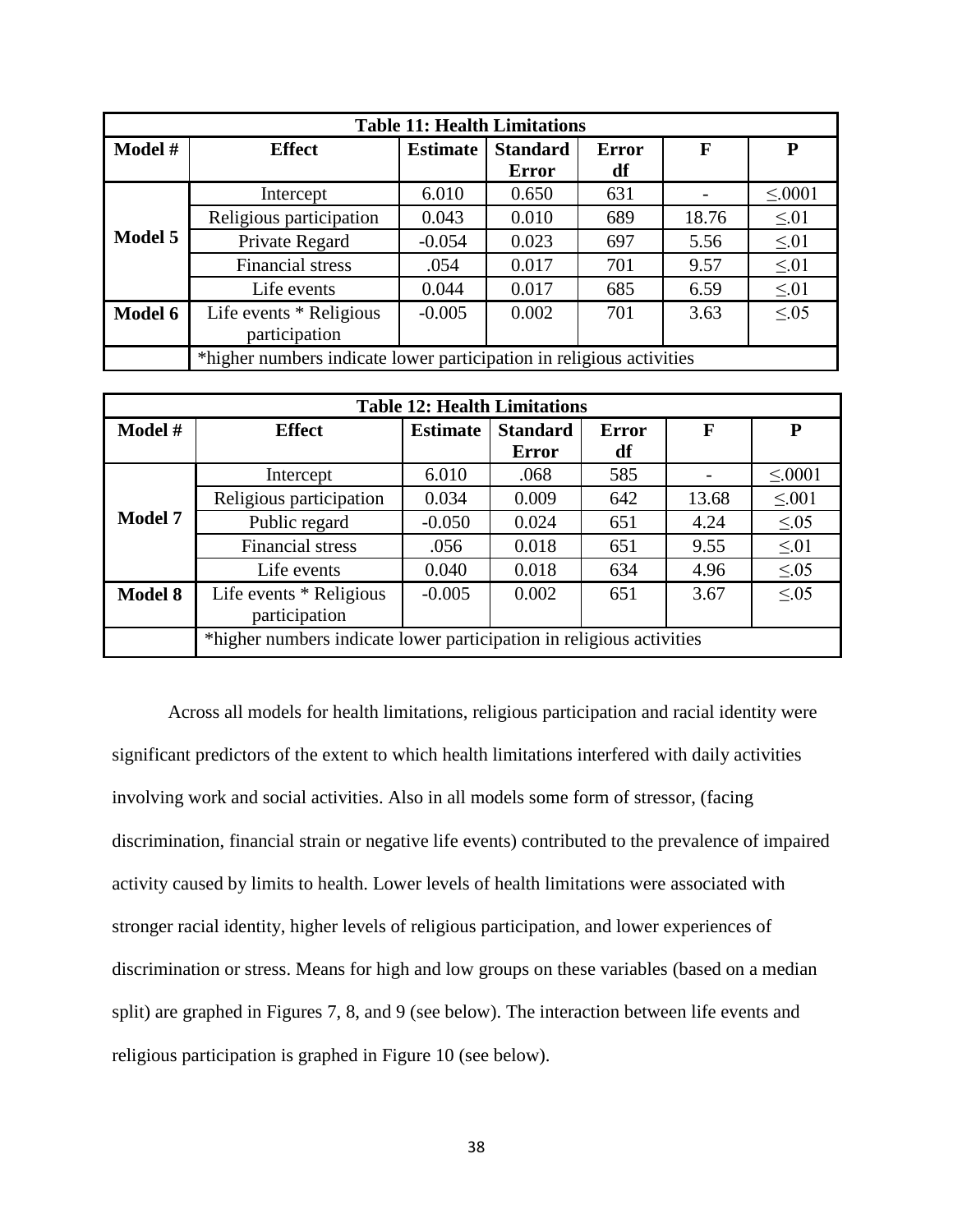| <b>Table 11: Health Limitations</b> |                                                                      |                 |                 |              |       |             |  |  |
|-------------------------------------|----------------------------------------------------------------------|-----------------|-----------------|--------------|-------|-------------|--|--|
| Model #                             | <b>Effect</b>                                                        | <b>Estimate</b> | <b>Standard</b> | <b>Error</b> | F     | P           |  |  |
|                                     |                                                                      |                 | <b>Error</b>    | df           |       |             |  |  |
|                                     | Intercept                                                            | 6.010           | 0.650           | 631          |       | $\leq 0001$ |  |  |
|                                     | Religious participation                                              | 0.043           | 0.010           | 689          | 18.76 | $\leq 01$   |  |  |
| Model 5                             | Private Regard                                                       | $-0.054$        | 0.023           | 697          | 5.56  | $\leq 01$   |  |  |
|                                     | <b>Financial stress</b>                                              | .054            | 0.017           | 701          | 9.57  | $\leq 01$   |  |  |
|                                     | Life events                                                          | 0.044           | 0.017           | 685          | 6.59  | $\leq 01$   |  |  |
| Model 6                             | Life events * Religious                                              | $-0.005$        | 0.002           | 701          | 3.63  | $\leq 0.05$ |  |  |
|                                     | participation                                                        |                 |                 |              |       |             |  |  |
|                                     | *higher numbers indicate lower participation in religious activities |                 |                 |              |       |             |  |  |

| <b>Table 12: Health Limitations</b> |                         |                                                                      |                 |              |       |             |  |  |  |
|-------------------------------------|-------------------------|----------------------------------------------------------------------|-----------------|--------------|-------|-------------|--|--|--|
| Model #                             | <b>Effect</b>           | <b>Estimate</b>                                                      | <b>Standard</b> | <b>Error</b> | F     | P           |  |  |  |
|                                     |                         |                                                                      | <b>Error</b>    | df           |       |             |  |  |  |
|                                     | Intercept               | 6.010                                                                | .068            | 585          |       | $\leq 0001$ |  |  |  |
|                                     | Religious participation | 0.034                                                                | 0.009           | 642          | 13.68 | $\leq 0.01$ |  |  |  |
| <b>Model 7</b>                      | Public regard           | $-0.050$                                                             | 0.024           | 651          | 4.24  | $\leq 0.05$ |  |  |  |
|                                     | <b>Financial stress</b> | .056                                                                 | 0.018           | 651          | 9.55  | $\leq 01$   |  |  |  |
|                                     | Life events             | 0.040                                                                | 0.018           | 634          | 4.96  | $\leq 0.05$ |  |  |  |
| <b>Model 8</b>                      | Life events * Religious | $-0.005$                                                             | 0.002           | 651          | 3.67  | < 0.05      |  |  |  |
|                                     | participation           |                                                                      |                 |              |       |             |  |  |  |
|                                     |                         | *higher numbers indicate lower participation in religious activities |                 |              |       |             |  |  |  |

Across all models for health limitations, religious participation and racial identity were significant predictors of the extent to which health limitations interfered with daily activities involving work and social activities. Also in all models some form of stressor, (facing discrimination, financial strain or negative life events) contributed to the prevalence of impaired activity caused by limits to health. Lower levels of health limitations were associated with stronger racial identity, higher levels of religious participation, and lower experiences of discrimination or stress. Means for high and low groups on these variables (based on a median split) are graphed in Figures 7, 8, and 9 (see below). The interaction between life events and religious participation is graphed in Figure 10 (see below).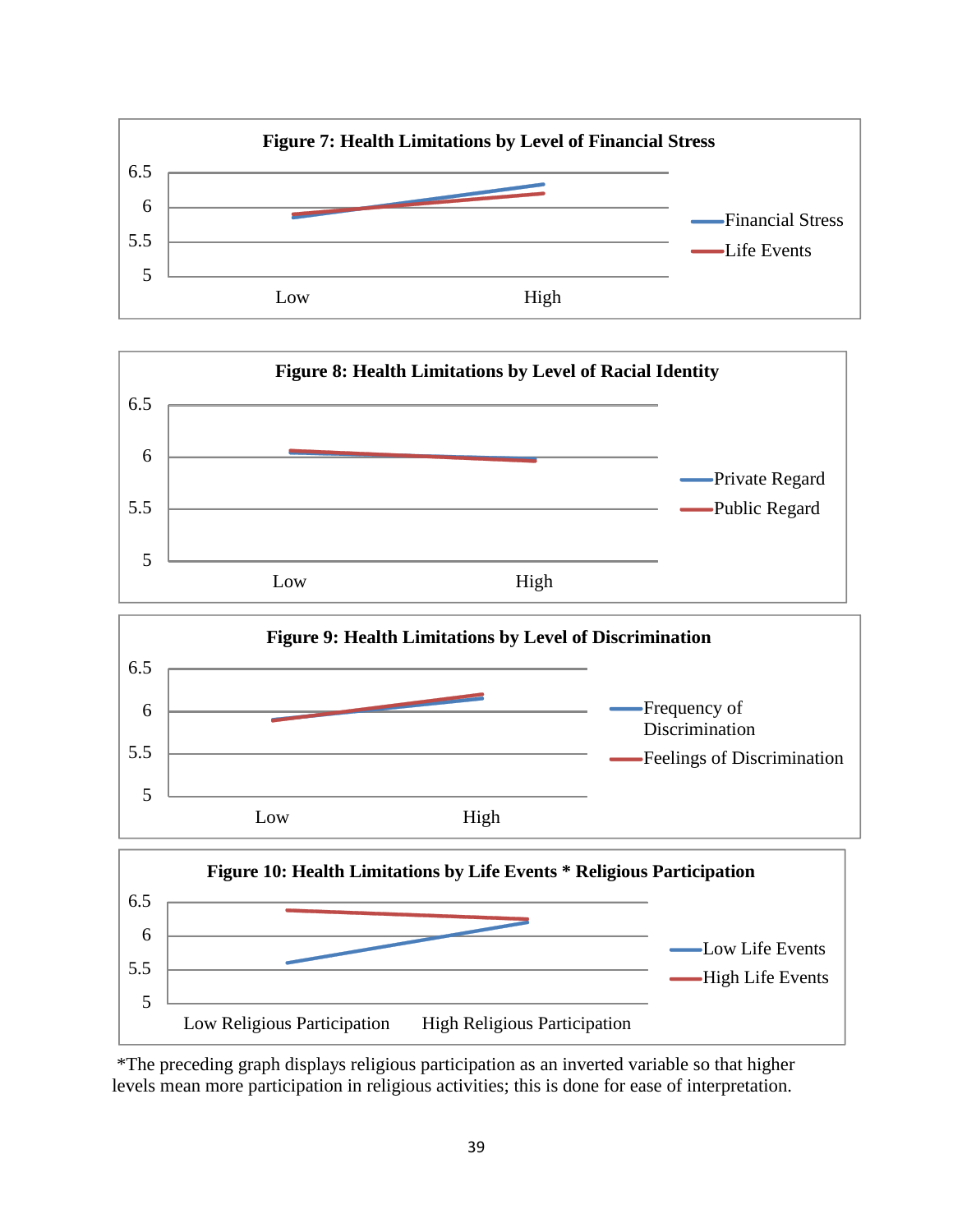



\*The preceding graph displays religious participation as an inverted variable so that higher levels mean more participation in religious activities; this is done for ease of interpretation.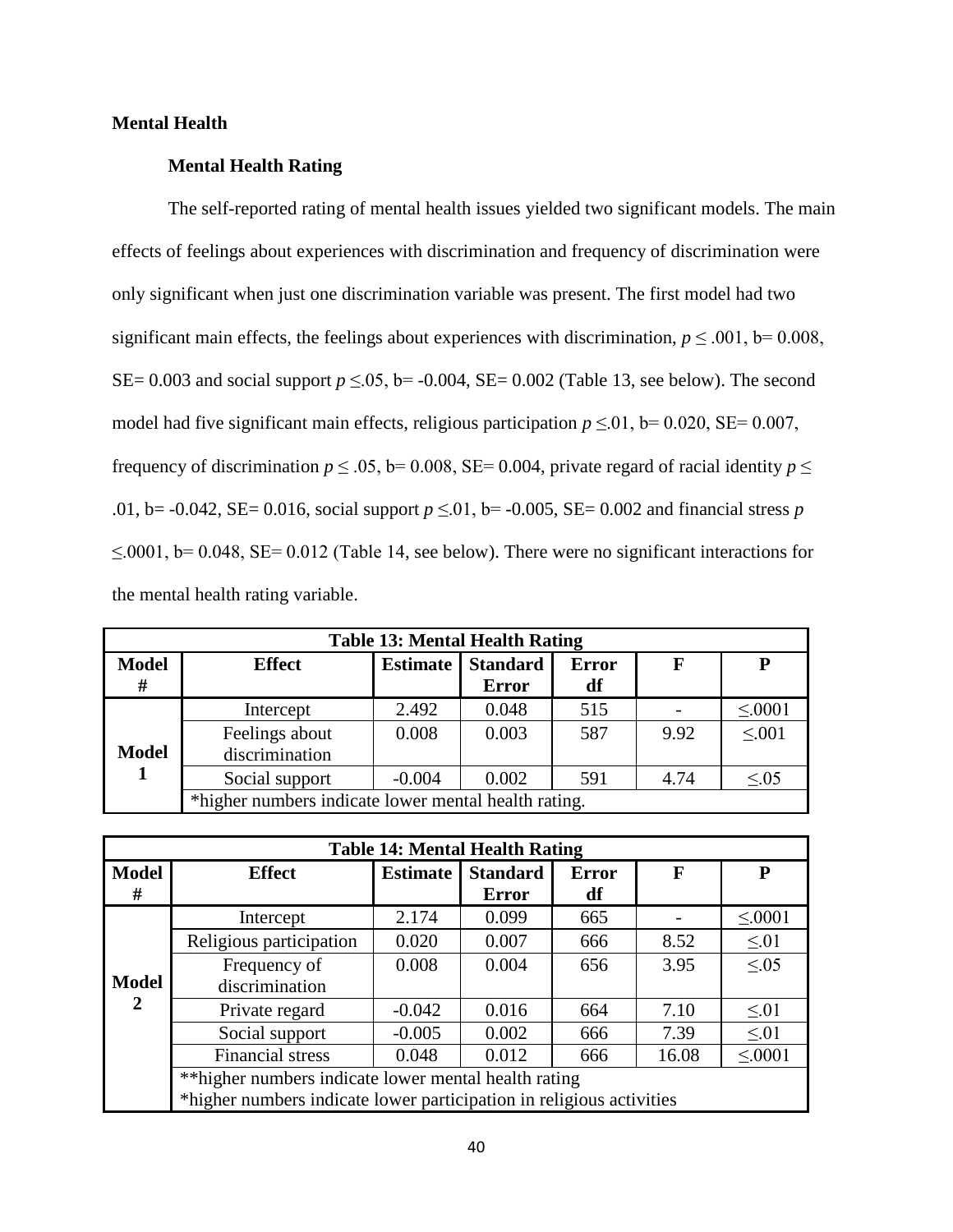# **Mental Health**

# **Mental Health Rating**

The self-reported rating of mental health issues yielded two significant models. The main effects of feelings about experiences with discrimination and frequency of discrimination were only significant when just one discrimination variable was present. The first model had two significant main effects, the feelings about experiences with discrimination,  $p \le 0.001$ , b= 0.008, SE= 0.003 and social support  $p \le 0.05$ , b= -0.004, SE= 0.002 (Table 13, see below). The second model had five significant main effects, religious participation  $p \le 0.01$ , b= 0.020, SE= 0.007, frequency of discrimination  $p \le 0.05$ , b= 0.008, SE= 0.004, private regard of racial identity  $p \le$ .01, b= -0.042, SE= 0.016, social support *p* ≤.01, b= -0.005, SE= 0.002 and financial stress *p*   $\leq 0.001$ , b= 0.048, SE= 0.012 (Table 14, see below). There were no significant interactions for the mental health rating variable.

| <b>Table 13: Mental Health Rating</b> |                                                      |                 |                 |              |      |              |  |  |  |
|---------------------------------------|------------------------------------------------------|-----------------|-----------------|--------------|------|--------------|--|--|--|
| <b>Model</b>                          | <b>Effect</b>                                        | <b>Estimate</b> | <b>Standard</b> | <b>Error</b> | F    | P            |  |  |  |
| #                                     |                                                      |                 | <b>Error</b>    | df           |      |              |  |  |  |
| <b>Model</b>                          | Intercept                                            | 2.492           | 0.048           | 515          |      | $\leq 0001$  |  |  |  |
|                                       | Feelings about<br>discrimination                     | 0.008           | 0.003           | 587          | 9.92 | $\leq 0.001$ |  |  |  |
|                                       | Social support                                       | $-0.004$        | 0.002           | 591          | 4.74 | $\leq 0.05$  |  |  |  |
|                                       | *higher numbers indicate lower mental health rating. |                 |                 |              |      |              |  |  |  |

| <b>Table 14: Mental Health Rating</b> |                                                                      |                 |                 |              |       |             |  |  |  |  |
|---------------------------------------|----------------------------------------------------------------------|-----------------|-----------------|--------------|-------|-------------|--|--|--|--|
| <b>Model</b>                          | <b>Effect</b>                                                        | <b>Estimate</b> | <b>Standard</b> | <b>Error</b> | F     | P           |  |  |  |  |
| #                                     |                                                                      |                 | <b>Error</b>    | df           |       |             |  |  |  |  |
|                                       | Intercept                                                            | 2.174           | 0.099           | 665          |       | $\leq 0001$ |  |  |  |  |
|                                       | Religious participation                                              | 0.020           | 0.007           | 666          | 8.52  | $\leq 0.01$ |  |  |  |  |
|                                       | Frequency of                                                         | 0.008           | 0.004           | 656          | 3.95  | $\leq 0.05$ |  |  |  |  |
| <b>Model</b>                          | discrimination                                                       |                 |                 |              |       |             |  |  |  |  |
| 2                                     | Private regard                                                       | $-0.042$        | 0.016           | 664          | 7.10  | $\leq 01$   |  |  |  |  |
|                                       | Social support                                                       | $-0.005$        | 0.002           | 666          | 7.39  | $\leq 01$   |  |  |  |  |
|                                       | <b>Financial stress</b>                                              | 0.048           | 0.012           | 666          | 16.08 | $\leq 0001$ |  |  |  |  |
|                                       | ** higher numbers indicate lower mental health rating                |                 |                 |              |       |             |  |  |  |  |
|                                       | *higher numbers indicate lower participation in religious activities |                 |                 |              |       |             |  |  |  |  |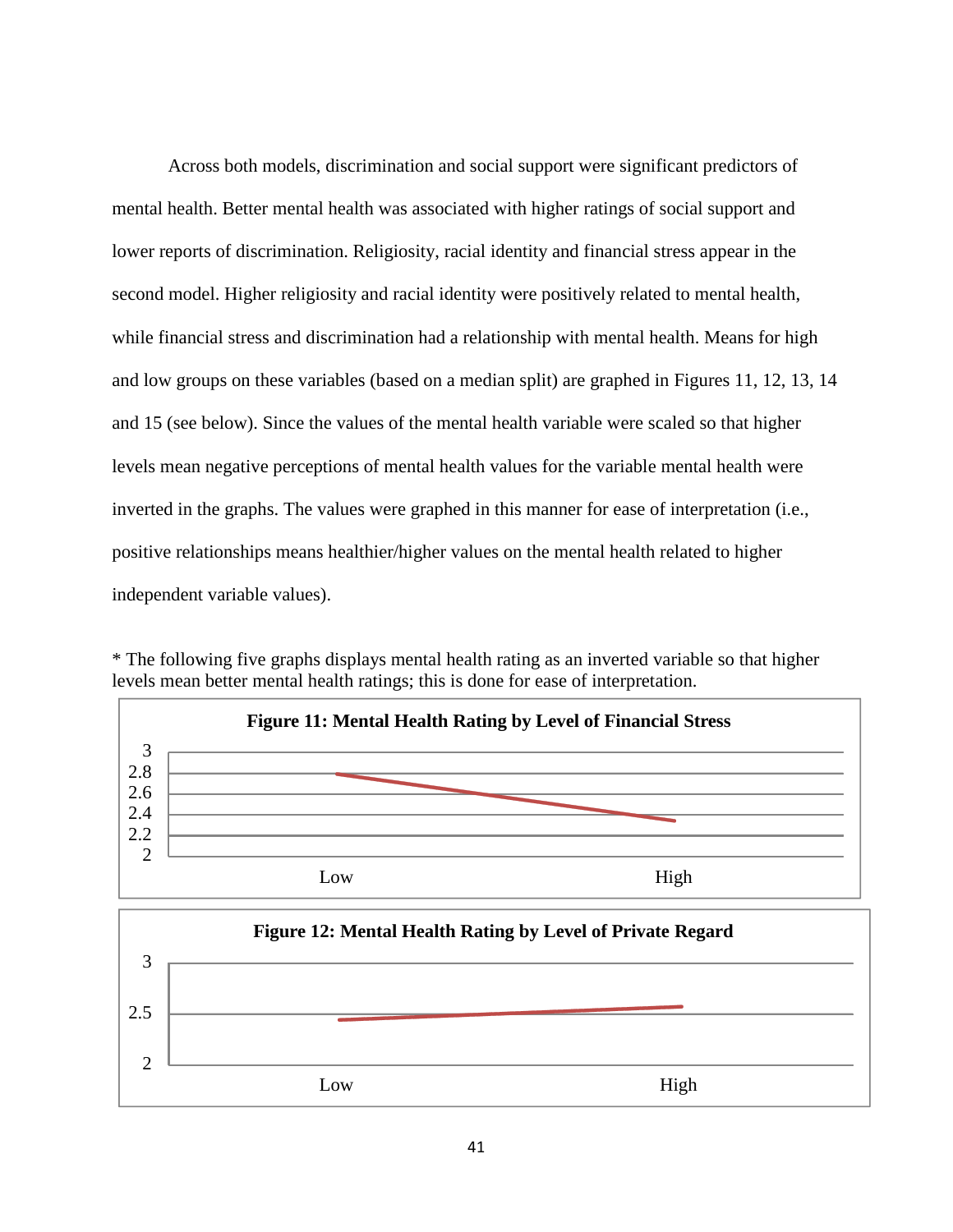Across both models, discrimination and social support were significant predictors of mental health. Better mental health was associated with higher ratings of social support and lower reports of discrimination. Religiosity, racial identity and financial stress appear in the second model. Higher religiosity and racial identity were positively related to mental health, while financial stress and discrimination had a relationship with mental health. Means for high and low groups on these variables (based on a median split) are graphed in Figures 11, 12, 13, 14 and 15 (see below). Since the values of the mental health variable were scaled so that higher levels mean negative perceptions of mental health values for the variable mental health were inverted in the graphs. The values were graphed in this manner for ease of interpretation (i.e., positive relationships means healthier/higher values on the mental health related to higher independent variable values).



\* The following five graphs displays mental health rating as an inverted variable so that higher levels mean better mental health ratings; this is done for ease of interpretation.

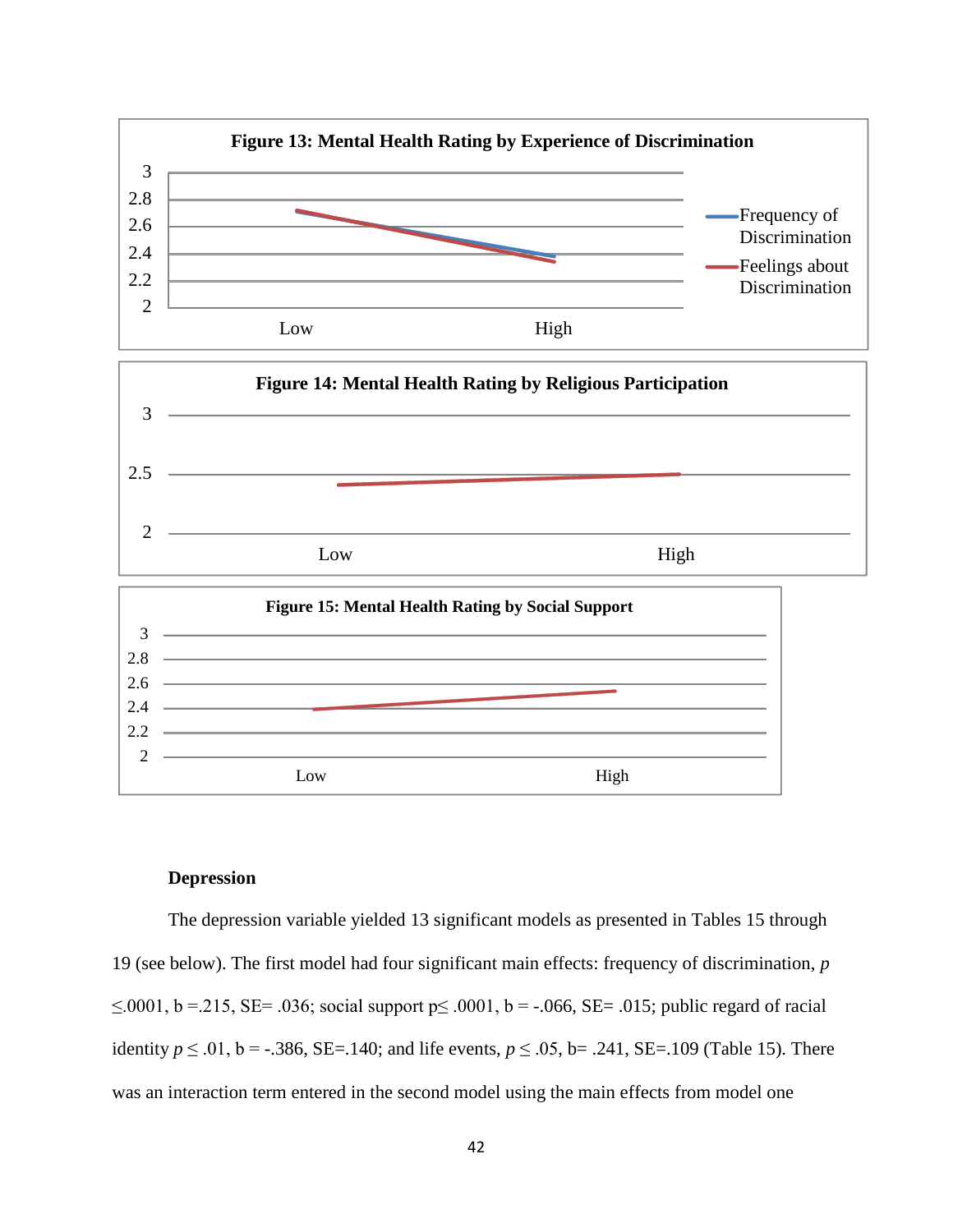

# **Depression**

The depression variable yielded 13 significant models as presented in Tables 15 through 19 (see below). The first model had four significant main effects: frequency of discrimination, *p*  ≤.0001, b = .215, SE= .036; social support  $p≤$  .0001, b = -.066, SE= .015; public regard of racial identity *p* ≤ .01, b = -.386, SE=.140; and life events, *p* ≤ .05, b= .241, SE=.109 (Table 15). There was an interaction term entered in the second model using the main effects from model one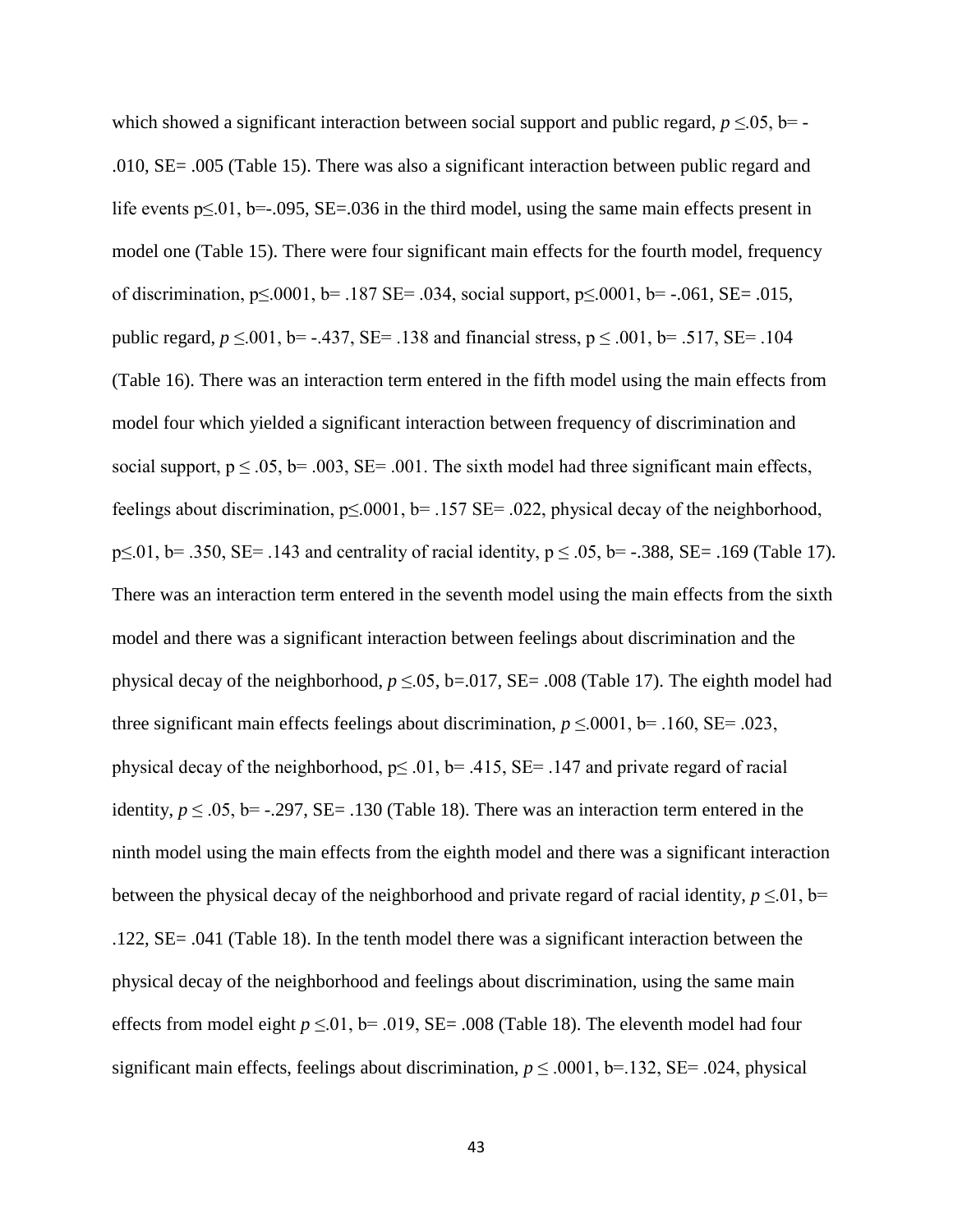which showed a significant interaction between social support and public regard,  $p \le 0.05$ , b= .010, SE= .005 (Table 15). There was also a significant interaction between public regard and life events p≤.01, b=-.095, SE=.036 in the third model, using the same main effects present in model one (Table 15). There were four significant main effects for the fourth model, frequency of discrimination,  $p \le 0.001$ ,  $b = .187$  SE=  $.034$ , social support,  $p \le 0.001$ ,  $b = -.061$ , SE=  $.015$ , public regard,  $p \le 0.001$ , b= -.437, SE= .138 and financial stress,  $p \le 0.001$ , b= .517, SE= .104 (Table 16). There was an interaction term entered in the fifth model using the main effects from model four which yielded a significant interaction between frequency of discrimination and social support,  $p \le 0.05$ ,  $b = 0.003$ ,  $SE = 0.001$ . The sixth model had three significant main effects, feelings about discrimination,  $p \le 0001$ ,  $b = 0.157$  SE= 0.022, physical decay of the neighborhood,  $p \le 0.01$ , b= .350, SE= .143 and centrality of racial identity,  $p \le 0.05$ , b= -.388, SE= .169 (Table 17). There was an interaction term entered in the seventh model using the main effects from the sixth model and there was a significant interaction between feelings about discrimination and the physical decay of the neighborhood,  $p \le 0.05$ , b=.017, SE= .008 (Table 17). The eighth model had three significant main effects feelings about discrimination,  $p \le 0.001$ , b= .160, SE= .023, physical decay of the neighborhood,  $p \le 0.01$ ,  $b = 0.415$ ,  $SE = 0.147$  and private regard of racial identity,  $p \le 0.05$ , b= -.297, SE= .130 (Table 18). There was an interaction term entered in the ninth model using the main effects from the eighth model and there was a significant interaction between the physical decay of the neighborhood and private regard of racial identity,  $p \le 01$ , b= .122, SE= .041 (Table 18). In the tenth model there was a significant interaction between the physical decay of the neighborhood and feelings about discrimination, using the same main effects from model eight  $p \le 0.01$ , b= .019, SE= .008 (Table 18). The eleventh model had four significant main effects, feelings about discrimination,  $p \le 0.0001$ , b=.132, SE= .024, physical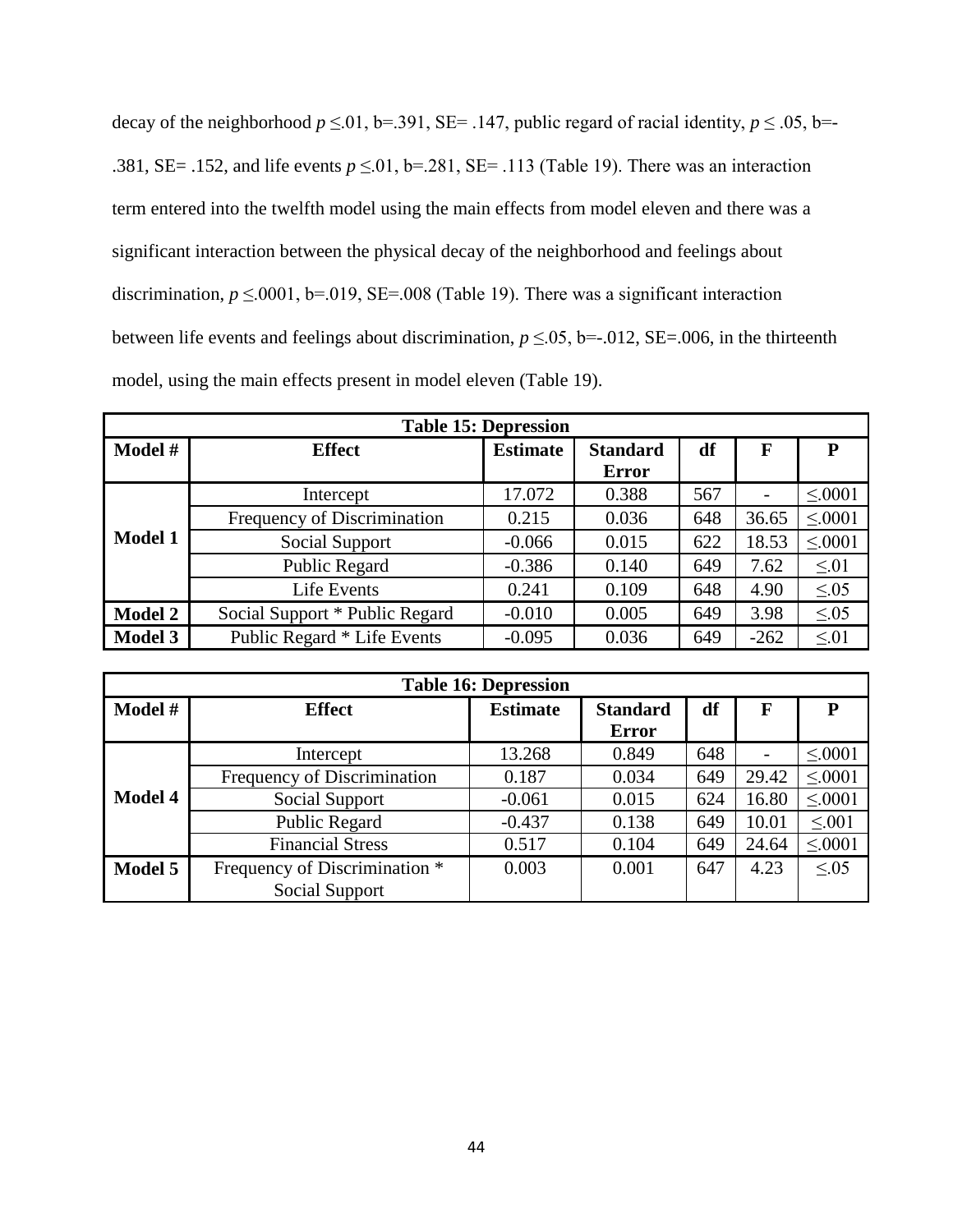| decay of the neighborhood $p \le 01$ , b=.391, SE=.147, public regard of racial identity, $p \le 0.05$ , b=- |
|--------------------------------------------------------------------------------------------------------------|
| .381, SE= .152, and life events $p \le 0.01$ , b=.281, SE= .113 (Table 19). There was an interaction         |
| term entered into the twelfth model using the main effects from model eleven and there was a                 |
| significant interaction between the physical decay of the neighborhood and feelings about                    |
| discrimination, $p \le 0.0001$ , b=.019, SE=.008 (Table 19). There was a significant interaction             |
| between life events and feelings about discrimination, $p \le 0.05$ , b=-.012, SE=.006, in the thirteenth    |
| model, using the main effects present in model eleven (Table 19).                                            |

| <b>Table 15: Depression</b> |                                |                 |                                 |     |        |             |  |  |  |  |
|-----------------------------|--------------------------------|-----------------|---------------------------------|-----|--------|-------------|--|--|--|--|
| Model #                     | <b>Effect</b>                  | <b>Estimate</b> | <b>Standard</b><br><b>Error</b> | df  | F      | P           |  |  |  |  |
|                             | Intercept                      | 17.072          | 0.388                           | 567 |        | $\leq 0001$ |  |  |  |  |
|                             | Frequency of Discrimination    | 0.215           | 0.036                           | 648 | 36.65  | $\leq 0001$ |  |  |  |  |
| <b>Model 1</b>              | Social Support                 | $-0.066$        | 0.015                           | 622 | 18.53  | $\leq 0001$ |  |  |  |  |
|                             | Public Regard                  | $-0.386$        | 0.140                           | 649 | 7.62   | $\leq 01$   |  |  |  |  |
|                             | Life Events                    | 0.241           | 0.109                           | 648 | 4.90   | $\leq 0.05$ |  |  |  |  |
| <b>Model 2</b>              | Social Support * Public Regard | $-0.010$        | 0.005                           | 649 | 3.98   | $\leq 0.05$ |  |  |  |  |
| <b>Model 3</b>              | Public Regard * Life Events    | $-0.095$        | 0.036                           | 649 | $-262$ | $\leq 01$   |  |  |  |  |

| <b>Table 16: Depression</b> |                               |                 |                 |     |       |             |  |  |  |
|-----------------------------|-------------------------------|-----------------|-----------------|-----|-------|-------------|--|--|--|
| Model #                     | <b>Effect</b>                 | <b>Estimate</b> | <b>Standard</b> | df  | F     | P           |  |  |  |
|                             |                               |                 | <b>Error</b>    |     |       |             |  |  |  |
|                             | Intercept                     | 13.268          | 0.849           | 648 |       | $\leq 0001$ |  |  |  |
|                             | Frequency of Discrimination   | 0.187           | 0.034           | 649 | 29.42 | $\leq 0001$ |  |  |  |
| <b>Model 4</b>              | Social Support                | $-0.061$        | 0.015           | 624 | 16.80 | $\leq 0001$ |  |  |  |
|                             | Public Regard                 | $-0.437$        | 0.138           | 649 | 10.01 | $\leq 0.01$ |  |  |  |
|                             | <b>Financial Stress</b>       | 0.517           | 0.104           | 649 | 24.64 | $\leq 0001$ |  |  |  |
| Model 5                     | Frequency of Discrimination * | 0.003           | 0.001           | 647 | 4.23  | < 0.05      |  |  |  |
|                             | Social Support                |                 |                 |     |       |             |  |  |  |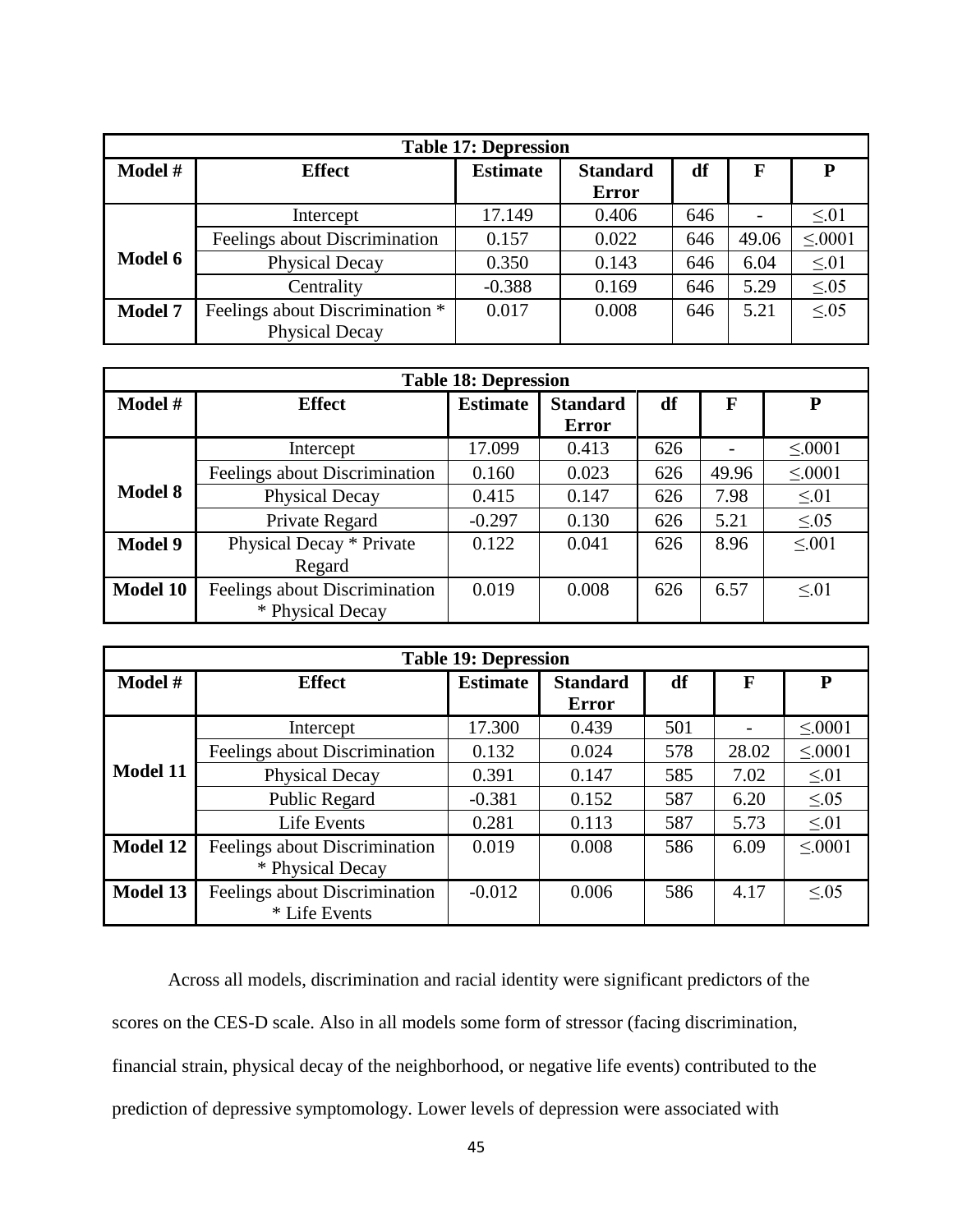| <b>Table 17: Depression</b> |                                 |                 |                                 |     |       |             |  |  |  |  |
|-----------------------------|---------------------------------|-----------------|---------------------------------|-----|-------|-------------|--|--|--|--|
| Model #                     | <b>Effect</b>                   | <b>Estimate</b> | <b>Standard</b><br><b>Error</b> | df  | F     | P           |  |  |  |  |
|                             | Intercept                       | 17.149          | 0.406                           | 646 |       | $\leq 01$   |  |  |  |  |
|                             | Feelings about Discrimination   | 0.157           | 0.022                           | 646 | 49.06 | $\leq 0001$ |  |  |  |  |
| Model 6                     | Physical Decay                  | 0.350           | 0.143                           | 646 | 6.04  | $\leq 01$   |  |  |  |  |
|                             | Centrality                      | $-0.388$        | 0.169                           | 646 | 5.29  | $\leq 0.05$ |  |  |  |  |
| <b>Model 7</b>              | Feelings about Discrimination * | 0.017           | 0.008                           | 646 | 5.21  | < 0.05      |  |  |  |  |
|                             | Physical Decay                  |                 |                                 |     |       |             |  |  |  |  |

|                 | <b>Table 18: Depression</b>                       |                 |                                 |     |       |             |  |  |  |  |  |
|-----------------|---------------------------------------------------|-----------------|---------------------------------|-----|-------|-------------|--|--|--|--|--|
| Model #         | <b>Effect</b>                                     | <b>Estimate</b> | <b>Standard</b><br><b>Error</b> | df  | F     | P           |  |  |  |  |  |
|                 | Intercept                                         | 17.099          | 0.413                           | 626 |       | $\leq 0001$ |  |  |  |  |  |
|                 | Feelings about Discrimination                     | 0.160           | 0.023                           | 626 | 49.96 | $\leq 0001$ |  |  |  |  |  |
| <b>Model 8</b>  | Physical Decay                                    | 0.415           | 0.147                           | 626 | 7.98  | $\leq 01$   |  |  |  |  |  |
|                 | Private Regard                                    | $-0.297$        | 0.130                           | 626 | 5.21  | $\leq 0.05$ |  |  |  |  |  |
| <b>Model 9</b>  | Physical Decay * Private                          | 0.122           | 0.041                           | 626 | 8.96  | $\leq 0.01$ |  |  |  |  |  |
|                 | Regard                                            |                 |                                 |     |       |             |  |  |  |  |  |
| <b>Model 10</b> | Feelings about Discrimination<br>* Physical Decay | 0.019           | 0.008                           | 626 | 6.57  | < 01        |  |  |  |  |  |

| <b>Table 19: Depression</b> |                                                   |                 |                                 |     |                          |              |  |  |  |  |
|-----------------------------|---------------------------------------------------|-----------------|---------------------------------|-----|--------------------------|--------------|--|--|--|--|
| Model #                     | <b>Effect</b>                                     | <b>Estimate</b> | <b>Standard</b><br><b>Error</b> | df  | F                        | P            |  |  |  |  |
|                             | Intercept                                         | 17.300          | 0.439                           | 501 | $\overline{\phantom{0}}$ | $\leq 0.001$ |  |  |  |  |
|                             | Feelings about Discrimination                     | 0.132           | 0.024                           | 578 | 28.02                    | $\leq 0001$  |  |  |  |  |
| <b>Model 11</b>             | Physical Decay                                    | 0.391           | 0.147                           | 585 | 7.02                     | $\leq 01$    |  |  |  |  |
|                             | Public Regard                                     | $-0.381$        | 0.152                           | 587 | 6.20                     | $\leq 0.05$  |  |  |  |  |
|                             | Life Events                                       | 0.281           | 0.113                           | 587 | 5.73                     | $\leq 01$    |  |  |  |  |
| <b>Model 12</b>             | Feelings about Discrimination<br>* Physical Decay | 0.019           | 0.008                           | 586 | 6.09                     | $\leq 0001$  |  |  |  |  |
| <b>Model 13</b>             | Feelings about Discrimination<br>* Life Events    | $-0.012$        | 0.006                           | 586 | 4.17                     | $\leq 0.05$  |  |  |  |  |

Across all models, discrimination and racial identity were significant predictors of the scores on the CES-D scale. Also in all models some form of stressor (facing discrimination, financial strain, physical decay of the neighborhood, or negative life events) contributed to the prediction of depressive symptomology. Lower levels of depression were associated with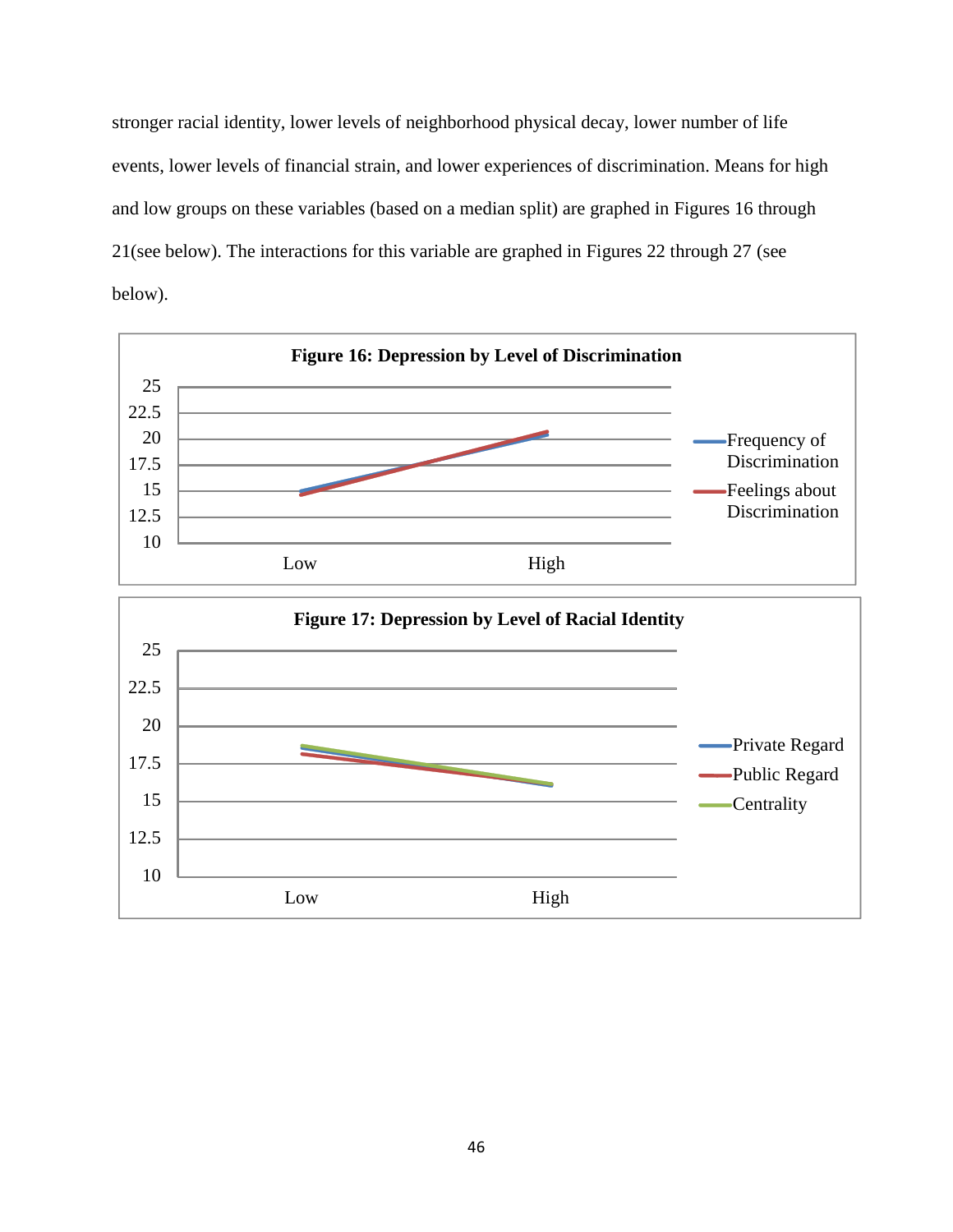stronger racial identity, lower levels of neighborhood physical decay, lower number of life events, lower levels of financial strain, and lower experiences of discrimination. Means for high and low groups on these variables (based on a median split) are graphed in Figures 16 through 21(see below). The interactions for this variable are graphed in Figures 22 through 27 (see below).

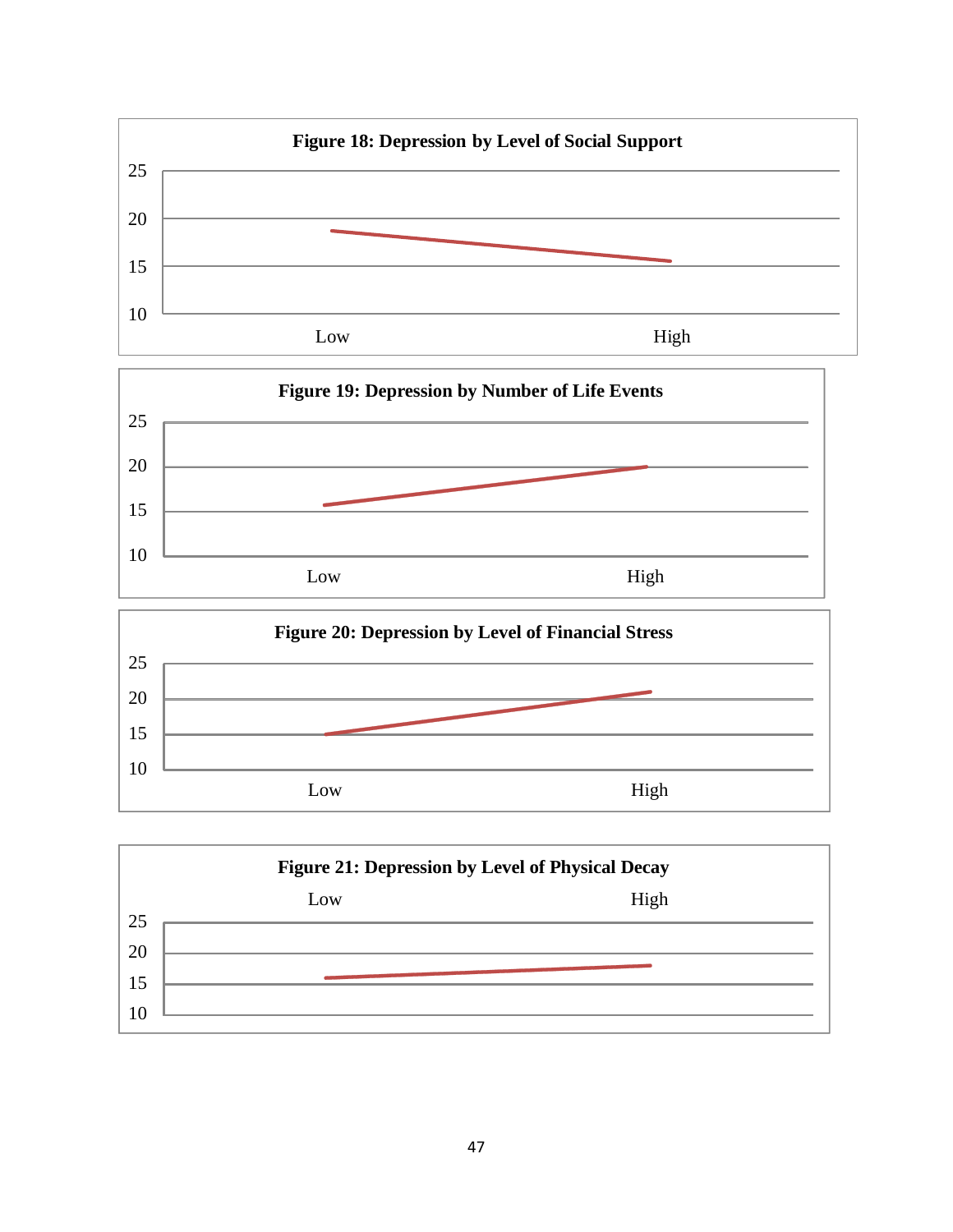

|                | <b>Figure 21: Depression by Level of Physical Decay</b> |      |  |  |  |  |  |  |  |  |  |
|----------------|---------------------------------------------------------|------|--|--|--|--|--|--|--|--|--|
|                | Low                                                     | High |  |  |  |  |  |  |  |  |  |
| 25             |                                                         |      |  |  |  |  |  |  |  |  |  |
| 20             |                                                         |      |  |  |  |  |  |  |  |  |  |
| 15             |                                                         |      |  |  |  |  |  |  |  |  |  |
|                |                                                         |      |  |  |  |  |  |  |  |  |  |
| $\overline{0}$ |                                                         |      |  |  |  |  |  |  |  |  |  |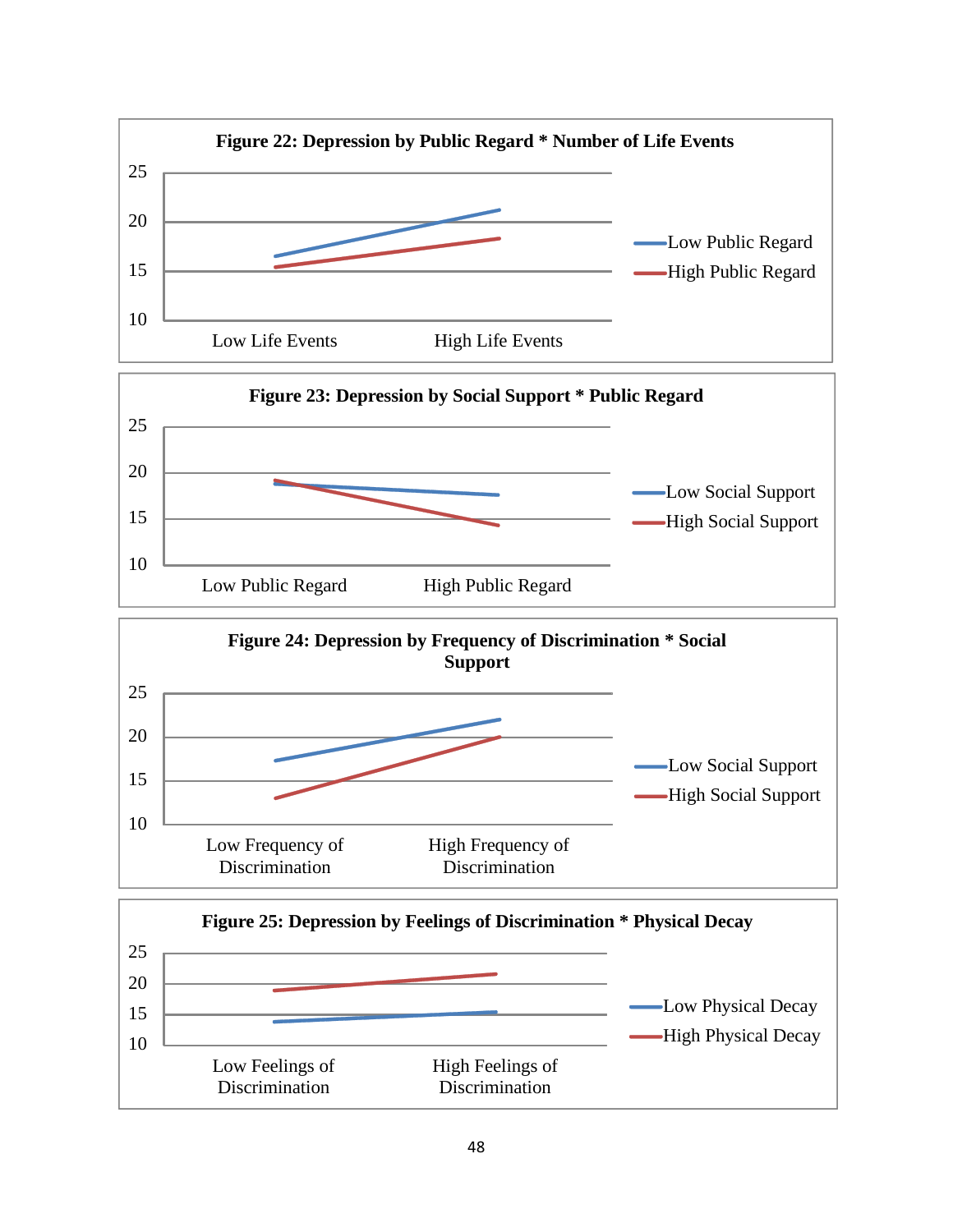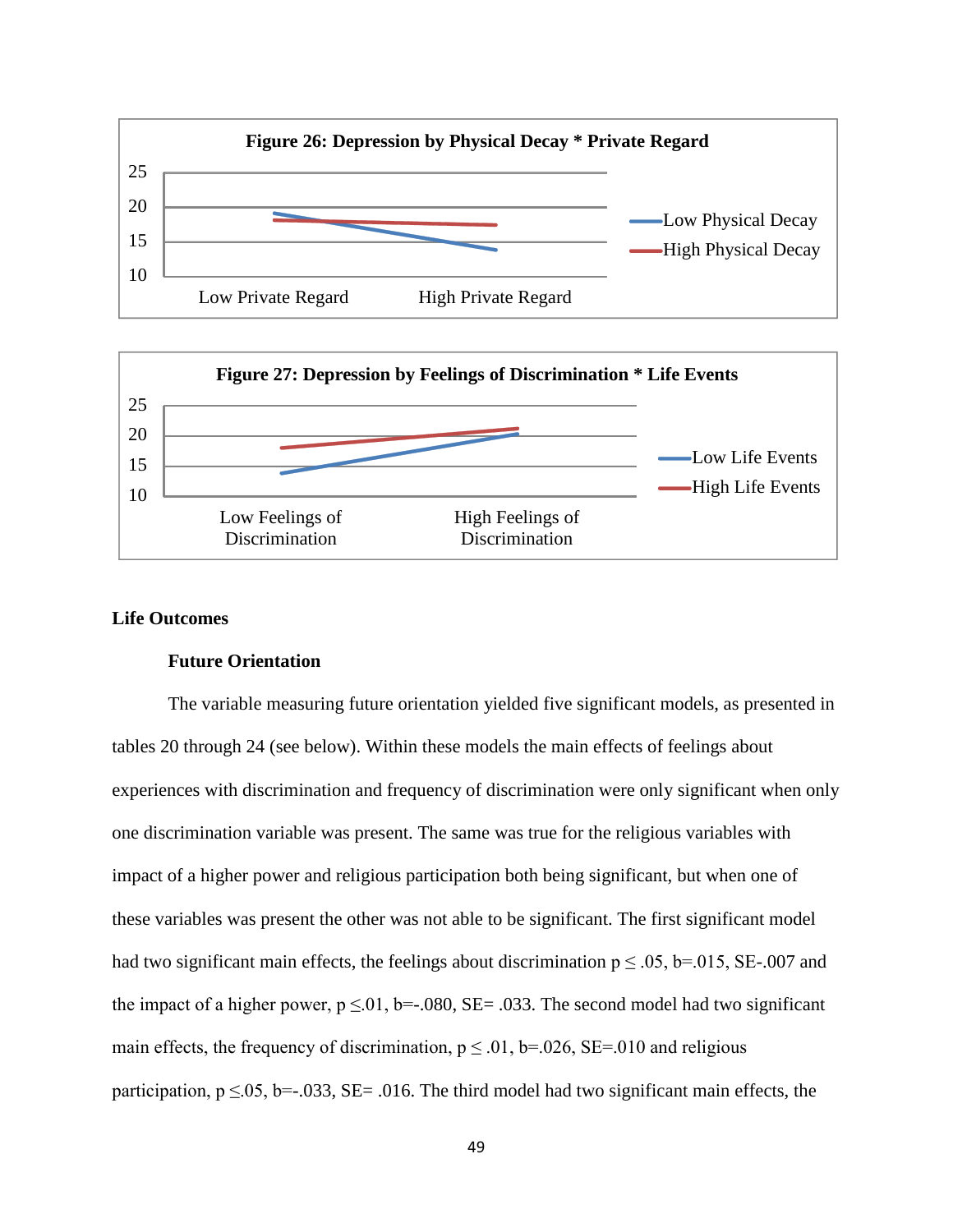



### **Life Outcomes**

#### **Future Orientation**

The variable measuring future orientation yielded five significant models, as presented in tables 20 through 24 (see below). Within these models the main effects of feelings about experiences with discrimination and frequency of discrimination were only significant when only one discrimination variable was present. The same was true for the religious variables with impact of a higher power and religious participation both being significant, but when one of these variables was present the other was not able to be significant. The first significant model had two significant main effects, the feelings about discrimination  $p \le 0.05$ , b=.015, SE-.007 and the impact of a higher power,  $p \le 0.01$ , b=-.080, SE= .033. The second model had two significant main effects, the frequency of discrimination,  $p \le 0.01$ ,  $b = 0.026$ , SE= 0.00 and religious participation,  $p \le 0.05$ , b=-.033, SE= .016. The third model had two significant main effects, the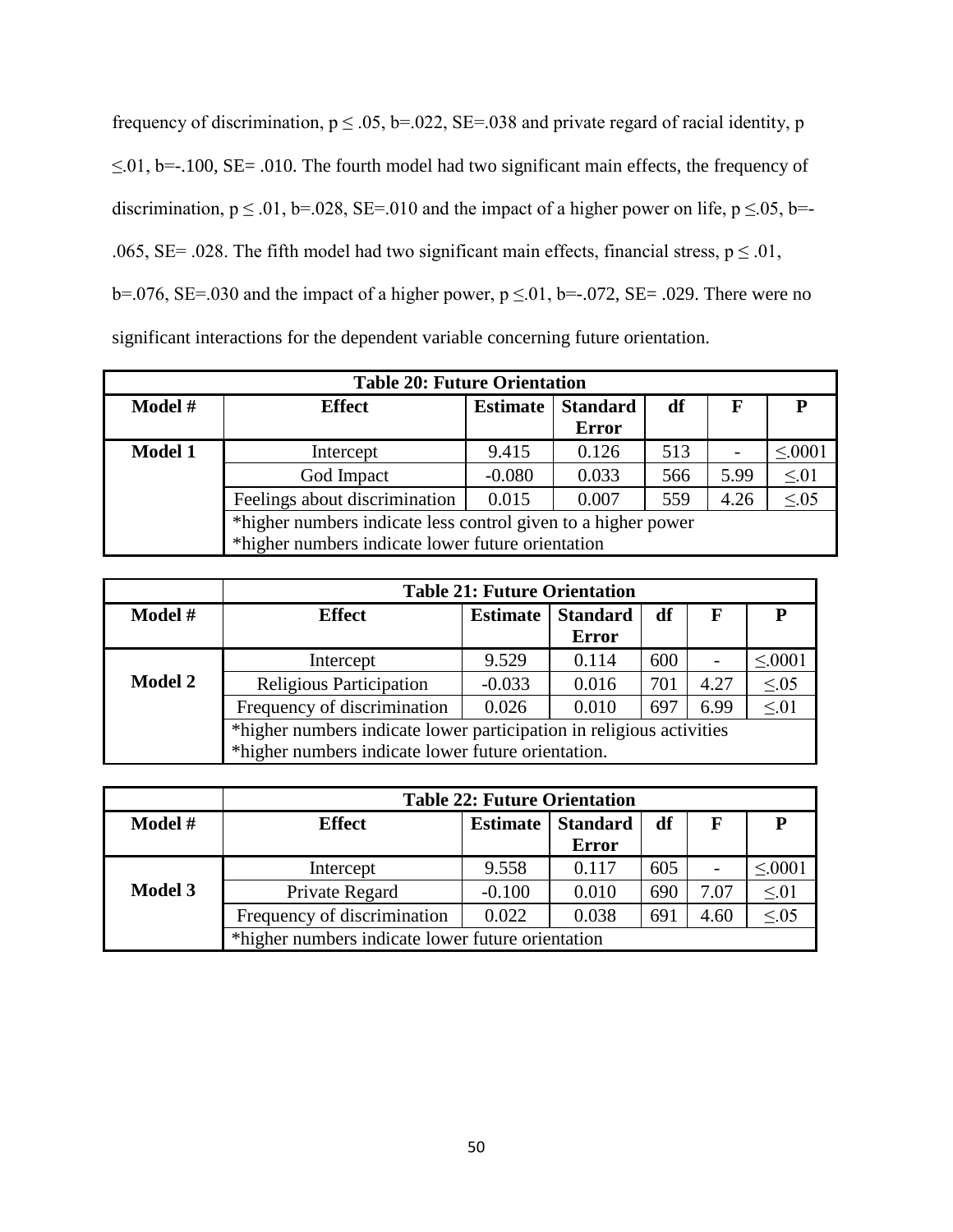frequency of discrimination,  $p \le 0.05$ ,  $b = 0.022$ ,  $SE = 0.038$  and private regard of racial identity, p ≤.01, b=-.100, SE= .010. The fourth model had two significant main effects, the frequency of discrimination,  $p \le 0.01$ , b=.028, SE=.010 and the impact of a higher power on life,  $p \le 0.05$ , b=-.065, SE= .028. The fifth model had two significant main effects, financial stress,  $p \le 0.01$ , b=.076, SE=.030 and the impact of a higher power,  $p \le 0.01$ , b=-.072, SE= .029. There were no significant interactions for the dependent variable concerning future orientation.

| <b>Table 20: Future Orientation</b> |                                                               |                 |                                 |     |      |             |  |  |  |  |
|-------------------------------------|---------------------------------------------------------------|-----------------|---------------------------------|-----|------|-------------|--|--|--|--|
| Model #                             | <b>Effect</b>                                                 | <b>Estimate</b> | <b>Standard</b><br><b>Error</b> | df  | F    |             |  |  |  |  |
| <b>Model 1</b>                      | Intercept                                                     | 9.415           | 0.126                           | 513 |      | $\leq 0001$ |  |  |  |  |
|                                     | God Impact                                                    | $-0.080$        | 0.033                           | 566 | 5.99 | $\leq 01$   |  |  |  |  |
|                                     | Feelings about discrimination                                 | 0.015           | 0.007                           | 559 | 4.26 | $\leq 0.05$ |  |  |  |  |
|                                     | *higher numbers indicate less control given to a higher power |                 |                                 |     |      |             |  |  |  |  |
|                                     | *higher numbers indicate lower future orientation             |                 |                                 |     |      |             |  |  |  |  |

|                | <b>Table 21: Future Orientation</b>                                       |                 |                 |     |      |             |  |  |  |
|----------------|---------------------------------------------------------------------------|-----------------|-----------------|-----|------|-------------|--|--|--|
| Model #        | <b>Effect</b>                                                             | <b>Estimate</b> | <b>Standard</b> | df  | F    | P           |  |  |  |
|                |                                                                           |                 | <b>Error</b>    |     |      |             |  |  |  |
|                | Intercept                                                                 | 9.529           | 0.114           | 600 |      | $\leq 0001$ |  |  |  |
| <b>Model 2</b> | Religious Participation                                                   | $-0.033$        | 0.016           | 701 | 4.27 | $\leq 0.05$ |  |  |  |
|                | $\leq 01$<br>Frequency of discrimination<br>0.026<br>0.010<br>6.99<br>697 |                 |                 |     |      |             |  |  |  |
|                | *higher numbers indicate lower participation in religious activities      |                 |                 |     |      |             |  |  |  |
|                | *higher numbers indicate lower future orientation.                        |                 |                 |     |      |             |  |  |  |

|                | <b>Table 22: Future Orientation</b>               |                 |                 |     |      |             |  |  |
|----------------|---------------------------------------------------|-----------------|-----------------|-----|------|-------------|--|--|
| Model #        | <b>Effect</b>                                     | <b>Estimate</b> | <b>Standard</b> | df  | F    |             |  |  |
|                |                                                   |                 | <b>Error</b>    |     |      |             |  |  |
|                | Intercept                                         | 9.558           | 0.117           | 605 |      | $\leq 0001$ |  |  |
| <b>Model 3</b> | Private Regard                                    | $-0.100$        | 0.010           | 690 | 7.07 | $\leq 01$   |  |  |
|                | Frequency of discrimination                       | 0.022           | 0.038           | 691 | 4.60 | $\leq 0.05$ |  |  |
|                | *higher numbers indicate lower future orientation |                 |                 |     |      |             |  |  |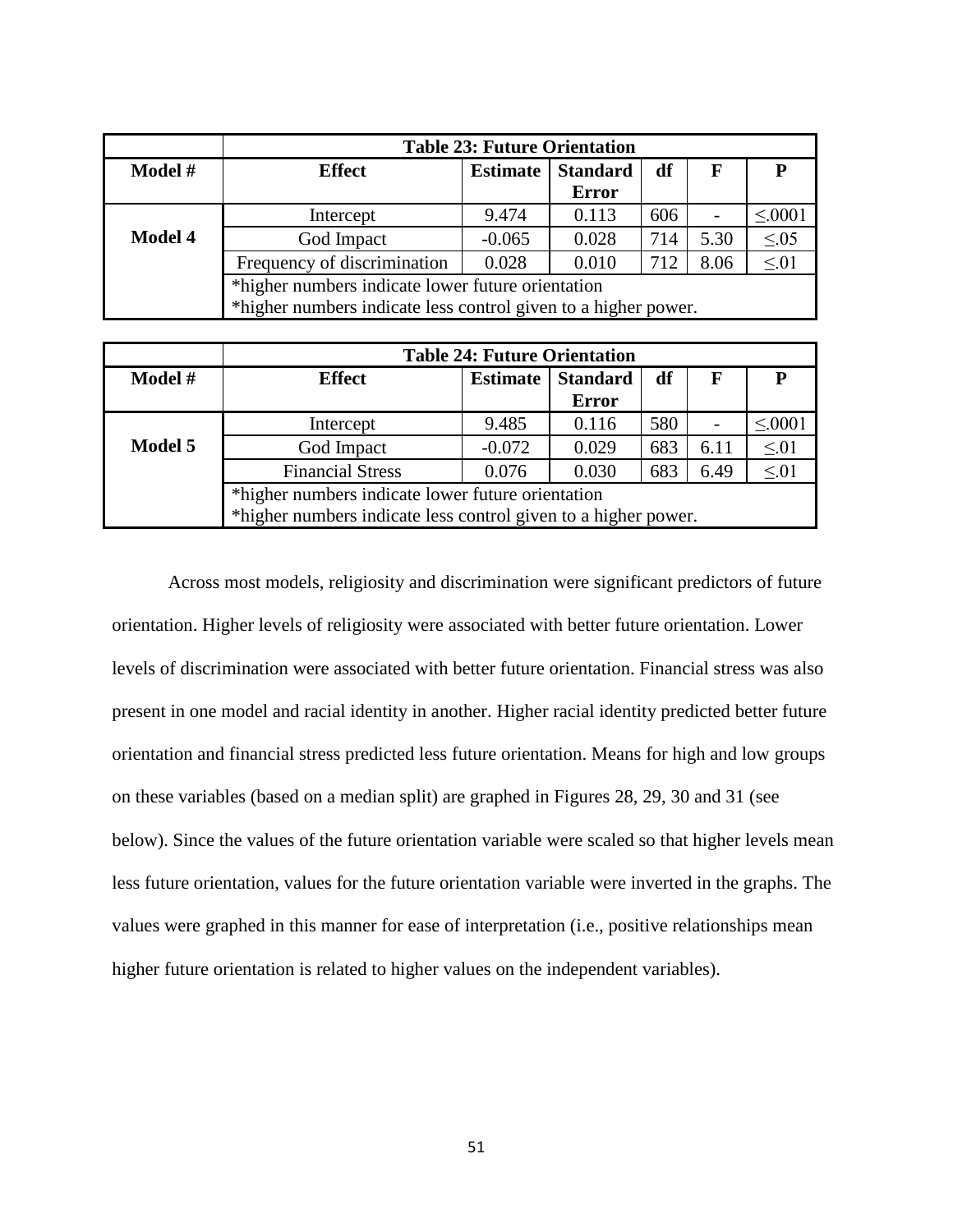|                | <b>Table 23: Future Orientation</b>                            |                 |                 |     |             |             |  |
|----------------|----------------------------------------------------------------|-----------------|-----------------|-----|-------------|-------------|--|
| Model #        | <b>Effect</b>                                                  | <b>Estimate</b> | <b>Standard</b> | df  | $\mathbf F$ |             |  |
|                |                                                                |                 | <b>Error</b>    |     |             |             |  |
|                | Intercept                                                      | 9.474           | 0.113           | 606 |             | $\leq 0001$ |  |
| <b>Model 4</b> | God Impact                                                     | $-0.065$        | 0.028           | 714 | 5.30        | $\leq 0.05$ |  |
|                | Frequency of discrimination                                    | 0.028           | 0.010           | 712 | 8.06        | $\leq 01$   |  |
|                | *higher numbers indicate lower future orientation              |                 |                 |     |             |             |  |
|                | *higher numbers indicate less control given to a higher power. |                 |                 |     |             |             |  |

|         | <b>Table 24: Future Orientation</b>                            |                 |                 |     |             |             |  |
|---------|----------------------------------------------------------------|-----------------|-----------------|-----|-------------|-------------|--|
| Model # | <b>Effect</b>                                                  | <b>Estimate</b> | <b>Standard</b> | df  | $\mathbf F$ |             |  |
|         |                                                                |                 | <b>Error</b>    |     |             |             |  |
|         | Intercept                                                      | 9.485           | 0.116           | 580 |             | $\leq 0001$ |  |
| Model 5 | God Impact                                                     | $-0.072$        | 0.029           | 683 | 6.11        | $\leq 01$   |  |
|         | <b>Financial Stress</b>                                        | 0.076           | 0.030           | 683 | 6.49        | $\leq 01$   |  |
|         | *higher numbers indicate lower future orientation              |                 |                 |     |             |             |  |
|         | *higher numbers indicate less control given to a higher power. |                 |                 |     |             |             |  |

Across most models, religiosity and discrimination were significant predictors of future orientation. Higher levels of religiosity were associated with better future orientation. Lower levels of discrimination were associated with better future orientation. Financial stress was also present in one model and racial identity in another. Higher racial identity predicted better future orientation and financial stress predicted less future orientation. Means for high and low groups on these variables (based on a median split) are graphed in Figures 28, 29, 30 and 31 (see below). Since the values of the future orientation variable were scaled so that higher levels mean less future orientation, values for the future orientation variable were inverted in the graphs. The values were graphed in this manner for ease of interpretation (i.e., positive relationships mean higher future orientation is related to higher values on the independent variables).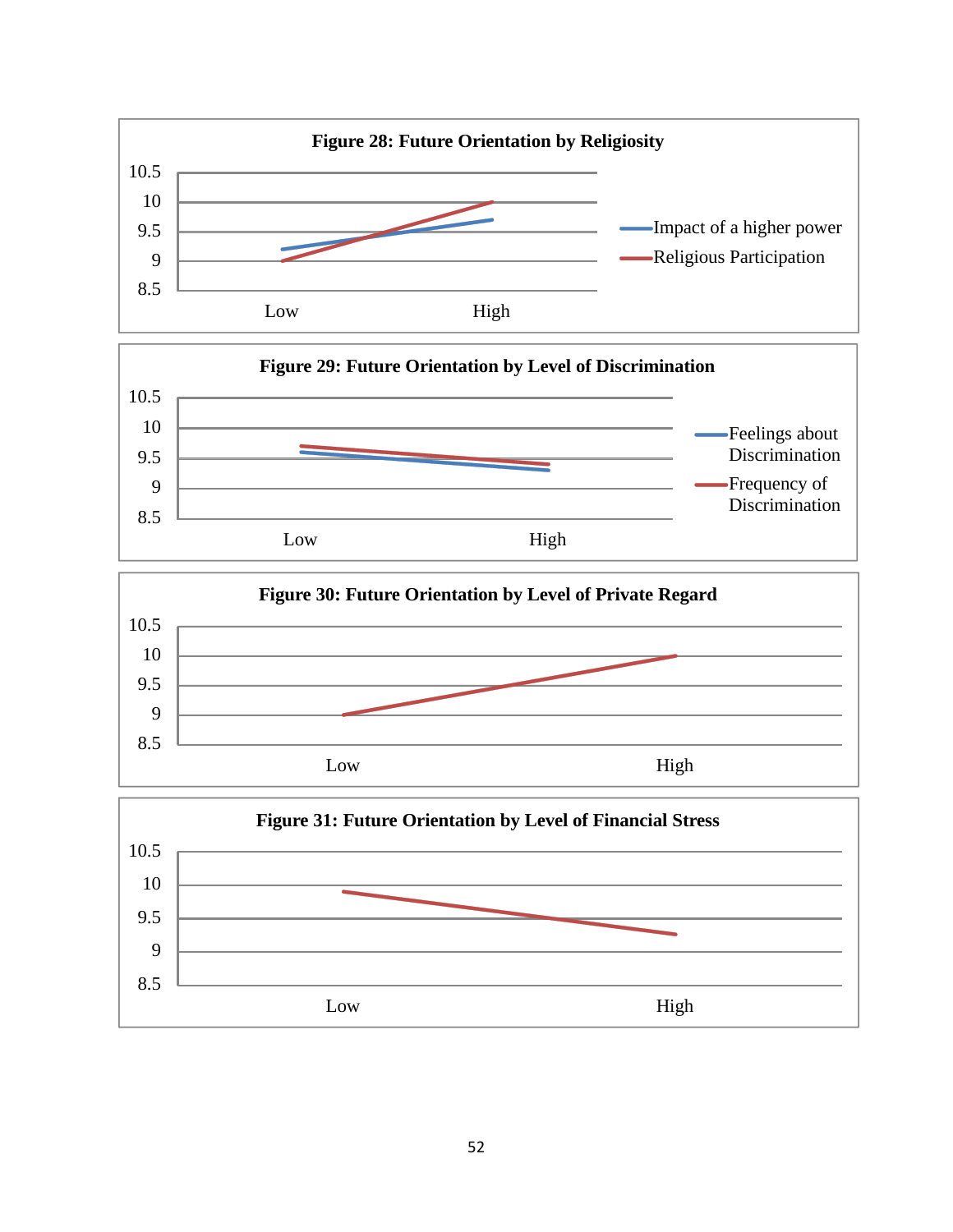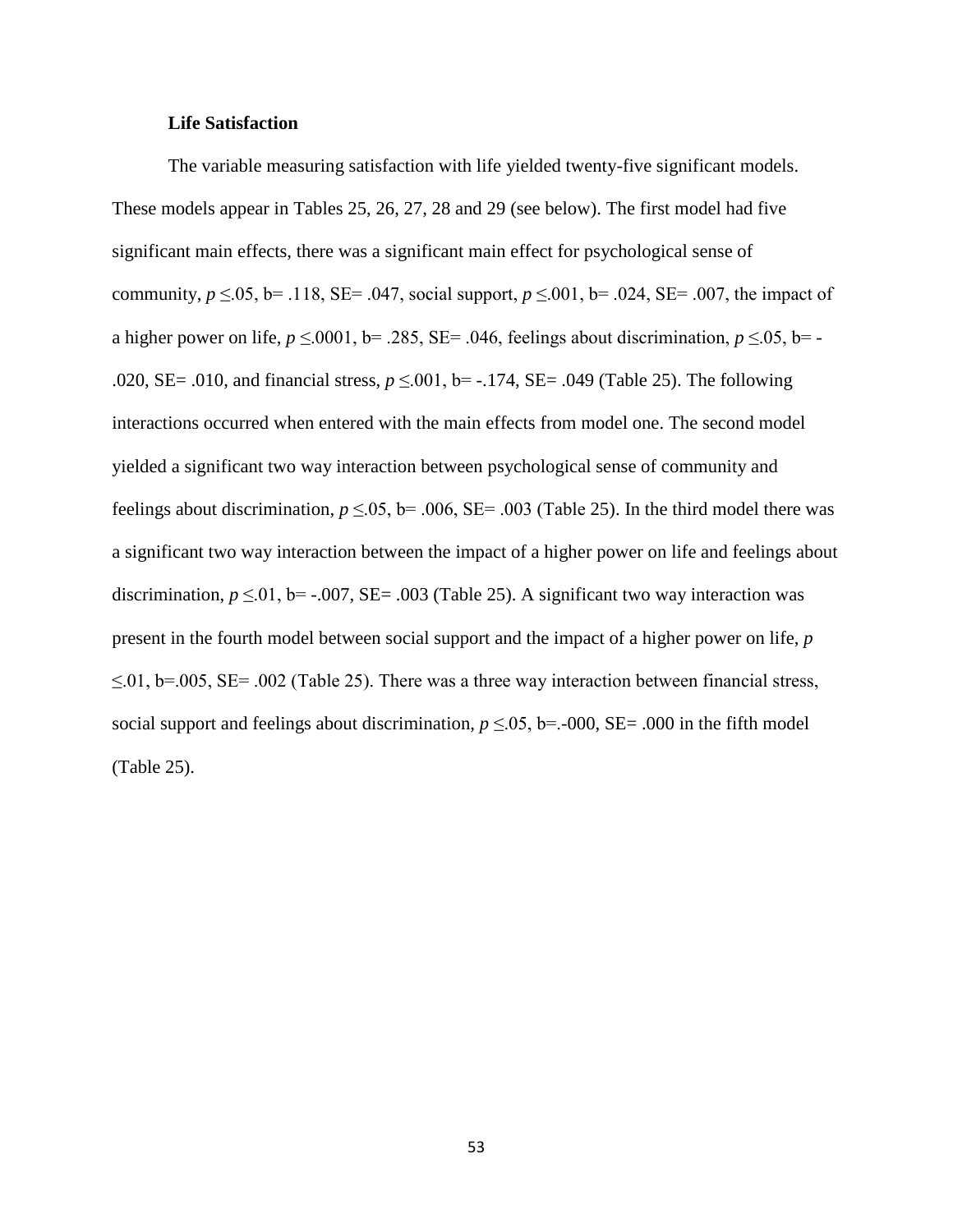### **Life Satisfaction**

The variable measuring satisfaction with life yielded twenty-five significant models. These models appear in Tables 25, 26, 27, 28 and 29 (see below). The first model had five significant main effects, there was a significant main effect for psychological sense of community,  $p \le 0.05$ , b= .118, SE= .047, social support,  $p \le 0.001$ , b= .024, SE= .007, the impact of a higher power on life,  $p \le 0.001$ , b= .285, SE= .046, feelings about discrimination,  $p \le 0.05$ , b= -.020, SE= .010, and financial stress, *p* ≤.001, b= -.174, SE= .049 (Table 25). The following interactions occurred when entered with the main effects from model one. The second model yielded a significant two way interaction between psychological sense of community and feelings about discrimination,  $p \le 0.05$ , b= .006, SE= .003 (Table 25). In the third model there was a significant two way interaction between the impact of a higher power on life and feelings about discrimination,  $p \le 0.01$ ,  $b = -.007$ ,  $SE = .003$  (Table 25). A significant two way interaction was present in the fourth model between social support and the impact of a higher power on life, *p*   $\leq$ .01, b=.005, SE= .002 (Table 25). There was a three way interaction between financial stress, social support and feelings about discrimination,  $p \le 0.05$ , b=.-000, SE= .000 in the fifth model (Table 25).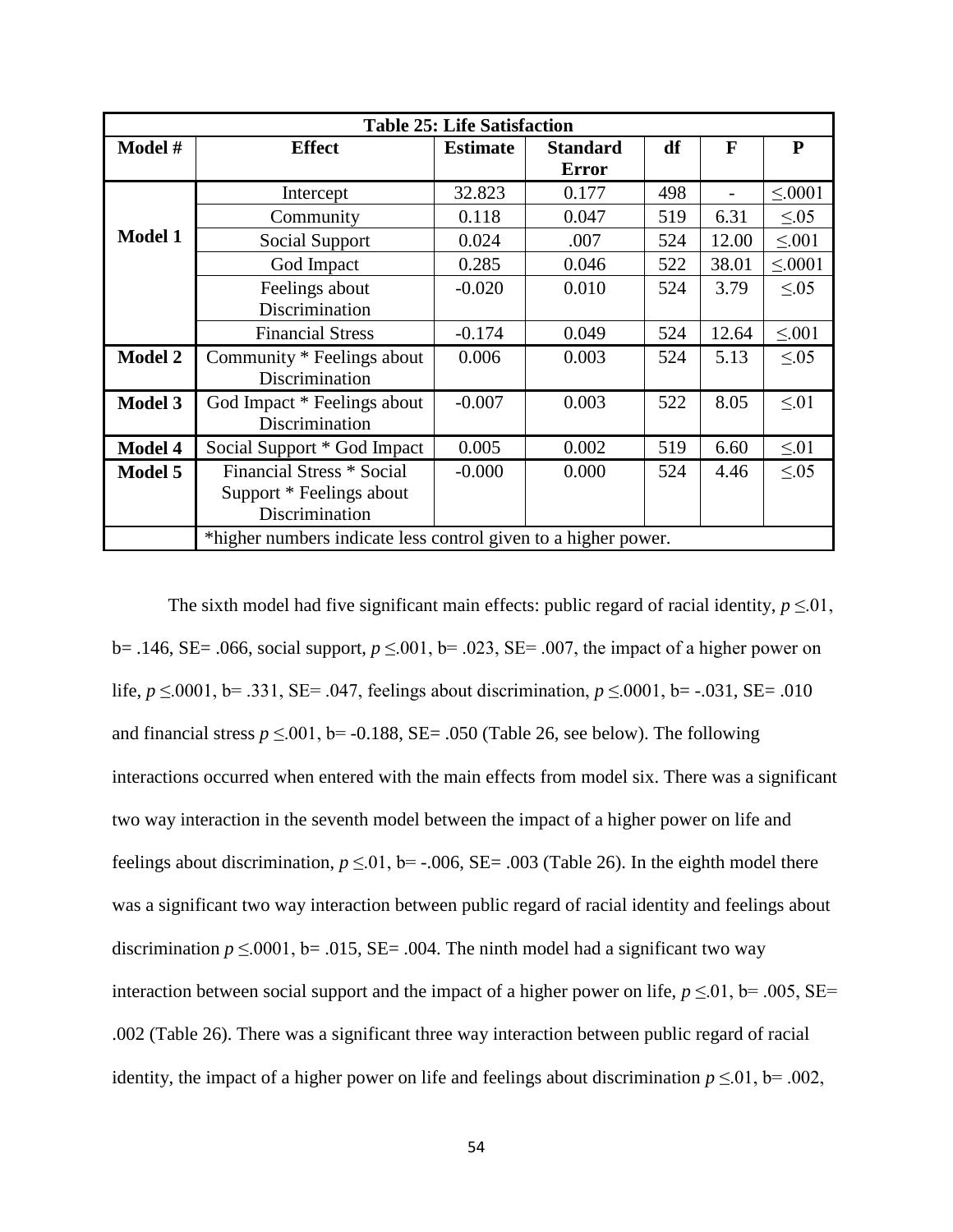| <b>Table 25: Life Satisfaction</b> |                                                                |                 |                 |     |       |              |  |  |
|------------------------------------|----------------------------------------------------------------|-----------------|-----------------|-----|-------|--------------|--|--|
| Model #                            | <b>Effect</b>                                                  | <b>Estimate</b> | <b>Standard</b> | df  | F     | P            |  |  |
|                                    |                                                                |                 | <b>Error</b>    |     |       |              |  |  |
|                                    | Intercept                                                      | 32.823          | 0.177           | 498 |       | $\leq 0.001$ |  |  |
|                                    | Community                                                      | 0.118           | 0.047           | 519 | 6.31  | $\leq 0.05$  |  |  |
| <b>Model 1</b>                     | Social Support                                                 | 0.024           | .007            | 524 | 12.00 | $\leq 0.01$  |  |  |
|                                    | God Impact                                                     | 0.285           | 0.046           | 522 | 38.01 | $\leq 0001$  |  |  |
|                                    | Feelings about                                                 | $-0.020$        | 0.010           | 524 | 3.79  | $\leq 0.05$  |  |  |
|                                    | Discrimination                                                 |                 |                 |     |       |              |  |  |
|                                    | <b>Financial Stress</b>                                        | $-0.174$        | 0.049           | 524 | 12.64 | $\leq 0.01$  |  |  |
| <b>Model 2</b>                     | Community * Feelings about                                     | 0.006           | 0.003           | 524 | 5.13  | $\leq 0.05$  |  |  |
|                                    | Discrimination                                                 |                 |                 |     |       |              |  |  |
| <b>Model 3</b>                     | God Impact * Feelings about                                    | $-0.007$        | 0.003           | 522 | 8.05  | $\leq 01$    |  |  |
|                                    | Discrimination                                                 |                 |                 |     |       |              |  |  |
| <b>Model 4</b>                     | Social Support * God Impact                                    | 0.005           | 0.002           | 519 | 6.60  | $\leq 01$    |  |  |
| <b>Model 5</b>                     | Financial Stress * Social                                      | $-0.000$        | 0.000           | 524 | 4.46  | $\leq 0.05$  |  |  |
|                                    | Support * Feelings about                                       |                 |                 |     |       |              |  |  |
|                                    | Discrimination                                                 |                 |                 |     |       |              |  |  |
|                                    | *higher numbers indicate less control given to a higher power. |                 |                 |     |       |              |  |  |

The sixth model had five significant main effects: public regard of racial identity,  $p \le 01$ , b = .146, SE = .066, social support, *p* ≤ .001, b = .023, SE = .007, the impact of a higher power on life, *p* ≤.0001, b= .331, SE= .047, feelings about discrimination, *p* ≤.0001, b= -.031, SE= .010 and financial stress  $p \le 0.01$ , b= -0.188, SE= .050 (Table 26, see below). The following interactions occurred when entered with the main effects from model six. There was a significant two way interaction in the seventh model between the impact of a higher power on life and feelings about discrimination,  $p \le 0.01$ , b= -.006, SE= .003 (Table 26). In the eighth model there was a significant two way interaction between public regard of racial identity and feelings about discrimination  $p \le 0.001$ , b= .015, SE= .004. The ninth model had a significant two way interaction between social support and the impact of a higher power on life,  $p \le 0.01$ , b= .005, SE= .002 (Table 26). There was a significant three way interaction between public regard of racial identity, the impact of a higher power on life and feelings about discrimination  $p \le 0.01$ , b= .002,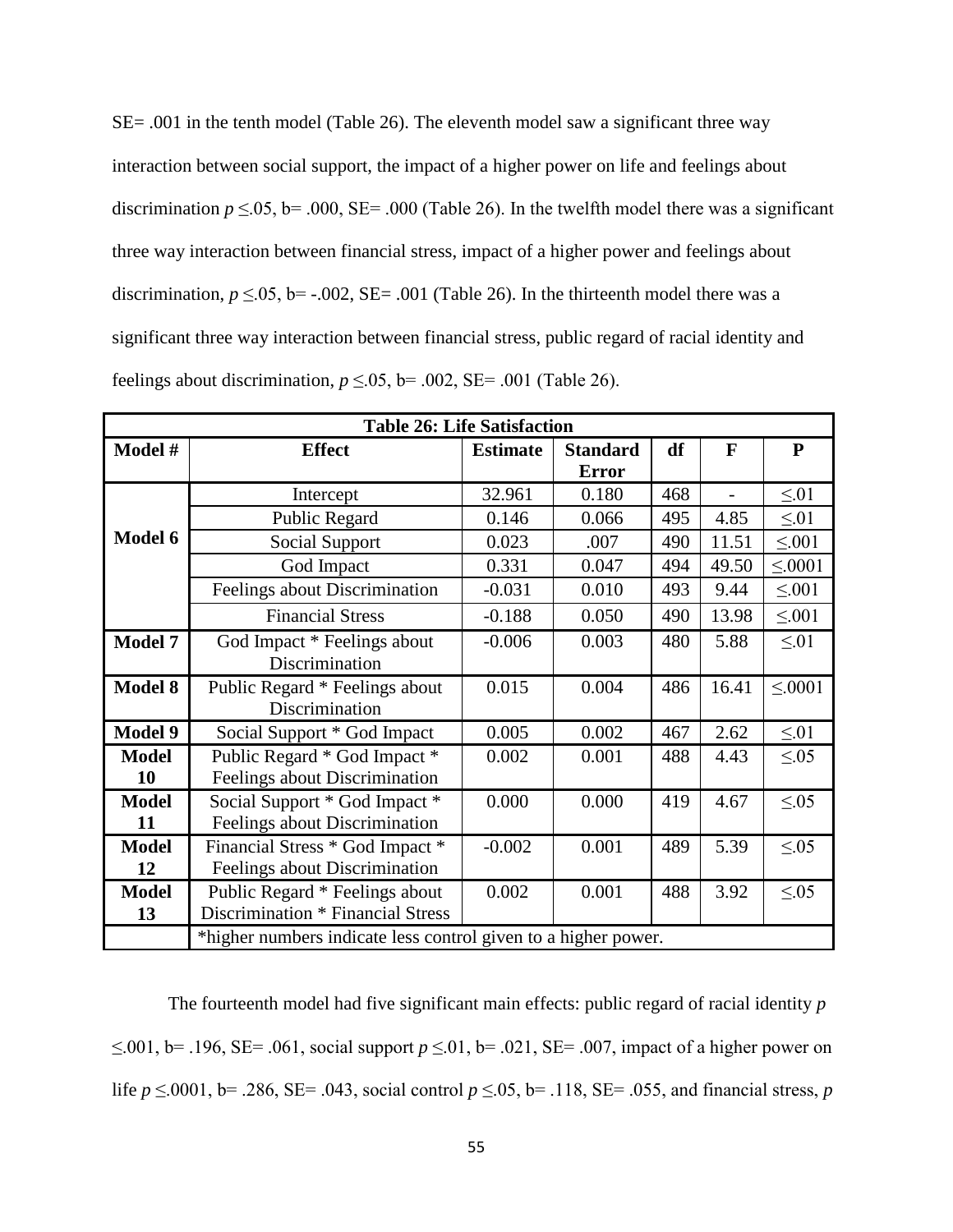SE= .001 in the tenth model (Table 26). The eleventh model saw a significant three way interaction between social support, the impact of a higher power on life and feelings about discrimination  $p \le 0.05$ , b= .000, SE= .000 (Table 26). In the twelfth model there was a significant three way interaction between financial stress, impact of a higher power and feelings about discrimination,  $p \le 0.05$ ,  $b = -.002$ ,  $SE = .001$  (Table 26). In the thirteenth model there was a significant three way interaction between financial stress, public regard of racial identity and feelings about discrimination,  $p \le 0.05$ , b= .002, SE= .001 (Table 26).

|                | <b>Table 26: Life Satisfaction</b>                             |                 |                 |     |                |             |  |  |
|----------------|----------------------------------------------------------------|-----------------|-----------------|-----|----------------|-------------|--|--|
| Model #        | <b>Effect</b>                                                  | <b>Estimate</b> | <b>Standard</b> | df  | $\mathbf{F}$   | ${\bf P}$   |  |  |
|                |                                                                |                 | <b>Error</b>    |     |                |             |  |  |
|                | Intercept                                                      | 32.961          | 0.180           | 468 | $\overline{a}$ | $\leq 01$   |  |  |
|                | Public Regard                                                  | 0.146           | 0.066           | 495 | 4.85           | $\leq 01$   |  |  |
| Model 6        | Social Support                                                 | 0.023           | .007            | 490 | 11.51          | $\leq 0.01$ |  |  |
|                | God Impact                                                     | 0.331           | 0.047           | 494 | 49.50          | $\leq 0001$ |  |  |
|                | Feelings about Discrimination                                  | $-0.031$        | 0.010           | 493 | 9.44           | $\leq 0.01$ |  |  |
|                | <b>Financial Stress</b>                                        | $-0.188$        | 0.050           | 490 | 13.98          | $\leq 0.01$ |  |  |
| <b>Model 7</b> | God Impact * Feelings about                                    | $-0.006$        | 0.003           | 480 | 5.88           | $\leq 01$   |  |  |
|                | Discrimination                                                 |                 |                 |     |                |             |  |  |
| <b>Model 8</b> | Public Regard * Feelings about                                 | 0.015           | 0.004           | 486 | 16.41          | $\leq 0001$ |  |  |
|                | Discrimination                                                 |                 |                 |     |                |             |  |  |
| <b>Model 9</b> | Social Support * God Impact                                    | 0.005           | 0.002           | 467 | 2.62           | $\leq 01$   |  |  |
| <b>Model</b>   | Public Regard * God Impact *                                   | 0.002           | 0.001           | 488 | 4.43           | $\leq 0.05$ |  |  |
| 10             | Feelings about Discrimination                                  |                 |                 |     |                |             |  |  |
| <b>Model</b>   | Social Support * God Impact *                                  | 0.000           | 0.000           | 419 | 4.67           | $\leq 0.05$ |  |  |
| 11             | Feelings about Discrimination                                  |                 |                 |     |                |             |  |  |
| <b>Model</b>   | Financial Stress * God Impact *                                | $-0.002$        | 0.001           | 489 | 5.39           | $\leq 0.05$ |  |  |
| 12             | Feelings about Discrimination                                  |                 |                 |     |                |             |  |  |
| <b>Model</b>   | Public Regard * Feelings about                                 | 0.002           | 0.001           | 488 | 3.92           | $\leq 0.05$ |  |  |
| 13             | Discrimination * Financial Stress                              |                 |                 |     |                |             |  |  |
|                | *higher numbers indicate less control given to a higher power. |                 |                 |     |                |             |  |  |

The fourteenth model had five significant main effects: public regard of racial identity *p*  ≤.001, b= .196, SE= .061, social support *p* ≤.01, b= .021, SE= .007, impact of a higher power on life  $p \le 0.0001$ , b= .286, SE= .043, social control  $p \le 0.05$ , b= .118, SE= .055, and financial stress, *p*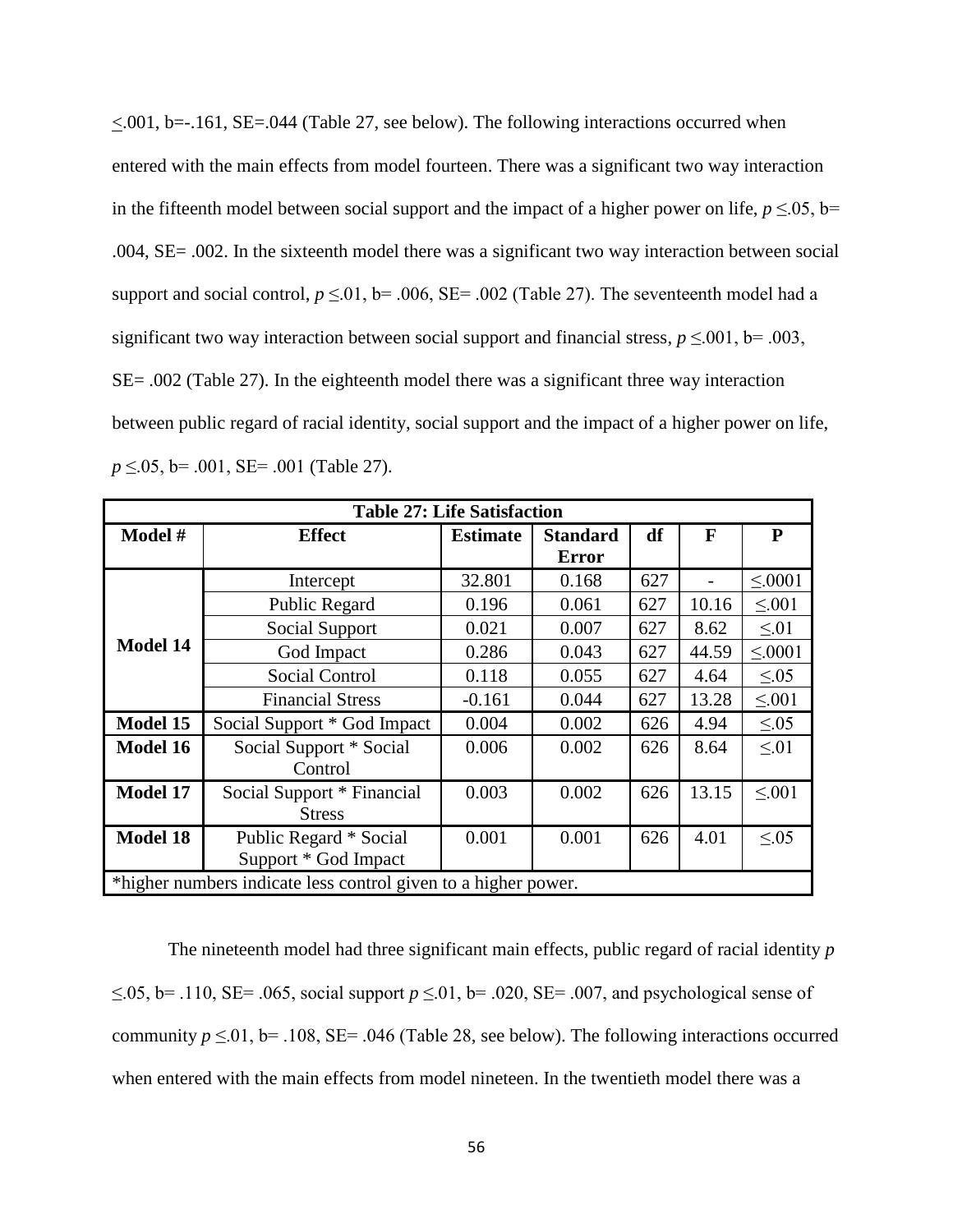$\leq$ .001, b= $-161$ , SE=.044 (Table 27, see below). The following interactions occurred when entered with the main effects from model fourteen. There was a significant two way interaction in the fifteenth model between social support and the impact of a higher power on life,  $p \le 0.05$ , b= .004, SE= .002. In the sixteenth model there was a significant two way interaction between social support and social control,  $p \le 0.01$ , b= .006, SE= .002 (Table 27). The seventeenth model had a significant two way interaction between social support and financial stress,  $p \le 0.001$ , b= .003, SE= .002 (Table 27). In the eighteenth model there was a significant three way interaction between public regard of racial identity, social support and the impact of a higher power on life, *p* ≤.05, b= .001, SE= .001 (Table 27).

| <b>Table 27: Life Satisfaction</b>                             |                             |                 |                 |     |              |             |  |
|----------------------------------------------------------------|-----------------------------|-----------------|-----------------|-----|--------------|-------------|--|
| Model #                                                        | <b>Effect</b>               | <b>Estimate</b> | <b>Standard</b> | df  | $\mathbf{F}$ | ${\bf P}$   |  |
|                                                                |                             |                 | <b>Error</b>    |     |              |             |  |
|                                                                | Intercept                   | 32.801          | 0.168           | 627 |              | < 0001      |  |
|                                                                | Public Regard               | 0.196           | 0.061           | 627 | 10.16        | $\leq 0.01$ |  |
|                                                                | Social Support              | 0.021           | 0.007           | 627 | 8.62         | $\leq 01$   |  |
| <b>Model 14</b>                                                | God Impact                  | 0.286           | 0.043           | 627 | 44.59        | $\leq 0001$ |  |
|                                                                | <b>Social Control</b>       | 0.118           | 0.055           | 627 | 4.64         | $\leq 0.05$ |  |
|                                                                | <b>Financial Stress</b>     | $-0.161$        | 0.044           | 627 | 13.28        | $\leq 0.01$ |  |
| Model 15                                                       | Social Support * God Impact | 0.004           | 0.002           | 626 | 4.94         | $\leq 0.05$ |  |
| Model 16                                                       | Social Support * Social     | 0.006           | 0.002           | 626 | 8.64         | $\leq 01$   |  |
|                                                                | Control                     |                 |                 |     |              |             |  |
| Model 17                                                       | Social Support * Financial  | 0.003           | 0.002           | 626 | 13.15        | $\leq 0.01$ |  |
|                                                                | <b>Stress</b>               |                 |                 |     |              |             |  |
| <b>Model 18</b>                                                | Public Regard * Social      | 0.001           | 0.001           | 626 | 4.01         | $\leq 0.05$ |  |
|                                                                | Support * God Impact        |                 |                 |     |              |             |  |
| *higher numbers indicate less control given to a higher power. |                             |                 |                 |     |              |             |  |

The nineteenth model had three significant main effects, public regard of racial identity *p*  ≤.05, b= .110, SE= .065, social support *p* ≤.01, b= .020, SE= .007, and psychological sense of community  $p \le 0.01$ , b= .108, SE= .046 (Table 28, see below). The following interactions occurred when entered with the main effects from model nineteen. In the twentieth model there was a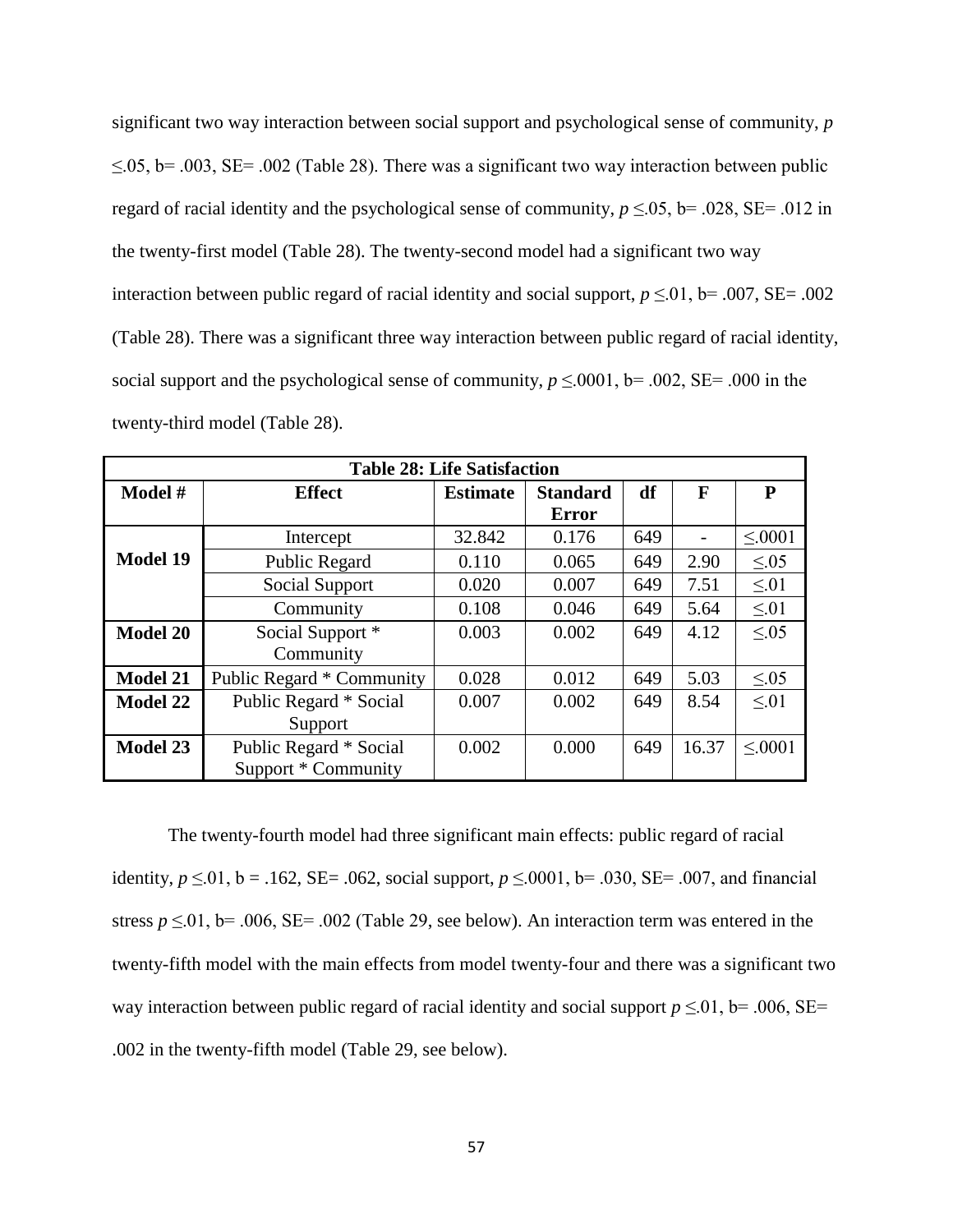significant two way interaction between social support and psychological sense of community, *p*   $\leq$ .05, b= .003, SE= .002 (Table 28). There was a significant two way interaction between public regard of racial identity and the psychological sense of community,  $p \le 0.05$ , b= .028, SE= .012 in the twenty-first model (Table 28). The twenty-second model had a significant two way interaction between public regard of racial identity and social support,  $p \le 0.01$ , b= .007, SE= .002 (Table 28). There was a significant three way interaction between public regard of racial identity, social support and the psychological sense of community,  $p \le 0.001$ , b= .002, SE= .000 in the twenty-third model (Table 28).

| <b>Table 28: Life Satisfaction</b> |                           |                 |                 |     |       |             |  |
|------------------------------------|---------------------------|-----------------|-----------------|-----|-------|-------------|--|
| Model #                            | <b>Effect</b>             | <b>Estimate</b> | <b>Standard</b> | df  | F     | P           |  |
|                                    |                           |                 | <b>Error</b>    |     |       |             |  |
|                                    | Intercept                 | 32.842          | 0.176           | 649 |       | $\leq 0001$ |  |
| <b>Model 19</b>                    | Public Regard             | 0.110           | 0.065           | 649 | 2.90  | < 0.05      |  |
|                                    | Social Support            | 0.020           | 0.007           | 649 | 7.51  | $\leq 01$   |  |
|                                    | Community                 | 0.108           | 0.046           | 649 | 5.64  | $\leq 01$   |  |
| <b>Model 20</b>                    | Social Support *          | 0.003           | 0.002           | 649 | 4.12  | < 0.05      |  |
|                                    | Community                 |                 |                 |     |       |             |  |
| <b>Model 21</b>                    | Public Regard * Community | 0.028           | 0.012           | 649 | 5.03  | < 0.05      |  |
| Model 22                           | Public Regard * Social    | 0.007           | 0.002           | 649 | 8.54  | < 01        |  |
|                                    | Support                   |                 |                 |     |       |             |  |
| Model 23                           | Public Regard * Social    | 0.002           | 0.000           | 649 | 16.37 | < 0001      |  |
|                                    | Support * Community       |                 |                 |     |       |             |  |

The twenty-fourth model had three significant main effects: public regard of racial identity, *p* ≤.01, b = .162, SE= .062, social support, *p* ≤.0001, b= .030, SE= .007, and financial stress  $p \le 0.01$ , b= .006, SE= .002 (Table 29, see below). An interaction term was entered in the twenty-fifth model with the main effects from model twenty-four and there was a significant two way interaction between public regard of racial identity and social support  $p \le 0.01$ , b= .006, SE= .002 in the twenty-fifth model (Table 29, see below).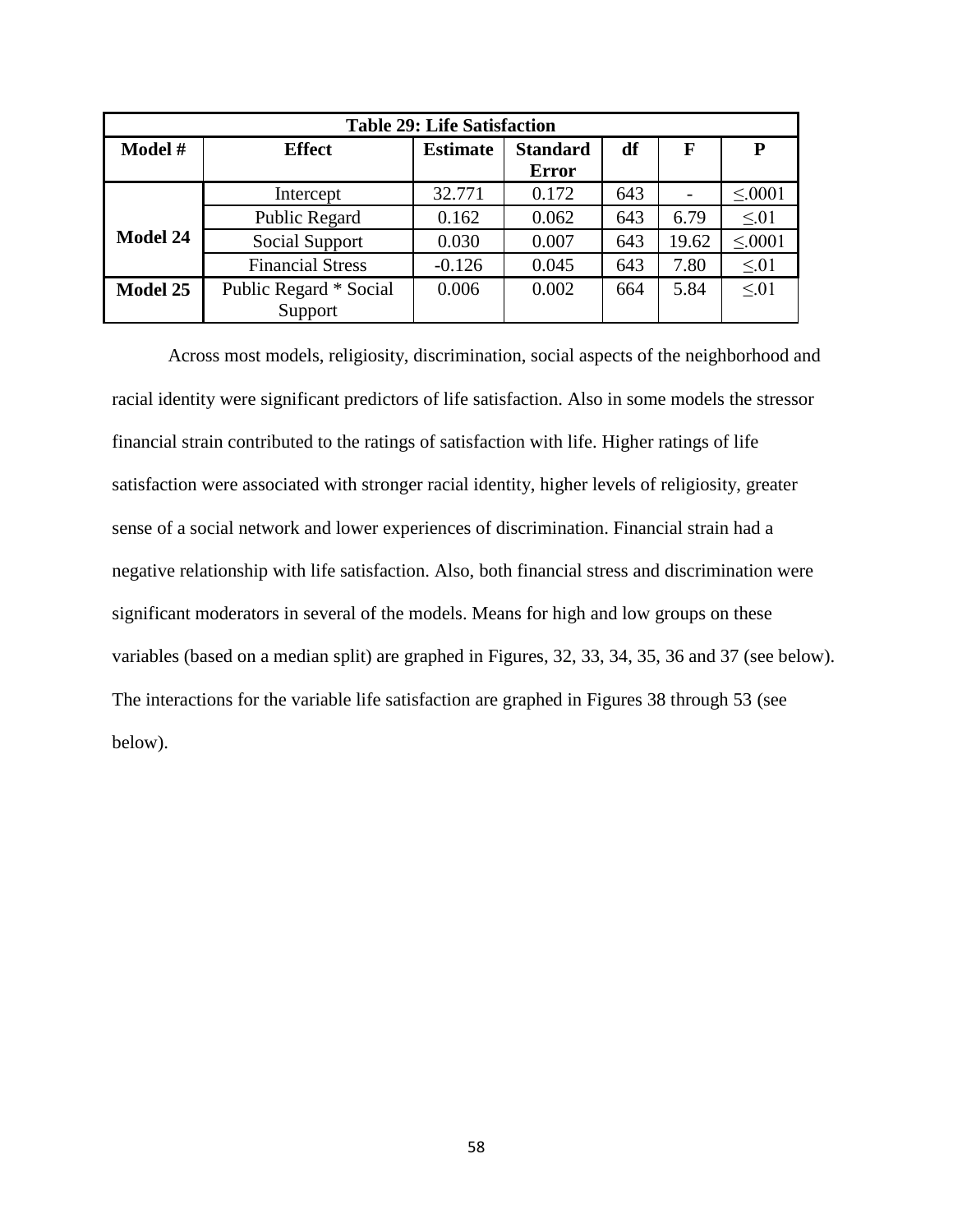| <b>Table 29: Life Satisfaction</b> |                         |                 |                 |     |       |             |  |  |
|------------------------------------|-------------------------|-----------------|-----------------|-----|-------|-------------|--|--|
| Model #                            | <b>Effect</b>           | <b>Estimate</b> | <b>Standard</b> | df  | F     | P           |  |  |
|                                    |                         |                 | <b>Error</b>    |     |       |             |  |  |
|                                    | Intercept               | 32.771          | 0.172           | 643 |       | $\leq 0001$ |  |  |
|                                    | Public Regard           | 0.162           | 0.062           | 643 | 6.79  | $\leq 01$   |  |  |
| <b>Model 24</b>                    | Social Support          | 0.030           | 0.007           | 643 | 19.62 | $\leq 0001$ |  |  |
|                                    | <b>Financial Stress</b> | $-0.126$        | 0.045           | 643 | 7.80  | $\leq 01$   |  |  |
| Model 25                           | Public Regard * Social  | 0.006           | 0.002           | 664 | 5.84  | $\leq 01$   |  |  |
|                                    | Support                 |                 |                 |     |       |             |  |  |

Across most models, religiosity, discrimination, social aspects of the neighborhood and racial identity were significant predictors of life satisfaction. Also in some models the stressor financial strain contributed to the ratings of satisfaction with life. Higher ratings of life satisfaction were associated with stronger racial identity, higher levels of religiosity, greater sense of a social network and lower experiences of discrimination. Financial strain had a negative relationship with life satisfaction. Also, both financial stress and discrimination were significant moderators in several of the models. Means for high and low groups on these variables (based on a median split) are graphed in Figures, 32, 33, 34, 35, 36 and 37 (see below). The interactions for the variable life satisfaction are graphed in Figures 38 through 53 (see below).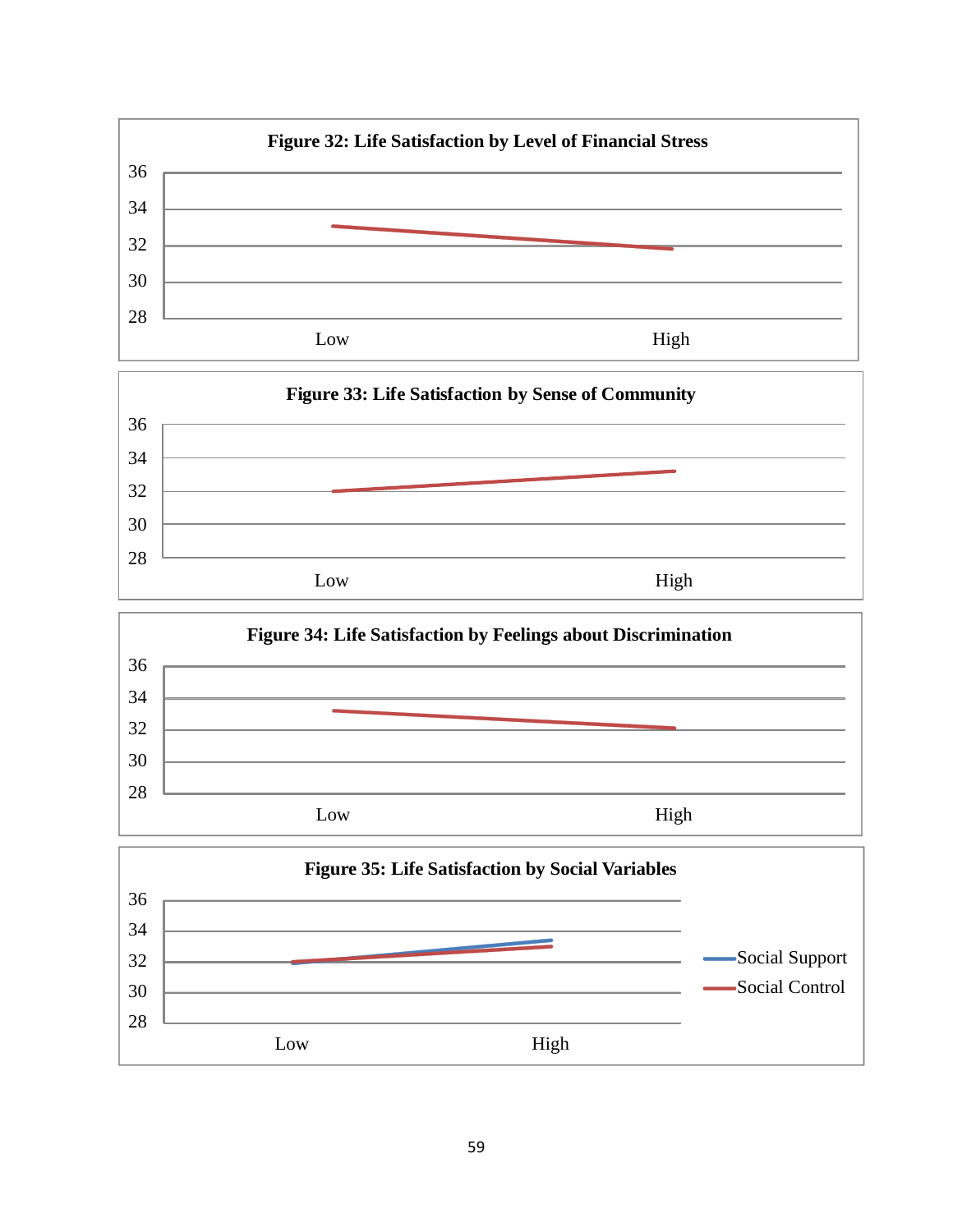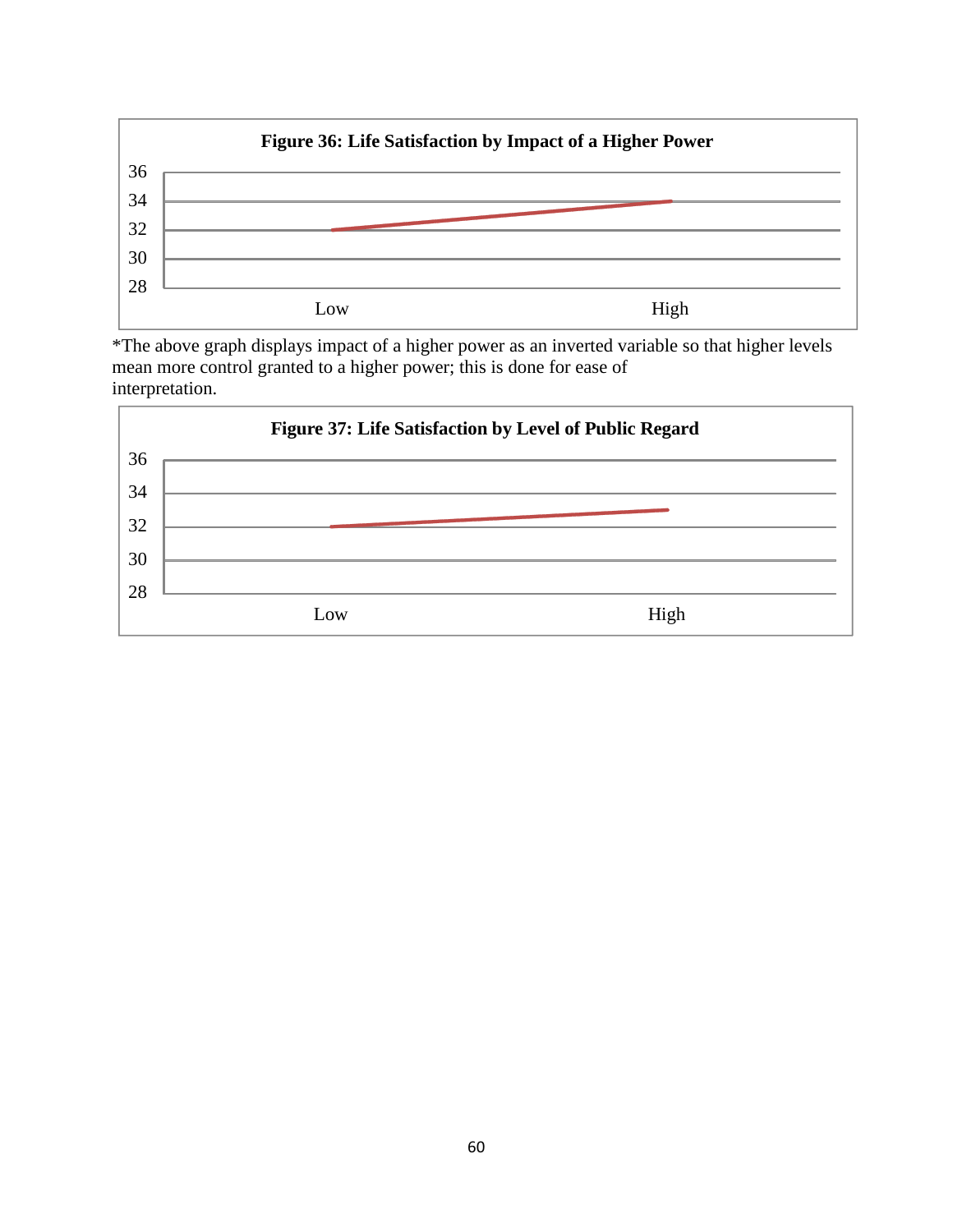

\*The above graph displays impact of a higher power as an inverted variable so that higher levels mean more control granted to a higher power; this is done for ease of interpretation.

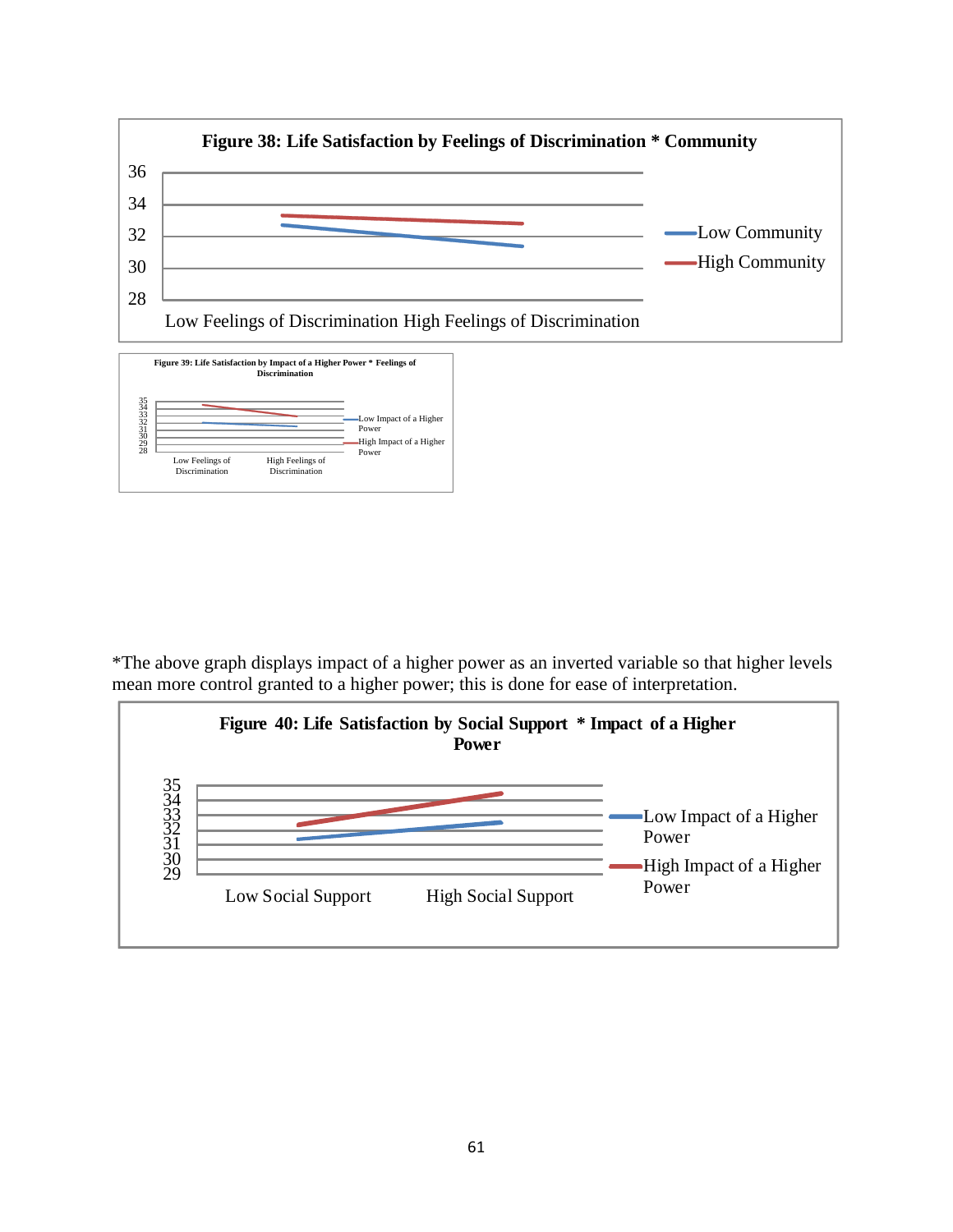

\*The above graph displays impact of a higher power as an inverted variable so that higher levels mean more control granted to a higher power; this is done for ease of interpretation.

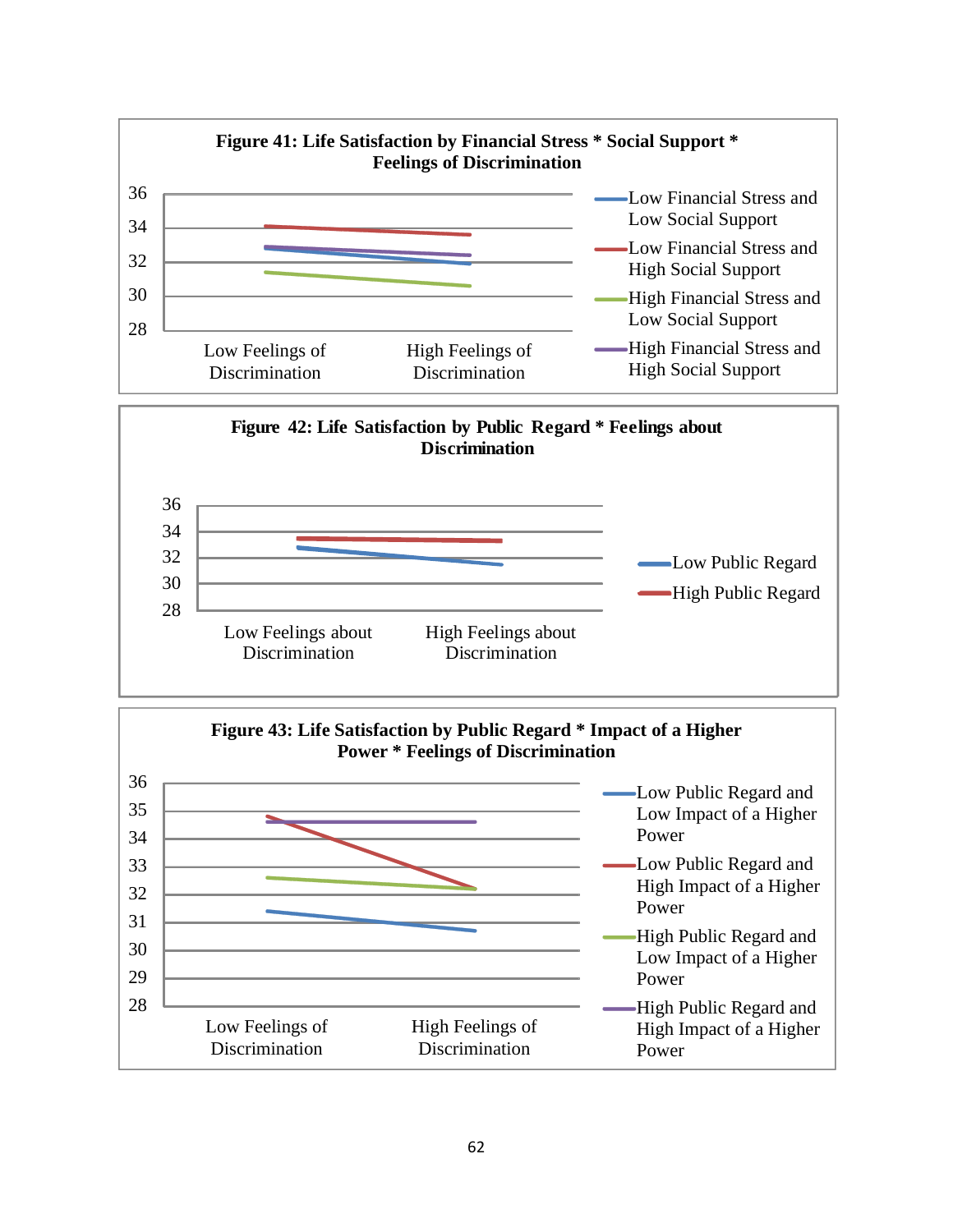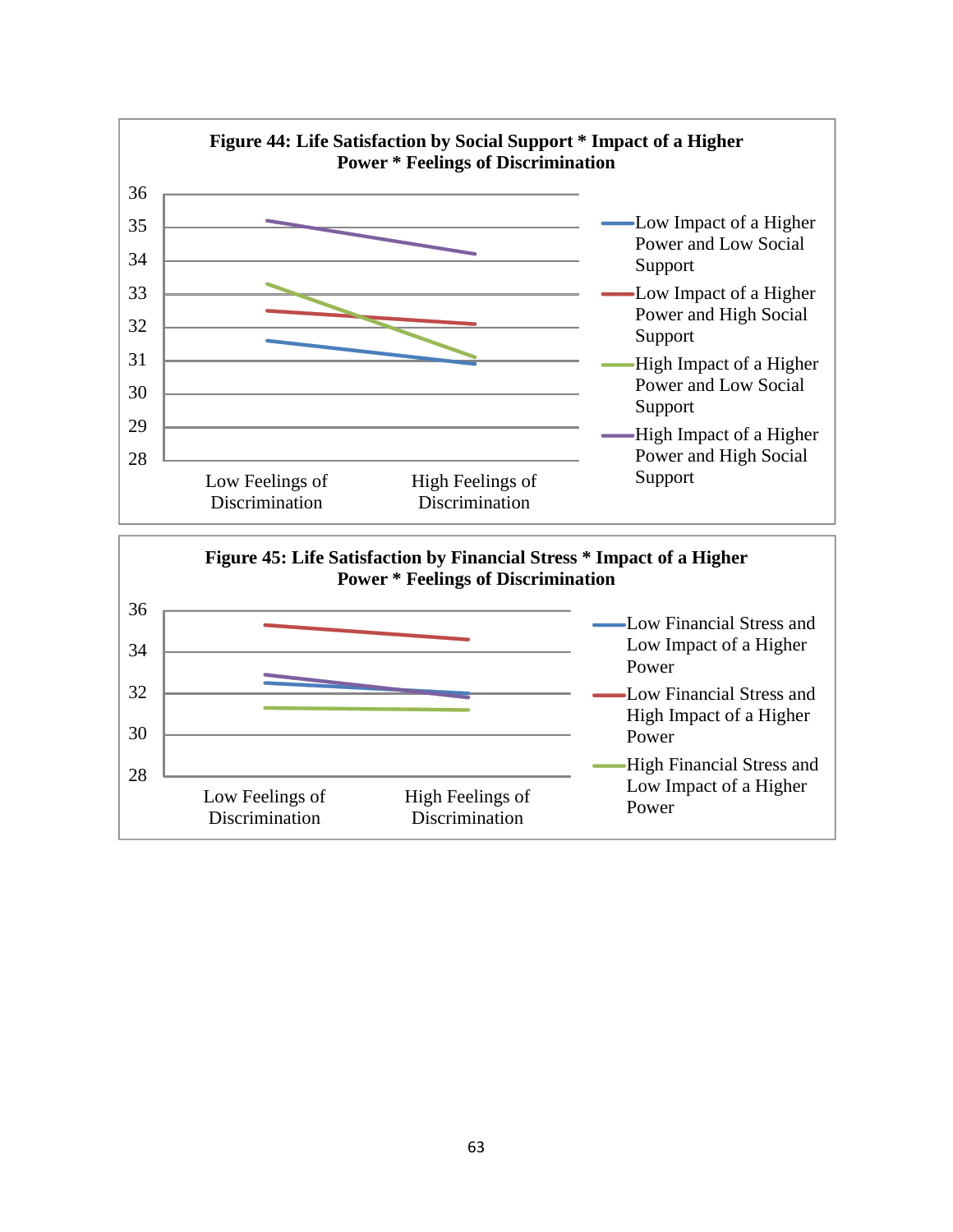

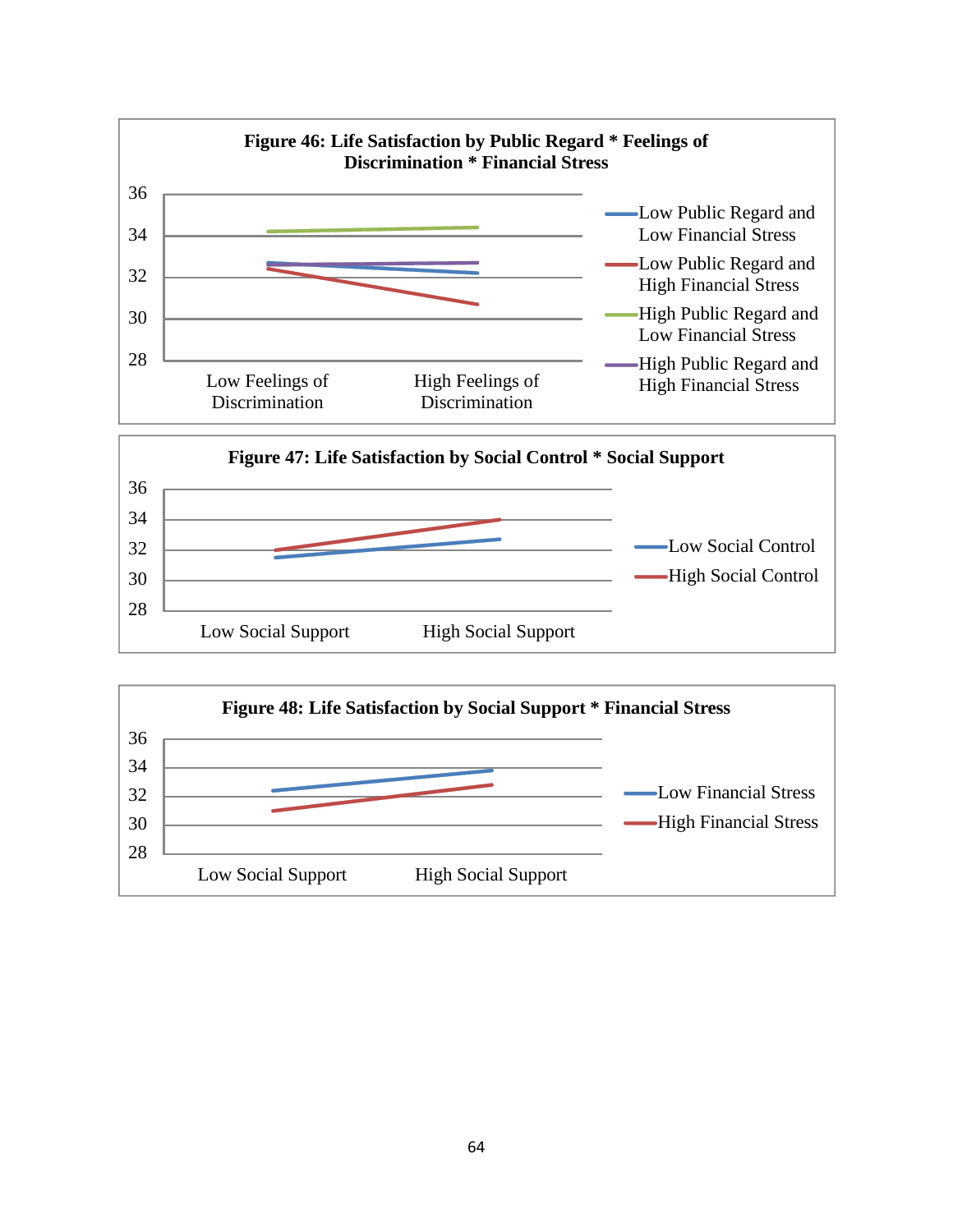

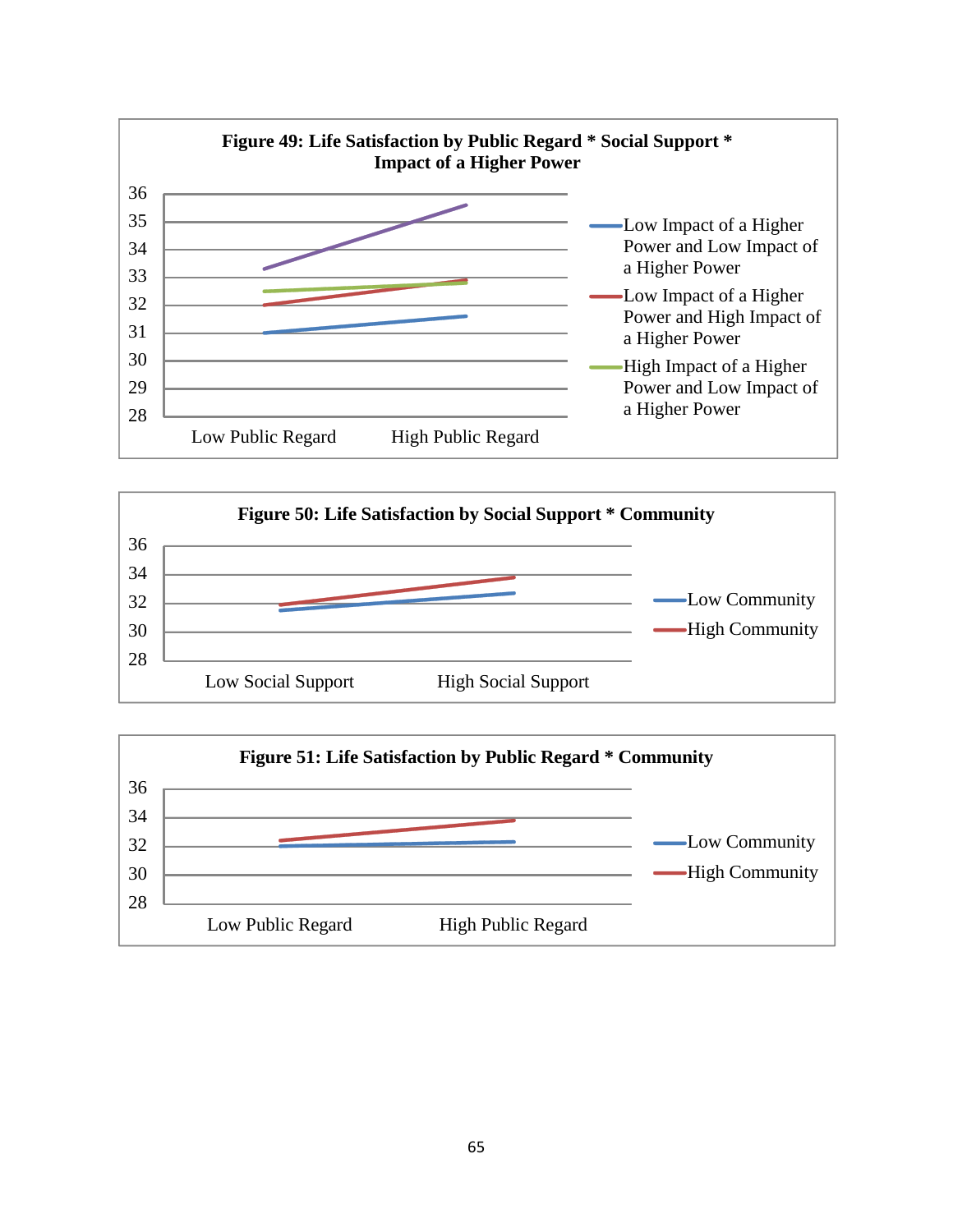



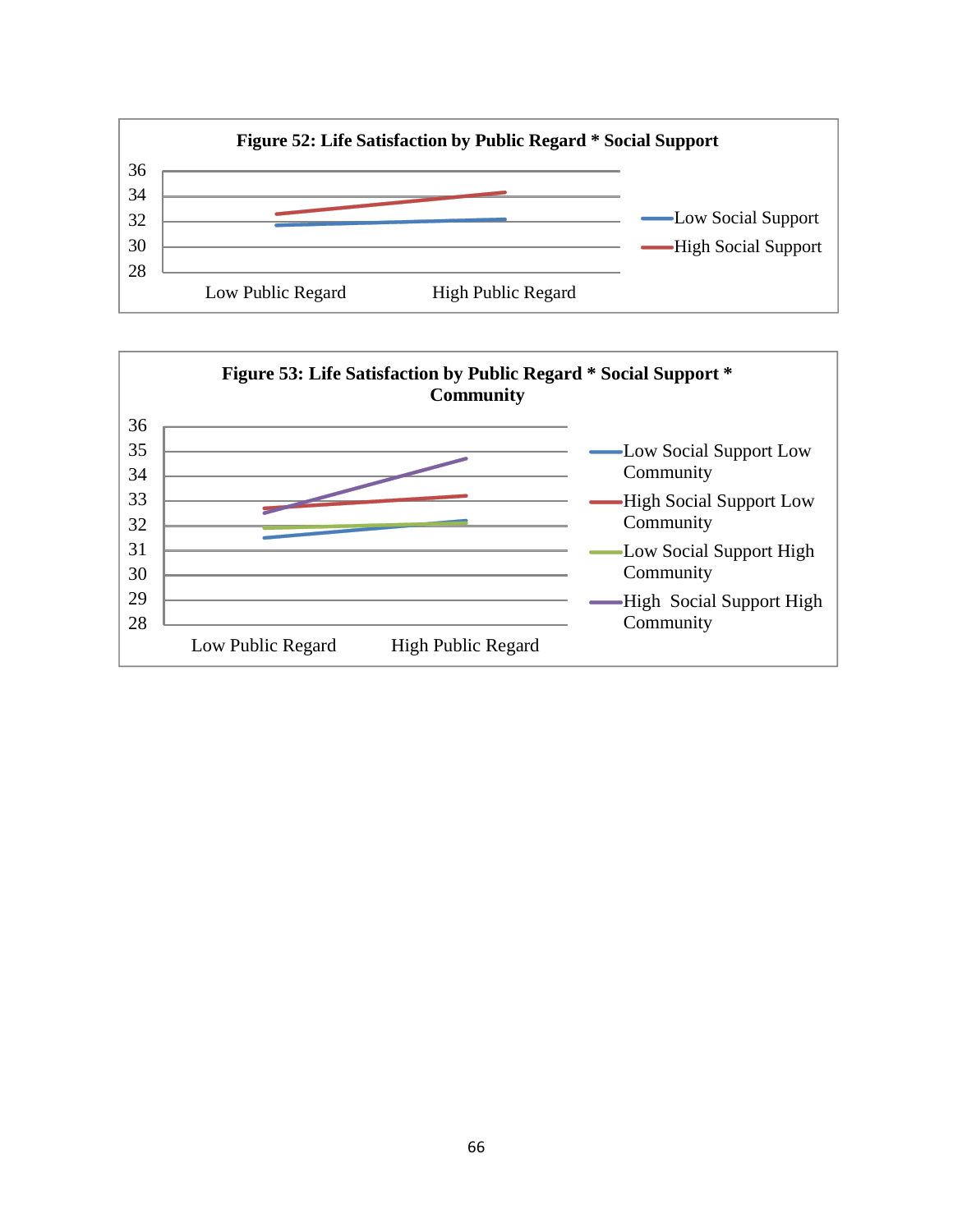

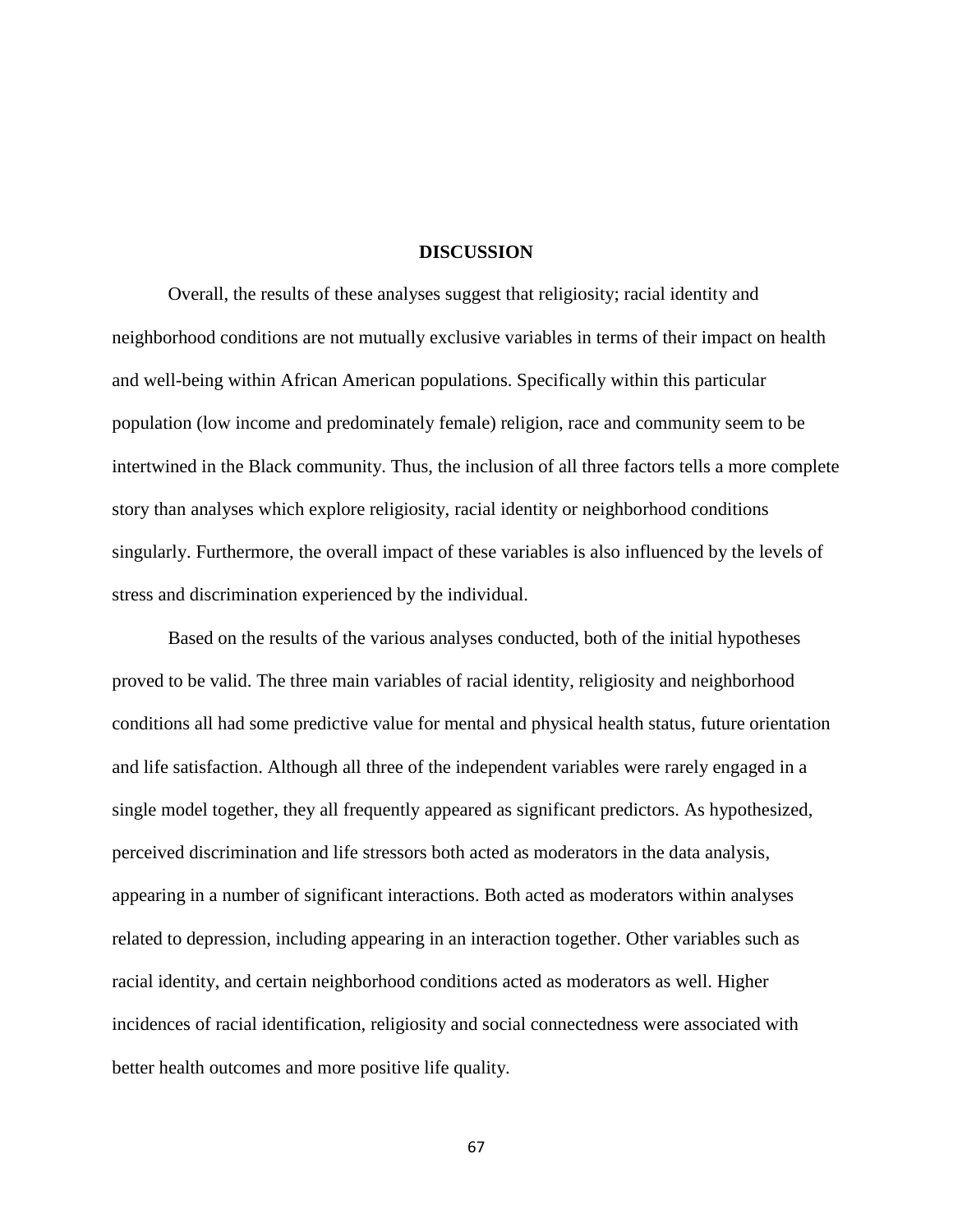# **DISCUSSION**

Overall, the results of these analyses suggest that religiosity; racial identity and neighborhood conditions are not mutually exclusive variables in terms of their impact on health and well-being within African American populations. Specifically within this particular population (low income and predominately female) religion, race and community seem to be intertwined in the Black community. Thus, the inclusion of all three factors tells a more complete story than analyses which explore religiosity, racial identity or neighborhood conditions singularly. Furthermore, the overall impact of these variables is also influenced by the levels of stress and discrimination experienced by the individual.

Based on the results of the various analyses conducted, both of the initial hypotheses proved to be valid. The three main variables of racial identity, religiosity and neighborhood conditions all had some predictive value for mental and physical health status, future orientation and life satisfaction. Although all three of the independent variables were rarely engaged in a single model together, they all frequently appeared as significant predictors. As hypothesized, perceived discrimination and life stressors both acted as moderators in the data analysis, appearing in a number of significant interactions. Both acted as moderators within analyses related to depression, including appearing in an interaction together. Other variables such as racial identity, and certain neighborhood conditions acted as moderators as well. Higher incidences of racial identification, religiosity and social connectedness were associated with better health outcomes and more positive life quality.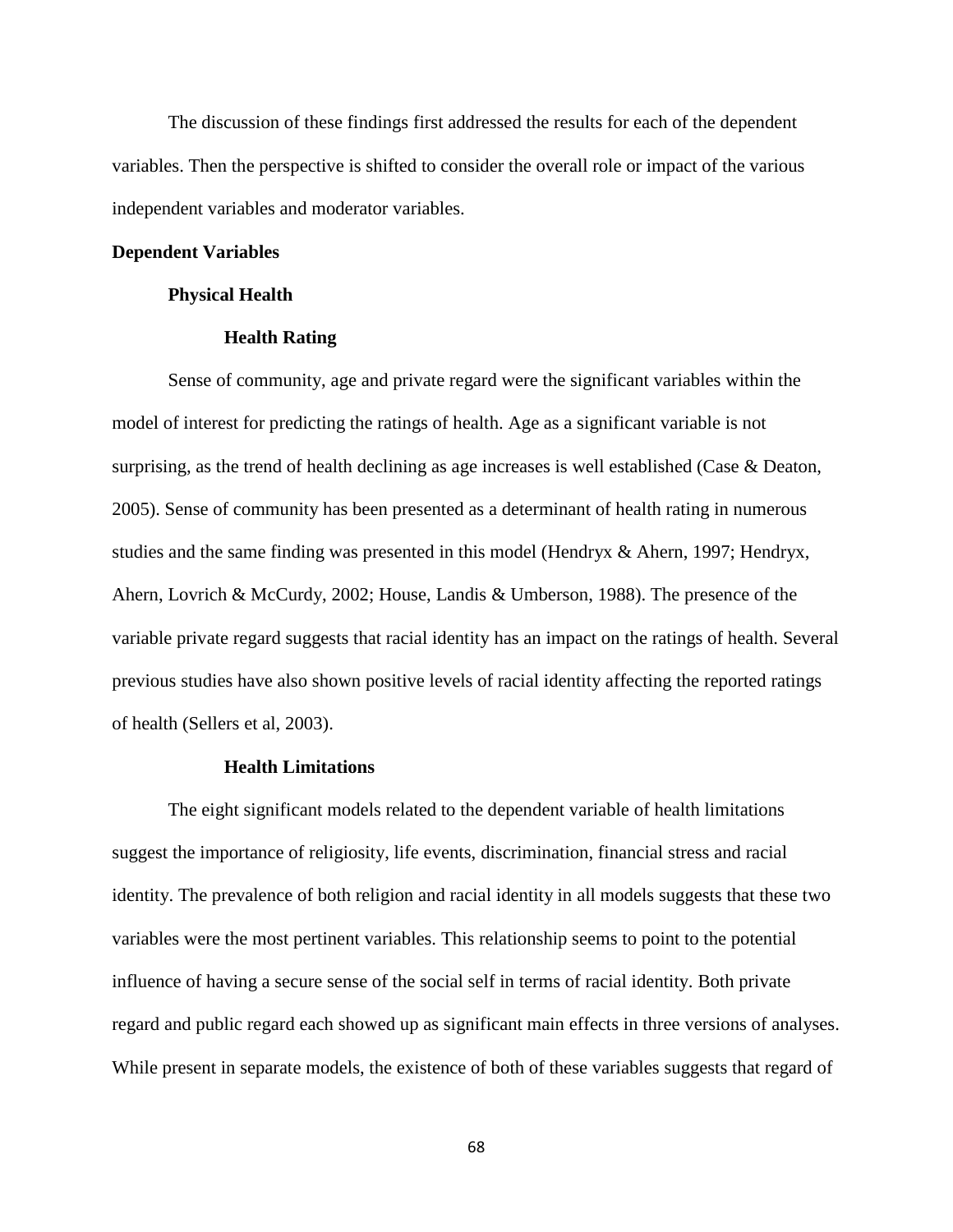The discussion of these findings first addressed the results for each of the dependent variables. Then the perspective is shifted to consider the overall role or impact of the various independent variables and moderator variables.

# **Dependent Variables**

# **Physical Health**

# **Health Rating**

Sense of community, age and private regard were the significant variables within the model of interest for predicting the ratings of health. Age as a significant variable is not surprising, as the trend of health declining as age increases is well established (Case & Deaton, 2005). Sense of community has been presented as a determinant of health rating in numerous studies and the same finding was presented in this model (Hendryx & Ahern, 1997; Hendryx, Ahern, Lovrich & McCurdy, 2002; House, Landis & Umberson, 1988). The presence of the variable private regard suggests that racial identity has an impact on the ratings of health. Several previous studies have also shown positive levels of racial identity affecting the reported ratings of health (Sellers et al, 2003).

### **Health Limitations**

The eight significant models related to the dependent variable of health limitations suggest the importance of religiosity, life events, discrimination, financial stress and racial identity. The prevalence of both religion and racial identity in all models suggests that these two variables were the most pertinent variables. This relationship seems to point to the potential influence of having a secure sense of the social self in terms of racial identity. Both private regard and public regard each showed up as significant main effects in three versions of analyses. While present in separate models, the existence of both of these variables suggests that regard of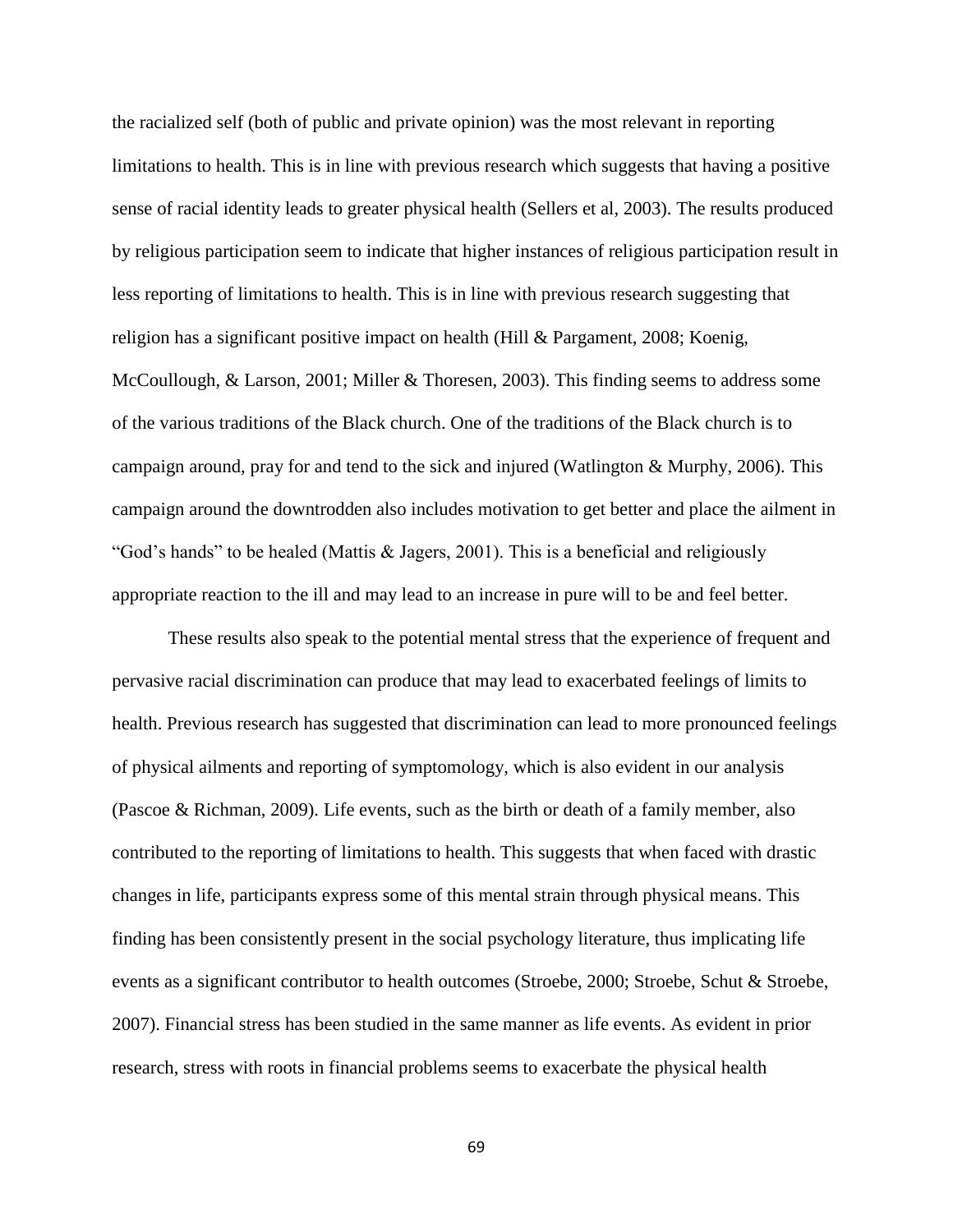the racialized self (both of public and private opinion) was the most relevant in reporting limitations to health. This is in line with previous research which suggests that having a positive sense of racial identity leads to greater physical health (Sellers et al, 2003). The results produced by religious participation seem to indicate that higher instances of religious participation result in less reporting of limitations to health. This is in line with previous research suggesting that religion has a significant positive impact on health (Hill & Pargament, 2008; Koenig, McCoullough, & Larson, 2001; Miller & Thoresen, 2003). This finding seems to address some of the various traditions of the Black church. One of the traditions of the Black church is to campaign around, pray for and tend to the sick and injured (Watlington & Murphy, 2006). This campaign around the downtrodden also includes motivation to get better and place the ailment in "God's hands" to be healed (Mattis & Jagers, 2001). This is a beneficial and religiously appropriate reaction to the ill and may lead to an increase in pure will to be and feel better.

These results also speak to the potential mental stress that the experience of frequent and pervasive racial discrimination can produce that may lead to exacerbated feelings of limits to health. Previous research has suggested that discrimination can lead to more pronounced feelings of physical ailments and reporting of symptomology, which is also evident in our analysis (Pascoe & Richman, 2009). Life events, such as the birth or death of a family member, also contributed to the reporting of limitations to health. This suggests that when faced with drastic changes in life, participants express some of this mental strain through physical means. This finding has been consistently present in the social psychology literature, thus implicating life events as a significant contributor to health outcomes (Stroebe, 2000; Stroebe, Schut & Stroebe, 2007). Financial stress has been studied in the same manner as life events. As evident in prior research, stress with roots in financial problems seems to exacerbate the physical health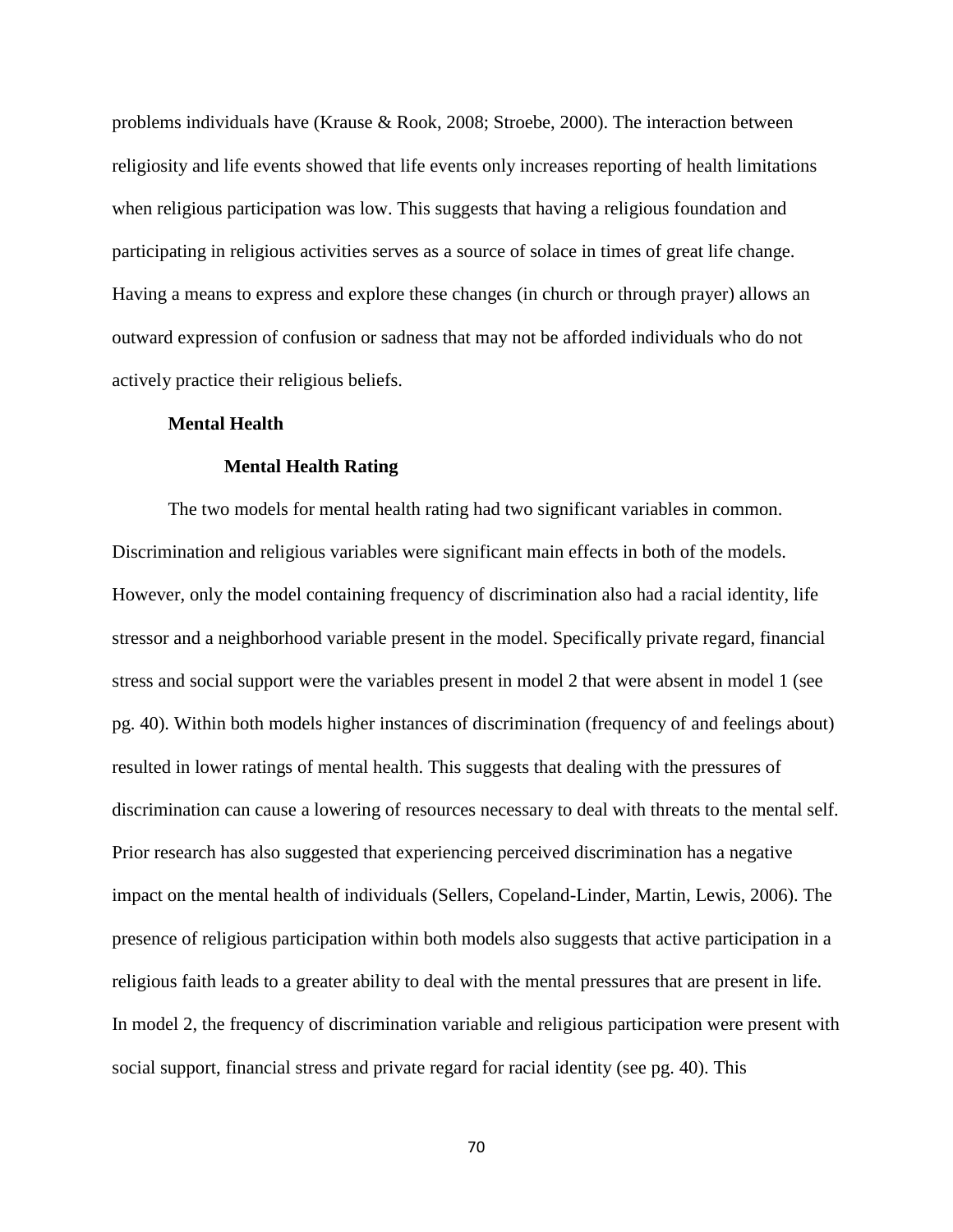problems individuals have (Krause & Rook, 2008; Stroebe, 2000). The interaction between religiosity and life events showed that life events only increases reporting of health limitations when religious participation was low. This suggests that having a religious foundation and participating in religious activities serves as a source of solace in times of great life change. Having a means to express and explore these changes (in church or through prayer) allows an outward expression of confusion or sadness that may not be afforded individuals who do not actively practice their religious beliefs.

## **Mental Health**

# **Mental Health Rating**

The two models for mental health rating had two significant variables in common. Discrimination and religious variables were significant main effects in both of the models. However, only the model containing frequency of discrimination also had a racial identity, life stressor and a neighborhood variable present in the model. Specifically private regard, financial stress and social support were the variables present in model 2 that were absent in model 1 (see pg. 40). Within both models higher instances of discrimination (frequency of and feelings about) resulted in lower ratings of mental health. This suggests that dealing with the pressures of discrimination can cause a lowering of resources necessary to deal with threats to the mental self. Prior research has also suggested that experiencing perceived discrimination has a negative impact on the mental health of individuals (Sellers, Copeland-Linder, Martin, Lewis, 2006). The presence of religious participation within both models also suggests that active participation in a religious faith leads to a greater ability to deal with the mental pressures that are present in life. In model 2, the frequency of discrimination variable and religious participation were present with social support, financial stress and private regard for racial identity (see pg. 40). This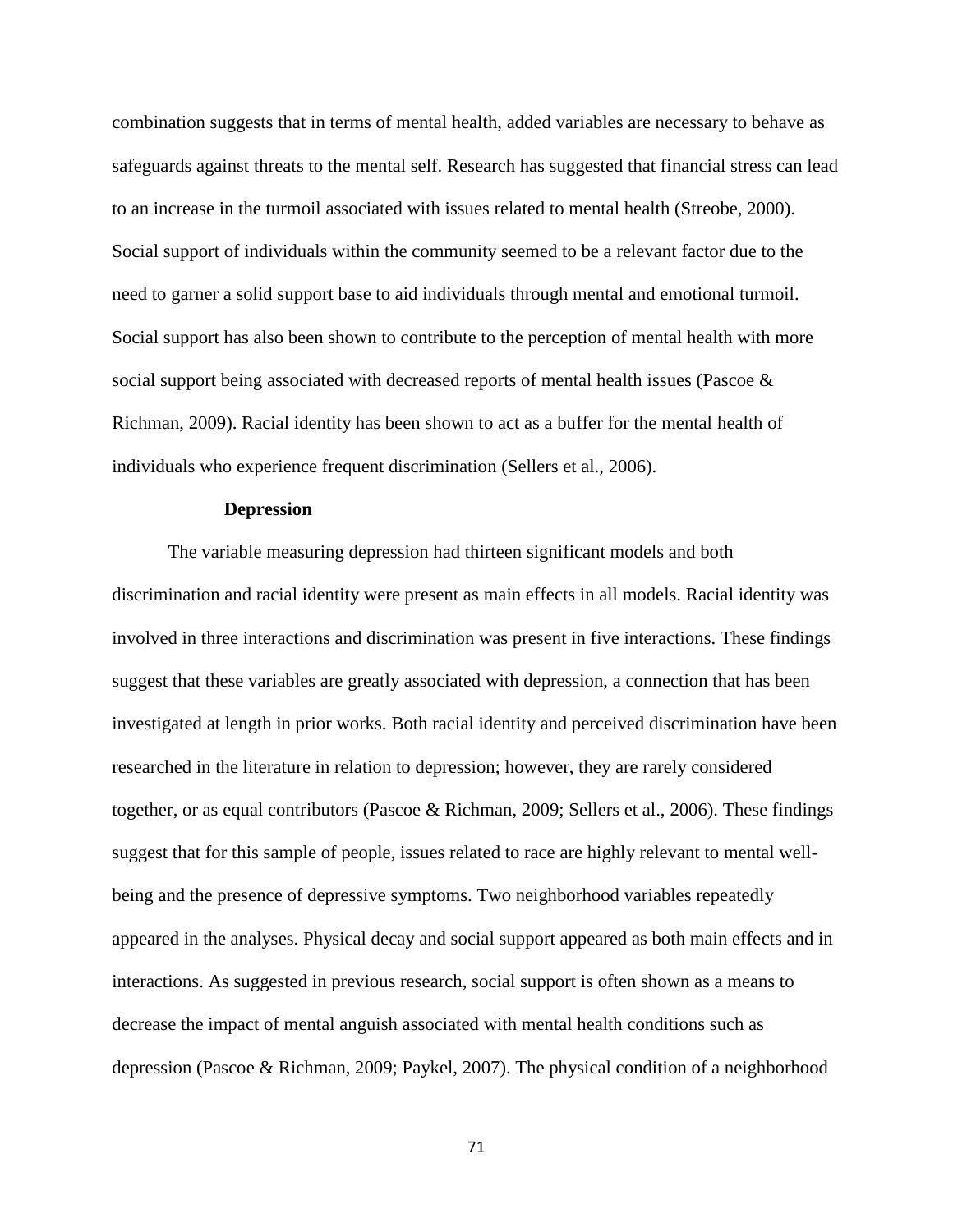combination suggests that in terms of mental health, added variables are necessary to behave as safeguards against threats to the mental self. Research has suggested that financial stress can lead to an increase in the turmoil associated with issues related to mental health (Streobe, 2000). Social support of individuals within the community seemed to be a relevant factor due to the need to garner a solid support base to aid individuals through mental and emotional turmoil. Social support has also been shown to contribute to the perception of mental health with more social support being associated with decreased reports of mental health issues (Pascoe & Richman, 2009). Racial identity has been shown to act as a buffer for the mental health of individuals who experience frequent discrimination (Sellers et al., 2006).

## **Depression**

The variable measuring depression had thirteen significant models and both discrimination and racial identity were present as main effects in all models. Racial identity was involved in three interactions and discrimination was present in five interactions. These findings suggest that these variables are greatly associated with depression, a connection that has been investigated at length in prior works. Both racial identity and perceived discrimination have been researched in the literature in relation to depression; however, they are rarely considered together, or as equal contributors (Pascoe & Richman, 2009; Sellers et al., 2006). These findings suggest that for this sample of people, issues related to race are highly relevant to mental wellbeing and the presence of depressive symptoms. Two neighborhood variables repeatedly appeared in the analyses. Physical decay and social support appeared as both main effects and in interactions. As suggested in previous research, social support is often shown as a means to decrease the impact of mental anguish associated with mental health conditions such as depression (Pascoe & Richman, 2009; Paykel, 2007). The physical condition of a neighborhood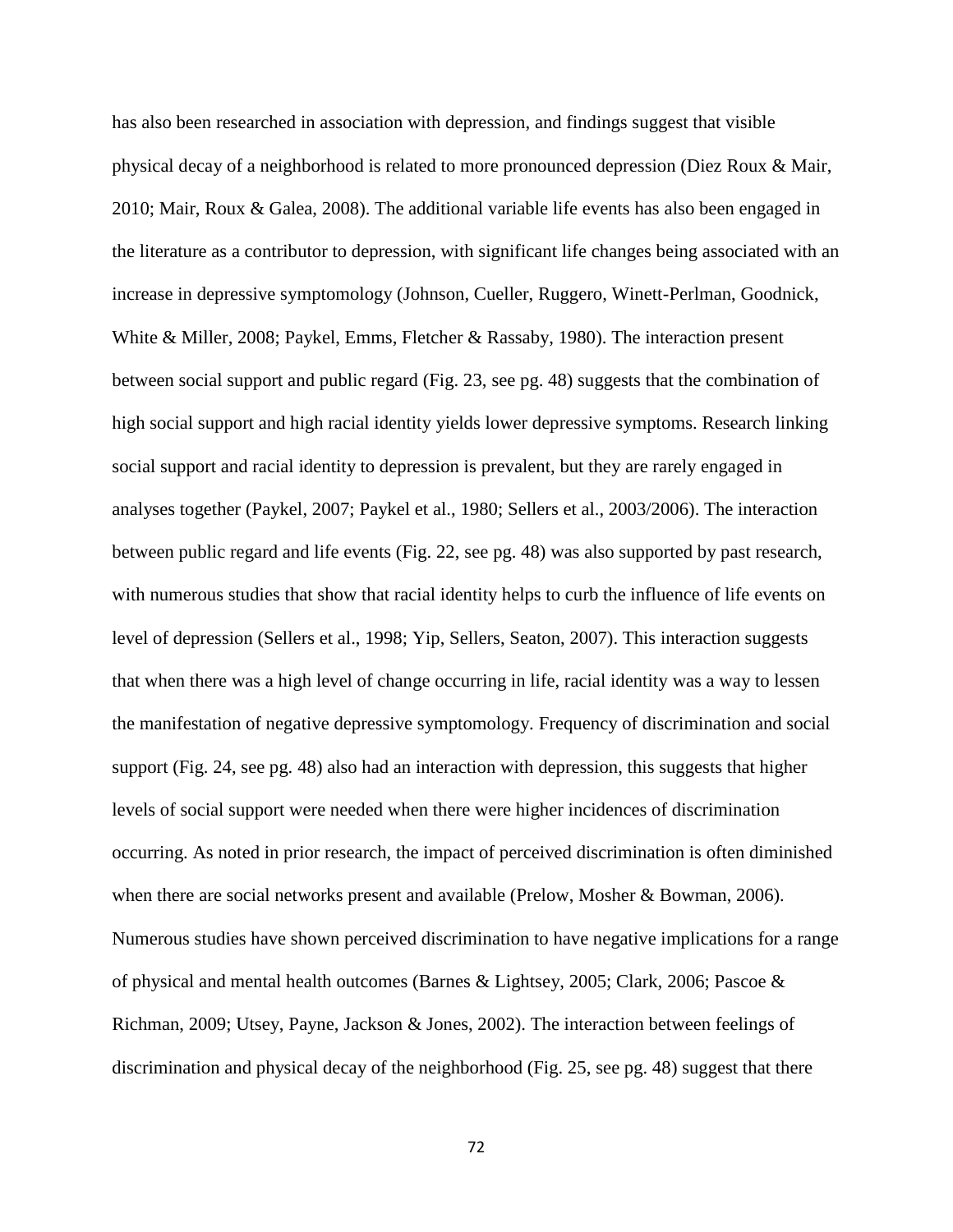has also been researched in association with depression, and findings suggest that visible physical decay of a neighborhood is related to more pronounced depression (Diez Roux & Mair, 2010; Mair, Roux & Galea, 2008). The additional variable life events has also been engaged in the literature as a contributor to depression, with significant life changes being associated with an increase in depressive symptomology (Johnson, Cueller, Ruggero, Winett-Perlman, Goodnick, White & Miller, 2008; Paykel, Emms, Fletcher & Rassaby, 1980). The interaction present between social support and public regard (Fig. 23, see pg. 48) suggests that the combination of high social support and high racial identity yields lower depressive symptoms. Research linking social support and racial identity to depression is prevalent, but they are rarely engaged in analyses together (Paykel, 2007; Paykel et al., 1980; Sellers et al., 2003/2006). The interaction between public regard and life events (Fig. 22, see pg. 48) was also supported by past research, with numerous studies that show that racial identity helps to curb the influence of life events on level of depression (Sellers et al., 1998; Yip, Sellers, Seaton, 2007). This interaction suggests that when there was a high level of change occurring in life, racial identity was a way to lessen the manifestation of negative depressive symptomology. Frequency of discrimination and social support (Fig. 24, see pg. 48) also had an interaction with depression, this suggests that higher levels of social support were needed when there were higher incidences of discrimination occurring. As noted in prior research, the impact of perceived discrimination is often diminished when there are social networks present and available (Prelow, Mosher & Bowman, 2006). Numerous studies have shown perceived discrimination to have negative implications for a range of physical and mental health outcomes (Barnes & Lightsey, 2005; Clark, 2006; Pascoe & Richman, 2009; Utsey, Payne, Jackson & Jones, 2002). The interaction between feelings of discrimination and physical decay of the neighborhood (Fig. 25, see pg. 48) suggest that there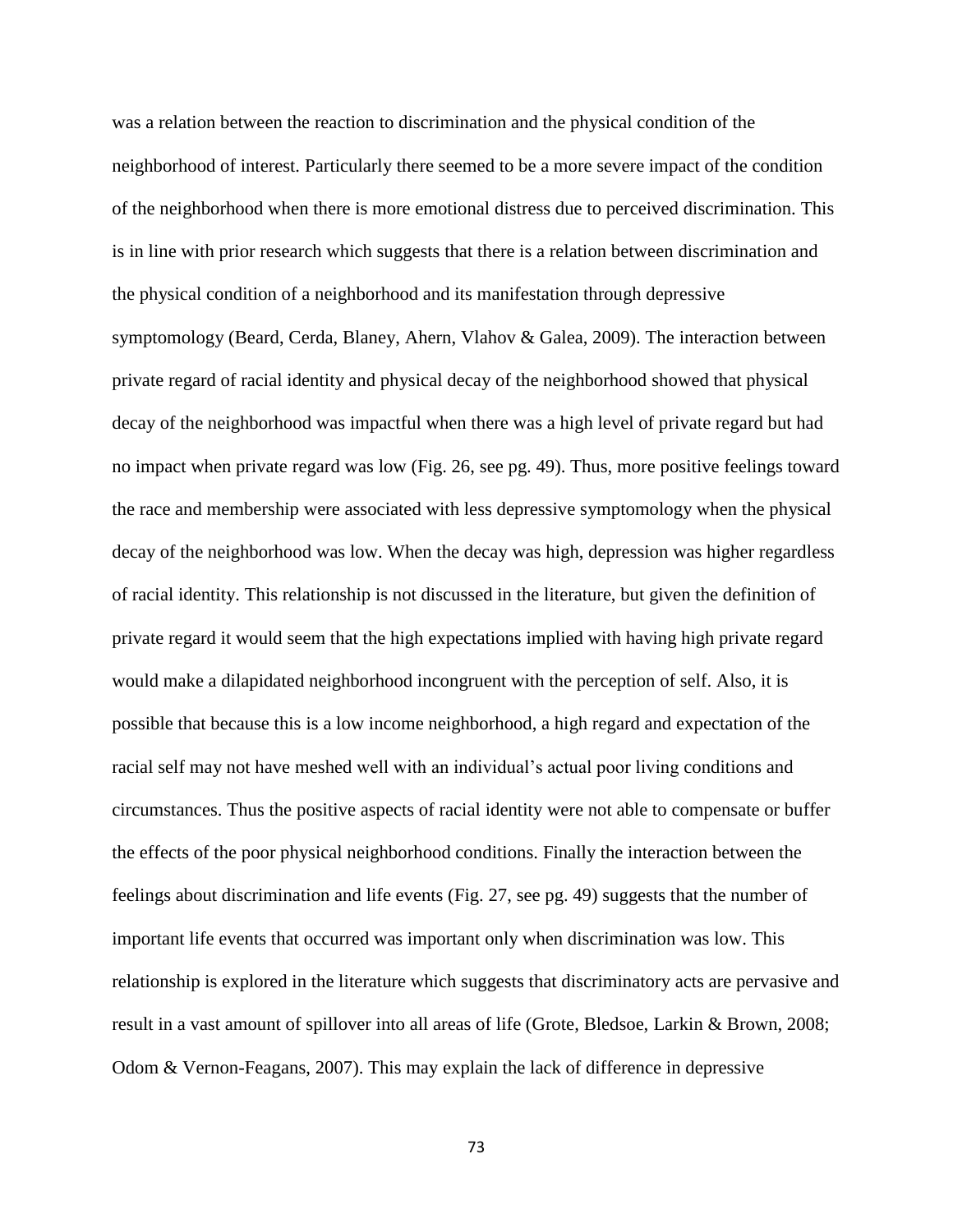was a relation between the reaction to discrimination and the physical condition of the neighborhood of interest. Particularly there seemed to be a more severe impact of the condition of the neighborhood when there is more emotional distress due to perceived discrimination. This is in line with prior research which suggests that there is a relation between discrimination and the physical condition of a neighborhood and its manifestation through depressive symptomology (Beard, Cerda, Blaney, Ahern, Vlahov & Galea, 2009). The interaction between private regard of racial identity and physical decay of the neighborhood showed that physical decay of the neighborhood was impactful when there was a high level of private regard but had no impact when private regard was low (Fig. 26, see pg. 49). Thus, more positive feelings toward the race and membership were associated with less depressive symptomology when the physical decay of the neighborhood was low. When the decay was high, depression was higher regardless of racial identity. This relationship is not discussed in the literature, but given the definition of private regard it would seem that the high expectations implied with having high private regard would make a dilapidated neighborhood incongruent with the perception of self. Also, it is possible that because this is a low income neighborhood, a high regard and expectation of the racial self may not have meshed well with an individual's actual poor living conditions and circumstances. Thus the positive aspects of racial identity were not able to compensate or buffer the effects of the poor physical neighborhood conditions. Finally the interaction between the feelings about discrimination and life events (Fig. 27, see pg. 49) suggests that the number of important life events that occurred was important only when discrimination was low. This relationship is explored in the literature which suggests that discriminatory acts are pervasive and result in a vast amount of spillover into all areas of life (Grote, Bledsoe, Larkin & Brown, 2008; Odom & Vernon-Feagans, 2007). This may explain the lack of difference in depressive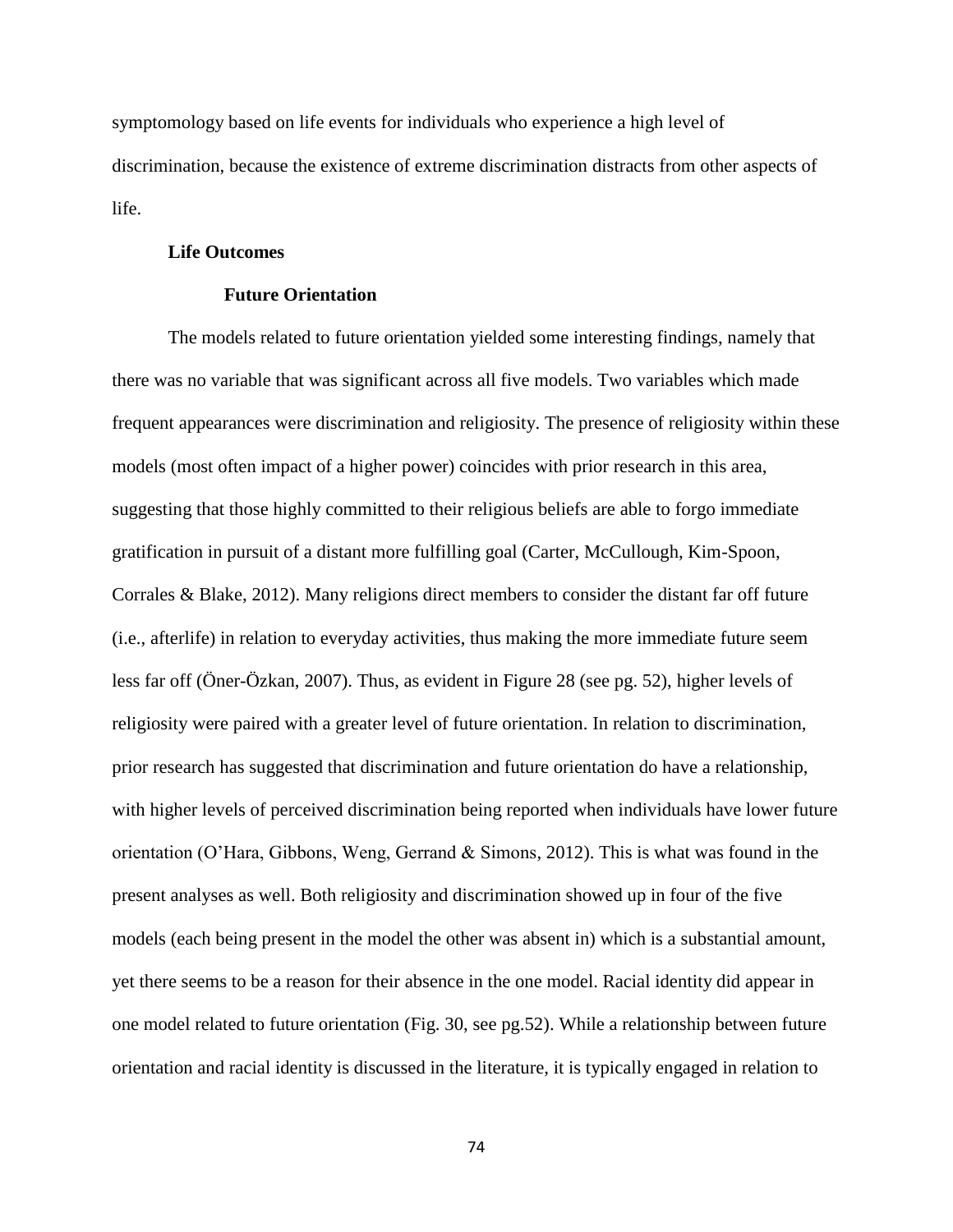symptomology based on life events for individuals who experience a high level of discrimination, because the existence of extreme discrimination distracts from other aspects of life.

#### **Life Outcomes**

# **Future Orientation**

The models related to future orientation yielded some interesting findings, namely that there was no variable that was significant across all five models. Two variables which made frequent appearances were discrimination and religiosity. The presence of religiosity within these models (most often impact of a higher power) coincides with prior research in this area, suggesting that those highly committed to their religious beliefs are able to forgo immediate gratification in pursuit of a distant more fulfilling goal (Carter, McCullough, Kim-Spoon, Corrales & Blake, 2012). Many religions direct members to consider the distant far off future (i.e., afterlife) in relation to everyday activities, thus making the more immediate future seem less far off (Öner-Özkan, 2007). Thus, as evident in Figure 28 (see pg. 52), higher levels of religiosity were paired with a greater level of future orientation. In relation to discrimination, prior research has suggested that discrimination and future orientation do have a relationship, with higher levels of perceived discrimination being reported when individuals have lower future orientation (O'Hara, Gibbons, Weng, Gerrand & Simons, 2012). This is what was found in the present analyses as well. Both religiosity and discrimination showed up in four of the five models (each being present in the model the other was absent in) which is a substantial amount, yet there seems to be a reason for their absence in the one model. Racial identity did appear in one model related to future orientation (Fig. 30, see pg.52). While a relationship between future orientation and racial identity is discussed in the literature, it is typically engaged in relation to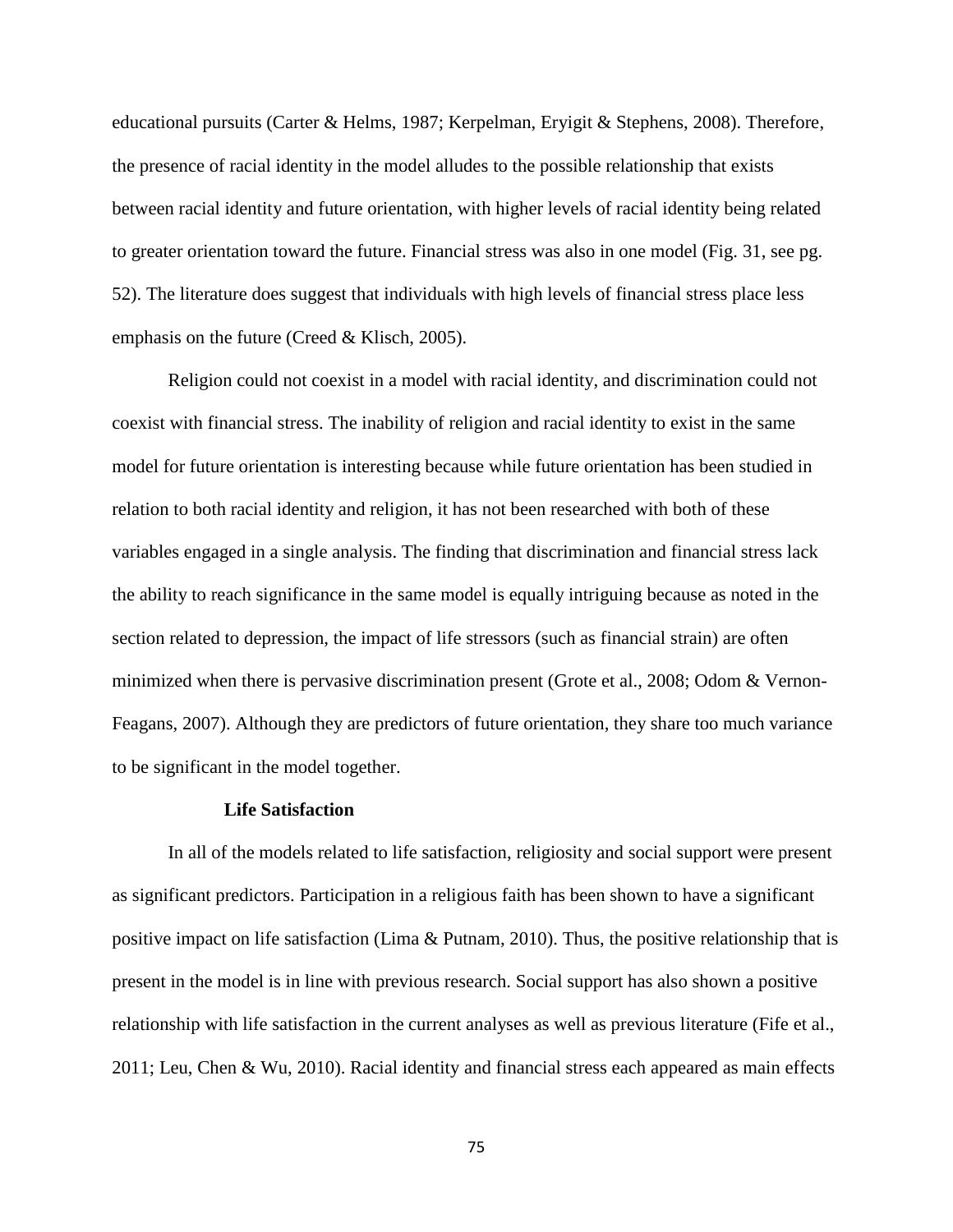educational pursuits (Carter & Helms, 1987; Kerpelman, Eryigit & Stephens, 2008). Therefore, the presence of racial identity in the model alludes to the possible relationship that exists between racial identity and future orientation, with higher levels of racial identity being related to greater orientation toward the future. Financial stress was also in one model (Fig. 31, see pg. 52). The literature does suggest that individuals with high levels of financial stress place less emphasis on the future (Creed & Klisch, 2005).

Religion could not coexist in a model with racial identity, and discrimination could not coexist with financial stress. The inability of religion and racial identity to exist in the same model for future orientation is interesting because while future orientation has been studied in relation to both racial identity and religion, it has not been researched with both of these variables engaged in a single analysis. The finding that discrimination and financial stress lack the ability to reach significance in the same model is equally intriguing because as noted in the section related to depression, the impact of life stressors (such as financial strain) are often minimized when there is pervasive discrimination present (Grote et al., 2008; Odom & Vernon-Feagans, 2007). Although they are predictors of future orientation, they share too much variance to be significant in the model together.

#### **Life Satisfaction**

In all of the models related to life satisfaction, religiosity and social support were present as significant predictors. Participation in a religious faith has been shown to have a significant positive impact on life satisfaction (Lima & Putnam, 2010). Thus, the positive relationship that is present in the model is in line with previous research. Social support has also shown a positive relationship with life satisfaction in the current analyses as well as previous literature (Fife et al., 2011; Leu, Chen & Wu, 2010). Racial identity and financial stress each appeared as main effects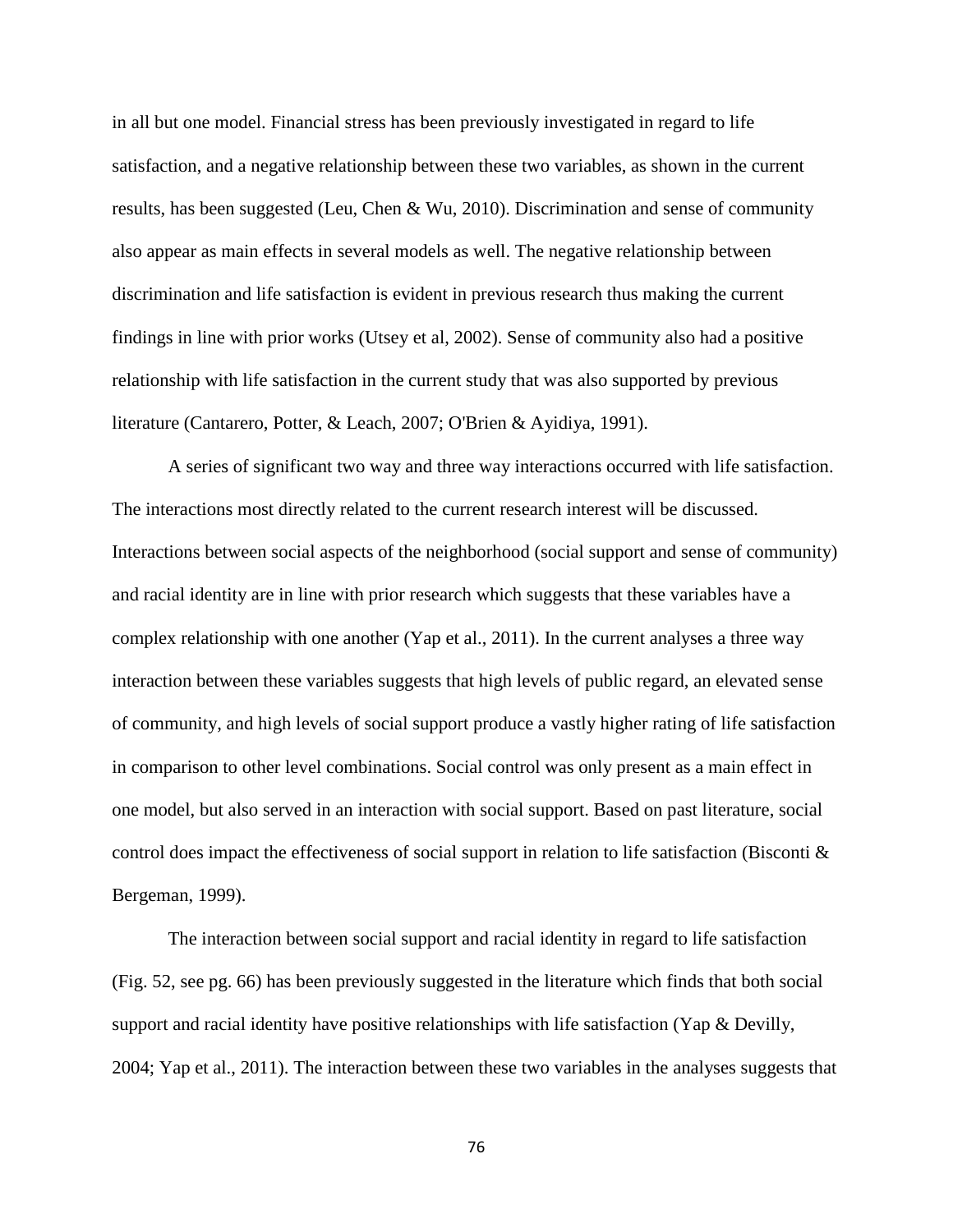in all but one model. Financial stress has been previously investigated in regard to life satisfaction, and a negative relationship between these two variables, as shown in the current results, has been suggested (Leu, Chen & Wu, 2010). Discrimination and sense of community also appear as main effects in several models as well. The negative relationship between discrimination and life satisfaction is evident in previous research thus making the current findings in line with prior works (Utsey et al, 2002). Sense of community also had a positive relationship with life satisfaction in the current study that was also supported by previous literature (Cantarero, Potter, & Leach, 2007; O'Brien & Ayidiya, 1991).

A series of significant two way and three way interactions occurred with life satisfaction. The interactions most directly related to the current research interest will be discussed. Interactions between social aspects of the neighborhood (social support and sense of community) and racial identity are in line with prior research which suggests that these variables have a complex relationship with one another (Yap et al., 2011). In the current analyses a three way interaction between these variables suggests that high levels of public regard, an elevated sense of community, and high levels of social support produce a vastly higher rating of life satisfaction in comparison to other level combinations. Social control was only present as a main effect in one model, but also served in an interaction with social support. Based on past literature, social control does impact the effectiveness of social support in relation to life satisfaction (Bisconti & Bergeman, 1999).

The interaction between social support and racial identity in regard to life satisfaction (Fig. 52, see pg. 66) has been previously suggested in the literature which finds that both social support and racial identity have positive relationships with life satisfaction (Yap & Devilly, 2004; Yap et al., 2011). The interaction between these two variables in the analyses suggests that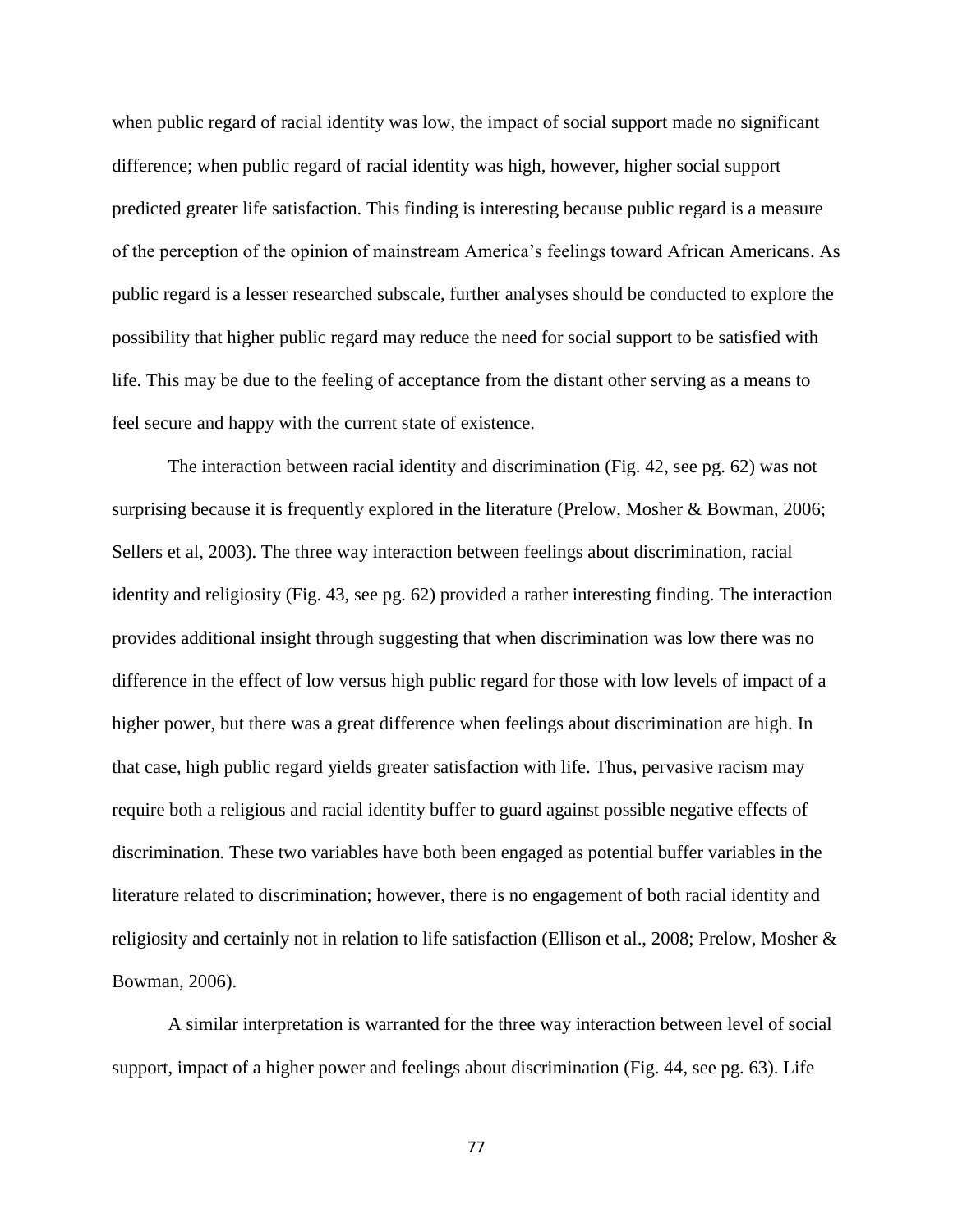when public regard of racial identity was low, the impact of social support made no significant difference; when public regard of racial identity was high, however, higher social support predicted greater life satisfaction. This finding is interesting because public regard is a measure of the perception of the opinion of mainstream America's feelings toward African Americans. As public regard is a lesser researched subscale, further analyses should be conducted to explore the possibility that higher public regard may reduce the need for social support to be satisfied with life. This may be due to the feeling of acceptance from the distant other serving as a means to feel secure and happy with the current state of existence.

The interaction between racial identity and discrimination (Fig. 42, see pg. 62) was not surprising because it is frequently explored in the literature (Prelow, Mosher & Bowman, 2006; Sellers et al, 2003). The three way interaction between feelings about discrimination, racial identity and religiosity (Fig. 43, see pg. 62) provided a rather interesting finding. The interaction provides additional insight through suggesting that when discrimination was low there was no difference in the effect of low versus high public regard for those with low levels of impact of a higher power, but there was a great difference when feelings about discrimination are high. In that case, high public regard yields greater satisfaction with life. Thus, pervasive racism may require both a religious and racial identity buffer to guard against possible negative effects of discrimination. These two variables have both been engaged as potential buffer variables in the literature related to discrimination; however, there is no engagement of both racial identity and religiosity and certainly not in relation to life satisfaction (Ellison et al., 2008; Prelow, Mosher & Bowman, 2006).

A similar interpretation is warranted for the three way interaction between level of social support, impact of a higher power and feelings about discrimination (Fig. 44, see pg. 63). Life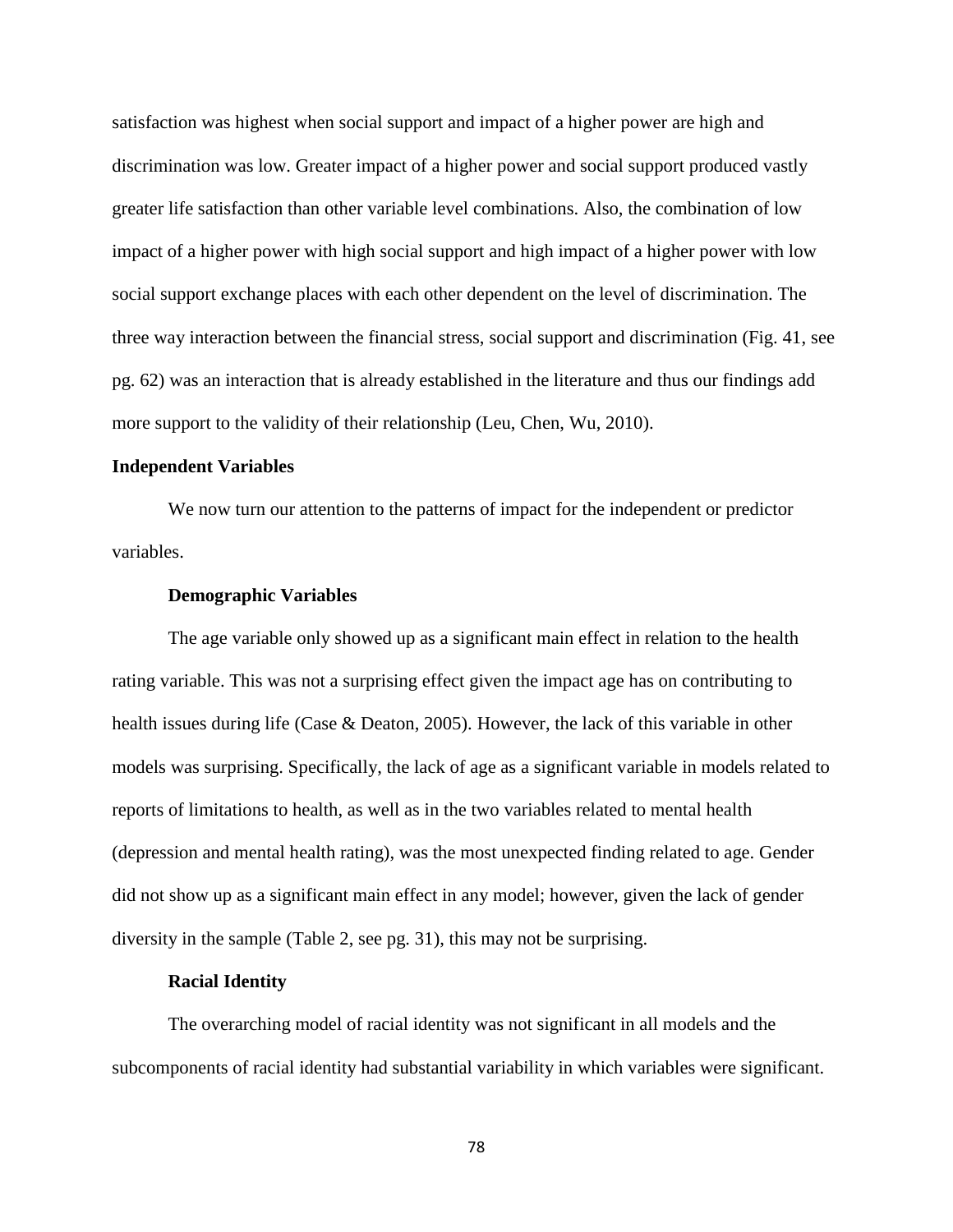satisfaction was highest when social support and impact of a higher power are high and discrimination was low. Greater impact of a higher power and social support produced vastly greater life satisfaction than other variable level combinations. Also, the combination of low impact of a higher power with high social support and high impact of a higher power with low social support exchange places with each other dependent on the level of discrimination. The three way interaction between the financial stress, social support and discrimination (Fig. 41, see pg. 62) was an interaction that is already established in the literature and thus our findings add more support to the validity of their relationship (Leu, Chen, Wu, 2010).

# **Independent Variables**

We now turn our attention to the patterns of impact for the independent or predictor variables.

#### **Demographic Variables**

The age variable only showed up as a significant main effect in relation to the health rating variable. This was not a surprising effect given the impact age has on contributing to health issues during life (Case & Deaton, 2005). However, the lack of this variable in other models was surprising. Specifically, the lack of age as a significant variable in models related to reports of limitations to health, as well as in the two variables related to mental health (depression and mental health rating), was the most unexpected finding related to age. Gender did not show up as a significant main effect in any model; however, given the lack of gender diversity in the sample (Table 2, see pg. 31), this may not be surprising.

#### **Racial Identity**

The overarching model of racial identity was not significant in all models and the subcomponents of racial identity had substantial variability in which variables were significant.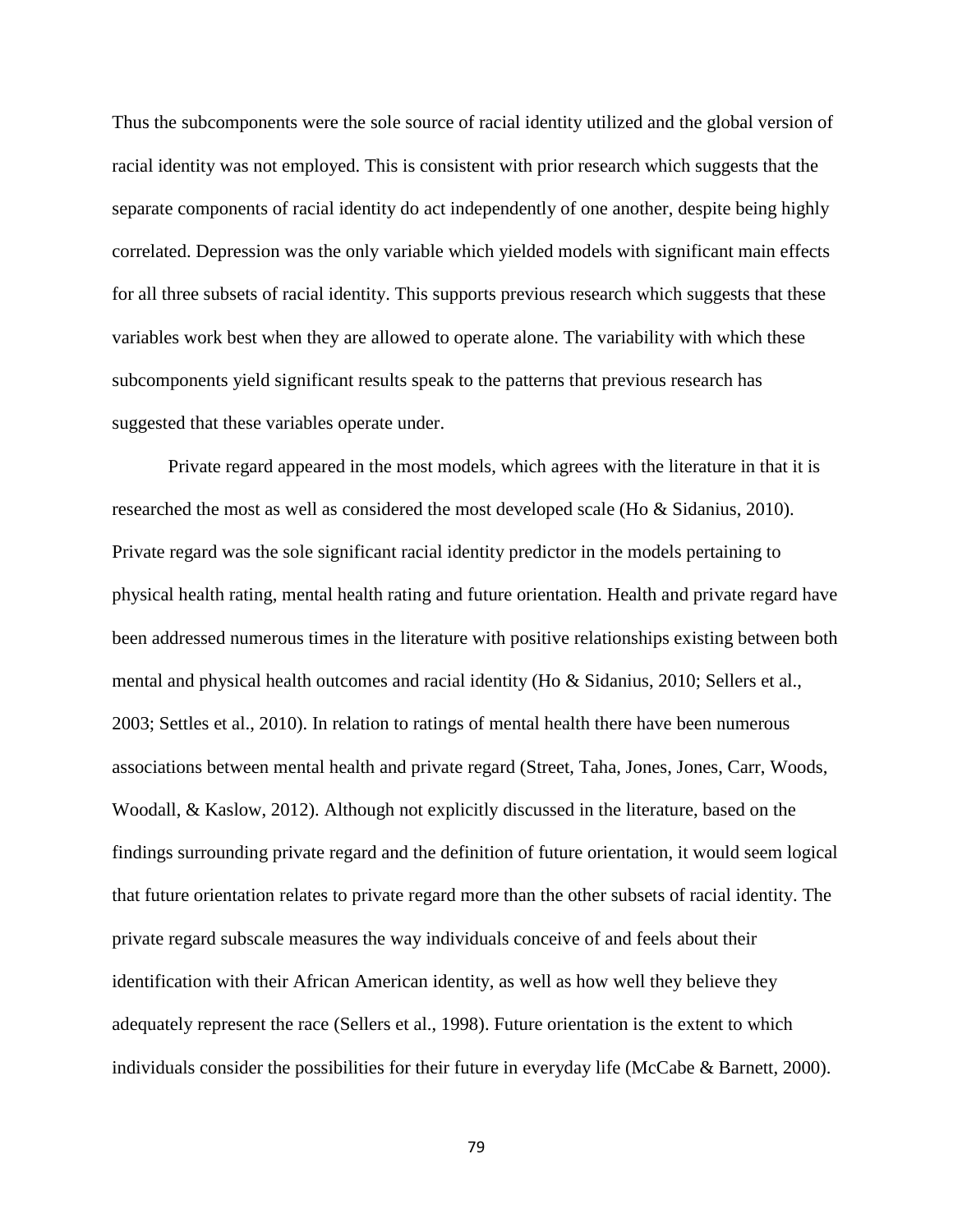Thus the subcomponents were the sole source of racial identity utilized and the global version of racial identity was not employed. This is consistent with prior research which suggests that the separate components of racial identity do act independently of one another, despite being highly correlated. Depression was the only variable which yielded models with significant main effects for all three subsets of racial identity. This supports previous research which suggests that these variables work best when they are allowed to operate alone. The variability with which these subcomponents yield significant results speak to the patterns that previous research has suggested that these variables operate under.

Private regard appeared in the most models, which agrees with the literature in that it is researched the most as well as considered the most developed scale (Ho & Sidanius, 2010). Private regard was the sole significant racial identity predictor in the models pertaining to physical health rating, mental health rating and future orientation. Health and private regard have been addressed numerous times in the literature with positive relationships existing between both mental and physical health outcomes and racial identity (Ho & Sidanius, 2010; Sellers et al., 2003; Settles et al., 2010). In relation to ratings of mental health there have been numerous associations between mental health and private regard (Street, Taha, Jones, Jones, Carr, Woods, Woodall, & Kaslow, 2012). Although not explicitly discussed in the literature, based on the findings surrounding private regard and the definition of future orientation, it would seem logical that future orientation relates to private regard more than the other subsets of racial identity. The private regard subscale measures the way individuals conceive of and feels about their identification with their African American identity, as well as how well they believe they adequately represent the race (Sellers et al., 1998). Future orientation is the extent to which individuals consider the possibilities for their future in everyday life (McCabe & Barnett, 2000).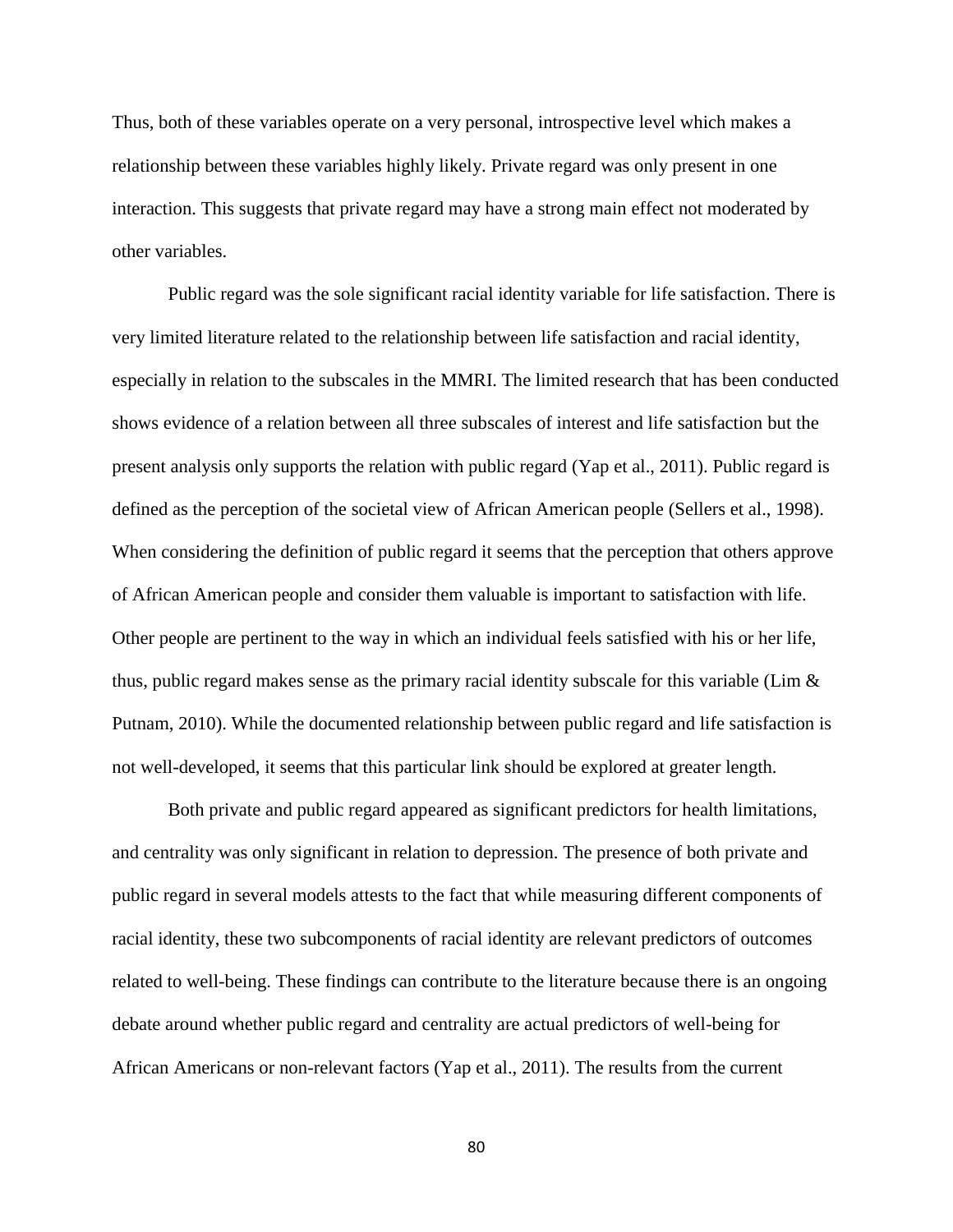Thus, both of these variables operate on a very personal, introspective level which makes a relationship between these variables highly likely. Private regard was only present in one interaction. This suggests that private regard may have a strong main effect not moderated by other variables.

Public regard was the sole significant racial identity variable for life satisfaction. There is very limited literature related to the relationship between life satisfaction and racial identity, especially in relation to the subscales in the MMRI. The limited research that has been conducted shows evidence of a relation between all three subscales of interest and life satisfaction but the present analysis only supports the relation with public regard (Yap et al., 2011). Public regard is defined as the perception of the societal view of African American people (Sellers et al., 1998). When considering the definition of public regard it seems that the perception that others approve of African American people and consider them valuable is important to satisfaction with life. Other people are pertinent to the way in which an individual feels satisfied with his or her life, thus, public regard makes sense as the primary racial identity subscale for this variable (Lim  $\&$ Putnam, 2010). While the documented relationship between public regard and life satisfaction is not well-developed, it seems that this particular link should be explored at greater length.

Both private and public regard appeared as significant predictors for health limitations, and centrality was only significant in relation to depression. The presence of both private and public regard in several models attests to the fact that while measuring different components of racial identity, these two subcomponents of racial identity are relevant predictors of outcomes related to well-being. These findings can contribute to the literature because there is an ongoing debate around whether public regard and centrality are actual predictors of well-being for African Americans or non-relevant factors (Yap et al., 2011). The results from the current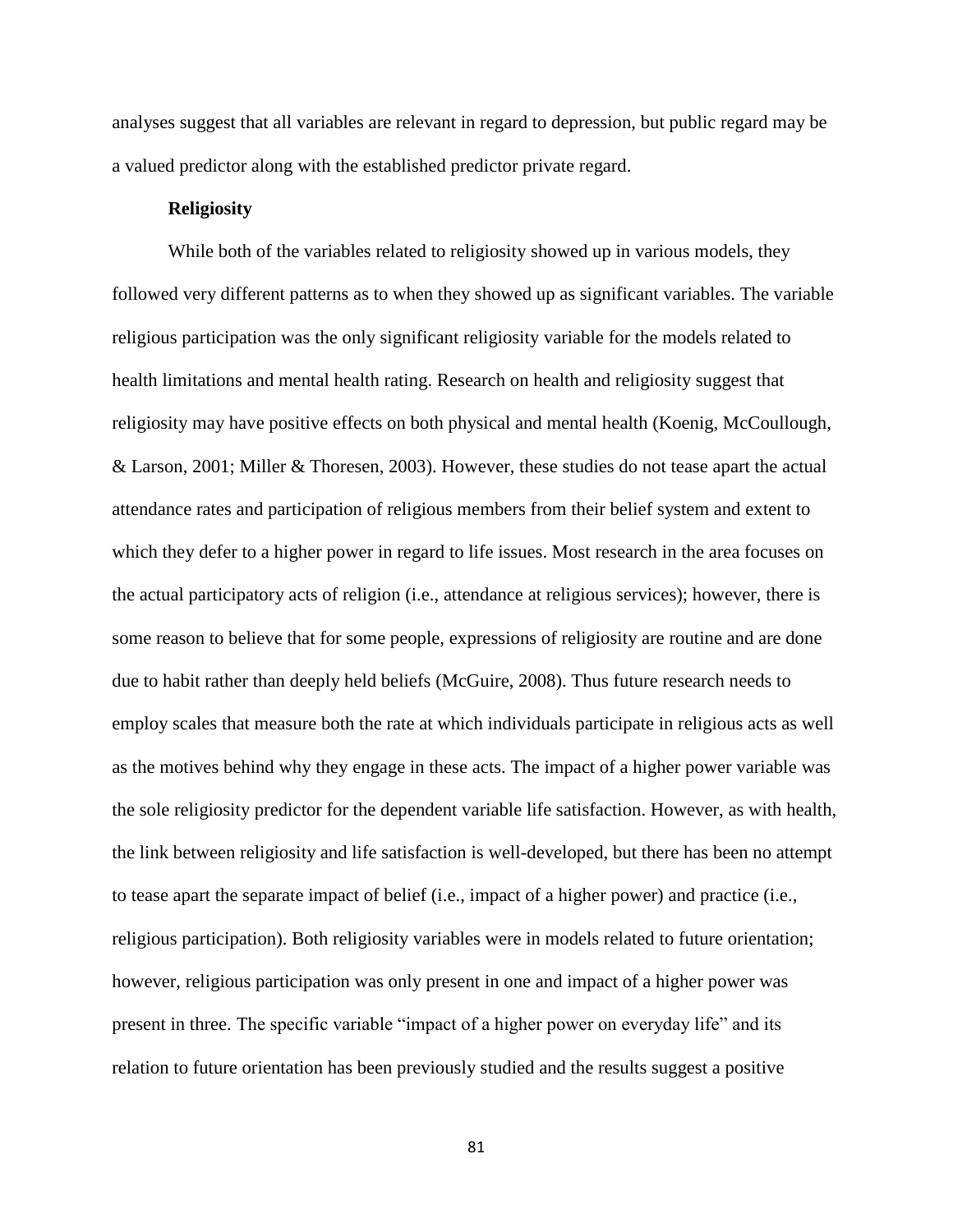analyses suggest that all variables are relevant in regard to depression, but public regard may be a valued predictor along with the established predictor private regard.

# **Religiosity**

While both of the variables related to religiosity showed up in various models, they followed very different patterns as to when they showed up as significant variables. The variable religious participation was the only significant religiosity variable for the models related to health limitations and mental health rating. Research on health and religiosity suggest that religiosity may have positive effects on both physical and mental health (Koenig, McCoullough, & Larson, 2001; Miller & Thoresen, 2003). However, these studies do not tease apart the actual attendance rates and participation of religious members from their belief system and extent to which they defer to a higher power in regard to life issues. Most research in the area focuses on the actual participatory acts of religion (i.e., attendance at religious services); however, there is some reason to believe that for some people, expressions of religiosity are routine and are done due to habit rather than deeply held beliefs (McGuire, 2008). Thus future research needs to employ scales that measure both the rate at which individuals participate in religious acts as well as the motives behind why they engage in these acts. The impact of a higher power variable was the sole religiosity predictor for the dependent variable life satisfaction. However, as with health, the link between religiosity and life satisfaction is well-developed, but there has been no attempt to tease apart the separate impact of belief (i.e., impact of a higher power) and practice (i.e., religious participation). Both religiosity variables were in models related to future orientation; however, religious participation was only present in one and impact of a higher power was present in three. The specific variable "impact of a higher power on everyday life" and its relation to future orientation has been previously studied and the results suggest a positive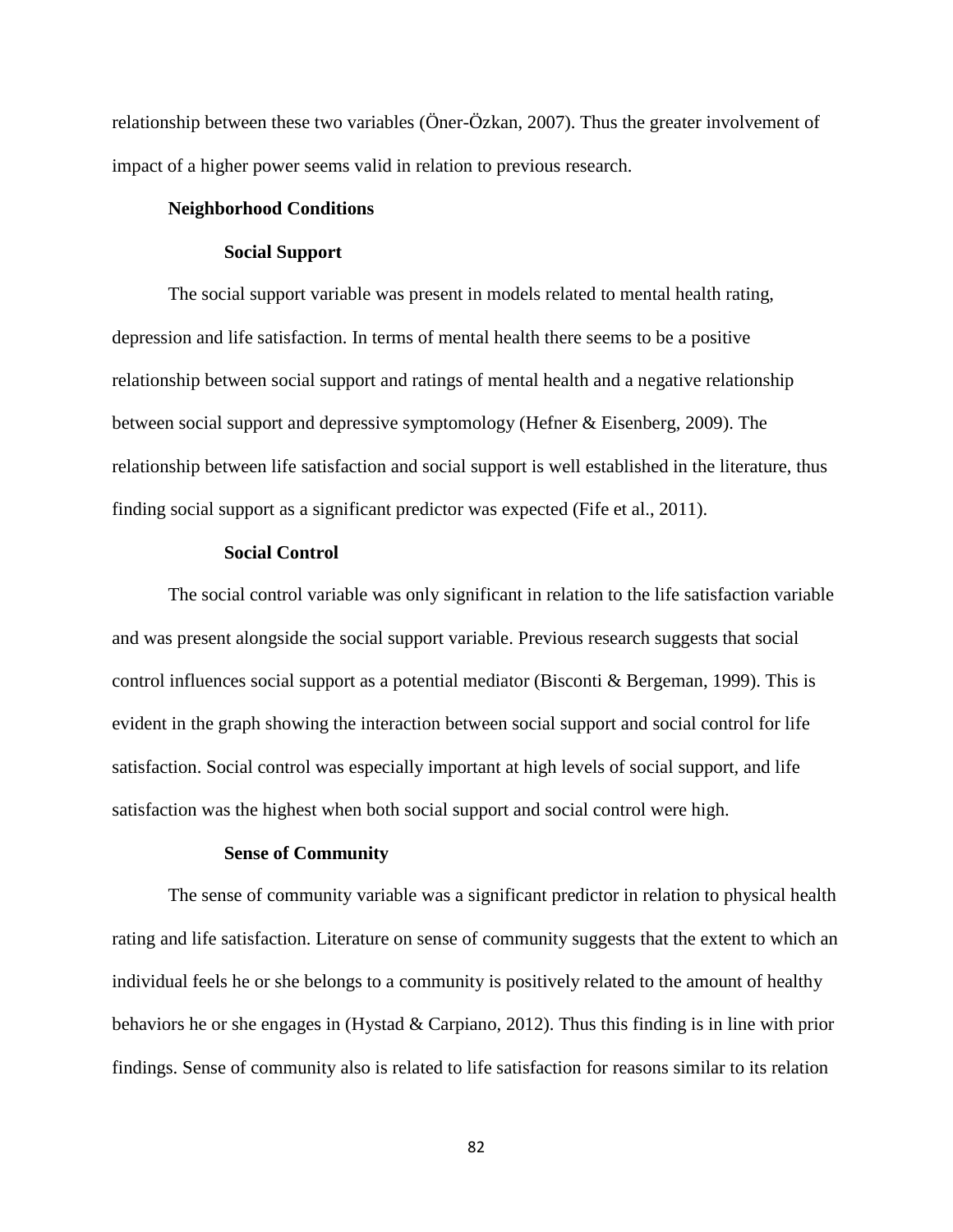relationship between these two variables (Öner-Özkan, 2007). Thus the greater involvement of impact of a higher power seems valid in relation to previous research.

# **Neighborhood Conditions**

# **Social Support**

The social support variable was present in models related to mental health rating, depression and life satisfaction. In terms of mental health there seems to be a positive relationship between social support and ratings of mental health and a negative relationship between social support and depressive symptomology (Hefner & Eisenberg, 2009). The relationship between life satisfaction and social support is well established in the literature, thus finding social support as a significant predictor was expected (Fife et al., 2011).

# **Social Control**

The social control variable was only significant in relation to the life satisfaction variable and was present alongside the social support variable. Previous research suggests that social control influences social support as a potential mediator (Bisconti & Bergeman, 1999). This is evident in the graph showing the interaction between social support and social control for life satisfaction. Social control was especially important at high levels of social support, and life satisfaction was the highest when both social support and social control were high.

#### **Sense of Community**

The sense of community variable was a significant predictor in relation to physical health rating and life satisfaction. Literature on sense of community suggests that the extent to which an individual feels he or she belongs to a community is positively related to the amount of healthy behaviors he or she engages in (Hystad & Carpiano, 2012). Thus this finding is in line with prior findings. Sense of community also is related to life satisfaction for reasons similar to its relation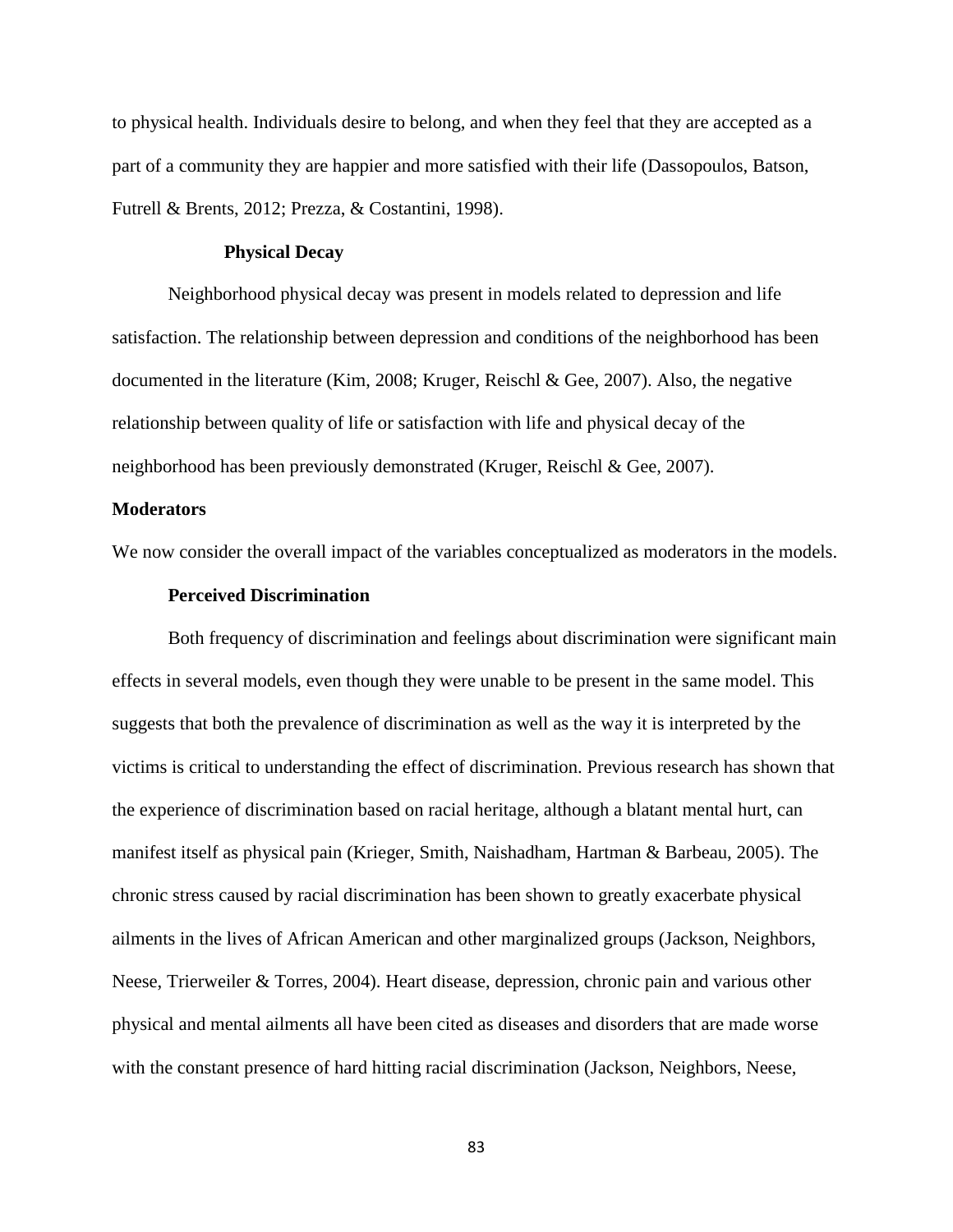to physical health. Individuals desire to belong, and when they feel that they are accepted as a part of a community they are happier and more satisfied with their life (Dassopoulos, Batson, Futrell & Brents, 2012; Prezza, & Costantini, 1998).

# **Physical Decay**

Neighborhood physical decay was present in models related to depression and life satisfaction. The relationship between depression and conditions of the neighborhood has been documented in the literature (Kim, 2008; Kruger, Reischl & Gee, 2007). Also, the negative relationship between quality of life or satisfaction with life and physical decay of the neighborhood has been previously demonstrated (Kruger, Reischl & Gee, 2007).

# **Moderators**

We now consider the overall impact of the variables conceptualized as moderators in the models.

# **Perceived Discrimination**

Both frequency of discrimination and feelings about discrimination were significant main effects in several models, even though they were unable to be present in the same model. This suggests that both the prevalence of discrimination as well as the way it is interpreted by the victims is critical to understanding the effect of discrimination. Previous research has shown that the experience of discrimination based on racial heritage, although a blatant mental hurt, can manifest itself as physical pain (Krieger, Smith, Naishadham, Hartman & Barbeau, 2005). The chronic stress caused by racial discrimination has been shown to greatly exacerbate physical ailments in the lives of African American and other marginalized groups (Jackson, Neighbors, Neese, Trierweiler & Torres, 2004). Heart disease, depression, chronic pain and various other physical and mental ailments all have been cited as diseases and disorders that are made worse with the constant presence of hard hitting racial discrimination (Jackson, Neighbors, Neese,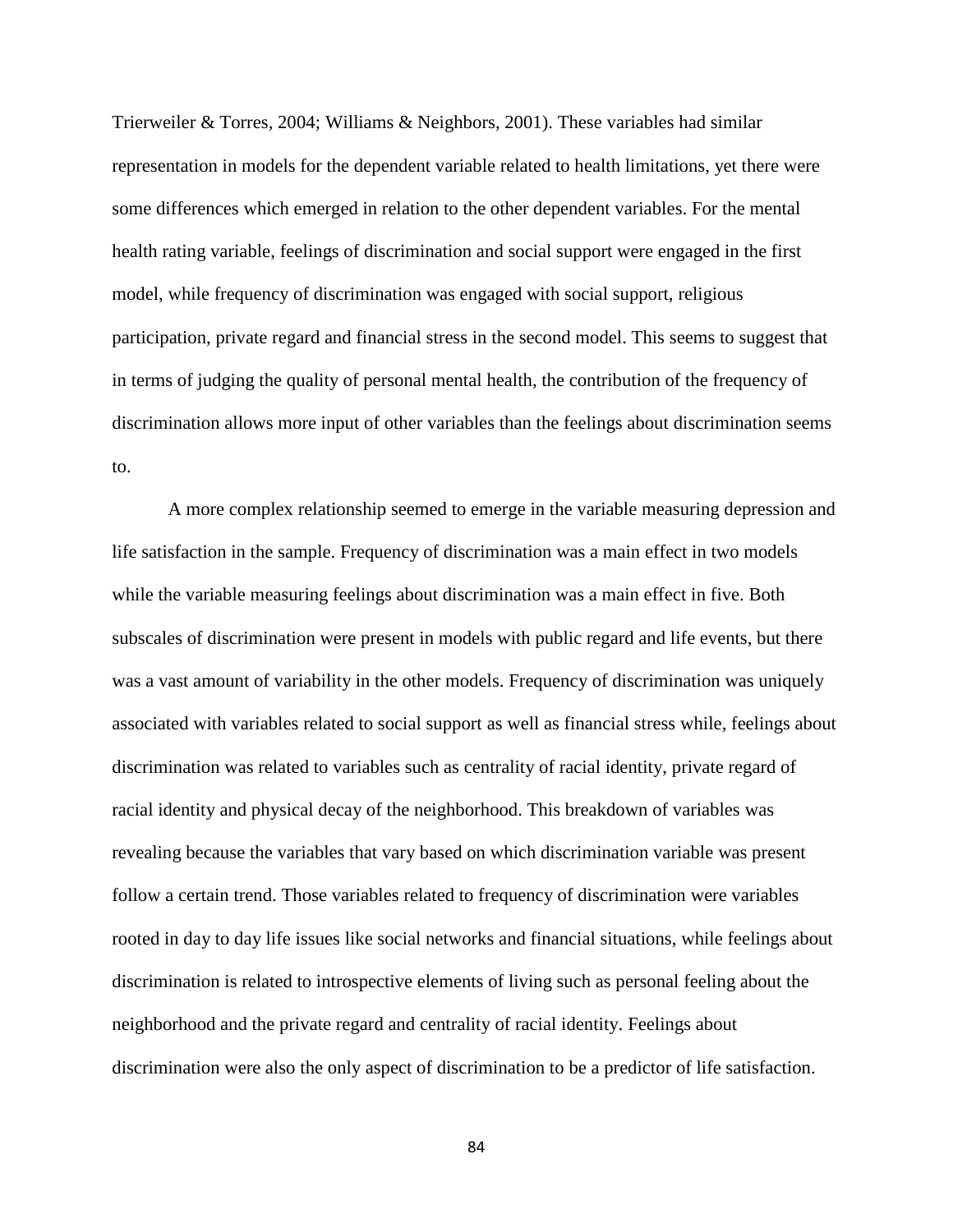Trierweiler & Torres, 2004; Williams & Neighbors, 2001). These variables had similar representation in models for the dependent variable related to health limitations, yet there were some differences which emerged in relation to the other dependent variables. For the mental health rating variable, feelings of discrimination and social support were engaged in the first model, while frequency of discrimination was engaged with social support, religious participation, private regard and financial stress in the second model. This seems to suggest that in terms of judging the quality of personal mental health, the contribution of the frequency of discrimination allows more input of other variables than the feelings about discrimination seems to.

A more complex relationship seemed to emerge in the variable measuring depression and life satisfaction in the sample. Frequency of discrimination was a main effect in two models while the variable measuring feelings about discrimination was a main effect in five. Both subscales of discrimination were present in models with public regard and life events, but there was a vast amount of variability in the other models. Frequency of discrimination was uniquely associated with variables related to social support as well as financial stress while, feelings about discrimination was related to variables such as centrality of racial identity, private regard of racial identity and physical decay of the neighborhood. This breakdown of variables was revealing because the variables that vary based on which discrimination variable was present follow a certain trend. Those variables related to frequency of discrimination were variables rooted in day to day life issues like social networks and financial situations, while feelings about discrimination is related to introspective elements of living such as personal feeling about the neighborhood and the private regard and centrality of racial identity. Feelings about discrimination were also the only aspect of discrimination to be a predictor of life satisfaction.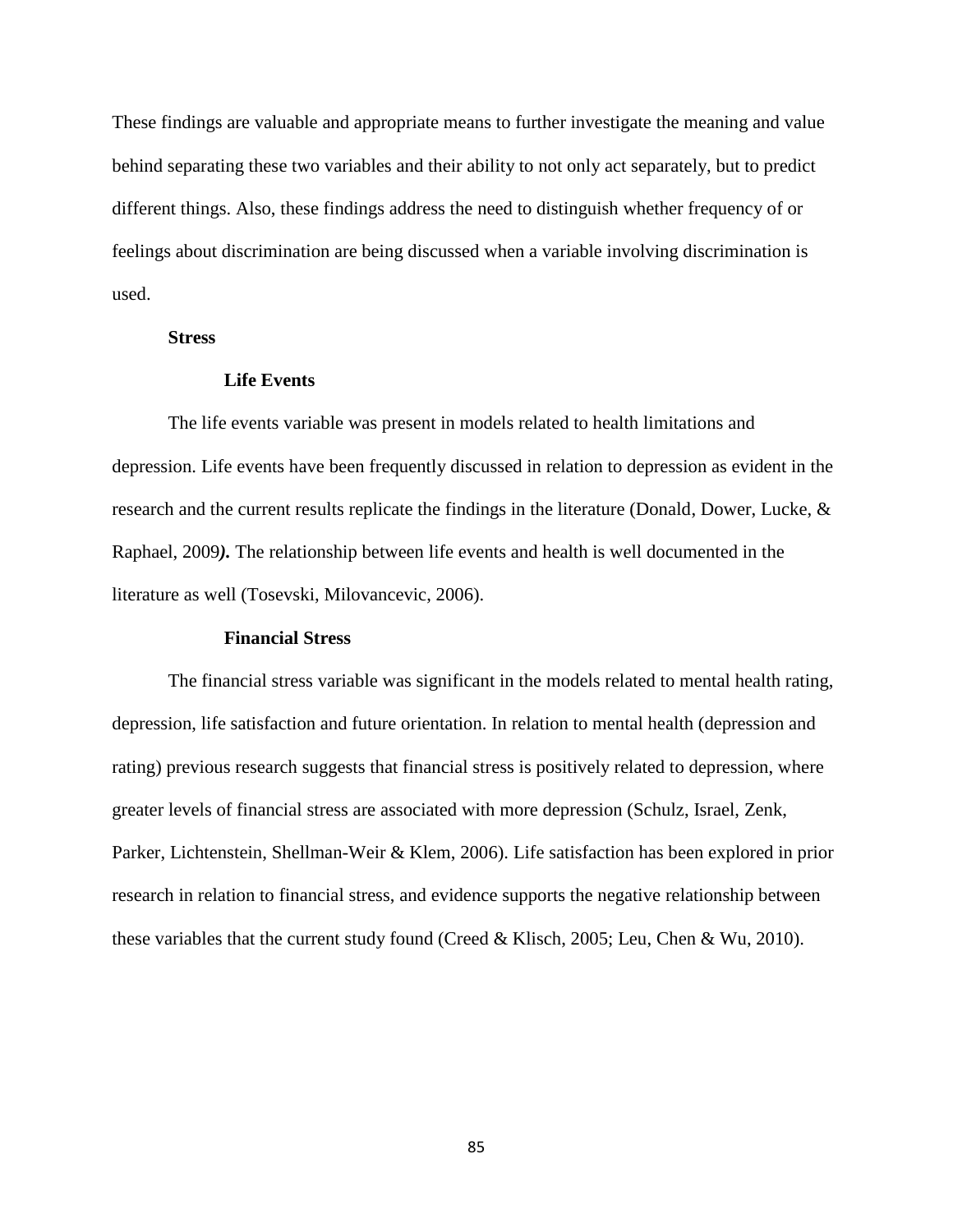These findings are valuable and appropriate means to further investigate the meaning and value behind separating these two variables and their ability to not only act separately, but to predict different things. Also, these findings address the need to distinguish whether frequency of or feelings about discrimination are being discussed when a variable involving discrimination is used.

# **Stress**

# **Life Events**

The life events variable was present in models related to health limitations and depression. Life events have been frequently discussed in relation to depression as evident in the research and the current results replicate the findings in the literature (Donald, Dower, Lucke, & Raphael, 2009*).* The relationship between life events and health is well documented in the literature as well (Tosevski, Milovancevic, 2006).

# **Financial Stress**

The financial stress variable was significant in the models related to mental health rating, depression, life satisfaction and future orientation. In relation to mental health (depression and rating) previous research suggests that financial stress is positively related to depression, where greater levels of financial stress are associated with more depression (Schulz, Israel, Zenk, Parker, Lichtenstein, Shellman-Weir & Klem, 2006). Life satisfaction has been explored in prior research in relation to financial stress, and evidence supports the negative relationship between these variables that the current study found (Creed & Klisch, 2005; Leu, Chen & Wu, 2010).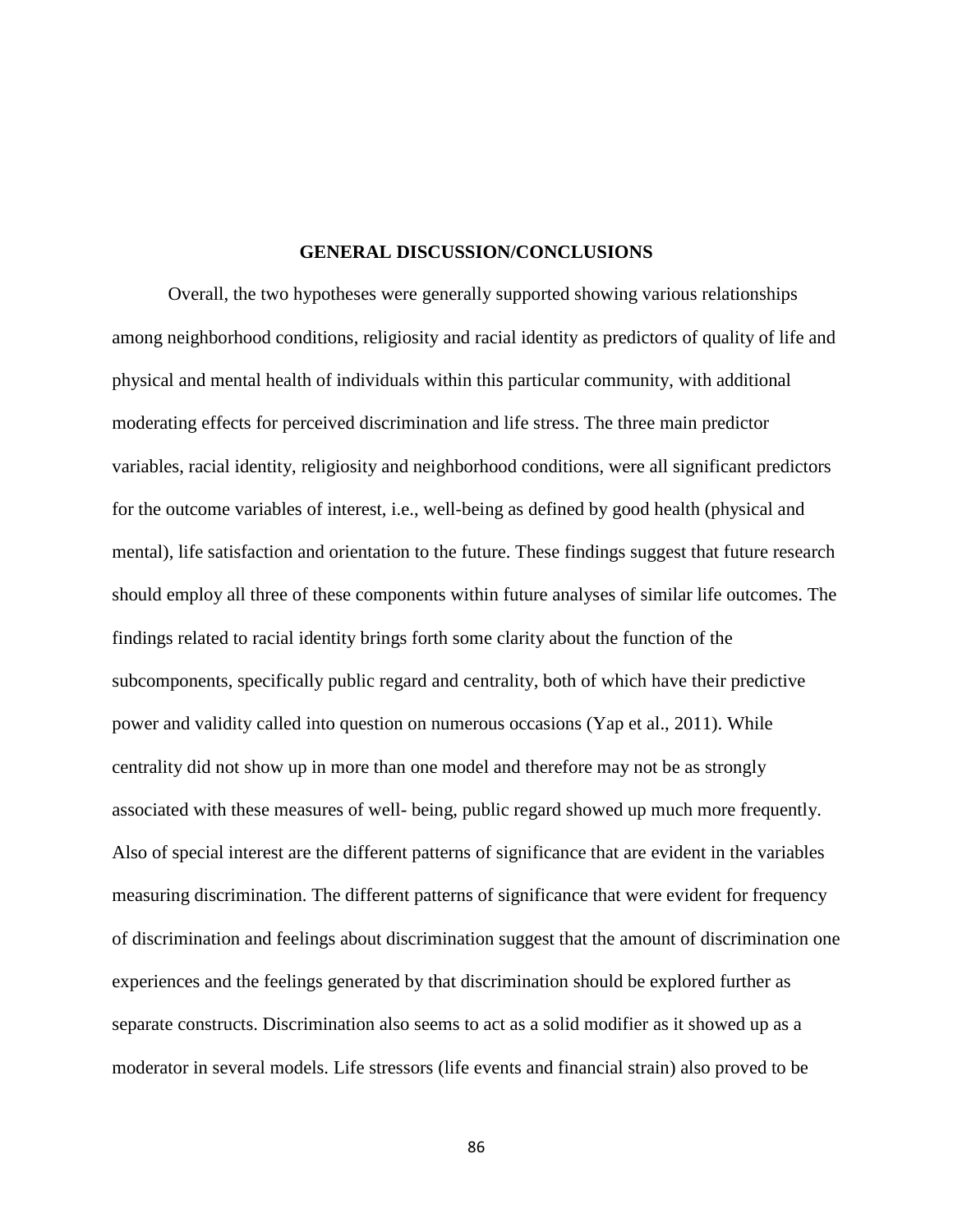# **GENERAL DISCUSSION/CONCLUSIONS**

Overall, the two hypotheses were generally supported showing various relationships among neighborhood conditions, religiosity and racial identity as predictors of quality of life and physical and mental health of individuals within this particular community, with additional moderating effects for perceived discrimination and life stress. The three main predictor variables, racial identity, religiosity and neighborhood conditions, were all significant predictors for the outcome variables of interest, i.e., well-being as defined by good health (physical and mental), life satisfaction and orientation to the future. These findings suggest that future research should employ all three of these components within future analyses of similar life outcomes. The findings related to racial identity brings forth some clarity about the function of the subcomponents, specifically public regard and centrality, both of which have their predictive power and validity called into question on numerous occasions (Yap et al., 2011). While centrality did not show up in more than one model and therefore may not be as strongly associated with these measures of well- being, public regard showed up much more frequently. Also of special interest are the different patterns of significance that are evident in the variables measuring discrimination. The different patterns of significance that were evident for frequency of discrimination and feelings about discrimination suggest that the amount of discrimination one experiences and the feelings generated by that discrimination should be explored further as separate constructs. Discrimination also seems to act as a solid modifier as it showed up as a moderator in several models. Life stressors (life events and financial strain) also proved to be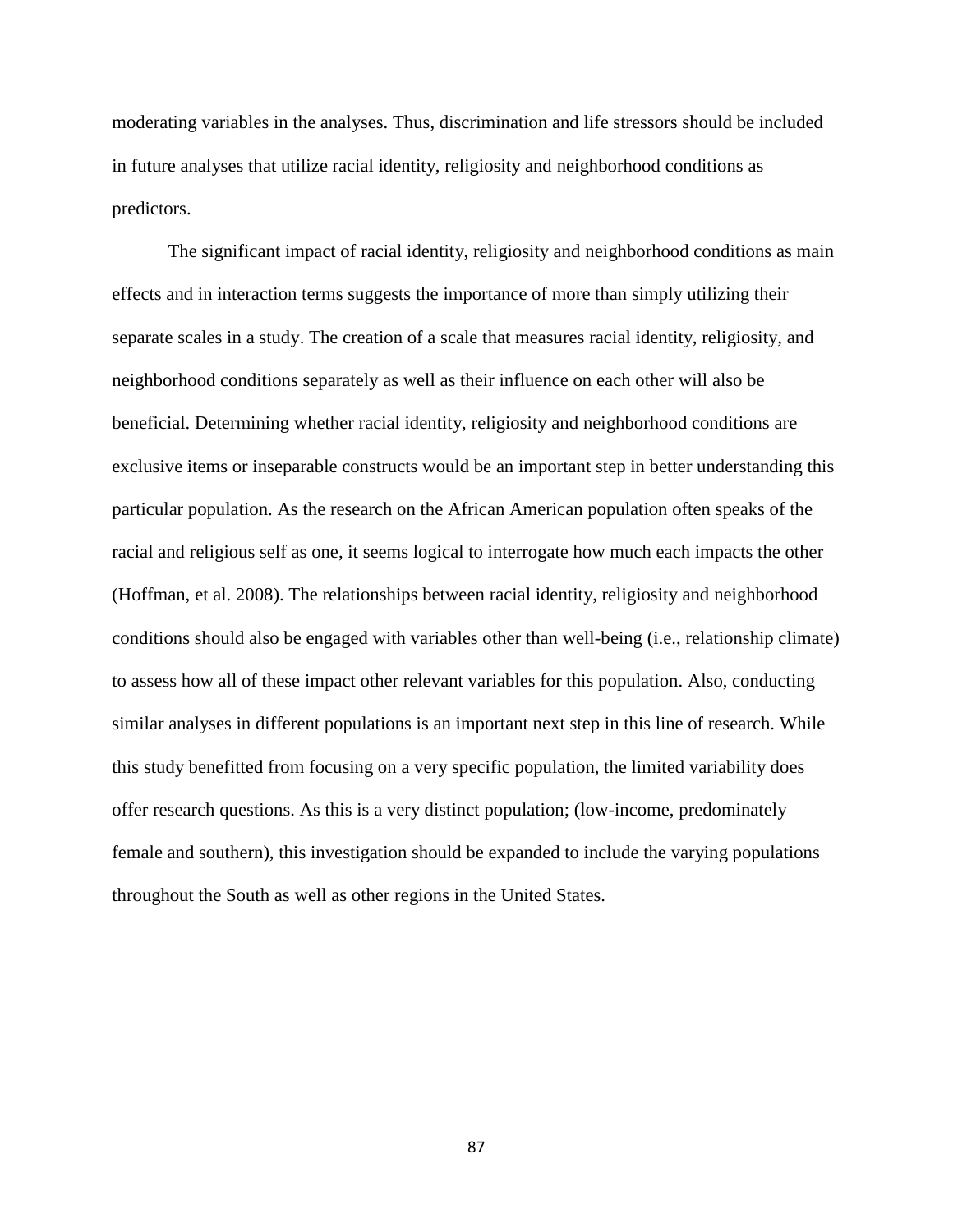moderating variables in the analyses. Thus, discrimination and life stressors should be included in future analyses that utilize racial identity, religiosity and neighborhood conditions as predictors.

The significant impact of racial identity, religiosity and neighborhood conditions as main effects and in interaction terms suggests the importance of more than simply utilizing their separate scales in a study. The creation of a scale that measures racial identity, religiosity, and neighborhood conditions separately as well as their influence on each other will also be beneficial. Determining whether racial identity, religiosity and neighborhood conditions are exclusive items or inseparable constructs would be an important step in better understanding this particular population. As the research on the African American population often speaks of the racial and religious self as one, it seems logical to interrogate how much each impacts the other (Hoffman, et al. 2008). The relationships between racial identity, religiosity and neighborhood conditions should also be engaged with variables other than well-being (i.e., relationship climate) to assess how all of these impact other relevant variables for this population. Also, conducting similar analyses in different populations is an important next step in this line of research. While this study benefitted from focusing on a very specific population, the limited variability does offer research questions. As this is a very distinct population; (low-income, predominately female and southern), this investigation should be expanded to include the varying populations throughout the South as well as other regions in the United States.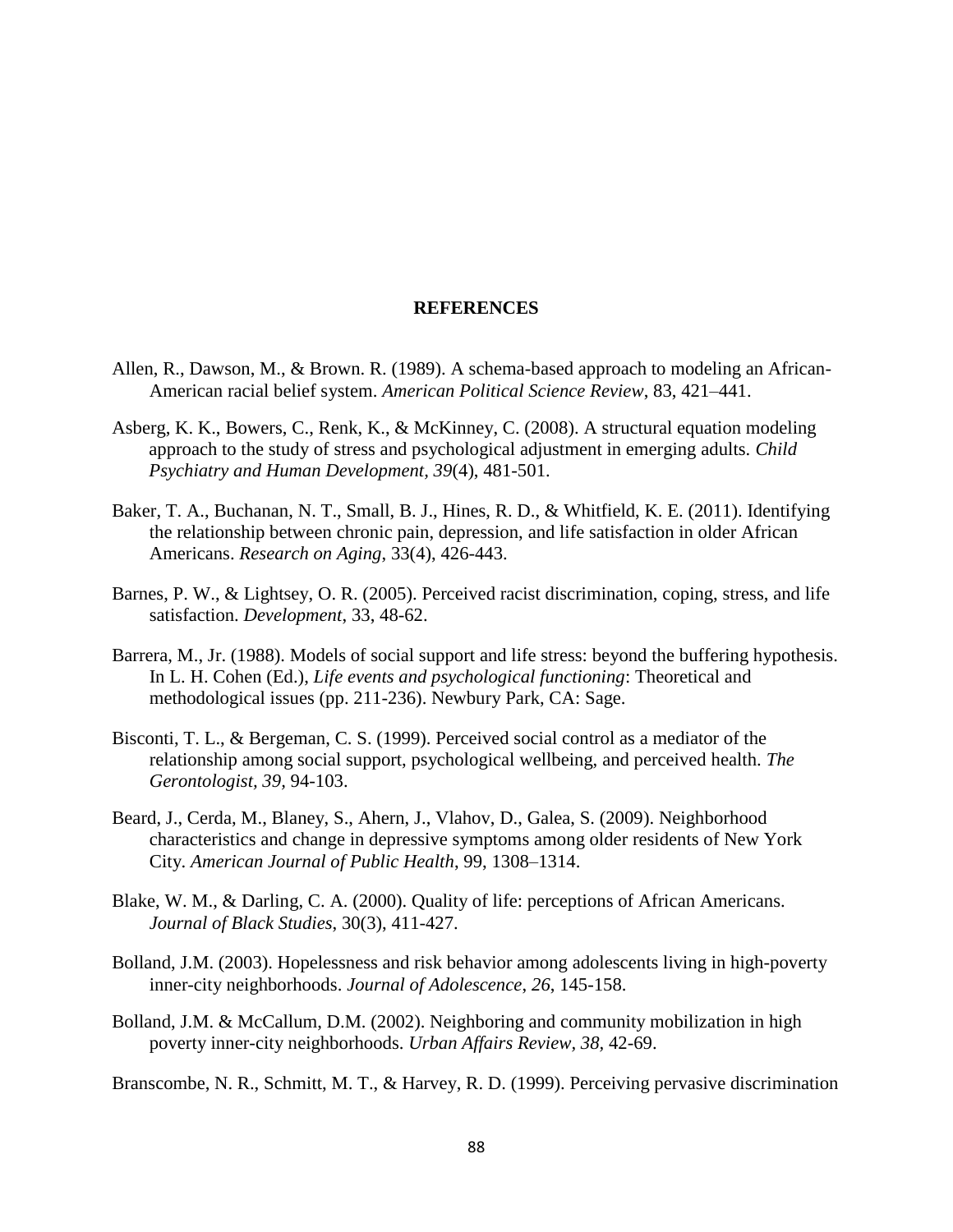# **REFERENCES**

- Allen, R., Dawson, M., & Brown. R. (1989). A schema-based approach to modeling an African-American racial belief system. *American Political Science Review*, 83, 421–441.
- Asberg, K. K., Bowers, C., Renk, K., & McKinney, C. (2008). A structural equation modeling approach to the study of stress and psychological adjustment in emerging adults. *Child Psychiatry and Human Development, 39*(4), 481-501.
- Baker, T. A., Buchanan, N. T., Small, B. J., Hines, R. D., & Whitfield, K. E. (2011). Identifying the relationship between chronic pain, depression, and life satisfaction in older African Americans. *Research on Aging*, 33(4), 426-443.
- Barnes, P. W., & Lightsey, O. R. (2005). Perceived racist discrimination, coping, stress, and life satisfaction. *Development*, 33, 48-62.
- Barrera, M., Jr. (1988). Models of social support and life stress: beyond the buffering hypothesis. In L. H. Cohen (Ed.), *Life events and psychological functioning*: Theoretical and methodological issues (pp. 211-236). Newbury Park, CA: Sage.
- Bisconti, T. L., & Bergeman, C. S. (1999). Perceived social control as a mediator of the relationship among social support, psychological wellbeing, and perceived health. *The Gerontologist, 39,* 94-103.
- Beard, J., Cerda, M., Blaney, S., Ahern, J., Vlahov, D., Galea, S. (2009). Neighborhood characteristics and change in depressive symptoms among older residents of New York City. *American Journal of Public Health*, 99, 1308–1314.
- Blake, W. M., & Darling, C. A. (2000). Quality of life: perceptions of African Americans. *Journal of Black Studies*, 30(3), 411-427.
- Bolland, J.M. (2003). Hopelessness and risk behavior among adolescents living in high-poverty inner-city neighborhoods. *Journal of Adolescence*, *26*, 145-158.
- Bolland, J.M. & McCallum, D.M. (2002). Neighboring and community mobilization in high poverty inner-city neighborhoods. *Urban Affairs Review, 38,* 42-69.

Branscombe, N. R., Schmitt, M. T., & Harvey, R. D. (1999). Perceiving pervasive discrimination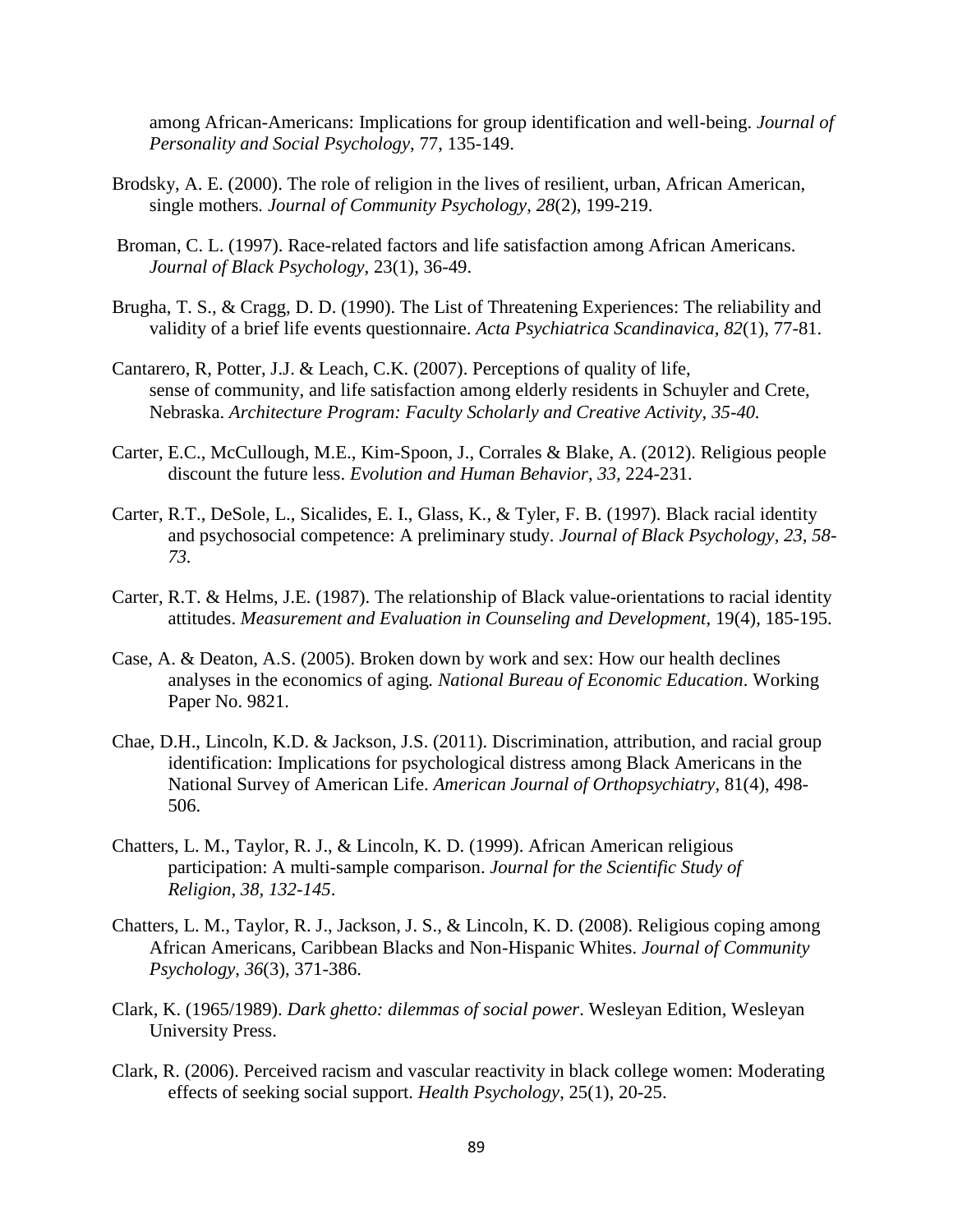among African-Americans: Implications for group identification and well-being. *Journal of Personality and Social Psychology*, 77, 135-149.

- Brodsky, A. E. (2000). The role of religion in the lives of resilient, urban, African American, single mothers*. Journal of Community Psychology*, *28*(2), 199-219.
- Broman, C. L. (1997). Race-related factors and life satisfaction among African Americans. *Journal of Black Psychology*, 23(1), 36-49.
- Brugha, T. S., & Cragg, D. D. (1990). The List of Threatening Experiences: The reliability and validity of a brief life events questionnaire. *Acta Psychiatrica Scandinavica*, *82*(1), 77-81.
- Cantarero, R, Potter, J.J. & Leach, C.K. (2007). Perceptions of quality of life, sense of community, and life satisfaction among elderly residents in Schuyler and Crete, Nebraska. *Architecture Program: Faculty Scholarly and Creative Activity, 35-40.*
- Carter, E.C., McCullough, M.E., Kim-Spoon, J., Corrales & Blake, A. (2012). Religious people discount the future less. *Evolution and Human Behavior*, *33,* 224-231.
- Carter, R.T., DeSole, L., Sicalides, E. I., Glass, K., & Tyler, F. B. (1997). Black racial identity and psychosocial competence: A preliminary study. *Journal of Black Psychology, 23, 58- 73.*
- Carter, R.T. & Helms, J.E. (1987). The relationship of Black value-orientations to racial identity attitudes. *Measurement and Evaluation in Counseling and Development*, 19(4), 185-195.
- Case, A. & Deaton, A.S. (2005). Broken down by work and sex: How our health declines analyses in the economics of aging*. National Bureau of Economic Education*. Working Paper No. 9821.
- Chae, D.H., Lincoln, K.D. & Jackson, J.S. (2011). Discrimination, attribution, and racial group identification: Implications for psychological distress among Black Americans in the National Survey of American Life. *American Journal of Orthopsychiatry*, 81(4), 498- 506.
- Chatters, L. M., Taylor, R. J., & Lincoln, K. D. (1999). African American religious participation: A multi-sample comparison. *Journal for the Scientific Study of Religion, 38, 132-145*.
- Chatters, L. M., Taylor, R. J., Jackson, J. S., & Lincoln, K. D. (2008). Religious coping among African Americans, Caribbean Blacks and Non-Hispanic Whites. *Journal of Community Psychology*, *36*(3), 371-386.
- Clark, K. (1965/1989). *Dark ghetto: dilemmas of social power*. Wesleyan Edition, Wesleyan University Press.
- Clark, R. (2006). Perceived racism and vascular reactivity in black college women: Moderating effects of seeking social support. *Health Psychology*, 25(1), 20-25.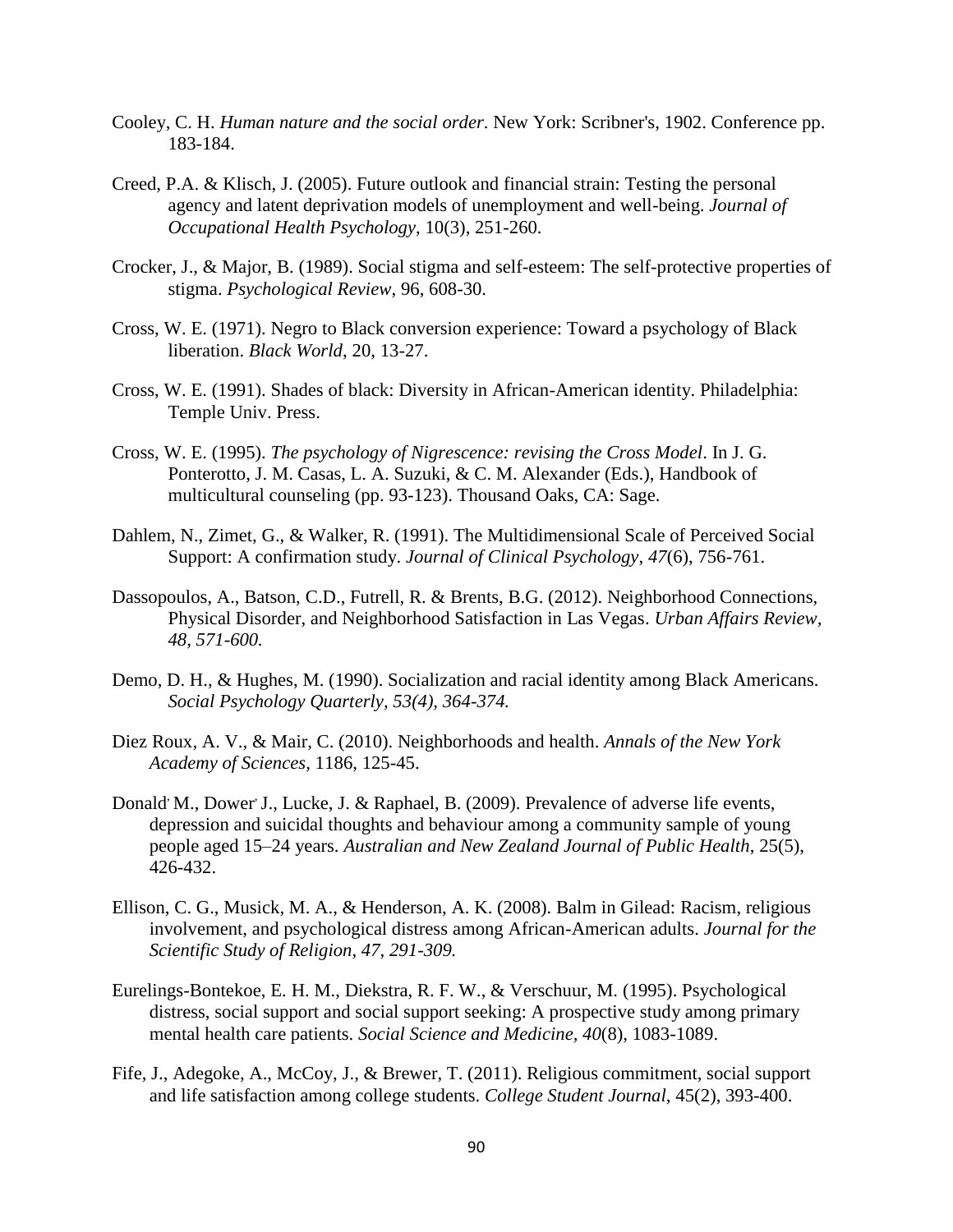- Cooley, C. H. *Human nature and the social order*. New York: Scribner's, 1902. Conference pp. 183-184.
- Creed, P.A. & Klisch, J. (2005). Future outlook and financial strain: Testing the personal agency and latent deprivation models of unemployment and well-being. *Journal of Occupational Health Psychology*, 10(3), 251-260.
- Crocker, J., & Major, B. (1989). Social stigma and self-esteem: The self-protective properties of stigma. *Psychological Review*, 96, 608-30.
- Cross, W. E. (1971). Negro to Black conversion experience: Toward a psychology of Black liberation. *Black World*, 20, 13-27.
- Cross, W. E. (1991). Shades of black: Diversity in African-American identity. Philadelphia: Temple Univ. Press.
- Cross, W. E. (1995). *The psychology of Nigrescence: revising the Cross Model*. In J. G. Ponterotto, J. M. Casas, L. A. Suzuki, & C. M. Alexander (Eds.), Handbook of multicultural counseling (pp. 93-123). Thousand Oaks, CA: Sage.
- Dahlem, N., Zimet, G., & Walker, R. (1991). The Multidimensional Scale of Perceived Social Support: A confirmation study. *Journal of Clinical Psychology*, *47*(6), 756-761.
- Dassopoulos, A., Batson, C.D., Futrell, R. & Brents, B.G. (2012). Neighborhood Connections, Physical Disorder, and Neighborhood Satisfaction in Las Vegas. *Urban Affairs Review, 48, 571-600.*
- Demo, D. H., & Hughes, M. (1990). Socialization and racial identity among Black Americans. *Social Psychology Quarterly, 53(4), 364-374.*
- Diez Roux, A. V., & Mair, C. (2010). Neighborhoods and health. *Annals of the New York Academy of Sciences,* 1186, 125-45.
- Donald<sup>,</sup> M., Dower J., Lucke, J. & Raphael, B. (2009). Prevalence of adverse life events, depression and suicidal thoughts and behaviour among a community sample of young people aged 15–24 years. *Australian and New Zealand Journal of Public Health*, 25(5), 426-432.
- Ellison, C. G., Musick, M. A., & Henderson, A. K. (2008). Balm in Gilead: Racism, religious involvement, and psychological distress among African-American adults. *Journal for the Scientific Study of Religion, 47, 291-309.*
- Eurelings-Bontekoe, E. H. M., Diekstra, R. F. W., & Verschuur, M. (1995). Psychological distress, social support and social support seeking: A prospective study among primary mental health care patients. *Social Science and Medicine, 40*(8), 1083-1089.
- Fife, J., Adegoke, A., McCoy, J., & Brewer, T. (2011). Religious commitment, social support and life satisfaction among college students. *College Student Journal,* 45(2), 393-400.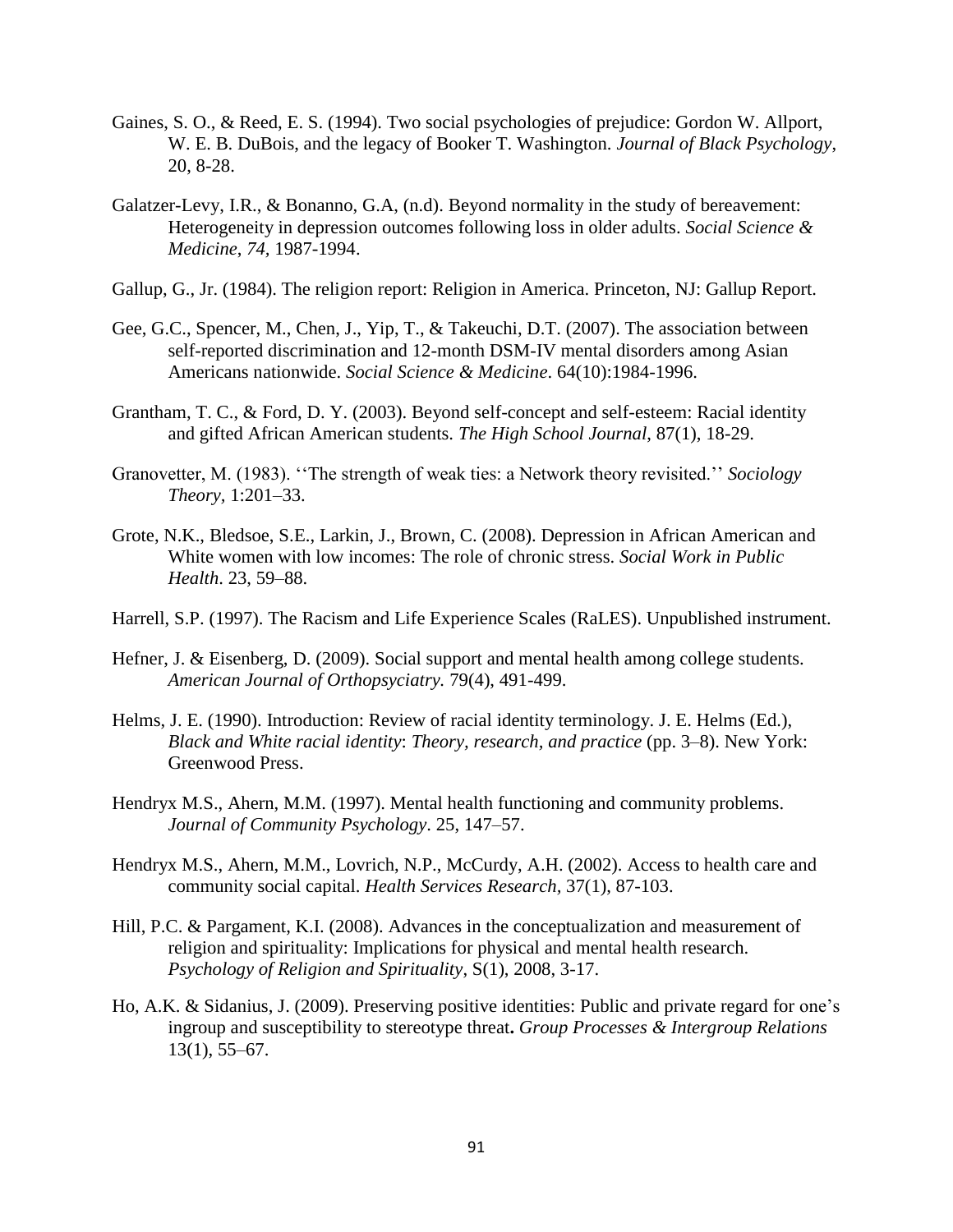- Gaines, S. O., & Reed, E. S. (1994). Two social psychologies of prejudice: Gordon W. Allport, W. E. B. DuBois, and the legacy of Booker T. Washington. *Journal of Black Psychology*, 20, 8-28.
- Galatzer-Levy, I.R., & Bonanno, G.A, (n.d). Beyond normality in the study of bereavement: Heterogeneity in depression outcomes following loss in older adults. *Social Science & Medicine*, *74,* 1987-1994.
- Gallup, G., Jr. (1984). The religion report: Religion in America. Princeton, NJ: Gallup Report.
- Gee, G.C., Spencer, M., Chen, J., Yip, T., & Takeuchi, D.T. (2007). The association between self-reported discrimination and 12-month DSM-IV mental disorders among Asian Americans nationwide. *Social Science & Medicine*. 64(10):1984-1996.
- Grantham, T. C., & Ford, D. Y. (2003). Beyond self-concept and self-esteem: Racial identity and gifted African American students. *The High School Journal*, 87(1), 18-29.
- Granovetter, M. (1983). ''The strength of weak ties: a Network theory revisited.'' *Sociology Theory,* 1:201–33.
- Grote, N.K., Bledsoe, S.E., Larkin, J., Brown, C. (2008). Depression in African American and White women with low incomes: The role of chronic stress. *Social Work in Public Health*. 23, 59–88.
- Harrell, S.P. (1997). The Racism and Life Experience Scales (RaLES). Unpublished instrument.
- Hefner, J. & Eisenberg, D. (2009). Social support and mental health among college students. *American Journal of Orthopsyciatry.* 79(4), 491-499.
- Helms, J. E. (1990). Introduction: Review of racial identity terminology. J. E. Helms (Ed.), *Black and White racial identity*: *Theory, research, and practice* (pp. 3–8). New York: Greenwood Press.
- Hendryx M.S., Ahern, M.M. (1997). Mental health functioning and community problems. *Journal of Community Psychology*. 25, 147–57.
- Hendryx M.S., Ahern, M.M., Lovrich, N.P., McCurdy, A.H. (2002). Access to health care and community social capital. *Health Services Research,* 37(1), 87-103.
- Hill, P.C. & Pargament, K.I. (2008). Advances in the conceptualization and measurement of religion and spirituality: Implications for physical and mental health research. *Psychology of Religion and Spirituality*, S(1), 2008, 3-17.
- Ho, A.K. & Sidanius, J. (2009). Preserving positive identities: Public and private regard for one's ingroup and susceptibility to stereotype threat**.** *Group Processes & Intergroup Relations* 13(1), 55–67.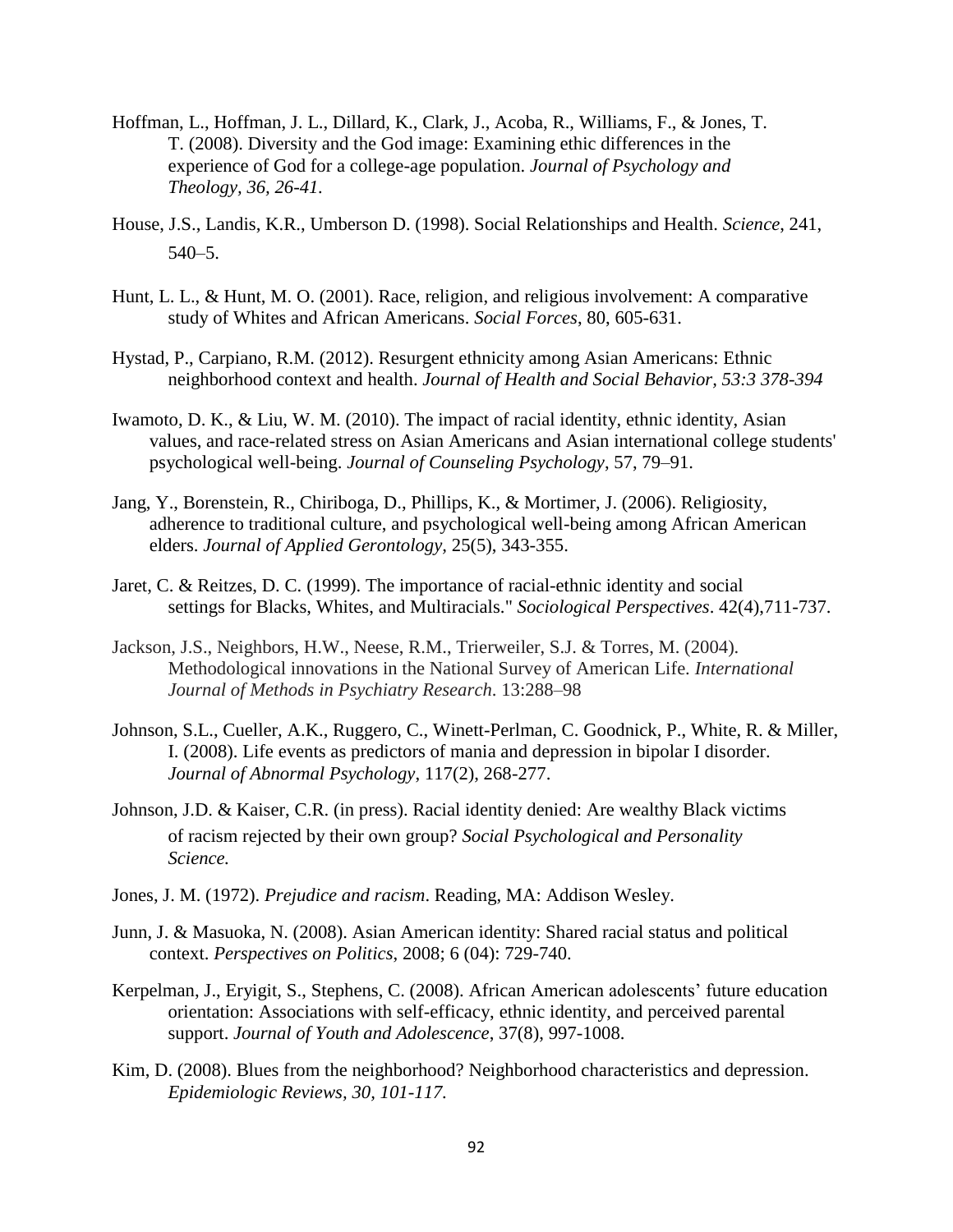- Hoffman, L., Hoffman, J. L., Dillard, K., Clark, J., Acoba, R., Williams, F., & Jones, T. T. (2008). Diversity and the God image: Examining ethic differences in the experience of God for a college-age population. *Journal of Psychology and Theology, 36, 26-41.*
- House, J.S., Landis, K.R., Umberson D. (1998). Social Relationships and Health. *Science*, 241, 540–5.
- Hunt, L. L., & Hunt, M. O. (2001). Race, religion, and religious involvement: A comparative study of Whites and African Americans. *Social Forces*, 80, 605-631.
- Hystad, P., Carpiano, R.M. (2012). Resurgent ethnicity among Asian Americans: Ethnic neighborhood context and health. *Journal of Health and Social Behavior, 53:3 378-394*
- Iwamoto, D. K., & Liu, W. M. (2010). The impact of racial identity, ethnic identity, Asian values, and race-related stress on Asian Americans and Asian international college students' psychological well-being. *Journal of Counseling Psychology*, 57, 79–91.
- Jang, Y., Borenstein, R., Chiriboga, D., Phillips, K., & Mortimer, J. (2006). Religiosity, adherence to traditional culture, and psychological well-being among African American elders. *Journal of Applied Gerontology,* 25(5), 343-355.
- Jaret, C. & Reitzes, D. C. (1999). The importance of racial-ethnic identity and social settings for Blacks, Whites, and Multiracials." *Sociological Perspectives*. 42(4),711-737.
- Jackson, J.S., Neighbors, H.W., Neese, R.M., Trierweiler, S.J. & Torres, M. (2004). Methodological innovations in the National Survey of American Life. *International Journal of Methods in Psychiatry Research*. 13:288–98
- Johnson, S.L., Cueller, A.K., Ruggero, C., Winett-Perlman, C. Goodnick, P., White, R. & Miller, I. (2008). Life events as predictors of mania and depression in bipolar I disorder. *Journal of Abnormal Psychology*, 117(2), 268-277.
- Johnson, J.D. & Kaiser, C.R. (in press). Racial identity denied: Are wealthy Black victims of racism rejected by their own group? *Social Psychological and Personality Science.*
- Jones, J. M. (1972). *Prejudice and racism*. Reading, MA: Addison Wesley.
- Junn, J. & Masuoka, N. (2008). Asian American identity: Shared racial status and political context. *Perspectives on Politics*, 2008; 6 (04): 729-740.
- Kerpelman, J., Eryigit, S., Stephens, C. (2008). African American adolescents' future education orientation: Associations with self-efficacy, ethnic identity, and perceived parental support. *Journal of Youth and Adolescence*, 37(8), 997-1008.
- Kim, D. (2008). Blues from the neighborhood? Neighborhood characteristics and depression. *Epidemiologic Reviews, 30, 101-117.*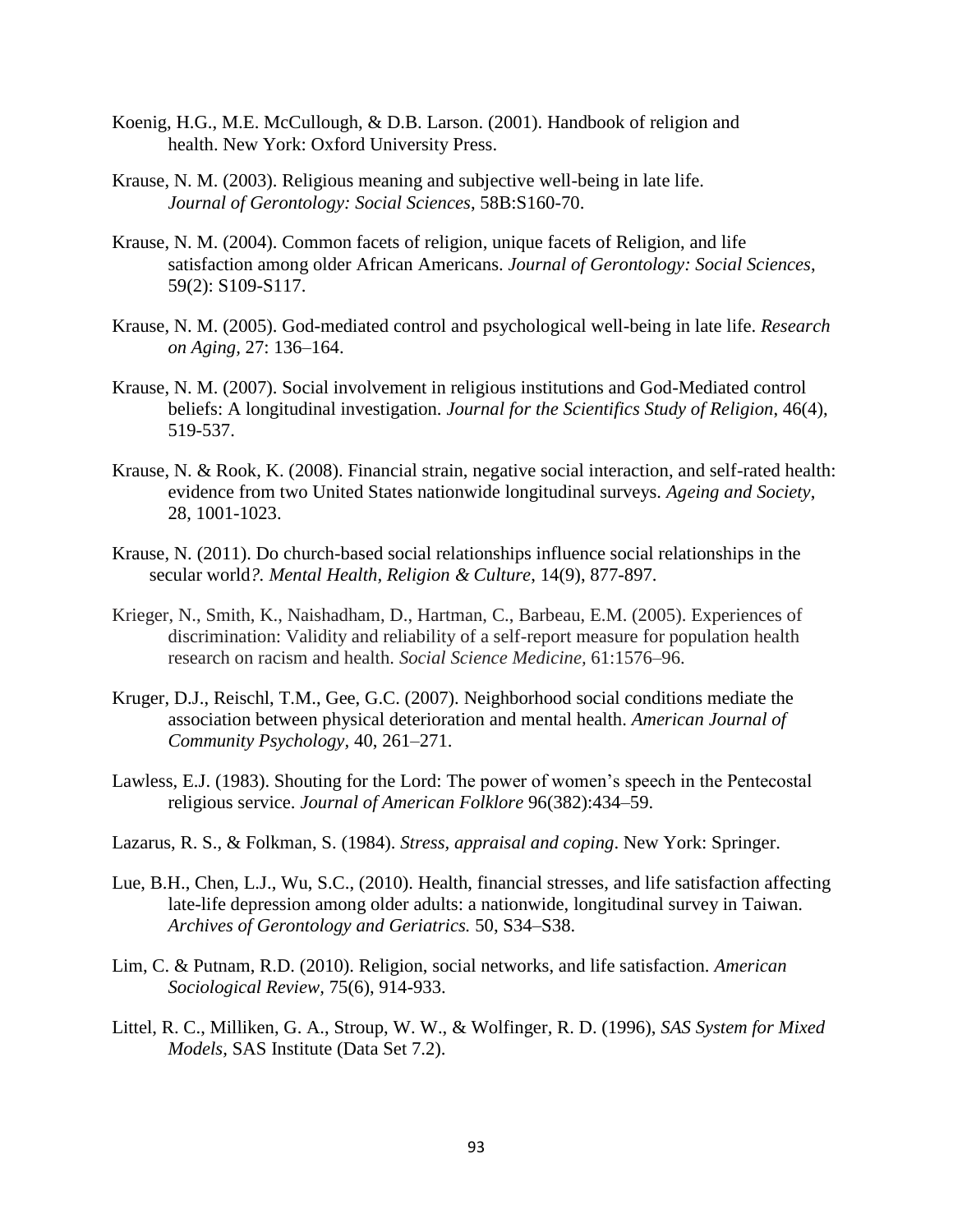- Koenig, H.G., M.E. McCullough, & D.B. Larson. (2001). Handbook of religion and health. New York: Oxford University Press.
- Krause, N. M. (2003). Religious meaning and subjective well-being in late life. *Journal of Gerontology: Social Sciences*, 58B:S160-70.
- Krause, N. M. (2004). Common facets of religion, unique facets of Religion, and life satisfaction among older African Americans. *Journal of Gerontology: Social Sciences*, 59(2): S109-S117.
- [Krause, N.](http://www.tandfonline.com/action/doSearch?action=runSearch&type=advanced&result=true&prevSearch=%2Bauthorsfield%3A%28Krause%2C+N.%29) M. (2005). God-mediated control and psychological well-being in late life. *Research on Aging,* 27: 136–164.
- Krause, N. M. (2007). Social involvement in religious institutions and God-Mediated control beliefs: A longitudinal investigation. *Journal for the Scientifics Study of Religion*, 46(4), 519-537.
- Krause, N. & Rook, K. (2008). Financial strain, negative social interaction, and self-rated health: evidence from two United States nationwide longitudinal surveys. *Ageing and Society*, 28, 1001-1023.
- Krause, N. (2011). Do church-based social relationships influence social relationships in the secular world*?. Mental Health, Religion & Culture*, 14(9), 877-897.
- Krieger, N., Smith, K., Naishadham, D., Hartman, C., Barbeau, E.M. (2005). Experiences of discrimination: Validity and reliability of a self-report measure for population health research on racism and health. *Social Science Medicine,* 61:1576–96.
- Kruger, D.J., Reischl, T.M., Gee, G.C. (2007). Neighborhood social conditions mediate the association between physical deterioration and mental health. *American Journal of Community Psychology,* 40, 261–271.
- Lawless, E.J. (1983). Shouting for the Lord: The power of women's speech in the Pentecostal religious service. *Journal of American Folklore* 96(382):434–59.
- Lazarus, R. S., & Folkman, S. (1984). *Stress, appraisal and coping*. New York: Springer.
- Lue, B.H., Chen, L.J., Wu, S.C., (2010). Health, financial stresses, and life satisfaction affecting late-life depression among older adults: a nationwide, longitudinal survey in Taiwan. *Archives of Gerontology and Geriatrics.* 50, S34–S38.
- Lim, C. & Putnam, R.D. (2010). Religion, social networks, and life satisfaction. *American Sociological Review,* 75(6), 914-933.
- Littel, R. C., Milliken, G. A., Stroup, W. W., & Wolfinger, R. D. (1996), *SAS System for Mixed Models,* SAS Institute (Data Set 7.2).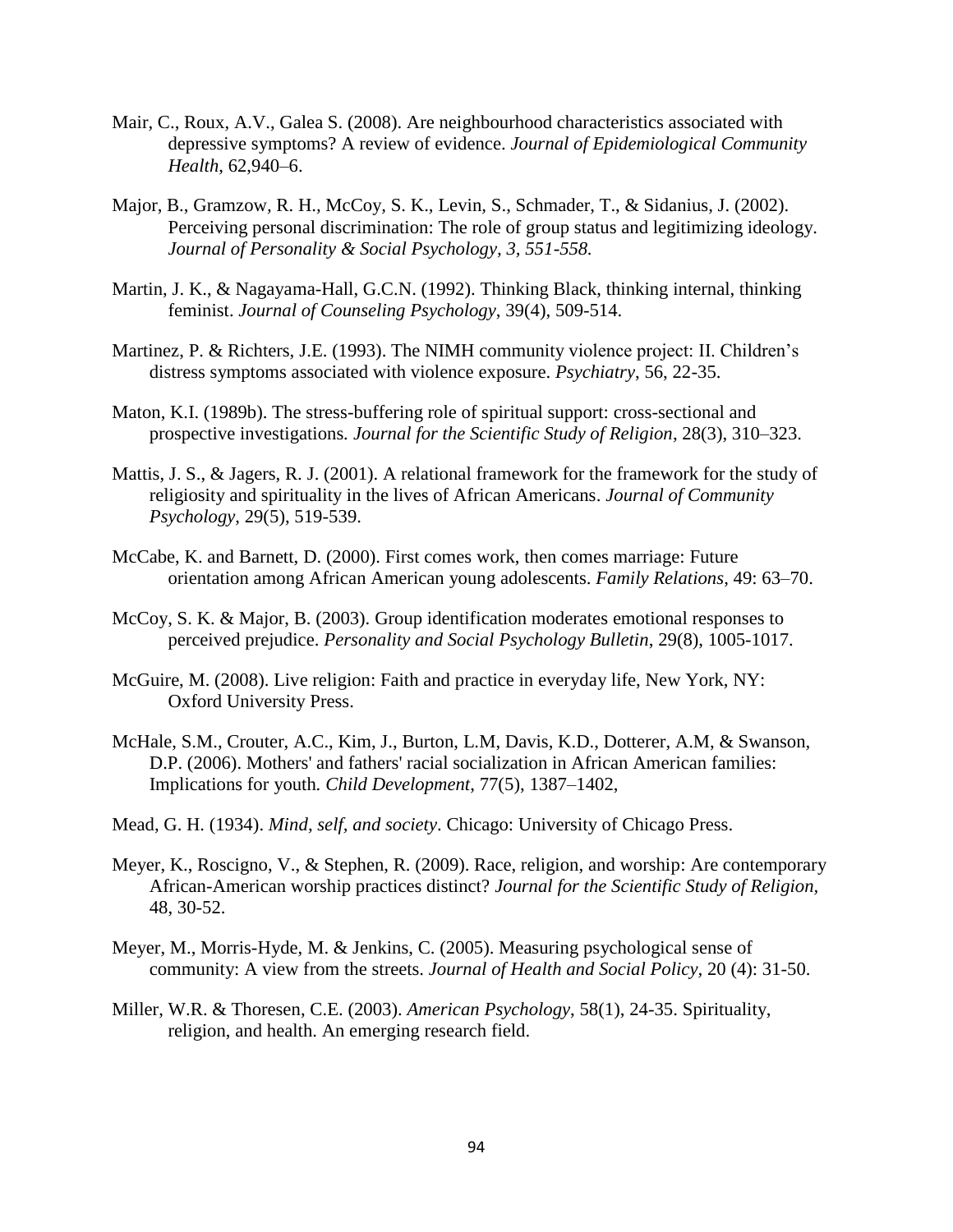- Mair, C., Roux, A.V., Galea S. (2008). Are neighbourhood characteristics associated with depressive symptoms? A review of evidence. *Journal of Epidemiological Community Health*, 62,940–6.
- Major, B., Gramzow*,* R. H.*,* McCoy*,* S. K.*,* Levin*,* S., Schmader, T., & Sidanius, J. (2002). Perceiving personal discrimination: The role of group status and legitimizing ideology. *Journal of Personality & Social Psychology, 3, 551-558.*
- Martin, J. K., & Nagayama-Hall, G.C.N. (1992). Thinking Black, thinking internal, thinking feminist. *Journal of Counseling Psychology*, 39(4), 509-514.
- Martinez, P. & Richters, J.E. (1993). The NIMH community violence project: II. Children's distress symptoms associated with violence exposure. *Psychiatry*, 56, 22-35.
- Maton, K.I. (1989b). The stress-buffering role of spiritual support: cross-sectional and prospective investigations*. Journal for the Scientific Study of Religion*, 28(3), 310–323.
- Mattis, J. S., & Jagers, R. J. (2001). A relational framework for the framework for the study of religiosity and spirituality in the lives of African Americans. *Journal of Community Psychology*, 29(5), 519-539.
- McCabe, K. and Barnett, D. (2000). First comes work, then comes marriage: Future orientation among African American young adolescents. *Family Relations*, 49: 63–70.
- McCoy, S. K. & Major, B. (2003). Group identification moderates emotional responses to perceived prejudice. *Personality and Social Psychology Bulletin*, 29(8), 1005-1017.
- McGuire, M. (2008). Live religion: Faith and practice in everyday life, New York, NY: Oxford University Press.
- McHale, S.M., Crouter, A.C., Kim, J., Burton, L.M, Davis, K.D., Dotterer, A.M, & Swanson, D.P. (2006). Mothers' and fathers' racial socialization in African American families: Implications for youth*. Child Development*, 77(5), 1387–1402,
- Mead, G. H. (1934). *Mind, self, and society*. Chicago: University of Chicago Press.
- Meyer, K., Roscigno, V., & Stephen, R. (2009). Race, religion, and worship: Are contemporary African-American worship practices distinct? *Journal for the Scientific Study of Religion,* 48, 30-52.
- Meyer, M., Morris-Hyde, M. & Jenkins, C. (2005). Measuring psychological sense of community: A view from the streets. *Journal of Health and Social Policy,* 20 (4): 31-50.
- Miller, W.R. & Thoresen, C.E. (2003). *American Psychology*, 58(1), 24-35. Spirituality, religion, and health. An emerging research field.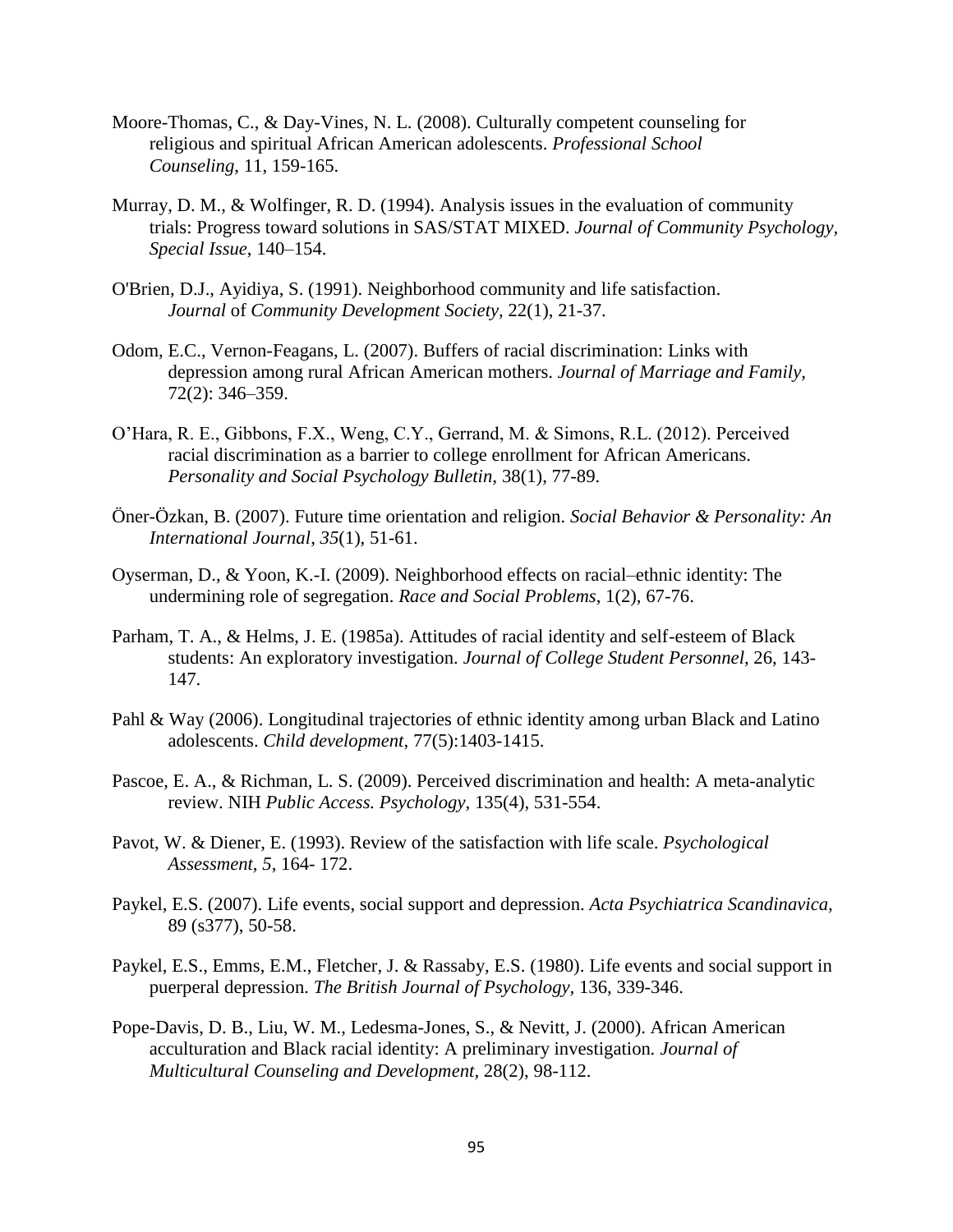- Moore-Thomas, C., & Day-Vines, N. L. (2008). Culturally competent counseling for religious and spiritual African American adolescents. *Professional School Counseling*, 11, 159-165.
- Murray, D. M., & Wolfinger, R. D. (1994). Analysis issues in the evaluation of community trials: Progress toward solutions in SAS/STAT MIXED. *Journal of Community Psychology, Special Issue*, 140–154.
- O'Brien, D.J., Ayidiya, S. (1991). Neighborhood community and life satisfaction. *Journal* of *Community Development Society,* 22(1), 21-37.
- Odom, E.C., Vernon-Feagans, L. (2007). Buffers of racial discrimination: Links with depression among rural African American mothers. *Journal of Marriage and Family,* 72(2): 346–359.
- O'Hara, R. E., Gibbons, F.X., Weng, C.Y., Gerrand, M. & Simons, R.L. (2012). Perceived racial discrimination as a barrier to college enrollment for African Americans. *Personality and Social Psychology Bulletin,* 38(1), 77-89.
- Öner-Özkan, B. (2007). Future time orientation and religion. *Social Behavior & Personality: An International Journal*, *35*(1), 51-61.
- Oyserman, D., & Yoon, K.-I. (2009). Neighborhood effects on racial–ethnic identity: The undermining role of segregation. *Race and Social Problems*, 1(2), 67-76.
- Parham, T. A., & Helms, J. E. (1985a). Attitudes of racial identity and self-esteem of Black students: An exploratory investigation. *Journal of College Student Personnel*, 26, 143- 147.
- Pahl & Way (2006). Longitudinal trajectories of ethnic identity among urban Black and Latino adolescents. *Child development*, 77(5):1403-1415.
- Pascoe, E. A., & Richman, L. S. (2009). Perceived discrimination and health: A meta-analytic review. NIH *Public Access. Psychology*, 135(4), 531-554.
- Pavot, W. & Diener, E. (1993). Review of the satisfaction with life scale. *Psychological Assessment*, *5*, 164- 172.
- Paykel, E.S. (2007). Life events, social support and depression. *Acta Psychiatrica Scandinavica,*  89 (s377), 50-58.
- Paykel, E.S., Emms, E.M., Fletcher, J. & Rassaby, E.S. (1980). Life events and social support in puerperal depression. *The British Journal of Psychology,* 136, 339-346.
- Pope-Davis, D. B., Liu, W. M., Ledesma-Jones, S., & Nevitt, J. (2000). African American acculturation and Black racial identity: A preliminary investigation*. Journal of Multicultural Counseling and Development,* 28(2), 98-112.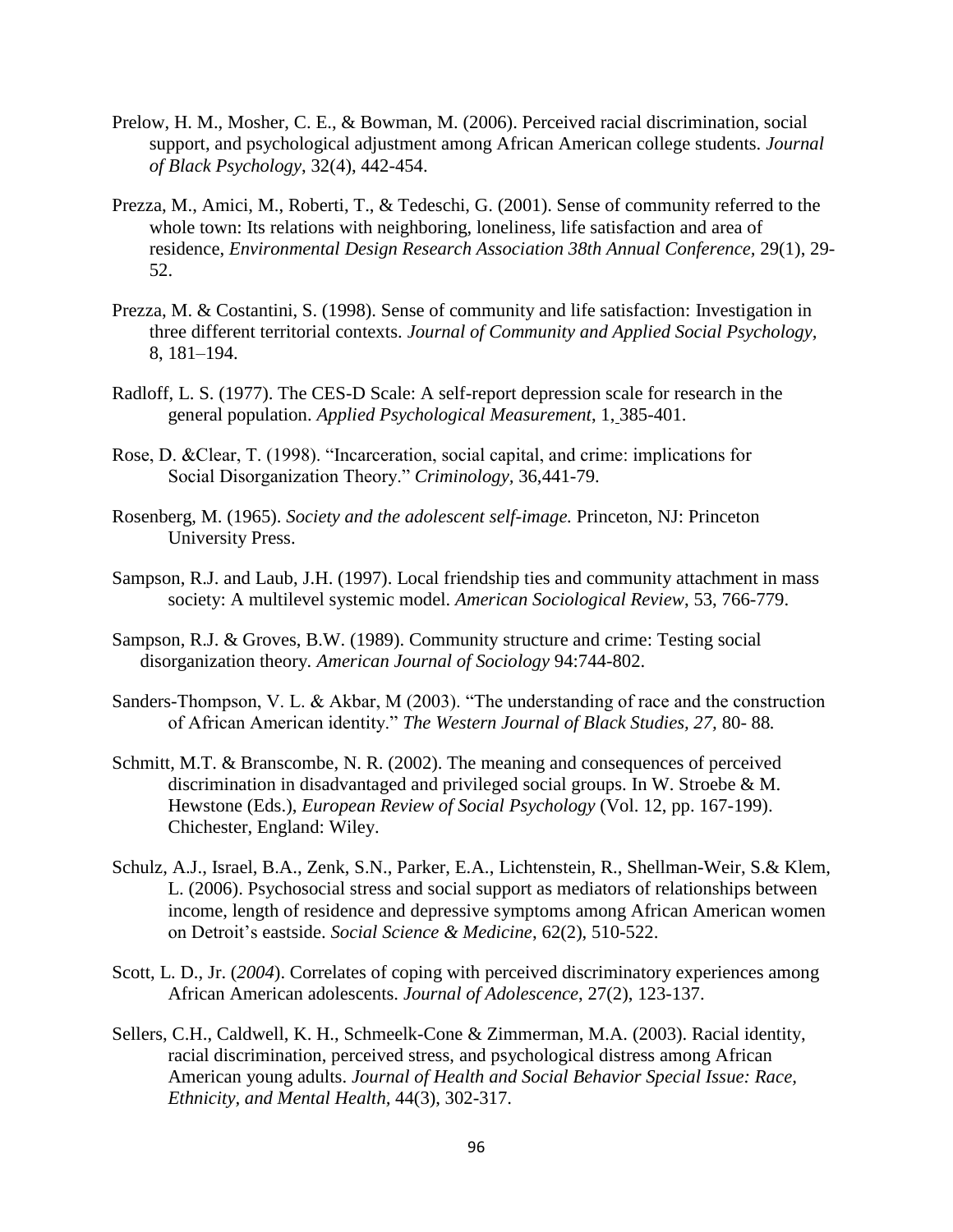- Prelow, H. M., Mosher, C. E., & Bowman, M. (2006). Perceived racial discrimination, social support, and psychological adjustment among African American college students. *Journal of Black Psychology*, 32(4), 442-454.
- Prezza, M., Amici, M., Roberti, T., & Tedeschi, G. (2001). Sense of community referred to the whole town: Its relations with neighboring, loneliness, life satisfaction and area of residence, *Environmental Design Research Association 38th Annual Conference,* 29(1), 29- 52.
- Prezza, M. & Costantini, S. (1998). Sense of community and life satisfaction: Investigation in three different territorial contexts. *Journal of Community and Applied Social Psychology,* 8, 181–194.
- Radloff, L. S. (1977). The CES-D Scale: A self-report depression scale for research in the general population. *Applied Psychological Measurement*, 1, 385-401.
- Rose, D. &Clear, T. (1998). "Incarceration, social capital, and crime: implications for Social Disorganization Theory." *Criminology,* 36,441-79.
- Rosenberg, M. (1965). *Society and the adolescent self-image.* Princeton, NJ: Princeton University Press.
- Sampson, R.J. and Laub, J.H. (1997). Local friendship ties and community attachment in mass society: A multilevel systemic model. *American Sociological Review*, 53, 766-779.
- Sampson, R.J. & Groves, B.W. (1989). Community structure and crime: Testing social disorganization theory*. American Journal of Sociology* 94:744-802.
- Sanders-Thompson, V. L. & Akbar, M (2003). "The understanding of race and the construction of African American identity." *The Western Journal of Black Studies, 27,* 80- 88*.*
- Schmitt, M.T. & Branscombe, N. R. (2002). The meaning and consequences of perceived discrimination in disadvantaged and privileged social groups. In W. Stroebe & M. Hewstone (Eds.), *European Review of Social Psychology* (Vol. 12, pp. 167-199). Chichester, England: Wiley.
- Schulz, A.J., Israel, B.A., Zenk, S.N., Parker, E.A., Lichtenstein, R., Shellman-Weir, S.& Klem, L. (2006). Psychosocial stress and social support as mediators of relationships between income, length of residence and depressive symptoms among African American women on Detroit's eastside. *Social Science & Medicine*, 62(2), 510-522.
- Scott, L. D., Jr. (*2004*). Correlates of coping with perceived discriminatory experiences among African American adolescents. *Journal of Adolescence*, 27(2), 123-137.
- Sellers, C.H., Caldwell, K. H., Schmeelk-Cone & Zimmerman, M.A. (2003). Racial identity, racial discrimination, perceived stress, and psychological distress among African American young adults. *Journal of Health and Social Behavior Special Issue: Race, Ethnicity, and Mental Health,* 44(3), 302-317.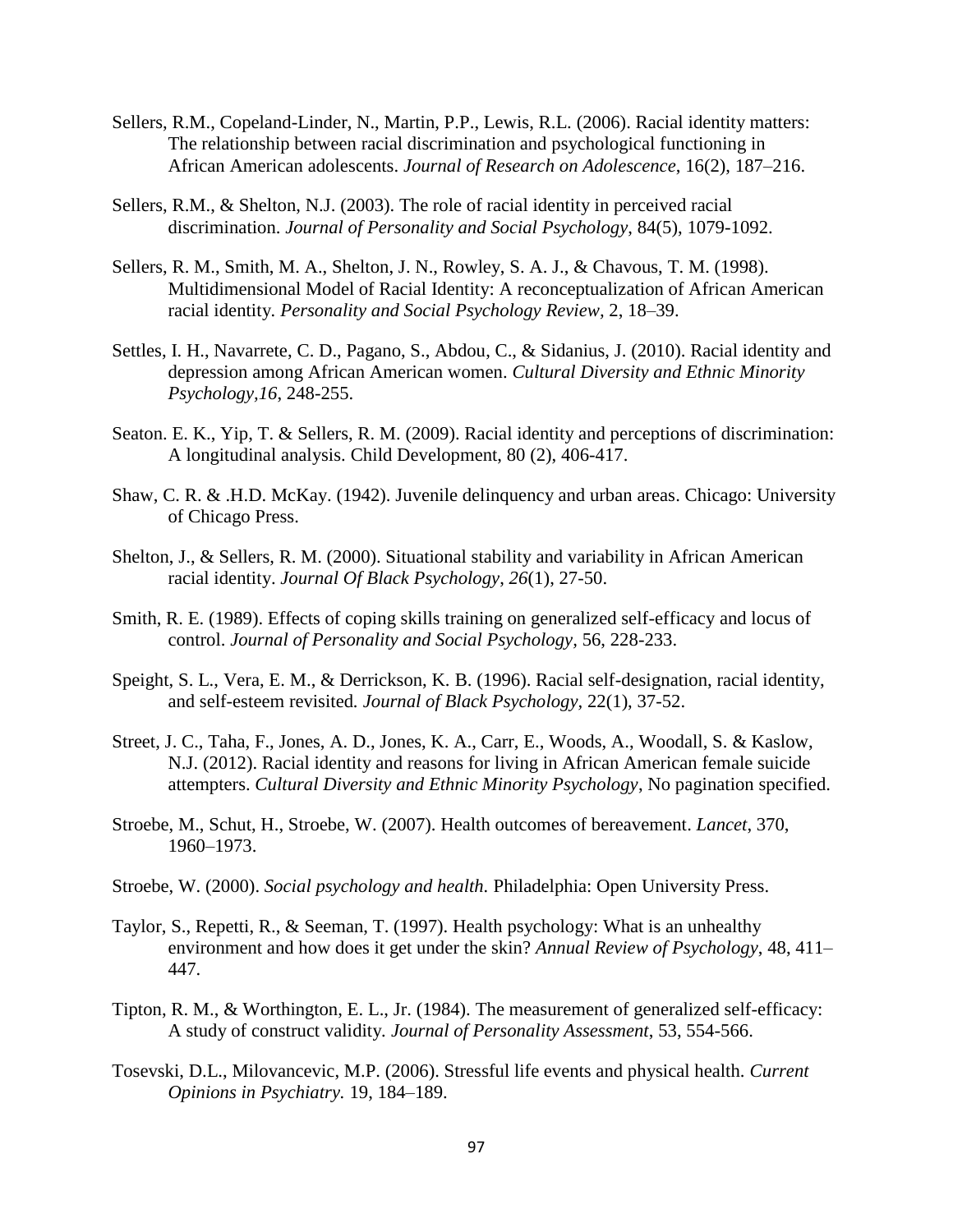- Sellers, R.M., Copeland-Linder, N., Martin, P.P., Lewis, R.L. (2006). Racial identity matters: The relationship between racial discrimination and psychological functioning in African American adolescents. *Journal of Research on Adolescence*, 16(2), 187–216.
- Sellers, R.M., & Shelton, N.J. (2003). The role of racial identity in perceived racial discrimination. *Journal of Personality and Social Psychology*, 84(5), 1079-1092.
- Sellers, R. M., Smith, M. A., Shelton, J. N., Rowley, S. A. J., & Chavous, T. M. (1998). Multidimensional Model of Racial Identity: A reconceptualization of African American racial identity*. Personality and Social Psychology Review,* 2, 18–39.
- Settles, I. H., Navarrete, C. D., Pagano, S., Abdou, C., & Sidanius, J. (2010). Racial identity and depression among African American women. *Cultural Diversity and Ethnic Minority Psychology,16*, 248-255.
- Seaton. E. K., Yip, T. & Sellers, R. M. (2009). Racial identity and perceptions of discrimination: A longitudinal analysis. Child Development, 80 (2), 406-417.
- Shaw, C. R. & .H.D. McKay. (1942). Juvenile delinquency and urban areas. Chicago: University of Chicago Press.
- Shelton, J., & Sellers, R. M. (2000). Situational stability and variability in African American racial identity. *Journal Of Black Psychology*, *26*(1), 27-50.
- Smith, R. E. (1989). Effects of coping skills training on generalized self-efficacy and locus of control. *Journal of Personality and Social Psychology,* 56, 228-233.
- Speight, S. L., Vera, E. M., & Derrickson, K. B. (1996). Racial self-designation, racial identity, and self-esteem revisited*. Journal of Black Psychology,* 22(1), 37-52.
- Street, J. C., Taha, F., Jones, A. D., Jones, K. A., Carr, E., Woods, A., Woodall, S. & Kaslow, N.J. (2012). Racial identity and reasons for living in African American female suicide attempters. *Cultural Diversity and Ethnic Minority Psychology*, No pagination specified.
- Stroebe, M., Schut, H., Stroebe, W. (2007). Health outcomes of bereavement. *Lancet*, 370, 1960–1973.
- Stroebe, W. (2000). *Social psychology and health.* Philadelphia: Open University Press.
- Taylor, S., Repetti, R., & Seeman, T. (1997). Health psychology: What is an unhealthy environment and how does it get under the skin? *Annual Review of Psychology*, 48, 411– 447.
- Tipton, R. M., & Worthington, E. L., Jr. (1984). The measurement of generalized self-efficacy: A study of construct validity*. Journal of Personality Assessment*, 53, 554-566.
- Tosevski, D.L., Milovancevic, M.P. (2006). Stressful life events and physical health. *Current Opinions in Psychiatry.* 19, 184–189.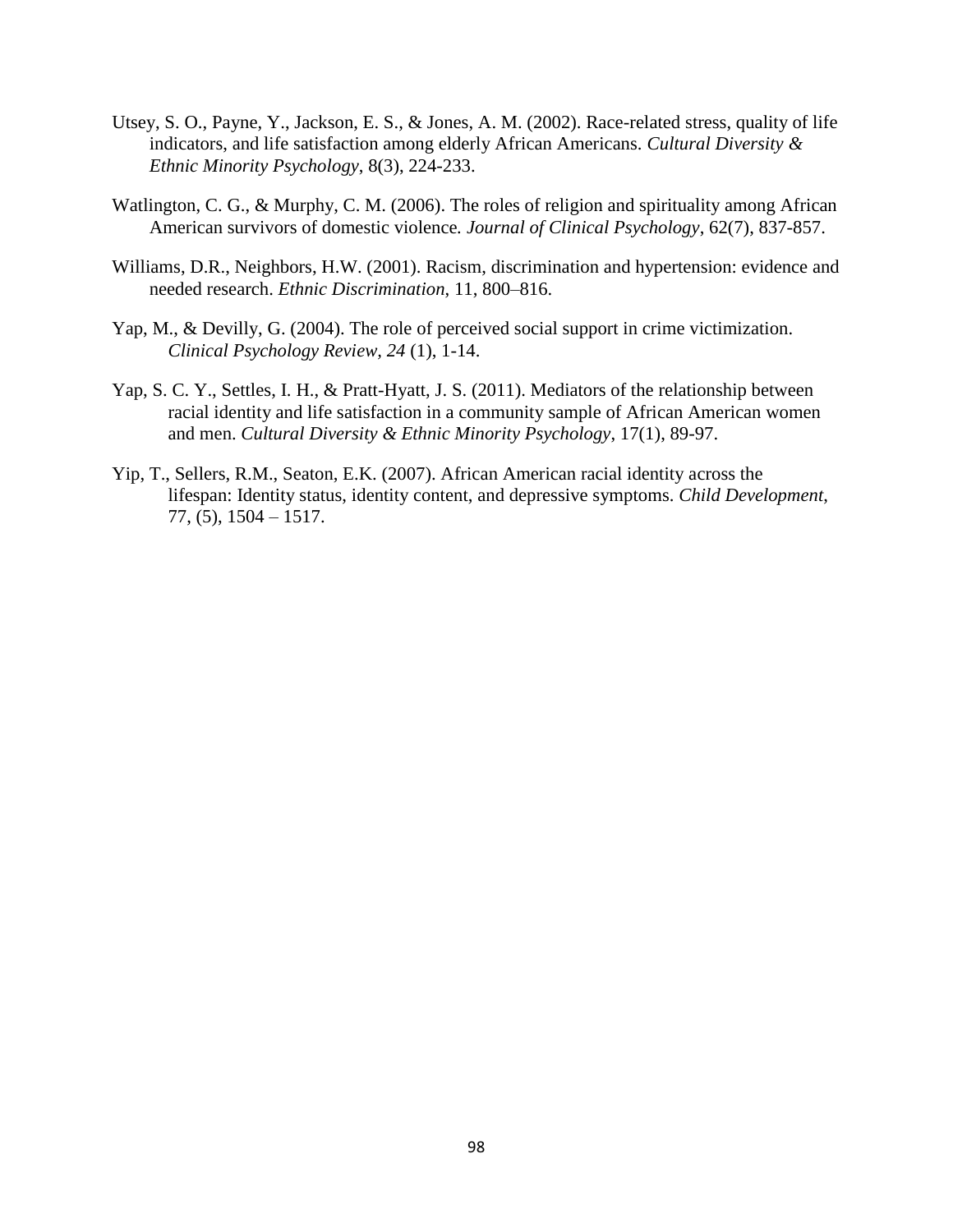- Utsey, S. O., Payne, Y., Jackson, E. S., & Jones, A. M. (2002). Race-related stress, quality of life indicators, and life satisfaction among elderly African Americans. *Cultural Diversity & Ethnic Minority Psychology*, 8(3), 224-233.
- Watlington, C. G., & Murphy, C. M. (2006). The roles of religion and spirituality among African American survivors of domestic violence*. Journal of Clinical Psychology*, 62(7), 837-857.
- Williams, D.R., Neighbors, H.W. (2001). Racism, discrimination and hypertension: evidence and needed research. *Ethnic Discrimination*, 11, 800–816.
- Yap, M., & Devilly, G. (2004). The role of perceived social support in crime victimization. *Clinical Psychology Review, 24* (1), 1-14.
- Yap, S. C. Y., Settles, I. H., & Pratt-Hyatt, J. S. (2011). Mediators of the relationship between racial identity and life satisfaction in a community sample of African American women and men. *Cultural Diversity & Ethnic Minority Psychology*, 17(1), 89-97.
- Yip, T., Sellers, R.M., Seaton, E.K. (2007). African American racial identity across the lifespan: Identity status, identity content, and depressive symptoms. *Child Development*, 77, (5), 1504 – 1517.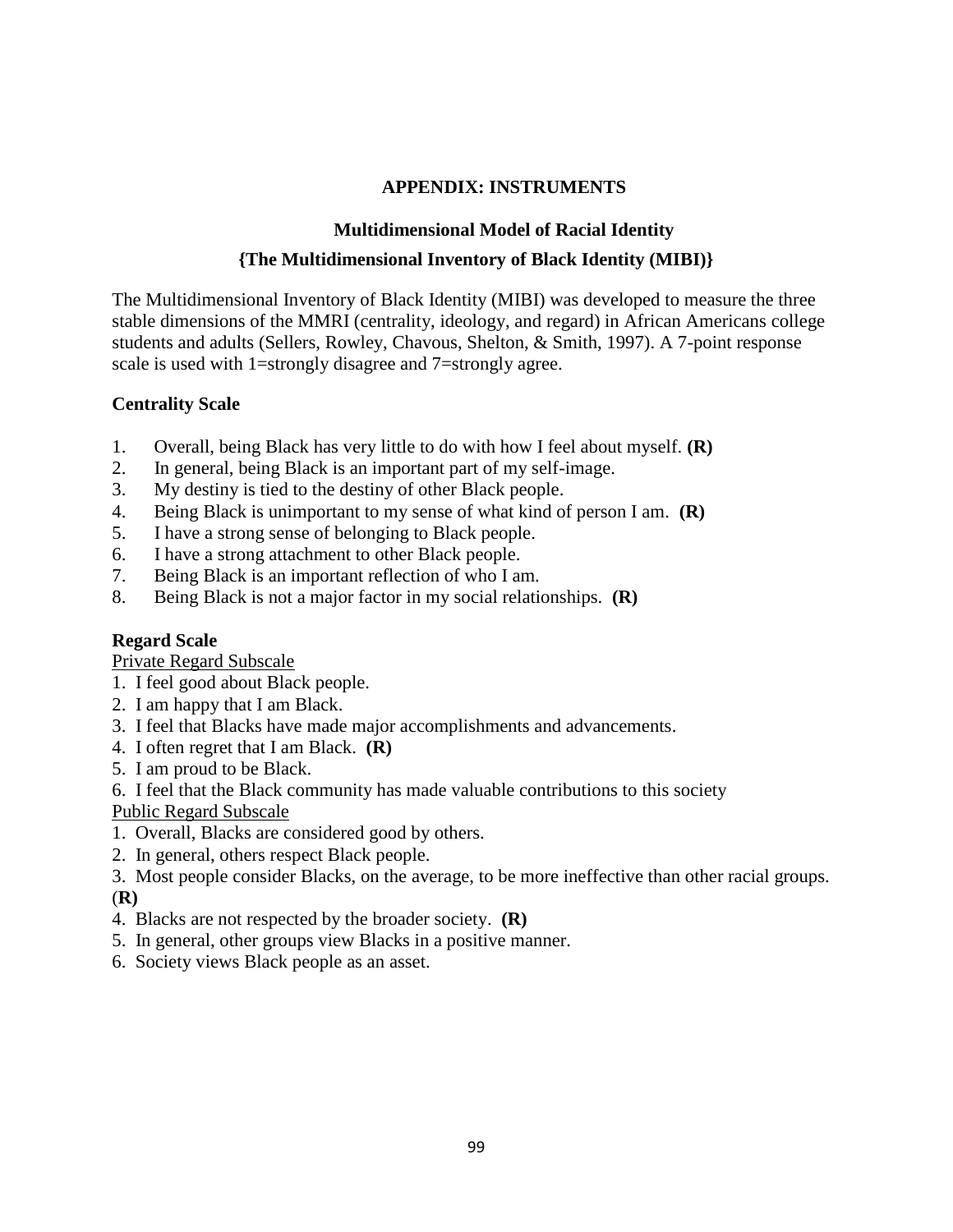# **APPENDIX: INSTRUMENTS**

# **Multidimensional Model of Racial Identity {The Multidimensional Inventory of Black Identity (MIBI)}**

The Multidimensional Inventory of Black Identity (MIBI) was developed to measure the three stable dimensions of the MMRI (centrality, ideology, and regard) in African Americans college students and adults (Sellers, Rowley, Chavous, Shelton, & Smith, 1997). A 7-point response scale is used with 1=strongly disagree and 7=strongly agree.

# **Centrality Scale**

- 1. Overall, being Black has very little to do with how I feel about myself. **(R)**
- 2. In general, being Black is an important part of my self-image.
- 3. My destiny is tied to the destiny of other Black people.
- 4. Being Black is unimportant to my sense of what kind of person I am. **(R)**
- 5. I have a strong sense of belonging to Black people.
- 6. I have a strong attachment to other Black people.
- 7. Being Black is an important reflection of who I am.
- 8. Being Black is not a major factor in my social relationships. **(R)**

# **Regard Scale**

Private Regard Subscale

- 1. I feel good about Black people.
- 2. I am happy that I am Black.
- 3. I feel that Blacks have made major accomplishments and advancements.
- 4. I often regret that I am Black. **(R)**
- 5. I am proud to be Black.

6. I feel that the Black community has made valuable contributions to this society Public Regard Subscale

- 1. Overall, Blacks are considered good by others.
- 2. In general, others respect Black people.
- 3. Most people consider Blacks, on the average, to be more ineffective than other racial groups. (**R)**
- 4. Blacks are not respected by the broader society. **(R)**
- 5. In general, other groups view Blacks in a positive manner.
- 6. Society views Black people as an asset.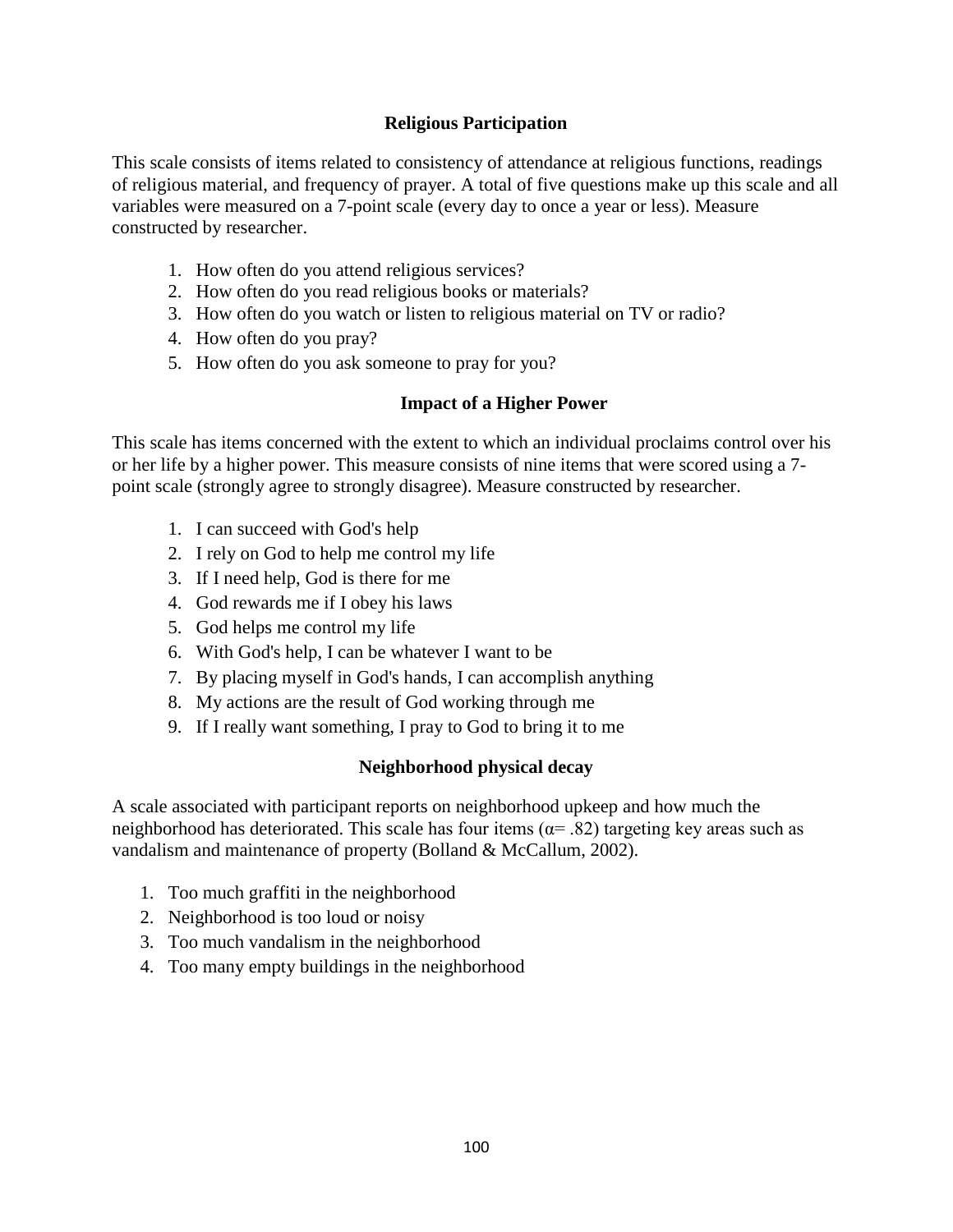### **Religious Participation**

This scale consists of items related to consistency of attendance at religious functions, readings of religious material, and frequency of prayer. A total of five questions make up this scale and all variables were measured on a 7-point scale (every day to once a year or less). Measure constructed by researcher.

- 1. How often do you attend religious services?
- 2. How often do you read religious books or materials?
- 3. How often do you watch or listen to religious material on TV or radio?
- 4. How often do you pray?
- 5. How often do you ask someone to pray for you?

# **Impact of a Higher Power**

This scale has items concerned with the extent to which an individual proclaims control over his or her life by a higher power. This measure consists of nine items that were scored using a 7 point scale (strongly agree to strongly disagree). Measure constructed by researcher.

- 1. I can succeed with God's help
- 2. I rely on God to help me control my life
- 3. If I need help, God is there for me
- 4. God rewards me if I obey his laws
- 5. God helps me control my life
- 6. With God's help, I can be whatever I want to be
- 7. By placing myself in God's hands, I can accomplish anything
- 8. My actions are the result of God working through me
- 9. If I really want something, I pray to God to bring it to me

# **Neighborhood physical decay**

A scale associated with participant reports on neighborhood upkeep and how much the neighborhood has deteriorated. This scale has four items ( $\alpha$ = .82) targeting key areas such as vandalism and maintenance of property (Bolland & McCallum, 2002).

- 1. Too much graffiti in the neighborhood
- 2. Neighborhood is too loud or noisy
- 3. Too much vandalism in the neighborhood
- 4. Too many empty buildings in the neighborhood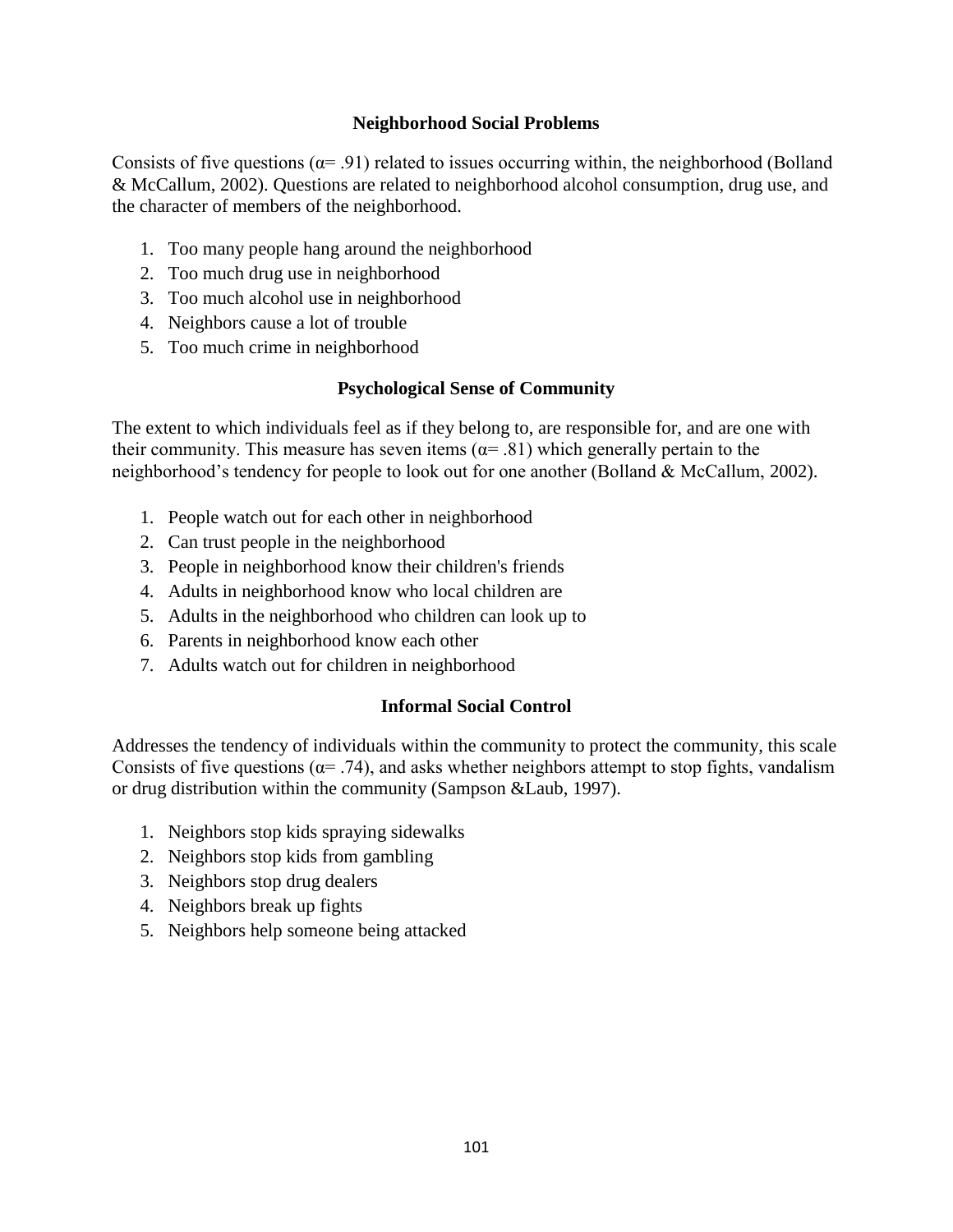# **Neighborhood Social Problems**

Consists of five questions  $(\alpha = .91)$  related to issues occurring within, the neighborhood (Bolland & McCallum, 2002). Questions are related to neighborhood alcohol consumption, drug use, and the character of members of the neighborhood.

- 1. Too many people hang around the neighborhood
- 2. Too much drug use in neighborhood
- 3. Too much alcohol use in neighborhood
- 4. Neighbors cause a lot of trouble
- 5. Too much crime in neighborhood

# **Psychological Sense of Community**

The extent to which individuals feel as if they belong to, are responsible for, and are one with their community. This measure has seven items ( $\alpha$ = .81) which generally pertain to the neighborhood's tendency for people to look out for one another (Bolland & McCallum, 2002).

- 1. People watch out for each other in neighborhood
- 2. Can trust people in the neighborhood
- 3. People in neighborhood know their children's friends
- 4. Adults in neighborhood know who local children are
- 5. Adults in the neighborhood who children can look up to
- 6. Parents in neighborhood know each other
- 7. Adults watch out for children in neighborhood

# **Informal Social Control**

Addresses the tendency of individuals within the community to protect the community, this scale Consists of five questions ( $\alpha$ = .74), and asks whether neighbors attempt to stop fights, vandalism or drug distribution within the community (Sampson &Laub, 1997).

- 1. Neighbors stop kids spraying sidewalks
- 2. Neighbors stop kids from gambling
- 3. Neighbors stop drug dealers
- 4. Neighbors break up fights
- 5. Neighbors help someone being attacked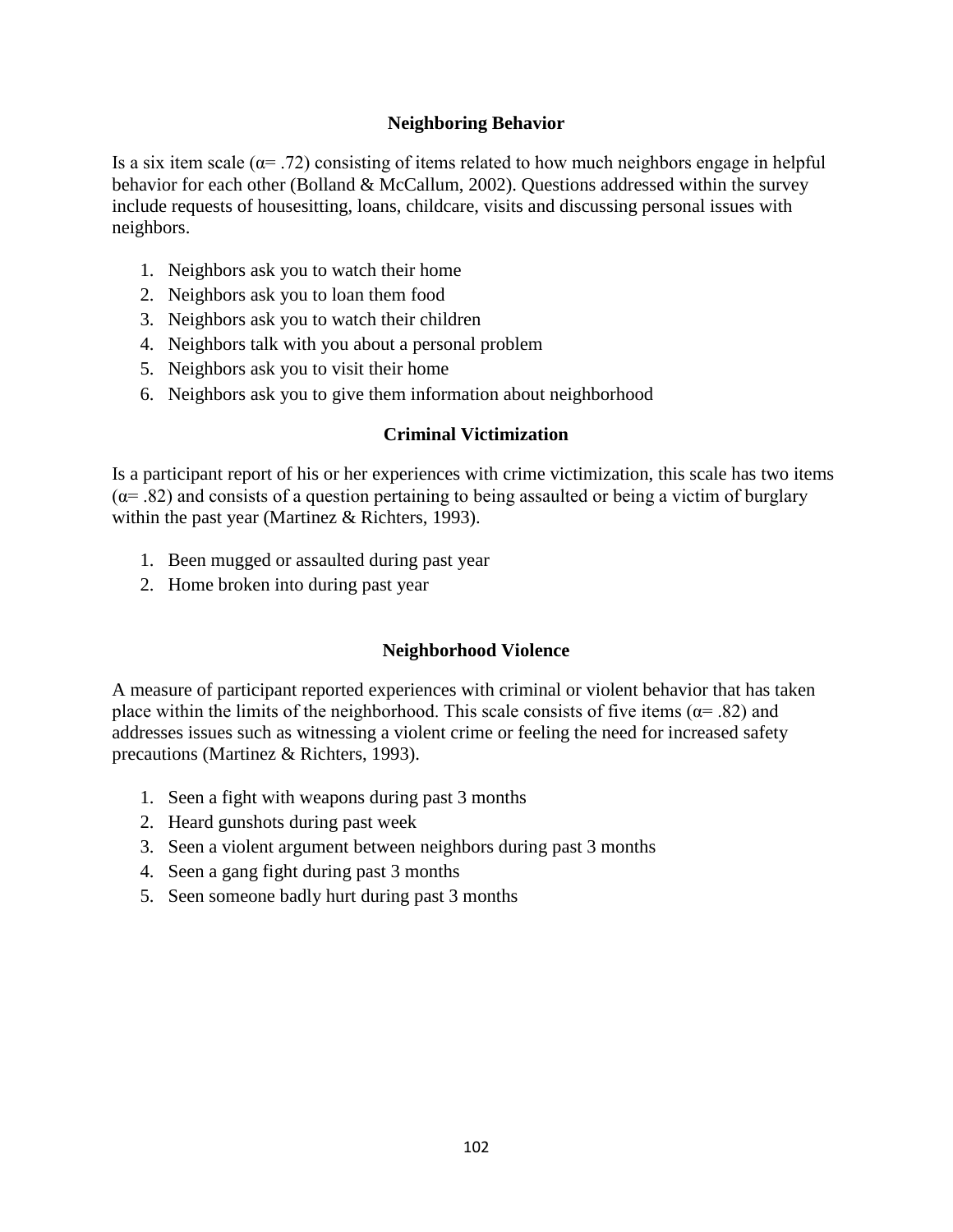### **Neighboring Behavior**

Is a six item scale ( $\alpha$ = .72) consisting of items related to how much neighbors engage in helpful behavior for each other (Bolland & McCallum, 2002). Questions addressed within the survey include requests of housesitting, loans, childcare, visits and discussing personal issues with neighbors.

- 1. Neighbors ask you to watch their home
- 2. Neighbors ask you to loan them food
- 3. Neighbors ask you to watch their children
- 4. Neighbors talk with you about a personal problem
- 5. Neighbors ask you to visit their home
- 6. Neighbors ask you to give them information about neighborhood

#### **Criminal Victimization**

Is a participant report of his or her experiences with crime victimization, this scale has two items  $(\alpha = .82)$  and consists of a question pertaining to being assaulted or being a victim of burglary within the past year (Martinez & Richters, 1993).

- 1. Been mugged or assaulted during past year
- 2. Home broken into during past year

#### **Neighborhood Violence**

A measure of participant reported experiences with criminal or violent behavior that has taken place within the limits of the neighborhood. This scale consists of five items ( $\alpha$ = .82) and addresses issues such as witnessing a violent crime or feeling the need for increased safety precautions (Martinez & Richters, 1993).

- 1. Seen a fight with weapons during past 3 months
- 2. Heard gunshots during past week
- 3. Seen a violent argument between neighbors during past 3 months
- 4. Seen a gang fight during past 3 months
- 5. Seen someone badly hurt during past 3 months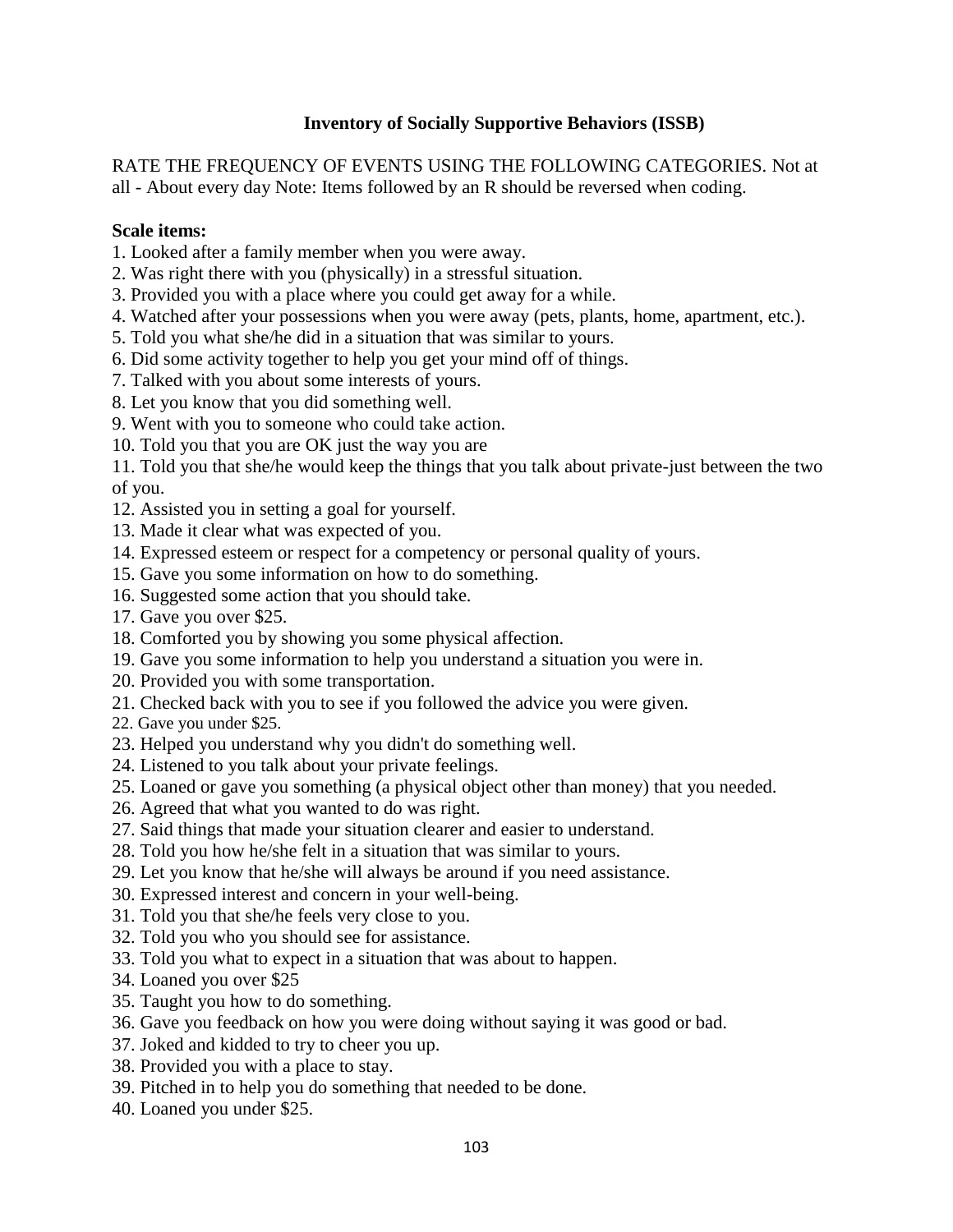# **Inventory of Socially Supportive Behaviors (ISSB)**

RATE THE FREQUENCY OF EVENTS USING THE FOLLOWING CATEGORIES. Not at all - About every day Note: Items followed by an R should be reversed when coding.

### **Scale items:**

- 1. Looked after a family member when you were away.
- 2. Was right there with you (physically) in a stressful situation.
- 3. Provided you with a place where you could get away for a while.
- 4. Watched after your possessions when you were away (pets, plants, home, apartment, etc.).
- 5. Told you what she/he did in a situation that was similar to yours.
- 6. Did some activity together to help you get your mind off of things.
- 7. Talked with you about some interests of yours.
- 8. Let you know that you did something well.
- 9. Went with you to someone who could take action.
- 10. Told you that you are OK just the way you are
- 11. Told you that she/he would keep the things that you talk about private-just between the two of you.
- 12. Assisted you in setting a goal for yourself.
- 13. Made it clear what was expected of you.
- 14. Expressed esteem or respect for a competency or personal quality of yours.
- 15. Gave you some information on how to do something.
- 16. Suggested some action that you should take.
- 17. Gave you over \$25.
- 18. Comforted you by showing you some physical affection.
- 19. Gave you some information to help you understand a situation you were in.
- 20. Provided you with some transportation.
- 21. Checked back with you to see if you followed the advice you were given.
- 22. Gave you under \$25.
- 23. Helped you understand why you didn't do something well.
- 24. Listened to you talk about your private feelings.
- 25. Loaned or gave you something (a physical object other than money) that you needed.
- 26. Agreed that what you wanted to do was right.
- 27. Said things that made your situation clearer and easier to understand.
- 28. Told you how he/she felt in a situation that was similar to yours.
- 29. Let you know that he/she will always be around if you need assistance.
- 30. Expressed interest and concern in your well-being.
- 31. Told you that she/he feels very close to you.
- 32. Told you who you should see for assistance.
- 33. Told you what to expect in a situation that was about to happen.
- 34. Loaned you over \$25
- 35. Taught you how to do something.
- 36. Gave you feedback on how you were doing without saying it was good or bad.
- 37. Joked and kidded to try to cheer you up.
- 38. Provided you with a place to stay.
- 39. Pitched in to help you do something that needed to be done.
- 40. Loaned you under \$25.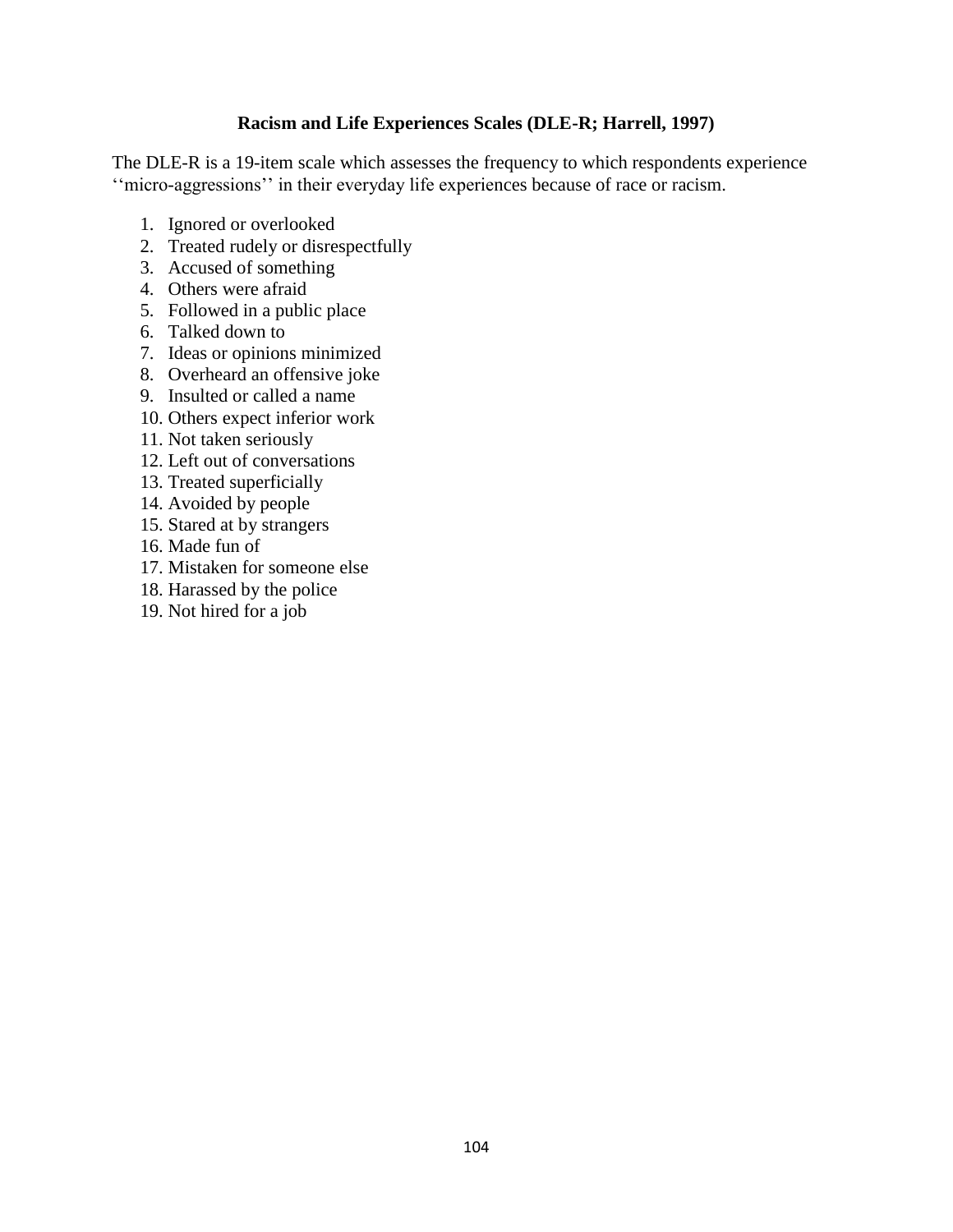# **Racism and Life Experiences Scales (DLE-R; Harrell, 1997)**

The DLE-R is a 19-item scale which assesses the frequency to which respondents experience ''micro-aggressions'' in their everyday life experiences because of race or racism.

- 1. Ignored or overlooked
- 2. Treated rudely or disrespectfully
- 3. Accused of something
- 4. Others were afraid
- 5. Followed in a public place
- 6. Talked down to
- 7. Ideas or opinions minimized
- 8. Overheard an offensive joke
- 9. Insulted or called a name
- 10. Others expect inferior work
- 11. Not taken seriously
- 12. Left out of conversations
- 13. Treated superficially
- 14. Avoided by people
- 15. Stared at by strangers
- 16. Made fun of
- 17. Mistaken for someone else
- 18. Harassed by the police
- 19. Not hired for a job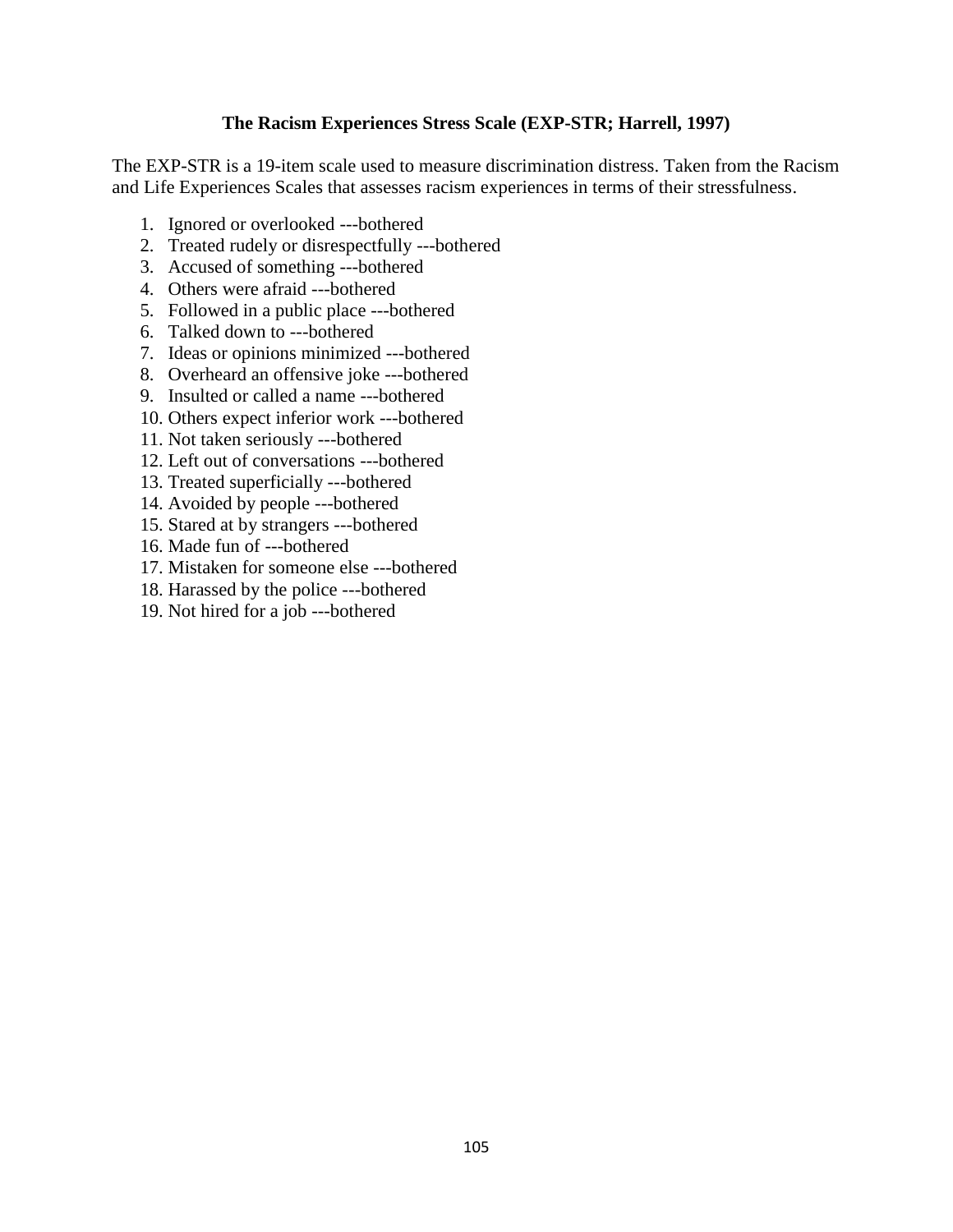### **The Racism Experiences Stress Scale (EXP-STR; Harrell, 1997)**

The EXP-STR is a 19-item scale used to measure discrimination distress. Taken from the Racism and Life Experiences Scales that assesses racism experiences in terms of their stressfulness.

- 1. Ignored or overlooked ---bothered
- 2. Treated rudely or disrespectfully ---bothered
- 3. Accused of something ---bothered
- 4. Others were afraid ---bothered
- 5. Followed in a public place ---bothered
- 6. Talked down to ---bothered
- 7. Ideas or opinions minimized ---bothered
- 8. Overheard an offensive joke ---bothered
- 9. Insulted or called a name ---bothered
- 10. Others expect inferior work ---bothered
- 11. Not taken seriously ---bothered
- 12. Left out of conversations ---bothered
- 13. Treated superficially ---bothered
- 14. Avoided by people ---bothered
- 15. Stared at by strangers ---bothered
- 16. Made fun of ---bothered
- 17. Mistaken for someone else ---bothered
- 18. Harassed by the police ---bothered
- 19. Not hired for a job ---bothered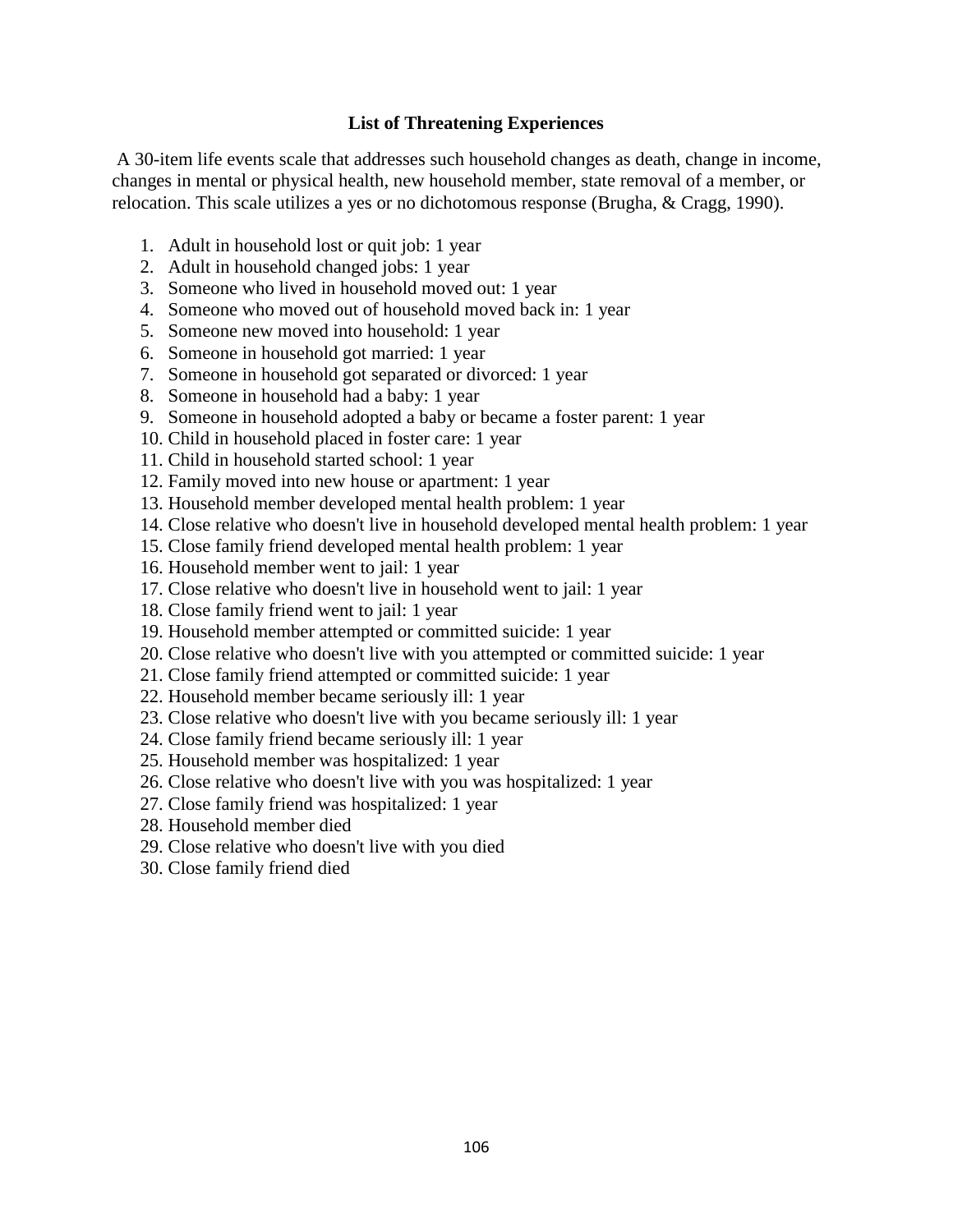#### **List of Threatening Experiences**

A 30-item life events scale that addresses such household changes as death, change in income, changes in mental or physical health, new household member, state removal of a member, or relocation. This scale utilizes a yes or no dichotomous response (Brugha, & Cragg, 1990).

- 1. Adult in household lost or quit job: 1 year
- 2. Adult in household changed jobs: 1 year
- 3. Someone who lived in household moved out: 1 year
- 4. Someone who moved out of household moved back in: 1 year
- 5. Someone new moved into household: 1 year
- 6. Someone in household got married: 1 year
- 7. Someone in household got separated or divorced: 1 year
- 8. Someone in household had a baby: 1 year
- 9. Someone in household adopted a baby or became a foster parent: 1 year
- 10. Child in household placed in foster care: 1 year
- 11. Child in household started school: 1 year
- 12. Family moved into new house or apartment: 1 year
- 13. Household member developed mental health problem: 1 year
- 14. Close relative who doesn't live in household developed mental health problem: 1 year
- 15. Close family friend developed mental health problem: 1 year
- 16. Household member went to jail: 1 year
- 17. Close relative who doesn't live in household went to jail: 1 year
- 18. Close family friend went to jail: 1 year
- 19. Household member attempted or committed suicide: 1 year
- 20. Close relative who doesn't live with you attempted or committed suicide: 1 year
- 21. Close family friend attempted or committed suicide: 1 year
- 22. Household member became seriously ill: 1 year
- 23. Close relative who doesn't live with you became seriously ill: 1 year
- 24. Close family friend became seriously ill: 1 year
- 25. Household member was hospitalized: 1 year
- 26. Close relative who doesn't live with you was hospitalized: 1 year
- 27. Close family friend was hospitalized: 1 year
- 28. Household member died
- 29. Close relative who doesn't live with you died
- 30. Close family friend died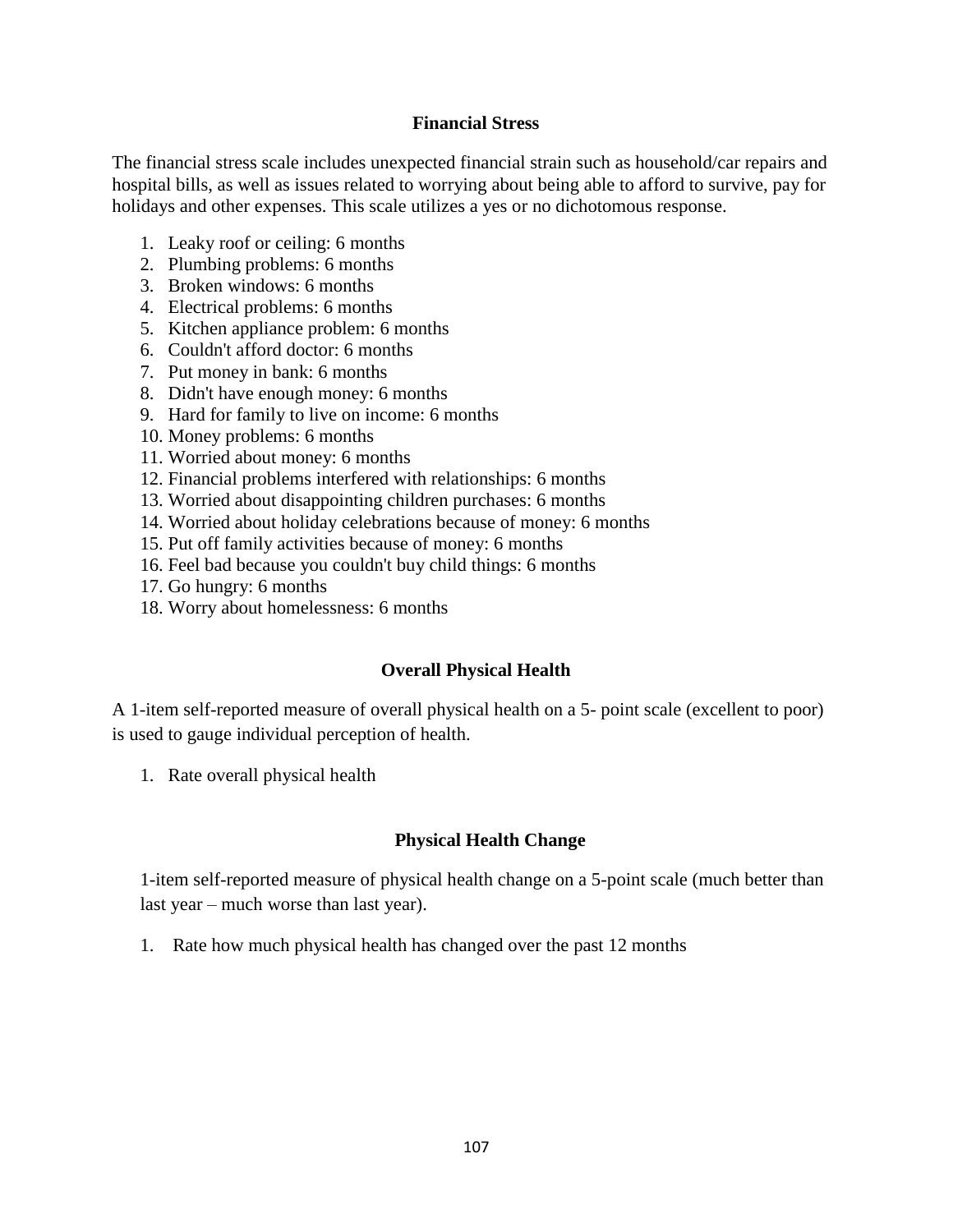#### **Financial Stress**

The financial stress scale includes unexpected financial strain such as household/car repairs and hospital bills, as well as issues related to worrying about being able to afford to survive, pay for holidays and other expenses. This scale utilizes a yes or no dichotomous response.

- 1. Leaky roof or ceiling: 6 months
- 2. Plumbing problems: 6 months
- 3. Broken windows: 6 months
- 4. Electrical problems: 6 months
- 5. Kitchen appliance problem: 6 months
- 6. Couldn't afford doctor: 6 months
- 7. Put money in bank: 6 months
- 8. Didn't have enough money: 6 months
- 9. Hard for family to live on income: 6 months
- 10. Money problems: 6 months
- 11. Worried about money: 6 months
- 12. Financial problems interfered with relationships: 6 months
- 13. Worried about disappointing children purchases: 6 months
- 14. Worried about holiday celebrations because of money: 6 months
- 15. Put off family activities because of money: 6 months
- 16. Feel bad because you couldn't buy child things: 6 months
- 17. Go hungry: 6 months
- 18. Worry about homelessness: 6 months

# **Overall Physical Health**

A 1-item self-reported measure of overall physical health on a 5- point scale (excellent to poor) is used to gauge individual perception of health.

1. Rate overall physical health

# **Physical Health Change**

1-item self-reported measure of physical health change on a 5-point scale (much better than last year – much worse than last year).

1. Rate how much physical health has changed over the past 12 months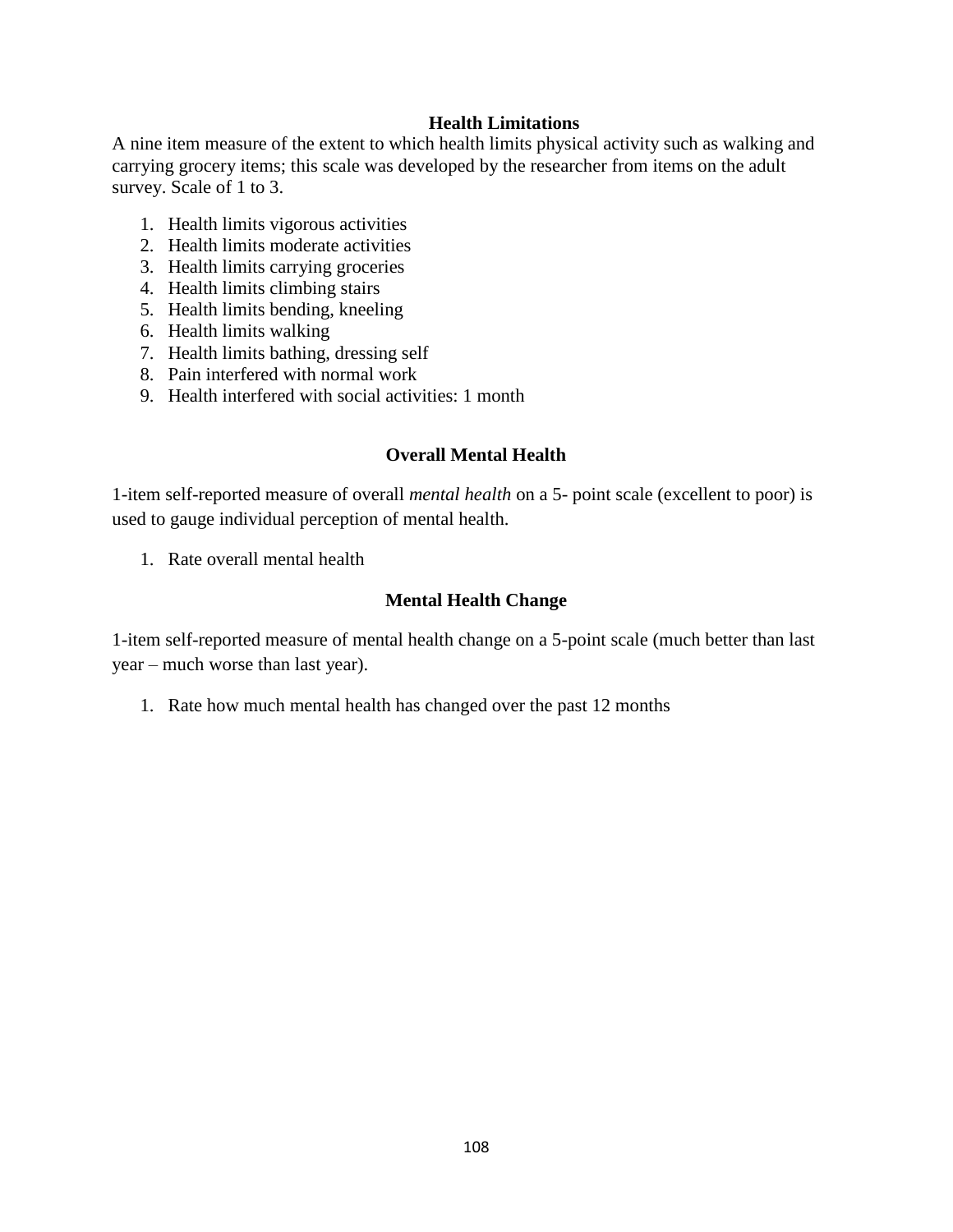# **Health Limitations**

A nine item measure of the extent to which health limits physical activity such as walking and carrying grocery items; this scale was developed by the researcher from items on the adult survey. Scale of 1 to 3.

- 1. Health limits vigorous activities
- 2. Health limits moderate activities
- 3. Health limits carrying groceries
- 4. Health limits climbing stairs
- 5. Health limits bending, kneeling
- 6. Health limits walking
- 7. Health limits bathing, dressing self
- 8. Pain interfered with normal work
- 9. Health interfered with social activities: 1 month

# **Overall Mental Health**

1-item self-reported measure of overall *mental health* on a 5- point scale (excellent to poor) is used to gauge individual perception of mental health.

1. Rate overall mental health

### **Mental Health Change**

1-item self-reported measure of mental health change on a 5-point scale (much better than last year – much worse than last year).

1. Rate how much mental health has changed over the past 12 months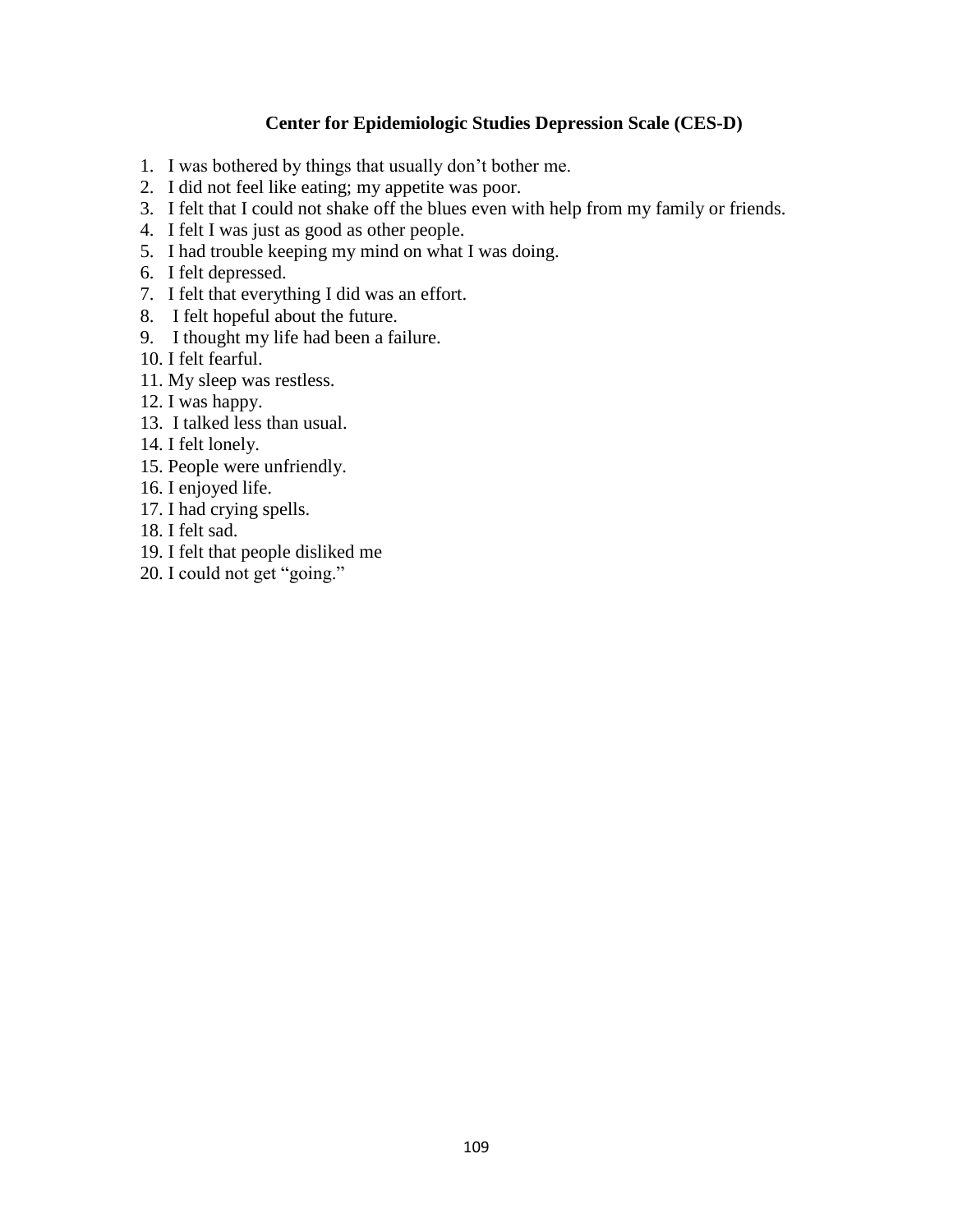### **Center for Epidemiologic Studies Depression Scale (CES-D)**

- 1. I was bothered by things that usually don't bother me.
- 2. I did not feel like eating; my appetite was poor.
- 3. I felt that I could not shake off the blues even with help from my family or friends.
- 4. I felt I was just as good as other people.
- 5. I had trouble keeping my mind on what I was doing.
- 6. I felt depressed.
- 7. I felt that everything I did was an effort.
- 8. I felt hopeful about the future.
- 9. I thought my life had been a failure.
- 10. I felt fearful.
- 11. My sleep was restless.
- 12. I was happy.
- 13. I talked less than usual.
- 14. I felt lonely.
- 15. People were unfriendly.
- 16. I enjoyed life.
- 17. I had crying spells.
- 18. I felt sad.
- 19. I felt that people disliked me
- 20. I could not get "going."